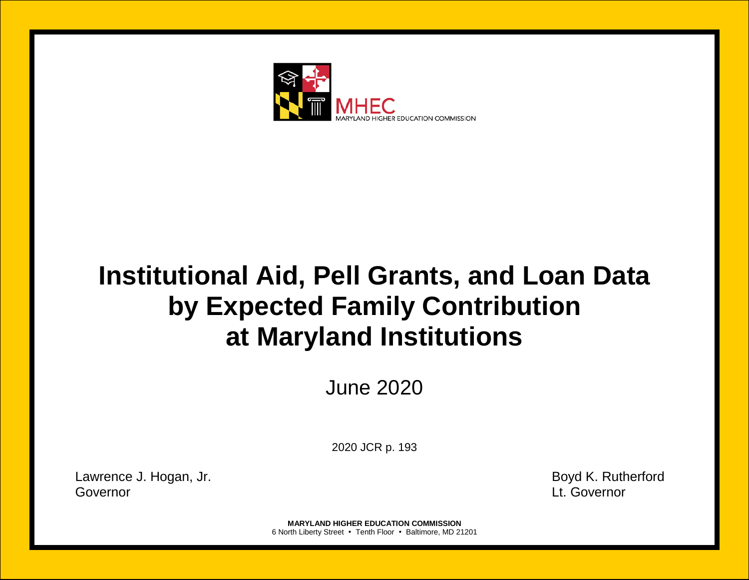

# **Institutional Aid, Pell Grants, and Loan Data by Expected Family Contribution at Maryland Institutions**

June 2020

2020 JCR p. 193

Lawrence J. Hogan, Jr. **Boyd K. Rutherford** Governor Lt. Governor

**MARYLAND HIGHER EDUCATION COMMISSION** 6 North Liberty Street • Tenth Floor • Baltimore, MD 21201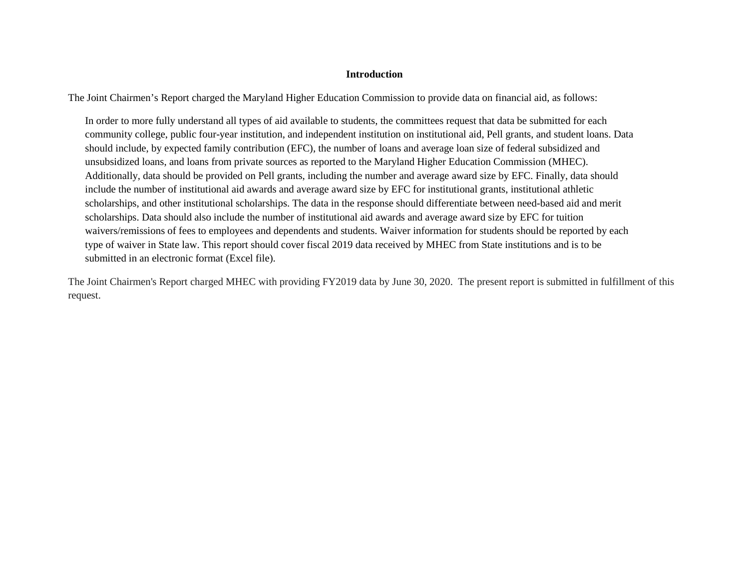## **Introduction**

The Joint Chairmen's Report charged the Maryland Higher Education Commission to provide data on financial aid, as follows:

In order to more fully understand all types of aid available to students, the committees request that data be submitted for each community college, public four-year institution, and independent institution on institutional aid, Pell grants, and student loans. Data should include, by expected family contribution (EFC), the number of loans and average loan size of federal subsidized and unsubsidized loans, and loans from private sources as reported to the Maryland Higher Education Commission (MHEC). Additionally, data should be provided on Pell grants, including the number and average award size by EFC. Finally, data should include the number of institutional aid awards and average award size by EFC for institutional grants, institutional athletic scholarships, and other institutional scholarships. The data in the response should differentiate between need-based aid and merit scholarships. Data should also include the number of institutional aid awards and average award size by EFC for tuition waivers/remissions of fees to employees and dependents and students. Waiver information for students should be reported by each type of waiver in State law. This report should cover fiscal 2019 data received by MHEC from State institutions and is to be submitted in an electronic format (Excel file).

The Joint Chairmen's Report charged MHEC with providing FY2019 data by June 30, 2020. The present report is submitted in fulfillment of this request.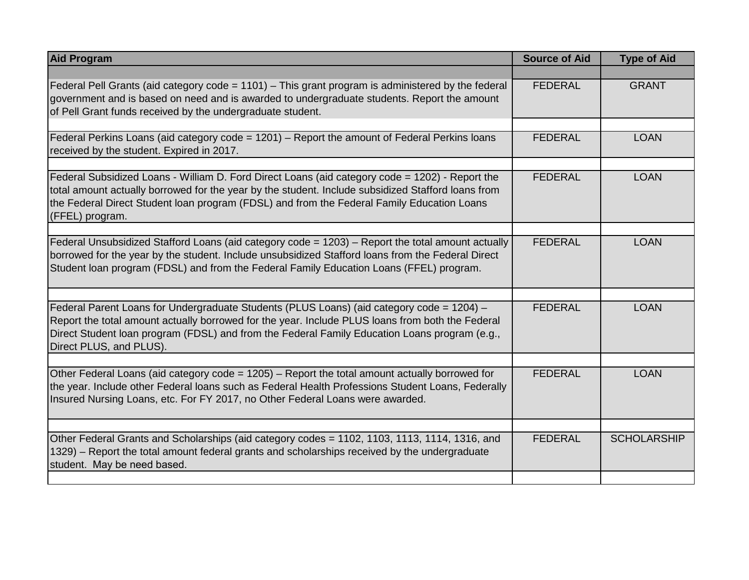| <b>Aid Program</b>                                                                                                                                                                                                                                                                                                        | <b>Source of Aid</b> | <b>Type of Aid</b> |
|---------------------------------------------------------------------------------------------------------------------------------------------------------------------------------------------------------------------------------------------------------------------------------------------------------------------------|----------------------|--------------------|
|                                                                                                                                                                                                                                                                                                                           |                      |                    |
| Federal Pell Grants (aid category code = 1101) - This grant program is administered by the federal<br>government and is based on need and is awarded to undergraduate students. Report the amount<br>of Pell Grant funds received by the undergraduate student.                                                           | <b>FEDERAL</b>       | <b>GRANT</b>       |
|                                                                                                                                                                                                                                                                                                                           |                      |                    |
| Federal Perkins Loans (aid category code $= 1201$ ) – Report the amount of Federal Perkins loans<br>received by the student. Expired in 2017.                                                                                                                                                                             | <b>FEDERAL</b>       | <b>LOAN</b>        |
|                                                                                                                                                                                                                                                                                                                           |                      |                    |
| Federal Subsidized Loans - William D. Ford Direct Loans (aid category code = 1202) - Report the<br>total amount actually borrowed for the year by the student. Include subsidized Stafford loans from<br>the Federal Direct Student loan program (FDSL) and from the Federal Family Education Loans<br>(FFEL) program.    | <b>FEDERAL</b>       | <b>LOAN</b>        |
|                                                                                                                                                                                                                                                                                                                           |                      |                    |
| Federal Unsubsidized Stafford Loans (aid category code = 1203) – Report the total amount actually<br>borrowed for the year by the student. Include unsubsidized Stafford loans from the Federal Direct<br>Student loan program (FDSL) and from the Federal Family Education Loans (FFEL) program.                         | <b>FEDERAL</b>       | <b>LOAN</b>        |
|                                                                                                                                                                                                                                                                                                                           |                      |                    |
| Federal Parent Loans for Undergraduate Students (PLUS Loans) (aid category code = 1204) -<br>Report the total amount actually borrowed for the year. Include PLUS loans from both the Federal<br>Direct Student Ioan program (FDSL) and from the Federal Family Education Loans program (e.g.,<br>Direct PLUS, and PLUS). | <b>FEDERAL</b>       | <b>LOAN</b>        |
|                                                                                                                                                                                                                                                                                                                           |                      |                    |
| Other Federal Loans (aid category code = 1205) - Report the total amount actually borrowed for<br>the year. Include other Federal loans such as Federal Health Professions Student Loans, Federally<br>Insured Nursing Loans, etc. For FY 2017, no Other Federal Loans were awarded.                                      | <b>FEDERAL</b>       | <b>LOAN</b>        |
|                                                                                                                                                                                                                                                                                                                           |                      |                    |
| Other Federal Grants and Scholarships (aid category codes = 1102, 1103, 1113, 1114, 1316, and<br>1329) – Report the total amount federal grants and scholarships received by the undergraduate<br>student. May be need based.                                                                                             | <b>FEDERAL</b>       | <b>SCHOLARSHIP</b> |
|                                                                                                                                                                                                                                                                                                                           |                      |                    |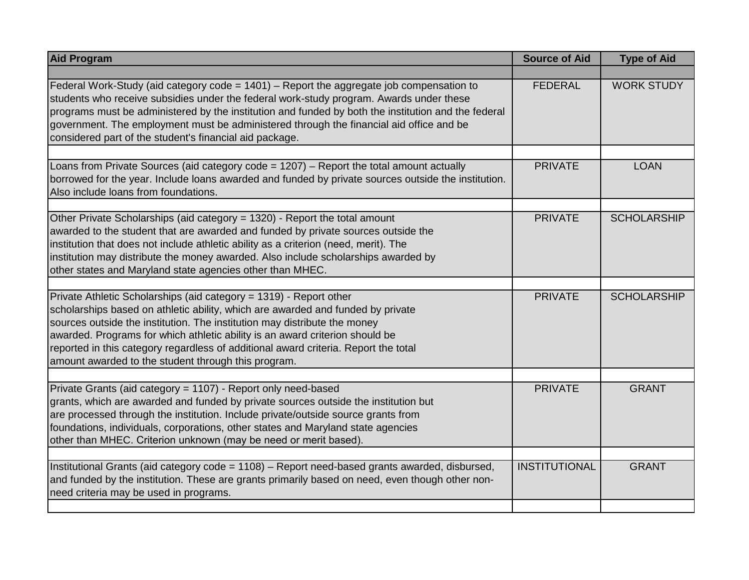| <b>Aid Program</b>                                                                                                                                                                                                                                                                                                                                                                                                                                               | <b>Source of Aid</b> | <b>Type of Aid</b> |
|------------------------------------------------------------------------------------------------------------------------------------------------------------------------------------------------------------------------------------------------------------------------------------------------------------------------------------------------------------------------------------------------------------------------------------------------------------------|----------------------|--------------------|
|                                                                                                                                                                                                                                                                                                                                                                                                                                                                  |                      |                    |
| Federal Work-Study (aid category code = 1401) – Report the aggregate job compensation to<br>students who receive subsidies under the federal work-study program. Awards under these<br>programs must be administered by the institution and funded by both the institution and the federal<br>government. The employment must be administered through the financial aid office and be<br>considered part of the student's financial aid package.                 | <b>FEDERAL</b>       | <b>WORK STUDY</b>  |
| Loans from Private Sources (aid category code = 1207) – Report the total amount actually<br>borrowed for the year. Include loans awarded and funded by private sources outside the institution.<br>Also include loans from foundations.                                                                                                                                                                                                                          | <b>PRIVATE</b>       | <b>LOAN</b>        |
| Other Private Scholarships (aid category = 1320) - Report the total amount<br>awarded to the student that are awarded and funded by private sources outside the<br>institution that does not include athletic ability as a criterion (need, merit). The<br>institution may distribute the money awarded. Also include scholarships awarded by<br>other states and Maryland state agencies other than MHEC.                                                       | <b>PRIVATE</b>       | <b>SCHOLARSHIP</b> |
| Private Athletic Scholarships (aid category = 1319) - Report other<br>scholarships based on athletic ability, which are awarded and funded by private<br>sources outside the institution. The institution may distribute the money<br>awarded. Programs for which athletic ability is an award criterion should be<br>reported in this category regardless of additional award criteria. Report the total<br>amount awarded to the student through this program. | <b>PRIVATE</b>       | <b>SCHOLARSHIP</b> |
| Private Grants (aid category = 1107) - Report only need-based<br>grants, which are awarded and funded by private sources outside the institution but<br>are processed through the institution. Include private/outside source grants from<br>foundations, individuals, corporations, other states and Maryland state agencies<br>other than MHEC. Criterion unknown (may be need or merit based).                                                                | <b>PRIVATE</b>       | <b>GRANT</b>       |
| Institutional Grants (aid category code = 1108) - Report need-based grants awarded, disbursed,<br>and funded by the institution. These are grants primarily based on need, even though other non-<br>need criteria may be used in programs.                                                                                                                                                                                                                      | <b>INSTITUTIONAL</b> | <b>GRANT</b>       |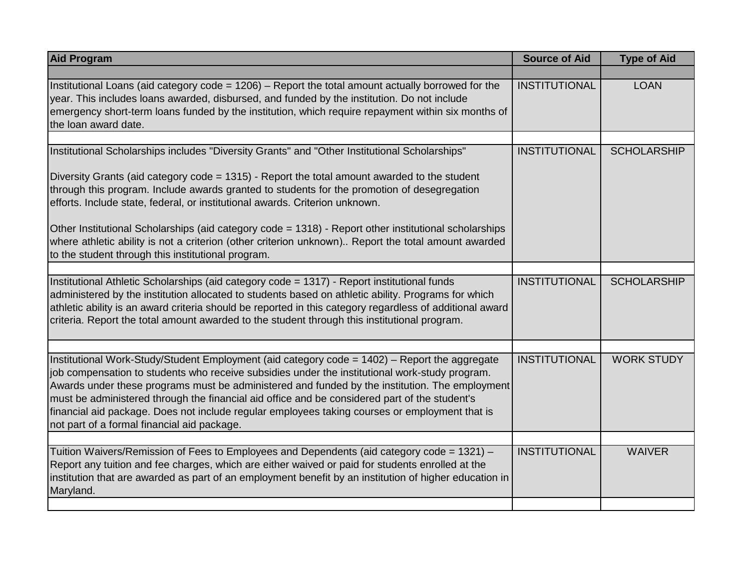| <b>Aid Program</b>                                                                                                                                                                                                                                                                                                                                                                                                                                                                                                                                  | <b>Source of Aid</b> | <b>Type of Aid</b> |
|-----------------------------------------------------------------------------------------------------------------------------------------------------------------------------------------------------------------------------------------------------------------------------------------------------------------------------------------------------------------------------------------------------------------------------------------------------------------------------------------------------------------------------------------------------|----------------------|--------------------|
|                                                                                                                                                                                                                                                                                                                                                                                                                                                                                                                                                     |                      |                    |
| Institutional Loans (aid category code = 1206) - Report the total amount actually borrowed for the<br>year. This includes loans awarded, disbursed, and funded by the institution. Do not include<br>emergency short-term loans funded by the institution, which require repayment within six months of<br>the loan award date.                                                                                                                                                                                                                     | <b>INSTITUTIONAL</b> | <b>LOAN</b>        |
|                                                                                                                                                                                                                                                                                                                                                                                                                                                                                                                                                     |                      |                    |
| Institutional Scholarships includes "Diversity Grants" and "Other Institutional Scholarships"                                                                                                                                                                                                                                                                                                                                                                                                                                                       | <b>INSTITUTIONAL</b> | <b>SCHOLARSHIP</b> |
| Diversity Grants (aid category code = 1315) - Report the total amount awarded to the student<br>through this program. Include awards granted to students for the promotion of desegregation<br>efforts. Include state, federal, or institutional awards. Criterion unknown.                                                                                                                                                                                                                                                                         |                      |                    |
| Other Institutional Scholarships (aid category code = 1318) - Report other institutional scholarships<br>where athletic ability is not a criterion (other criterion unknown) Report the total amount awarded<br>to the student through this institutional program.                                                                                                                                                                                                                                                                                  |                      |                    |
|                                                                                                                                                                                                                                                                                                                                                                                                                                                                                                                                                     |                      |                    |
| Institutional Athletic Scholarships (aid category code = 1317) - Report institutional funds<br>administered by the institution allocated to students based on athletic ability. Programs for which<br>athletic ability is an award criteria should be reported in this category regardless of additional award<br>criteria. Report the total amount awarded to the student through this institutional program.                                                                                                                                      | <b>INSTITUTIONAL</b> | <b>SCHOLARSHIP</b> |
|                                                                                                                                                                                                                                                                                                                                                                                                                                                                                                                                                     |                      |                    |
| Institutional Work-Study/Student Employment (aid category code = 1402) - Report the aggregate<br>job compensation to students who receive subsidies under the institutional work-study program.<br>Awards under these programs must be administered and funded by the institution. The employment<br>must be administered through the financial aid office and be considered part of the student's<br>financial aid package. Does not include regular employees taking courses or employment that is<br>not part of a formal financial aid package. | <b>INSTITUTIONAL</b> | <b>WORK STUDY</b>  |
|                                                                                                                                                                                                                                                                                                                                                                                                                                                                                                                                                     |                      |                    |
| Tuition Waivers/Remission of Fees to Employees and Dependents (aid category code = 1321) -<br>Report any tuition and fee charges, which are either waived or paid for students enrolled at the<br>institution that are awarded as part of an employment benefit by an institution of higher education in<br>Maryland.                                                                                                                                                                                                                               | <b>INSTITUTIONAL</b> | <b>WAIVER</b>      |
|                                                                                                                                                                                                                                                                                                                                                                                                                                                                                                                                                     |                      |                    |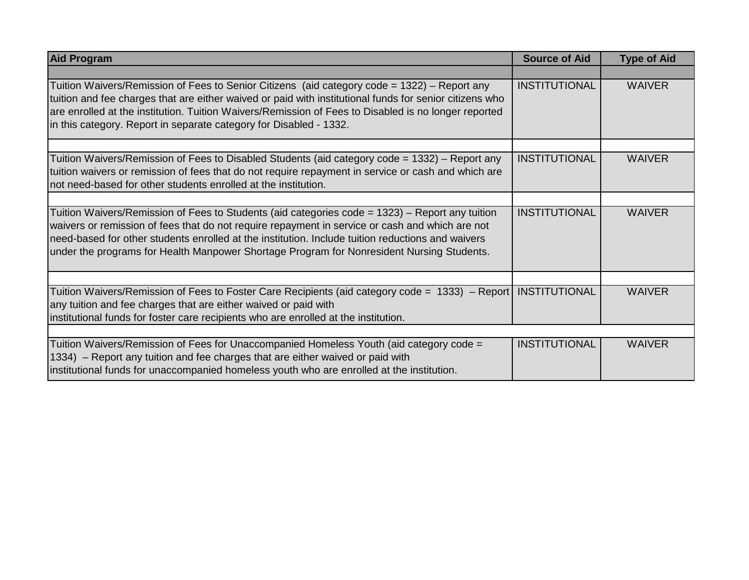| <b>Aid Program</b>                                                                                                                                                                                                                                                                                                                                                                                   | <b>Source of Aid</b> | <b>Type of Aid</b> |
|------------------------------------------------------------------------------------------------------------------------------------------------------------------------------------------------------------------------------------------------------------------------------------------------------------------------------------------------------------------------------------------------------|----------------------|--------------------|
|                                                                                                                                                                                                                                                                                                                                                                                                      |                      |                    |
| Tuition Waivers/Remission of Fees to Senior Citizens (aid category code = 1322) – Report any<br>tuition and fee charges that are either waived or paid with institutional funds for senior citizens who<br>are enrolled at the institution. Tuition Waivers/Remission of Fees to Disabled is no longer reported<br>in this category. Report in separate category for Disabled - 1332.                | <b>INSTITUTIONAL</b> | <b>WAIVER</b>      |
|                                                                                                                                                                                                                                                                                                                                                                                                      |                      |                    |
| Tuition Waivers/Remission of Fees to Disabled Students (aid category code = 1332) – Report any<br>tuition waivers or remission of fees that do not require repayment in service or cash and which are<br>not need-based for other students enrolled at the institution.                                                                                                                              | <b>INSTITUTIONAL</b> | <b>WAIVER</b>      |
|                                                                                                                                                                                                                                                                                                                                                                                                      |                      |                    |
| Tuition Waivers/Remission of Fees to Students (aid categories code = 1323) – Report any tuition<br>waivers or remission of fees that do not require repayment in service or cash and which are not<br>need-based for other students enrolled at the institution. Include tuition reductions and waivers<br>under the programs for Health Manpower Shortage Program for Nonresident Nursing Students. | <b>INSTITUTIONAL</b> | <b>WAIVER</b>      |
|                                                                                                                                                                                                                                                                                                                                                                                                      |                      |                    |
| Tuition Waivers/Remission of Fees to Foster Care Recipients (aid category code = 1333) – Report NSTITUTIONAL<br>any tuition and fee charges that are either waived or paid with<br>institutional funds for foster care recipients who are enrolled at the institution.                                                                                                                               |                      | <b>WAIVER</b>      |
|                                                                                                                                                                                                                                                                                                                                                                                                      |                      |                    |
| Tuition Waivers/Remission of Fees for Unaccompanied Homeless Youth (aid category code =<br>1334) - Report any tuition and fee charges that are either waived or paid with<br>institutional funds for unaccompanied homeless youth who are enrolled at the institution.                                                                                                                               | <b>INSTITUTIONAL</b> | <b>WAIVER</b>      |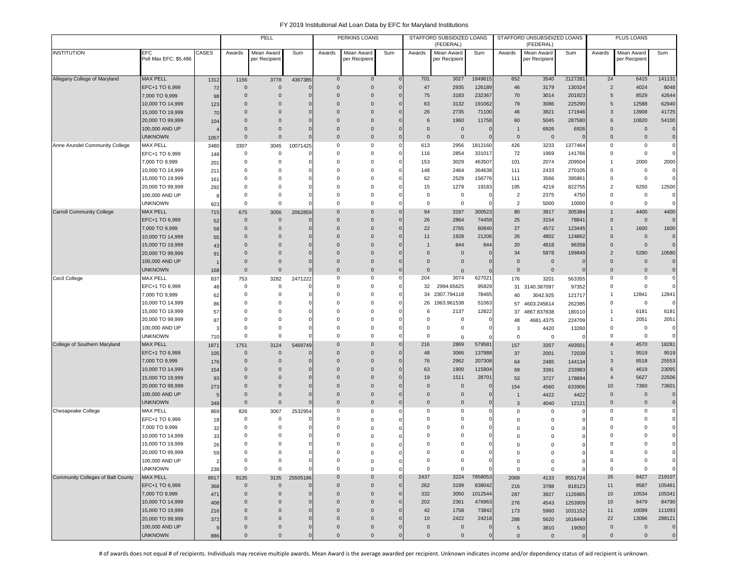|                                   |                                      |                |                      | PELL                        |               |                      | PERKINS LOANS               |                   |               | STAFFORD SUBSIDIZED LOANS<br>(FEDERAL) |                     |                | STAFFORD UNSUBSIDIZED LOANS<br>(FEDERAL) |                |                | PLUS LOANS                 |                |
|-----------------------------------|--------------------------------------|----------------|----------------------|-----------------------------|---------------|----------------------|-----------------------------|-------------------|---------------|----------------------------------------|---------------------|----------------|------------------------------------------|----------------|----------------|----------------------------|----------------|
| <b>INSTITUTION</b>                | EFC<br>Pell Max EFC: \$5,486         | CASES          | Awards               | Mean Award<br>per Recipient | Sum           | Awards               | Mean Award<br>per Recipient | Sum               | Awards        | Mean Award<br>per Recipient            | Sum                 | Awards         | Mean Award<br>per Recipient              | Sum            | Awards         | Mean Award<br>per Recipien | Sum            |
| Allegany College of Maryland      | <b>MAX PELL</b>                      | 1312           | 1156                 | 3778                        | 4367385       | $\bf{0}$             | $\mathbf 0$                 | $\mathsf{C}$      | 701           | 3027                                   | 1949615             | 652            | 3540                                     | 2127281        | 24             | 6415                       | 141131         |
|                                   | EFC+1 TO 6,999                       | 72             | $\Omega$             | $\mathbf{0}$                |               | $\mathbf{0}$         | $\mathsf 0$                 | $\sqrt{ }$        | 47            | 2935                                   | 126189              | 46             | 3179                                     | 130324         | $\overline{2}$ | 4024                       | 8048           |
|                                   | 7,000 TO 9,999                       | 98             | $\Omega$             | $\mathbf{0}$                | $\Omega$      | $\Omega$             | $\mathbf{0}$                | C                 | 75            | 3183                                   | 232367              | 70             | 3014                                     | 201923         | 5              | 8529                       | 42644          |
|                                   | 10,000 TO 14,999                     | 123            | $\Omega$             | $\mathbf 0$                 | $\Omega$      | $\Omega$             | $\mathbf{0}$                | $\sqrt{ }$        | 63            | 3132                                   | 191062              | 79             | 3086                                     | 225290         | 5              | 12588                      | 62940          |
|                                   | 15,000 TO 19,999                     | 70             | $\Omega$             | $\mathbf 0$                 | $\mathbf 0$   | $\Omega$             | $\mathbf{0}$                | C                 | 26            | 2735                                   | 71100               | 46             | 3821                                     | 171946         | 3              | 13908                      | 41725          |
|                                   | 20,000 TO 99,999                     | 104            | $\Omega$             | $\Omega$                    | $\mathbf 0$   | $\Omega$             | $\mathbf{0}$                | C                 | 6             | 1960                                   | 11758               | 60             | 5045                                     | 287580         | 6              | 10820                      | 54100          |
|                                   | 100,000 AND UP                       | 4              | $\mathbf{0}$         | $\mathbf 0$                 | $\mathbf 0$   | $\Omega$             | $\pmb{0}$                   | O                 | $\Omega$      | $\overline{0}$                         | 0                   | -1             | 6926                                     | 6926           | $\Omega$       | $\mathbf 0$                | $\mathbf{0}$   |
|                                   | <b>UNKNOWN</b>                       | 1057           | $\mathbf{0}$         | $\mathbf{0}$                | $\Omega$      | $\Omega$             | $\mathbf 0$                 | $\epsilon$        | $\Omega$      | $\overline{0}$                         | $\mathsf{C}$        | $\Omega$       | $\overline{0}$                           |                | $\Omega$       | $\mathbf 0$                | $\mathbf 0$    |
| Anne Arundel Community College    | <b>MAX PELL</b>                      | 3480           | 3307                 | 3045                        | 10071425      | $\mathbf 0$          | 0                           |                   | 613           | 2956                                   | 1812160             | 426            | 3233                                     | 1377464        | 0              | 0                          | $\mathbf 0$    |
|                                   | EFC+1 TO 6,999                       | 148            | $\mathbf 0$          | $\mathbf 0$                 |               | $\mathbf 0$          | 0                           | C                 | 116           | 2854                                   | 331017              | 72             | 1969                                     | 141766         | 0              | $\mathbf 0$                | $\mathbf 0$    |
|                                   | 7,000 TO 9,999                       | 201            | 0                    | $\mathbf 0$                 | C             | $\Omega$             | 0                           |                   | 153           | 3029                                   | 463507              | 101            | 2074                                     | 209504         | 1              | 2000                       | 2000           |
|                                   | 10,000 TO 14,999                     | 211            | $\Omega$             | $\mathbf 0$                 | $\Omega$      | $\Omega$             | 0                           | $\mathsf{C}$      | 148           | 2464                                   | 364638              | 111            | 2433                                     | 270105         | 0              | $\mathsf 0$                | $\mathbf 0$    |
|                                   | 15,000 TO 19,999                     | 161            | $\Omega$             | $\Omega$                    | $\Omega$      | $\Omega$             | $\mathbf 0$                 | $\mathsf{C}$      | 62            | 2529                                   | 156776              | 111            | 3566                                     | 395861         | 0              | $\mathsf 0$                | $\mathbf 0$    |
|                                   | 20,000 TO 99,999                     | 292            | $\Omega$             | $\Omega$                    | C             | $\Omega$             | $\mathbf 0$                 | $\mathsf{C}$      | 15            | 1279                                   | 19183               | 195            | 4219                                     | 822755         | $\overline{2}$ | 6250                       | 12500          |
|                                   | 100,000 AND UP                       | 8              | $\Omega$             | $\Omega$                    | C             | $\Omega$             | 0                           | -0                | $\Omega$      | $\mathbf 0$                            | 0                   | $\overline{2}$ | 2375                                     | 4750           | $\Omega$       | 0                          | $\mathbf 0$    |
|                                   | <b>UNKNOWN</b>                       | 923            | $\Omega$             | $\mathbf 0$                 | $\Omega$      | $\Omega$             | 0                           | C                 | $\Omega$      | $\mathbf 0$                            | $\Omega$            | $\overline{2}$ | 5000                                     | 10000          | 0              | $\mathbf 0$                | $\mathbf 0$    |
| <b>Carroll Community College</b>  | <b>MAX PELL</b>                      | 715            | 675                  | 3056                        | 2062859       | $\Omega$             | $\mathbf 0$                 |                   | 94            | 3197                                   | 300523              | 80             | 3817                                     | 305384         | $\mathbf{1}$   | 4400                       | 4400           |
|                                   | EFC+1 TO 6,999                       | 52             | $\mathbf{0}$         | $\mathbf{0}$                |               | $\mathbf{0}$         | $\mathbf 0$                 | C                 | 26            | 2864                                   | 74459               | 25             | 3154                                     | 78841          | $\mathbf{0}$   | $\mathbf 0$                | $\mathbf{0}$   |
|                                   | 7,000 TO 9,999                       | 58             | $\Omega$             | $\mathbf{0}$                | 0             | $\Omega$             | $\mathbf{0}$                | -C                | 22            | 2765                                   | 60840               | 27             | 4572                                     | 123445         | $\mathbf{1}$   | 1600                       | 1600           |
|                                   | 10,000 TO 14,999                     | 55             | $\Omega$             | $\Omega$                    | $\Omega$      | $\Omega$             | $\mathbf{0}$                | O                 | 11            | 1928                                   | 21206               | 26             | 4802                                     | 124862         | $\Omega$       | $\mathbf 0$                | $\mathbf 0$    |
|                                   | 15,000 TO 19,999                     | 43             | $\Omega$             | $\Omega$                    | O             | $\Omega$             | $\mathbf{0}$                | C                 |               | 844                                    | 844                 | 20             | 4818                                     | 96358          | $\Omega$       | $\mathbf 0$                | $\mathbf 0$    |
|                                   | 20,000 TO 99,999                     | 91             | $\Omega$             | $\Omega$                    | $\mathbf 0$   | $\Omega$             | $\mathbf{0}$                |                   | $\Omega$      | $\overline{0}$                         | $\mathbf 0$         | 34             | 5878                                     | 199849         | $\overline{2}$ | 5290                       | 10580          |
|                                   | 100,000 AND UP                       |                | $\mathbf{0}$         | $\mathbf 0$                 | C             | $\mathbf{0}$         | $\mathbf{0}$                |                   | $\mathbf{0}$  | $\overline{0}$                         | $\mathsf{C}$        | $\mathbf{0}$   | $\overline{0}$                           |                | $\mathbf 0$    | $\mathbf 0$                | $\mathbf 0$    |
|                                   | <b>UNKNOWN</b>                       | 168            | $\mathbf{0}$         | $\mathbf 0$                 | $\mathbf{0}$  | $\mathbf{0}$         | $\bf 0$                     | C                 | $\mathbf{0}$  | $\overline{0}$                         | $\mathbf 0$         | $\mathbf 0$    | $\overline{0}$                           | $\overline{0}$ | $\mathbf{0}$   | $\mathbf 0$                | $\mathbf 0$    |
| Cecil College                     | MAX PELL                             | 837            | 753                  | 3282                        | 2471222       | 0                    | $\mathbf 0$                 | -0                | 204           | 3074                                   | 627021              | 176            | 3201                                     | 563355         | 0              | $\mathbf 0$                | $\mathbf 0$    |
|                                   | EFC+1 TO 6,999                       | 48             | $\mathbf 0$          | $\mathbf 0$                 | C             | $\Omega$             | $\mathbf 0$                 | -C                | 32            | 2994.65625                             | 95829               | 31             | 3140.387097                              | 97352          | 0              | $\mathsf 0$                | $\mathbf 0$    |
|                                   | 7,000 TO 9,999                       | 62             | $\Omega$             | $\mathbf 0$<br>$\Omega$     | C             | $\Omega$             | $\mathbf 0$                 | $\mathsf{C}$      |               | 34 2307.794118                         | 78465               | 40             | 3042.925                                 | 121717         | $\mathbf{1}$   | 12841                      | 12841          |
|                                   | 10,000 TO 14,999                     | 86             | $\Omega$             |                             | C             | $\Omega$             | 0                           | $\mathsf{C}$      | 26            | 1963.961538                            | 51063               | 57             | 4603.245614                              | 262385         | 0              | $\mathbf 0$                | $\mathbf 0$    |
|                                   | 15,000 TO 19,999<br>20,000 TO 99,999 | 57             | $\Omega$<br>$\Omega$ | 0<br>0                      | $\Omega$<br>0 | $\Omega$<br>$\Omega$ | 0<br>0                      | $\mathsf{C}$<br>C | 6<br>$\Omega$ | 2137<br>$\mathbf 0$                    | 12822<br>$^{\circ}$ | 37             | 4867.837838                              | 180110         | 1<br>1         | 6181                       | 6181<br>2051   |
|                                   | 100,000 AND UP                       | 87             | $\Omega$             | $\Omega$                    | 0             | $\Omega$             | $\mathbf 0$                 | -C                | $\Omega$      | $\mathbf 0$                            | 0                   | 48             | 4681.4375                                | 224709         | $\Omega$       | 2051<br>$\mathsf 0$        | $\Omega$       |
|                                   | <b>UNKNOWN</b>                       | э              | $\mathbf 0$          | $\mathbf 0$                 | $\Omega$      | $\Omega$             | $\mathbf 0$                 | -C                | $\mathbf 0$   |                                        |                     | 3<br>$\Omega$  | 4420<br>$\mathbf 0$                      | 13260          | $\Omega$       | $\mathbf 0$                | $\mathbf 0$    |
| College of Southern Maryland      | <b>MAX PELL</b>                      | 710<br>1871    | 1751                 | 3124                        | 5469749       | $\Omega$             | $\mathbf{0}$                | $\sqrt{ }$        | 216           | $\mathbf 0$<br>2869                    | $\Omega$<br>579581  | 157            | 3357                                     | 493501         | $\overline{4}$ | 4570                       | 18281          |
|                                   | EFC+1 TO 6,999                       | 105            | $\mathbf{0}$         | $\mathbf{0}$                |               | $\Omega$             | $\mathbf{0}$                | C                 | 48            | 3066                                   | 137988              | 37             | 2001                                     | 72039          | 1              | 9519                       | 9519           |
|                                   | 7,000 TO 9,999                       | 176            | $\Omega$             | $\mathbf 0$                 | $\sqrt{ }$    | $\Omega$             | $\mathbf{0}$                | C                 | 76            | 2962                                   | 207308              | 64             | 2485                                     | 144134         | 3              | 8518                       | 25553          |
|                                   | 10,000 TO 14,999                     | 154            | $\mathbf{0}$         | $\mathbf{0}$                | C             | $\mathbf 0$          | $\mathbf{0}$                | C                 | 63            | 1900                                   | 115904              | 69             | 3391                                     | 233983         | 6              | 4619                       | 23095          |
|                                   | 15,000 TO 19,999                     | 93             | $\Omega$             | $\mathbf 0$                 | $\mathbf 0$   | $\Omega$             | $\bf 0$                     | $\sqrt{ }$        | 19            | 1511                                   | 28701               | 53             | 3727                                     | 178894         | $\overline{4}$ | 5627                       | 22506          |
|                                   | 20,000 TO 99,999                     | 273            | $\Omega$             | $\mathbf 0$                 | $\Omega$      | $\Omega$             | $\pmb{0}$                   | $\sqrt{ }$        | $\Omega$      | $\overline{0}$                         | 0                   | 154            | 4560                                     | 633906         | 10             | 7360                       | 73601          |
|                                   | 100,000 AND UP                       | 5              | $\Omega$             | $\mathbf 0$                 | $\Omega$      | $\Omega$             | $\mathbf 0$                 | $\sqrt{ }$        | $\Omega$      | $\overline{0}$                         | $\mathbf{0}$        |                | 4422                                     | 4422           | $\mathbf{0}$   | $\mathbf 0$                | $\mathbf 0$    |
|                                   | unknown                              | 348            | $\mathbf{0}$         | $\mathsf{O}\xspace$         | $\sqrt{ }$    | $\Omega$             | $\mathbf 0$                 | C                 | $\Omega$      | $\overline{0}$                         | 0                   | 3              | 4040                                     | 12121          | $\mathbf{0}$   | $\mathbf 0$                | $\mathbf 0$    |
| Chesapeake College                | <b>MAX PELL</b>                      | 869            | 826                  | 3067                        | 2532954       | 0                    | $\mathsf 0$                 | c                 | $\Omega$      | $\mathbf 0$                            | $\mathbf 0$         | 0              | 0                                        |                | $\mathbf 0$    | 0                          | $\mathbf 0$    |
|                                   | EFC+1 TO 6,999                       | 18             | 0                    | 0                           |               | 0                    | $\mathbf 0$                 | $\epsilon$        | $\Omega$      | $\mathbf 0$                            | 0                   | $\mathbf 0$    | 0                                        |                | $\Omega$       | 0                          | $\mathbf 0$    |
|                                   | 7,000 TO 9,999                       | 32             | 0                    | $\mathbf 0$                 | C             | $\Omega$             | $\Omega$                    | c                 | $\Omega$      | $\Omega$                               | 0                   | $\Omega$       | $\mathbf 0$                              |                | $\Omega$       | 0                          | $\mathbf 0$    |
|                                   | 10,000 TO 14,999                     | 33             | $\Omega$             | 0                           | 0             | $\Omega$             | 0                           | C                 | $\Omega$      | $\Omega$                               | 0                   | $\Omega$       | $\mathbf 0$                              |                | O              | $\Omega$                   | $\mathbf 0$    |
|                                   | 15,000 TO 19,999                     | 26             | $\Omega$             | $\Omega$                    | 0             | $\Omega$             | $\Omega$                    | C                 | $\Omega$      | $\Omega$                               | 0                   | $\Omega$       | 0                                        |                | 0              | $\Omega$                   | $\mathbf 0$    |
|                                   | 20,000 TO 99,999                     | 59             | $\Omega$             | $\Omega$                    | 0             | $\Omega$             | $\Omega$                    | C                 | $\Omega$      | $\Omega$                               | $\Omega$            | $\Omega$       | $\Omega$                                 | 0              | $\Omega$       | $\Omega$                   | 0              |
|                                   | 100,000 AND UP                       | $\overline{2}$ | 0                    | 0                           | 0             | 0                    | $\mathbf 0$                 | $\mathsf{C}$      | 0             | 0                                      | 0                   | $\mathbf 0$    | $\mathbf 0$                              | $\Omega$       | 0              | $\mathbf 0$                |                |
|                                   | <b>UNKNOWN</b>                       | 238            | $\mathbf 0$          | $\mathbf 0$                 | $\mathbf 0$   | 0                    | $\mathbf 0$                 | $\mathsf{C}$      | $\mathsf 0$   | $\mathbf 0$                            | $\mathbf 0$         | $\mathbf 0$    | $\mathbf 0$                              | $\Omega$       | 0              | $\mathbf 0$                | $\mathbf 0$    |
| Community Colleges of Balt County | <b>MAX PELL</b>                      | 8617           | 8135                 | 3135                        | 25505186      | $\mathbf 0$          | $\mathbf 0$                 | $\mathbf 0$       | 2437          | 3224                                   | 7858053             | 2069           | 4133                                     | 8551724        | 26             | 8427                       | 219107         |
|                                   | EFC+1 TO 6,999                       | 368            | $\mathsf{O}\xspace$  | $\mathsf{O}\xspace$         |               | $\mathbf{0}$         | $\mathsf{O}\xspace$         | $\sqrt{ }$        | 262           | 3199                                   | 838042              | 216            | 3788                                     | 818123         | 11             | 9587                       | 105461         |
|                                   | 7,000 TO 9,999                       | 471            | $\mathbf{0}$         | $\pmb{0}$                   | $\mathbf 0$   | $\mathbf 0$          | $\mathsf{O}\xspace$         | $\mathbf 0$       | 332           | 3050                                   | 1012544             | 287            | 3927                                     | 1126965        | 10             | 10534                      | 105341         |
|                                   | 10,000 TO 14,999                     | 408            | $\Omega$             | $\mathbf{0}$                | $\Omega$      | $\mathbf{0}$         | $\mathbf 0$                 | $\sqrt{ }$        | 202           | 2361                                   | 476963              | 276            | 4543                                     | 1253909        | 10             | 8479                       | 84790          |
|                                   | 15,000 TO 19,999                     | 216            | $\mathbf{0}$         | $\mathbf 0$                 | $\mathbf 0$   | $\mathbf{0}$         | $\mathbf 0$                 | $\mathbf 0$       | 42            | 1758                                   | 73842               | 173            | 5960                                     | 1031152        | 11             | 10099                      | 111093         |
|                                   | 20,000 TO 99,999                     | 372            | $\mathbf{0}$         | $\mathbf 0$                 | $\mathbf 0$   | $\Omega$             | $\mathbf{0}$                | C                 | 10            | 2422                                   | 24218               | 288            | 5620                                     | 1618449        | 22             | 13096                      | 288121         |
|                                   | 100,000 AND UP                       | 9              | $\mathbf{0}$         | $\mathbf 0$                 | $\mathbf 0$   | $\mathbf 0$          | $\mathbf 0$                 | C                 | $\mathbf{0}$  | $\overline{0}$                         | $\mathbf 0$         | 5              | 3810                                     | 19050          | $\mathbf 0$    | $\mathbf 0$                | $\overline{0}$ |
|                                   | <b>UNKNOWN</b>                       | 886            | $\mathbf 0$          | $\mathbf 0$                 | $\mathbf 0$   | $\mathsf 0$          | $\mathsf{O}\xspace$         | $\mathbf 0$       | $\mathsf 0$   | $\mathbf 0$                            | $\mathbf 0$         | $\mathbf{0}$   | $\mathbf 0$                              | $\mathbf 0$    | $\mathbf 0$    | $\mathbf 0$                | $\mathbf 0$    |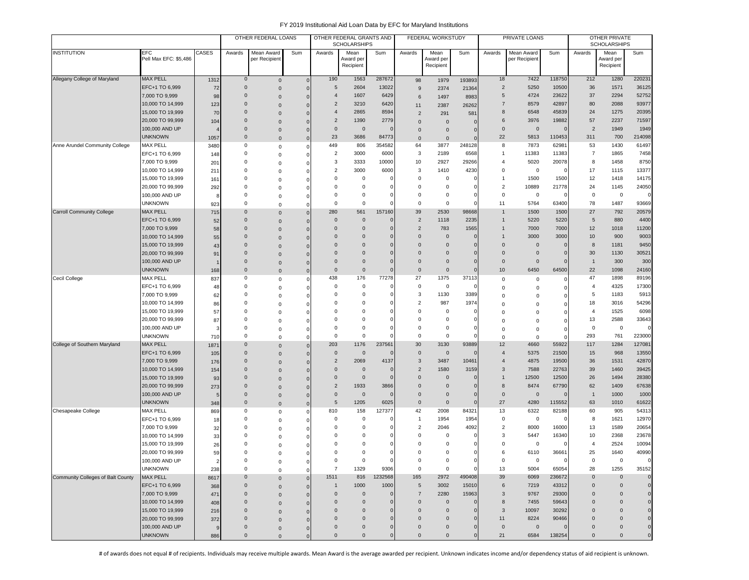|                                   |                                    |             | OTHER FEDERAL LOANS        |                                            |                         | OTHER FEDERAL GRANTS AND<br><b>SCHOLARSHIPS</b> |                            |              | FEDERAL WORKSTUDY          |                              |                          | PRIVATE LOANS                  |                             |                   | OTHER PRIVATE<br><b>SCHOLARSHIPS</b> |                     |                   |
|-----------------------------------|------------------------------------|-------------|----------------------------|--------------------------------------------|-------------------------|-------------------------------------------------|----------------------------|--------------|----------------------------|------------------------------|--------------------------|--------------------------------|-----------------------------|-------------------|--------------------------------------|---------------------|-------------------|
| <b>INSTITUTION</b>                | EFC<br>Pell Max EFC: \$5,486       | CASES       | Awards                     | Mean Award<br>per Recipient                | Sum                     | Awards                                          | Mean<br>Award per          | Sum          | Awards                     | Mean<br>Award per            | Sum                      | Awards                         | Mean Award<br>per Recipient | Sum               | Awards                               | Mean<br>Award per   | Sum               |
|                                   |                                    |             |                            |                                            |                         |                                                 | Recipient                  |              |                            | Recipient                    |                          |                                |                             |                   |                                      | Recipient           |                   |
| Allegany College of Maryland      | <b>MAX PELL</b>                    | 1312        | $\mathbf 0$                | $\mathsf{O}\xspace$                        | $\mathbf 0$             | 190                                             | 1563                       | 287672       | 98                         | 1979                         | 193893                   | 18                             | 7422                        | 118750            | 212                                  | 1280                | 220231            |
|                                   | EFC+1 TO 6,999                     | 72          | $\mathsf{O}\xspace$        | $\mathsf{O}\xspace$                        | $\mathbf 0$             | 5                                               | 2604                       | 13022        | 9                          | 2374                         | 21364                    | $\overline{2}$                 | 5250                        | 10500             | 36                                   | 1571                | 36125             |
|                                   | 7,000 TO 9,999                     | 98          | $\mathbf 0$                | $\mathsf{O}\xspace$                        | $\mathbf 0$             | $\overline{4}$                                  | 1607                       | 6429         | 6                          | 1497                         | 8983                     | 5                              | 4724                        | 23622             | 37                                   | 2294                | 52752             |
|                                   | 10,000 TO 14,999                   | 123         | $\mathbf 0$                | $\mathbf 0$                                | $\Omega$                | $\overline{2}$                                  | 3210                       | 6420         | 11                         | 2387                         | 26262                    | $\overline{7}$                 | 8579                        | 42897             | 80                                   | 2088                | 93977             |
|                                   | 15,000 TO 19,999                   | 70          | $\Omega$<br>$\Omega$       | $\mathsf{O}\xspace$                        | $\Omega$                | $\overline{4}$<br>$\overline{2}$                | 2865<br>1390               | 8594<br>2779 | $\overline{2}$             | 291                          | 581                      | 8<br>6                         | 6548<br>3976                | 45839<br>19882    | 24<br>57                             | 1275<br>2237        | 20395<br>71597    |
|                                   | 20,000 TO 99,999<br>100,000 AND UP | 104         | $\mathbf 0$                | $\mathbf{0}$                               | $\Omega$                | $\mathbf{0}$                                    | $\overline{0}$             |              | $\Omega$                   | $\Omega$                     | $\epsilon$               | $\mathbf 0$                    | $\overline{0}$              | $\mathbf 0$       | $\overline{2}$                       | 1949                | 1949              |
|                                   | <b>UNKNOWN</b>                     | 1057        | $\mathbf 0$                | $\mathbf 0$<br>$\mathbf 0$                 | 0<br>$\overline{0}$     | 23                                              | 3686                       | 84773        | $\Omega$<br>$\mathbf 0$    | $\mathbf{0}$<br>$\mathbf{0}$ | $\sqrt{ }$<br>$\epsilon$ | 22                             | 5813                        | 110453            | 311                                  | 700                 | 214098            |
| Anne Arundel Community College    | MAX PELL                           | 3480        | 0                          | $\mathsf 0$                                | 0                       | 449                                             | 806                        | 354582       | 64                         | 3877                         | 248128                   | 8                              | 7873                        | 62981             | 53                                   | 1430                | 61497             |
|                                   | EFC+1 TO 6,999                     | 148         | 0                          | $\mathsf 0$                                | $\Omega$                | $\overline{2}$                                  | 3000                       | 6000         | 3                          | 2189                         | 6568                     | $\overline{1}$                 | 11383                       | 11383             | $\overline{7}$                       | 1865                | 7458              |
|                                   | 7,000 TO 9,999                     | 201         | $\Omega$                   | $\mathsf 0$                                | 0                       | 3                                               | 3333                       | 10000        | 10                         | 2927                         | 29266                    | $\overline{4}$                 | 5020                        | 20078             | 8                                    | 1458                | 8750              |
|                                   | 10,000 TO 14,999                   | 211         | $\Omega$                   | $\mathbf 0$                                | 0                       | $\overline{2}$                                  | 3000                       | 6000         | 3                          | 1410                         | 4230                     | $\mathbf 0$                    | 0                           | C                 | 17                                   | 1115                | 13377             |
|                                   | 15,000 TO 19,999                   | 161         | $\Omega$                   | $\mathbf 0$                                | 0                       | 0                                               | 0                          |              | $\Omega$                   | $\mathbf 0$                  |                          | $\overline{1}$                 | 1500                        | 1500              | 12                                   | 1418                | 14175             |
|                                   | 20,000 TO 99,999                   | 292         | 0                          | $\mathsf 0$                                | 0                       | 0                                               | $^{\circ}$                 |              | $\Omega$                   | $\mathbf 0$                  | 0                        | $\overline{2}$                 | 10889                       | 21778             | 24                                   | 1145                | 24050             |
|                                   | 100,000 AND UP                     |             | 0                          | $\mathsf 0$                                | $\Omega$                | 0                                               | 0                          |              | $^{\circ}$                 | 0                            | $\epsilon$               | $\mathbf 0$                    | 0                           |                   | $\mathbf 0$                          | $\mathbf 0$         | $\mathbf 0$       |
|                                   | <b>UNKNOWN</b>                     | 923         | 0                          | $\mathbf 0$                                | $\Omega$                | $\Omega$                                        | $\overline{0}$             |              | $\mathbf 0$                | $\mathbf 0$                  | $\sqrt{ }$               | 11                             | 5764                        | 63400             | 78                                   | 1487                | 93669             |
| <b>Carroll Community College</b>  | <b>MAX PELL</b>                    | 715         | $\Omega$                   | $\mathbf{0}$                               | $\Omega$                | 280                                             | 561                        | 157160       | 39                         | 2530                         | 98668                    | $\mathbf{1}$                   | 1500                        | 1500              | 27                                   | 792                 | 20579             |
|                                   | EFC+1 TO 6,999                     | 52          | $\Omega$                   | $\mathbf 0$                                | $\mathbf 0$             | $\mathbf{0}$                                    | $\mathbf 0$                |              | $\overline{2}$             | 1118                         | 2235                     | $\mathbf{1}$                   | 5220                        | 5220              | 5                                    | 880                 | 4400              |
|                                   | 7,000 TO 9,999<br>10,000 TO 14,999 | 58          | $\mathbf 0$<br>$\mathbf 0$ | $\mathbf 0$                                | 0                       | $\mathbf 0$<br>$\mathbf 0$                      | $\mathbf 0$<br>$\mathbf 0$ |              | $\overline{2}$<br>$\Omega$ | 783<br>$\mathbf 0$           | 1565<br>C                | $\mathbf{1}$<br>$\overline{1}$ | 7000<br>3000                | 7000<br>3000      | 12<br>10                             | 1018<br>900         | 11200<br>9003     |
|                                   | 15,000 TO 19,999                   | 55<br>43    | $\mathbf 0$                | $\mathsf{O}\xspace$                        | 0                       | $\mathbf 0$                                     | $\mathbf 0$                |              | $\Omega$                   | $\mathbf{0}$                 | 0                        | $\mathbf 0$                    | $\mathbf 0$                 | $\mathbf 0$       | 8                                    | 1181                | 9450              |
|                                   | 20,000 TO 99,999                   | 91          | $\Omega$                   | $\mathsf{O}\xspace$<br>$\mathsf{O}\xspace$ | 0<br>$\Omega$           | $\Omega$                                        | $\Omega$                   |              | $\Omega$                   | $\Omega$                     | $\Omega$                 | $\mathbf 0$                    | $\mathsf{O}\xspace$         | $\mathbf 0$       | 30                                   | 1130                | 30521             |
|                                   | 100,000 AND UP                     |             | $\Omega$                   | $\mathbf 0$                                | 0                       | $\Omega$                                        | $\Omega$                   |              | $\Omega$                   | $\Omega$                     | $\sqrt{ }$               | $\mathbf 0$                    | $\mathbf 0$                 | $\Omega$          | $\overline{1}$                       | 300                 | 300               |
|                                   | <b>UNKNOWN</b>                     | 168         | $\mathbf 0$                | $\mathbf{0}$                               | $\Omega$                | $\Omega$                                        | $\mathbf 0$                |              | $\mathbf{0}$               | $\mathbf{0}$                 | $\sqrt{ }$               | 10                             | 6450                        | 64500             | 22                                   | 1098                | 24160             |
| Cecil College                     | <b>MAX PELL</b>                    | 837         | 0                          | 0                                          | 0                       | 438                                             | 176                        | 77278        | 27                         | 1375                         | 37113                    | 0                              | 0                           | $\Omega$          | 47                                   | 1898                | 89196             |
|                                   | EFC+1 TO 6,999                     | 48          | 0                          | $\mathsf{O}\xspace$                        | 0                       | 0                                               | $^{\circ}$                 |              | 0                          | 0                            | 0                        | $\mathbf 0$                    | 0                           | $\Omega$          | $\overline{4}$                       | 4325                | 17300             |
|                                   | 7,000 TO 9,999                     | 62          | 0                          | $\mathbf 0$                                | 0                       | 0                                               | 0                          |              | 3                          | 1130                         | 3389                     | $\mathbf 0$                    | 0                           | 0                 | 5                                    | 1183                | 5913              |
|                                   | 10,000 TO 14,999                   | 86          | $\Omega$                   | $\mathsf 0$                                | 0                       | $\Omega$                                        | 0                          |              | $\overline{2}$             | 987                          | 1974                     | $\Omega$                       | 0                           | $\Omega$          | 18                                   | 3016                | 54296             |
|                                   | 15,000 TO 19,999                   | 57          | $\Omega$                   | $\mathbf 0$                                | $\Omega$                | $\Omega$                                        | 0                          |              | $\Omega$                   | $\mathsf 0$                  | C                        | $\Omega$                       | 0                           | $\Omega$          | $\overline{4}$                       | 1525                | 6098              |
|                                   | 20,000 TO 99,999                   | 87          | $\Omega$                   | $\mathbf 0$                                | 0                       | $\Omega$                                        | $\Omega$                   |              | $\Omega$                   | $\Omega$                     | C                        | $\Omega$                       | $\Omega$                    | $\Omega$          | 13                                   | 2588                | 33643             |
|                                   | 100,000 AND UP                     |             | $\Omega$                   | $\mathbf 0$                                | 0                       | 0                                               | $\mathbf 0$                |              | $\Omega$                   | $\mathbf 0$                  |                          | $\mathbf 0$                    | 0                           | $\Omega$          | $\mathbf 0$                          | $\mathbf 0$         | $\Omega$          |
|                                   | <b>UNKNOWN</b>                     | 710         | $\Omega$<br>$\mathbf 0$    | $\mathsf 0$                                | $\Omega$                | $\Omega$                                        | $\mathbf 0$                |              | $^{\circ}$<br>30           | $\mathbf 0$                  |                          | $\mathbf 0$                    | $\mathbf 0$                 | $\Omega$          | 293                                  | 761                 | 223000            |
| College of Southern Maryland      | <b>MAX PELL</b><br>EFC+1 TO 6,999  | 1871        | $\mathbf 0$                | $\mathbf 0$                                | $\mathbf 0$             | 203<br>$\pmb{0}$                                | 1176<br>$\overline{0}$     | 237561       | $\mathbf{0}$               | 3130<br>$\mathbf 0$          | 93889<br>$\sqrt{ }$      | 12<br>$\overline{4}$           | 4660<br>5375                | 55922<br>21500    | 117<br>15                            | 1284<br>968         | 127081<br>13550   |
|                                   | 7,000 TO 9,999                     | 105<br>176  | $\mathbf 0$                | $\mathbf 0$                                | $\mathbf 0$             | $\overline{2}$                                  | 2069                       | 4137         | 3                          | 3487                         | 10461                    | $\overline{4}$                 | 4875                        | 19500             | 36                                   | 1531                | 42870             |
|                                   | 10,000 TO 14,999                   | 154         | $\Omega$                   | $\mathbf 0$<br>$\Omega$                    | $\mathbf 0$<br>$\Omega$ | $\mathbf 0$                                     | $\overline{0}$             |              | $\overline{2}$             | 1580                         | 3159                     | 3                              | 7588                        | 22763             | 39                                   | 1460                | 39425             |
|                                   | 15,000 TO 19,999                   | 93          | $\mathbf 0$                | $\mathsf{O}\xspace$                        | $\Omega$                | $\mathbf 0$                                     | $\mathbf 0$                |              | $\Omega$                   | $\mathbf{0}$                 | $\Omega$                 | $\overline{1}$                 | 12500                       | 12500             | 26                                   | 1494                | 28380             |
|                                   | 20,000 TO 99,999                   | 273         | $\mathbf 0$                | $\mathbf 0$                                | 0                       | $\overline{2}$                                  | 1933                       | 3866         | $\Omega$                   | $\mathbf{0}$                 | $\sqrt{ }$               | 8                              | 8474                        | 67790             | 62                                   | 1409                | 67638             |
|                                   | 100,000 AND UP                     |             | $\mathbf 0$                | $\mathbf 0$                                | $\mathbf 0$             | $\mathbf 0$                                     | $\overline{0}$             |              | $\Omega$                   | $\mathbf{0}$                 | C                        | $\mathbf 0$                    | $\mathbf 0$                 | C                 | $\overline{1}$                       | 1000                | 1000              |
|                                   | <b>UNKNOWN</b>                     | 348         | $\mathbf 0$                | $\mathbf 0$                                | $\mathbf 0$             | 5                                               | 1205                       | 6025         | $\mathbf 0$                | $\mathbf 0$                  | $\sqrt{ }$               | 27                             | 4280                        | 115552            | 63                                   | 1010                | 61622             |
| Chesapeake College                | <b>MAX PELL</b>                    | 869         | 0                          | $\mathsf 0$                                | $\mathbf 0$             | 810                                             | 158                        | 127377       | 42                         | 2008                         | 84321                    | 13                             | 6322                        | 82188             | 60                                   | 905                 | 54313             |
|                                   | EFC+1 TO 6,999                     | 18          | $\Omega$                   | $\mathbf 0$                                | 0                       | 0                                               | $^{\circ}$                 |              | $\overline{1}$             | 1954                         | 1954                     | 0                              | $\mathsf 0$                 | $\Omega$          | 8                                    | 1621                | 12970             |
|                                   | 7,000 TO 9,999                     | 32          | $\Omega$                   | 0                                          | O                       | $\Omega$                                        | $^{\circ}$                 |              | $\overline{2}$             | 2046                         | 4092                     | $\overline{2}$                 | 8000                        | 16000             | 13                                   | 1589                | 20654             |
|                                   | 10,000 TO 14,999                   | 33          | $\Omega$                   | 0                                          |                         | $\Omega$                                        | 0                          |              | $\mathbf 0$                | $\mathbf 0$                  |                          | 3                              | 5447                        | 16340             | 10                                   | 2368                | 23678             |
|                                   | 15,000 TO 19,999                   | 26          | $\Omega$                   | $\mathbf 0$                                | 0                       | $\Omega$                                        | 0                          |              | $\Omega$                   | $\mathbf 0$                  | C                        | $\Omega$                       | 0                           | C                 | $\overline{4}$                       | 2524                | 10094             |
|                                   | 20,000 TO 99,999<br>100,000 AND UP | 59          | $\Omega$<br>0              | $\Omega$                                   | 0                       | $\Omega$<br>0                                   | $\Omega$<br>$\mathsf 0$    | $\Omega$     | $\Omega$<br>0              | $\Omega$<br>$\mathsf 0$      | $\Omega$<br>$\mathbf 0$  | 6<br>$\mathbf 0$               | 6110<br>$\mathbf 0$         | 36661<br>$\Omega$ | 25<br>$\mathbf 0$                    | 1640<br>$\mathbf 0$ | 40990<br>$\Omega$ |
|                                   | <b>UNKNOWN</b>                     | 2           | 0                          | $\mathsf 0$                                | 0                       | $\overline{7}$                                  | 1329                       | 9306         | $\mathbf 0$                | $\mathbf 0$                  | C                        | 13                             | 5004                        | 65054             | 28                                   | 1255                | 35152             |
| Community Colleges of Balt County | MAX PELL                           | 238<br>8617 | $\mathbf 0$                | $\mathbf 0$<br>$\mathbf{0}$                | $\Omega$<br>$\Omega$    | 1511                                            | 816                        | 1232568      | 165                        | 2972                         | 490408                   | 39                             | 6069                        | 236672            | $\mathsf 0$                          | $\mathbf 0$         | $\mathbf{0}$      |
|                                   | EFC+1 TO 6,999                     | 368         | $\mathbf 0$                | $\mathbf 0$                                | $\mathbf 0$             | $\mathbf{1}$                                    | 1000                       | 1000         | 5                          | 3002                         | 15010                    | 6                              | 7219                        | 43312             | $\mathbf{0}$                         | $\mathbf 0$         | $\mathbf{0}$      |
|                                   | 7,000 TO 9,999                     | 471         | $\mathbf 0$                | $\mathbf 0$                                | $\mathbf 0$             | $\mathbf{0}$                                    | $\mathbf 0$                |              | $\overline{7}$             | 2280                         | 15963                    | 3                              | 9767                        | 29300             | $\mathbf{0}$                         | $\mathbf 0$         | $\mathbf{0}$      |
|                                   | 10,000 TO 14,999                   | 408         | $\mathbf 0$                | $\mathbf 0$                                | 0                       | $\mathbf{0}$                                    | $\mathbf 0$                |              | $\mathbf 0$                | $\mathbf 0$                  | $\sqrt{ }$               | 8                              | 7455                        | 59643             | $\overline{0}$                       | $\mathbf 0$         | $\mathbf{0}$      |
|                                   | 15,000 TO 19,999                   | 216         | $\mathbf 0$                | $\mathbf 0$                                | $\Omega$                | $\mathbf{0}$                                    | $\mathbf 0$                |              | $\mathbf 0$                | $\mathbf 0$                  | $\mathbf 0$              | $\mathbf{3}$                   | 10097                       | 30292             | $\mathbf 0$                          | $\mathbf 0$         | $\mathbf{0}$      |
|                                   | 20,000 TO 99,999                   | 372         | $\mathbf 0$                | $\mathbf 0$                                | $\Omega$                | $\mathbf{0}$                                    | $\pmb{0}$                  |              | $\mathbf 0$                | $\mathbf 0$                  | $\mathbf 0$              | 11                             | 8224                        | 90466             | $\overline{0}$                       | $\mathbf 0$         | $\mathbf{0}$      |
|                                   | 100,000 AND UP                     |             | $\mathbf 0$                | $\mathsf{O}\xspace$                        | $\Omega$                | $\mathbf 0$                                     | $\mathbf 0$                |              | $\mathbf 0$                | $\mathbf 0$                  | $\mathbf 0$              | $\mathsf 0$                    | $\overline{0}$              | $\Omega$          | $\mathbf{0}$                         | $\mathbf 0$         | $\mathbf{0}$      |
|                                   | <b>UNKNOWN</b>                     | 886         | $\mathbf 0$                | $\mathbf 0$                                | $\Omega$                | $\mathbf{0}$                                    | $\mathbf{0}$               |              | $\mathsf{O}\xspace$        | $\Omega$                     | $\mathbf{0}$             | 21                             | 6584                        | 138254            | $\mathbf{0}$                         | $\mathbf 0$         | $\mathbf 0$       |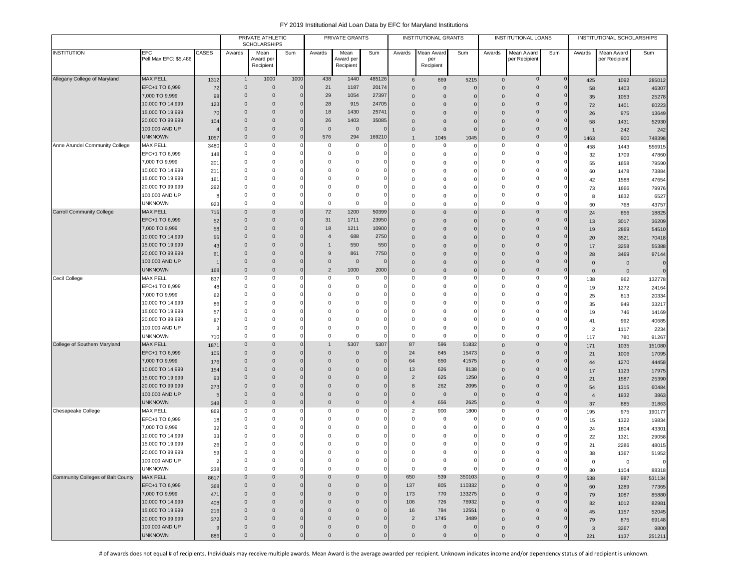|                                   |                                      |                |                               | PRIVATE ATHLETIC<br><b>SCHOLARSHIPS</b> |                |                         | PRIVATE GRANTS             |                            |                     | <b>INSTITUTIONAL GRANTS</b> |               |                      | <b>INSTITUTIONAL LOANS</b>   |              |                      | INSTITUTIONAL SCHOLARSHIPS |                |
|-----------------------------------|--------------------------------------|----------------|-------------------------------|-----------------------------------------|----------------|-------------------------|----------------------------|----------------------------|---------------------|-----------------------------|---------------|----------------------|------------------------------|--------------|----------------------|----------------------------|----------------|
| <b>INSTITUTION</b>                | EFC                                  | CASES          | Awards                        | Mean                                    | Sum            | Awards                  | Mean                       | Sum                        | Awards              | Mean Award                  | Sum           | Awards               | Mean Award                   | Sum          | Awards               | Mean Award                 | Sum            |
|                                   | Pell Max EFC: \$5,486                |                |                               | Award per                               |                |                         | Award per                  |                            |                     | per                         |               |                      | per Recipient                |              |                      | per Recipient              |                |
|                                   |                                      |                |                               | Recipient                               |                |                         | Recipient                  |                            |                     | Recipient                   |               |                      |                              |              |                      |                            |                |
| Allegany College of Maryland      | <b>MAX PELL</b>                      | 1312           | $\mathbf{1}$                  | 1000                                    | 1000           | 438                     | 1440                       | 485126                     | 6                   | 869                         | 5215          | $\mathbf 0$          | $\mathsf{O}\xspace$          | $\mathbf 0$  | 425                  | 1092                       | 285012         |
|                                   | EFC+1 TO 6,999                       | 72             | $\mathbf 0$                   | $\mathbf 0$                             | $\mathbf 0$    | 21                      | 1187                       | 20174                      | $\mathbf 0$         | $\mathbf 0$                 | 0             | $\Omega$             | $\mathbf 0$                  | $\mathbf{0}$ | 58                   | 1403                       | 46307          |
|                                   | 7,000 TO 9,999                       | 98             | $\overline{0}$                | $\mathbf 0$                             | $\mathbf{0}$   | 29                      | 1054                       | 27397                      | $\mathbf 0$         | $\mathbf{0}$                |               | $\Omega$             | $\mathbf{0}$                 | $\Omega$     | 35                   | 1053                       | 25278          |
|                                   | 10,000 TO 14,999                     | 123            | $\overline{0}$                | $\mathbf 0$                             | $\overline{0}$ | 28                      | 915                        | 24705                      | $\mathbf 0$         | $\mathbf{0}$                |               | $\Omega$             | $\mathbf{0}$                 |              | 72                   | 1401                       | 60223          |
|                                   | 15,000 TO 19,999                     | 70             | $\overline{0}$                | $\mathbf 0$                             | $\mathbf 0$    | 18                      | 1430                       | 25741                      | $\mathbf{0}$        | $\mathbf{0}$                | O             | $\Omega$             | $\mathbf 0$                  |              | 26                   | 975                        | 13649          |
|                                   | 20,000 TO 99,999                     | 104            | $\Omega$                      | $\mathbf 0$                             | $\Omega$       | 26                      | 1403                       | 35085                      | $\mathbf{0}$        | $\mathbf{0}$                | O             | $\Omega$             | $\mathbf 0$                  | $\Omega$     | 58                   | 1431                       | 52930          |
|                                   | 100,000 AND UP                       |                | $\mathbf 0$                   | $\mathbf 0$                             | $\bf{0}$       | $\mathbf 0$             | $\overline{0}$             | $\Omega$                   | $\mathbf{0}$        | $\mathbf{0}$                | $\Omega$      | $\Omega$             | $\mathbf 0$                  | $\Omega$     | $\overline{1}$       | 242                        | 242            |
|                                   | <b>UNKNOWN</b>                       | 1057           | $\overline{0}$                | $\mathbf 0$                             | $\mathbf{0}$   | 576                     | 294                        | 169210                     | $\mathbf{1}$        | 1045                        | 1045          | $\mathbf 0$          | $\mathbf 0$                  | $\mathbf{0}$ | 1463                 | 900                        | 748398         |
| Anne Arundel Community College    | <b>MAX PELL</b>                      | 3480           | 0                             | $^{\circ}$                              |                | 0                       | 0                          | 0                          | $\mathbf 0$         | 0                           | 0             | $\Omega$             | 0                            | $\Omega$     | 458                  | 1443                       | 556915         |
|                                   | EFC+1 TO 6,999                       | 148            | $^{\circ}$                    | $^{\circ}$                              | $\Omega$       | 0                       | $^{\circ}$                 | 0<br>$\mathbf 0$           | $\mathbf 0$         | 0                           | $\Omega$      | $\Omega$<br>$\Omega$ | 0                            |              | 32                   | 1709                       | 47860          |
|                                   | 7,000 TO 9,999                       | 201            | $^{\circ}$<br>$\overline{0}$  | $^{\circ}$<br>$\mathbf 0$               |                | 0<br>$\Omega$           | $^{\circ}$<br>$\Omega$     | $\mathbf 0$                | 0                   | 0                           |               | $\Omega$             | 0<br>0                       |              | 55                   | 1658                       | 79590          |
|                                   | 10,000 TO 14,999<br>15,000 TO 19,999 | 211            | $\overline{0}$                | $\mathbf 0$                             |                | $\Omega$                | $^{\circ}$                 | $\mathbf 0$                | $\mathbf 0$         | $\mathbf 0$                 |               | $\Omega$             | 0                            |              | 60                   | 1478                       | 73884          |
|                                   | 20,000 TO 99,999                     | 161            | $^{\circ}$                    | $^{\circ}$                              |                | $\Omega$                | $^{\circ}$                 | $\mathbf 0$                | 0<br>0              | $\mathbf 0$<br>0            |               | $\Omega$             | 0                            |              | 42                   | 1588                       | 47654          |
|                                   | 100,000 AND UP                       | 292<br>8       | $\Omega$                      | 0                                       |                | $\Omega$                | $\overline{0}$             | $\mathbf 0$                | $\mathbf 0$         | $\mathbf 0$                 |               | $\Omega$             | 0                            |              | 73<br>8              | 1666                       | 79976          |
|                                   | <b>UNKNOWN</b>                       | 923            | $\Omega$                      | $^{\circ}$                              | 0              | 0                       | $\overline{\mathbf{0}}$    | $\mathbf 0$                | $\mathbf 0$         | $\mathbf 0$                 | O             | $\mathbf 0$          | 0                            | $\Omega$     | 60                   | 1632<br>768                | 6527           |
| <b>Carroll Community College</b>  | <b>MAX PELL</b>                      | 715            | $\overline{0}$                | $\mathbf 0$                             | $\mathbf 0$    | 72                      | 1200                       | 50399                      | $\mathbf 0$         | $\mathbf 0$                 | $\Omega$      | $\mathbf{0}$         | $\mathbf{0}$                 | $\mathbf 0$  | 24                   | 856                        | 43757<br>18825 |
|                                   | EFC+1 TO 6,999                       | 52             | $\overline{0}$                | $\mathbf 0$                             | $\mathbf 0$    | 31                      | 1711                       | 23950                      | $\mathbf 0$         | $\mathbf{0}$                | $\Omega$      | $\Omega$             | $\mathbf 0$                  | 0            | 13                   | 3017                       | 36209          |
|                                   | 7,000 TO 9,999                       | 58             | $\overline{0}$                | $\mathbf 0$                             | $\mathbf 0$    | 18                      | 1211                       | 10900                      | $\mathbf{0}$        | $\mathbf{0}$                |               | $\Omega$             | $\mathbf 0$                  |              | 19                   | 2869                       | 54510          |
|                                   | 10,000 TO 14,999                     | 55             | $\Omega$                      | $\Omega$                                | $\Omega$       | $\overline{4}$          | 688                        | 2750                       | $\mathbf{0}$        | $\overline{0}$              | $\Omega$      | $\Omega$             | $\mathbf 0$                  |              | 20                   | 3521                       | 70418          |
|                                   | 15,000 TO 19,999                     | 43             | $\Omega$                      | $\Omega$                                | $\Omega$       | -1                      | 550                        | 550                        | $\mathbf{0}$        | $\mathbf{0}$                |               | $\Omega$             | $\Omega$                     |              | 17                   | 3258                       | 55388          |
|                                   | 20,000 TO 99,999                     | 91             | $\mathbf 0$                   | $\mathbf 0$                             |                | 9                       | 861                        | 7750                       | $\mathbf{0}$        | $\mathbf 0$                 |               | $\Omega$             | $\mathbf 0$                  |              | 28                   | 3469                       | 97144          |
|                                   | 100,000 AND UP                       |                | $\overline{0}$                | $\mathbf 0$                             | $\mathbf 0$    | $\mathbf 0$             | $\overline{0}$             | $\mathbf 0$                | $\mathbf{0}$        | $\mathbf 0$                 | $\Omega$      | $\Omega$             | $\mathbf 0$                  |              | $\mathbf 0$          | $\mathbf 0$                | $\mathbf 0$    |
|                                   | <b>UNKNOWN</b>                       | 168            | $\overline{0}$                | $\mathbf 0$                             | $\mathbf 0$    | $\overline{2}$          | 1000                       | 2000                       | $\mathbf{0}$        | $\mathbf{0}$                | $\mathbf 0$   | $\Omega$             | $\mathbf 0$                  | $\mathbf 0$  | $\mathbf{0}$         | $\mathbf 0$                | $\mathbf 0$    |
| Cecil College                     | <b>MAX PELL</b>                      | 837            | $\mathbf 0$                   | $^{\circ}$                              | $\Omega$       | $\Omega$                | $\mathbf 0$                | 0                          | 0                   | 0                           | 0             | $\mathbf 0$          | 0                            | - 0          | 138                  | 962                        | 132778         |
|                                   | EFC+1 TO 6,999                       | 48             | $\overline{0}$                | $^{\circ}$                              |                | 0                       | $^{\circ}$                 | $\mathbf 0$                | $\mathbf 0$         | $\mathbf 0$                 |               | $\Omega$             | 0                            |              | 19                   | 1272                       | 24164          |
|                                   | 7,000 TO 9,999                       | 62             | $^{\circ}$                    | $^{\circ}$                              |                | $\Omega$                | $\Omega$                   | $\mathbf 0$                | $\mathbf 0$         | $\mathbf 0$                 |               | $\Omega$             | 0                            |              | 25                   | 813                        | 20334          |
|                                   | 10,000 TO 14,999                     | 86             | 0                             | $^{\circ}$                              |                | $\Omega$                | $\Omega$                   | $\mathbf 0$                | 0                   | $\mathbf 0$                 |               | $\Omega$             | 0                            |              | 35                   | 949                        | 33217          |
|                                   | 15,000 TO 19,999                     | 57             | 0                             | $^{\circ}$                              |                | $\Omega$                | $\mathbf 0$                | $\mathbf 0$                | 0                   | $\mathbf 0$                 |               | $\Omega$             | 0                            |              | 19                   | 746                        | 14169          |
|                                   | 20,000 TO 99,999                     | 87             | $^{\circ}$                    | $^{\circ}$                              |                | $\Omega$                | $^{\circ}$                 | $\mathbf 0$                | $\mathbf 0$         | $\mathbf 0$                 |               | $\Omega$             | 0                            |              | 41                   | 992                        | 40685          |
|                                   | 100,000 AND UP                       | З              | $\Omega$                      | $\mathbf 0$                             |                | $\Omega$                | $\overline{\mathbf{0}}$    | $\mathbf 0$                | $\mathbf 0$         | 0                           |               | $\Omega$             | 0                            | $\Omega$     | $\overline{2}$       | 1117                       | 2234           |
|                                   | <b>UNKNOWN</b>                       | 710            | $\Omega$                      | $\mathsf 0$                             | $\Omega$       | $\Omega$                | $\mathbf 0$                | $\mathbf 0$                | $\mathbf 0$         | $\mathbf 0$                 | O             | $\mathbf 0$          | 0                            | $\Omega$     | 117                  | 780                        | 91267          |
| College of Southern Maryland      | <b>MAX PELL</b>                      | 1871           | $\mathbf 0$                   | $\Omega$                                | $\Omega$       |                         | 5307                       | 5307                       | 87                  | 596                         | 51832         | $\Omega$             | $\mathbf 0$                  | $\Omega$     | 171                  | 1035                       | 151080         |
|                                   | EFC+1 TO 6,999                       | 105            | $\mathbf 0$                   | $\mathbf 0$                             | 0              | $\mathbf 0$             | $\mathbf 0$                | $\mathbf 0$                | 24                  | 645                         | 15473         | $\Omega$             | $\mathbf{0}$                 |              | 21                   | 1006                       | 17095          |
|                                   | 7,000 TO 9,999<br>10,000 TO 14,999   | 176            | $\mathbf 0$<br>$\overline{0}$ | $\mathbf 0$<br>$\mathbf 0$              | 0<br>$\Omega$  | $\Omega$<br>$\mathbf 0$ | $\mathbf 0$<br>$\mathbf 0$ | $\mathbf 0$<br>$\mathbf 0$ | 64<br>13            | 650<br>626                  | 41575<br>8138 | $\Omega$             | $\mathbf{0}$<br>$\mathbf{0}$ |              | 44                   | 1270                       | 44458          |
|                                   | 15,000 TO 19,999                     | 154            | $\overline{0}$                | $\mathbf 0$                             | $\Omega$       | $\Omega$                | $\mathbf 0$                | $\mathbf 0$                | $\overline{2}$      | 625                         | 1250          | $\Omega$             | $\mathbf 0$                  |              | 17                   | 1123                       | 17975          |
|                                   | 20,000 TO 99,999                     | 93<br>273      | $\overline{0}$                | $\mathbf 0$                             | $\mathbf 0$    | $\Omega$                | $\overline{0}$             | $\mathbf 0$                | 8                   | 262                         | 2095          | $\Omega$<br>$\Omega$ | $\mathbf 0$                  | $\Omega$     | 21                   | 1587                       | 25390          |
|                                   | 100,000 AND UP                       | 5              | $\overline{0}$                | $\mathbf 0$                             | $\mathbf 0$    | $\Omega$                | $\overline{0}$             | $\mathbf 0$                | $\mathbf 0$         | $\overline{0}$              | $\mathbf 0$   | $\mathbf 0$          | $\mathbf 0$                  | $\Omega$     | 54<br>$\overline{4}$ | 1315<br>1932               | 60484          |
|                                   | <b>UNKNOWN</b>                       | 348            | $\overline{0}$                | $\Omega$                                | $\mathbf 0$    | $\Omega$                | $\overline{0}$             | $\mathbf 0$                | $\overline{4}$      | 656                         | 2625          | $\mathbf{0}$         | $\mathbf 0$                  | $\Omega$     | 37                   | 885                        | 3863<br>31863  |
| Chesapeake College                | <b>MAX PELL</b>                      | 869            | $^{\circ}$                    | $^{\circ}$                              | 0              | 0                       | $^{\circ}$                 | $\mathbf 0$                | $\overline{2}$      | 900                         | 1800          | 0                    | 0                            | $\Omega$     | 195                  | 975                        | 190177         |
|                                   | EFC+1 TO 6,999                       | 18             | $^{\circ}$                    | $^{\circ}$                              | Ω              | 0                       | $^{\circ}$                 | $\mathbf 0$                | $\mathbf 0$         | $\mathbf 0$                 |               | $\Omega$             | 0                            | 0            | 15                   | 1322                       | 19834          |
|                                   | 7,000 TO 9,999                       | 32             | $^{\circ}$                    | $^{\circ}$                              |                | 0                       | 0                          | $\mathbf 0$                | $\mathbf 0$         | 0                           |               | $\Omega$             | 0                            |              | 24                   | 1804                       | 43301          |
|                                   | 10,000 TO 14,999                     | 33             | $\Omega$                      | $^{\circ}$                              |                | $\Omega$                | $\Omega$                   | $\mathbf 0$                | $\mathbf 0$         | 0                           |               | $\Omega$             | 0                            |              | 22                   | 1321                       | 29058          |
|                                   | 15,000 TO 19,999                     | 26             | $\Omega$                      | $\Omega$                                |                | $\Omega$                | $\Omega$                   | $\mathbf 0$                | 0                   | 0                           |               | $\Omega$             | $\Omega$                     |              | 21                   | 2286                       | 48015          |
|                                   | 20,000 TO 99,999                     | 59             | $\Omega$                      | $\Omega$                                |                | $\Omega$                | $\Omega$                   | $\mathbf 0$                | $\Omega$            | $\Omega$                    | $\Omega$      | $^{\circ}$           | $\Omega$                     |              | 38                   | 1367                       | 51952          |
|                                   | 100,000 AND UP                       | $\overline{2}$ | $\mathbf 0$                   | 0                                       |                | 0                       | 0                          | $\mathbf 0$                | $\mathbf 0$         | $\mathbf 0$                 | 0             | 0                    | 0                            | 0            | $\mathbf 0$          | $\mathbf 0$                | $\mathbf 0$    |
|                                   | <b>UNKNOWN</b>                       | 238            | $\mathsf 0$                   | $\mathsf 0$                             | $\Omega$       | $\mathbf 0$             | $\mathbf 0$                | $\mathbf 0$                | $\mathbf 0$         | $\mathbf 0$                 | 0             | $\mathsf 0$          | $\mathbf 0$                  | 0            | 80                   | 1104                       | 88318          |
| Community Colleges of Balt County | MAX PELL                             | 8617           | $\overline{0}$                | $\mathbf 0$                             | $\Omega$       | $\mathbf 0$             | $\mathbf 0$                | $\mathsf{O}\xspace$        | 650                 | 539                         | 350103        | $\mathbf{0}$         | $\mathbf 0$                  | $\mathbf 0$  | 538                  | 987                        | 531134         |
|                                   | EFC+1 TO 6,999                       | 368            | $\mathbf 0$                   | $\mathbf 0$                             | $\Omega$       | $\mathbf 0$             | $\mathbf 0$                | $\mathbf 0$                | 137                 | 805                         | 110332        | $\mathbf{0}$         | $\mathbf 0$                  | $\Omega$     | 60                   | 1289                       | 77365          |
|                                   | 7,000 TO 9,999                       | 471            | $\mathbf 0$                   | $\mathbf 0$                             | $\Omega$       | $\mathbf 0$             | $\mathbf 0$                | $\mathbf 0$                | 173                 | 770                         | 133275        | $\mathbf{0}$         | $\mathbf 0$                  | $\Omega$     | 79                   | 1087                       | 85880          |
|                                   | 10,000 TO 14,999                     | 408            | $\overline{0}$                | $\mathbf 0$                             | $\Omega$       | $\Omega$                | $\overline{0}$             | $\mathbf 0$                | 106                 | 726                         | 76932         | $\mathbf 0$          | $\mathbf 0$                  | $\Omega$     | 82                   | 1012                       | 82981          |
|                                   | 15,000 TO 19,999                     | 216            | $\overline{0}$                | $\mathbf 0$                             | $\mathbf{0}$   | $\Omega$                | $\overline{0}$             | $\mathbf 0$                | 16                  | 784                         | 12551         | $\mathbf{0}$         | $\mathbf 0$                  | $\Omega$     | 45                   | 1157                       | 52045          |
|                                   | 20,000 TO 99,999                     | 372            | $\overline{0}$                | $\mathbf 0$                             | $\Omega$       | $\Omega$                | $\overline{0}$             | $\mathbf 0$                | $\overline{2}$      | 1745                        | 3489          | $\mathbf{0}$         | $\mathbf 0$                  | $\Omega$     | 79                   | 875                        | 69148          |
|                                   | 100,000 AND UP                       | 9              | $\mathbf 0$                   | $\mathbf 0$                             | 0              | $\mathbf 0$             | $\overline{0}$             | $\mathbf 0$                | $\mathsf{O}\xspace$ | $\mathbf 0$                 |               | $\mathbf{0}$         | $\mathbf 0$                  |              | $\mathbf{3}$         | 3267                       | 9800           |
|                                   | <b>UNKNOWN</b>                       | 886            | $\mathbf 0$                   | $\mathsf{O}\xspace$                     | $\mathbf{0}$   | $\mathbf 0$             | $\mathbf 0$                | $\mathbf 0$                | $\mathbf{0}$        | $\mathbf 0$                 | $\bf{0}$      | $\mathbf{0}$         | $\mathbf 0$                  | $\Omega$     | 221                  | 1137                       | 251211         |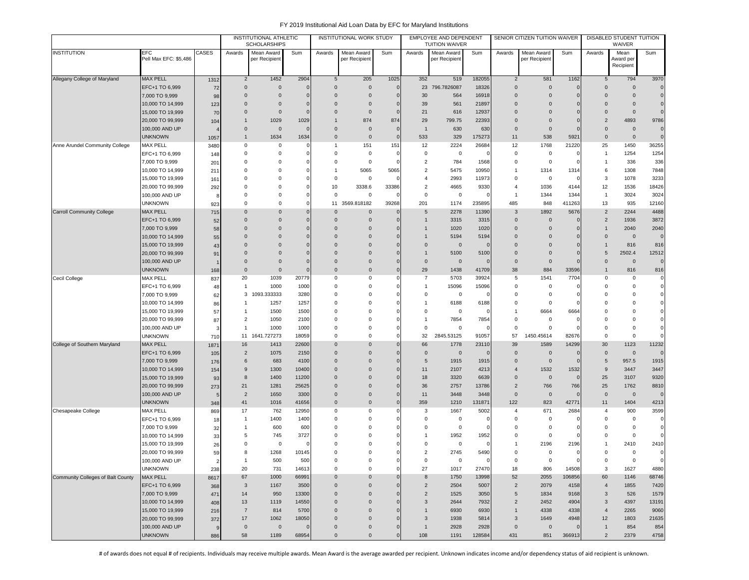|                                   |                                  |                |                     | INSTITUTIONAL ATHLETIC<br><b>SCHOLARSHIPS</b> |              |                | <b>INSTITUTIONAL WORK STUDY</b> |             |                                  | EMPLOYEE AND DEPENDENT<br><b>TUITION WAIVER</b> |               |                               | SENIOR CITIZEN TUITION WAIVER |                        |                      | DISABLED STUDENT TUITION<br>WAIVER |                            |
|-----------------------------------|----------------------------------|----------------|---------------------|-----------------------------------------------|--------------|----------------|---------------------------------|-------------|----------------------------------|-------------------------------------------------|---------------|-------------------------------|-------------------------------|------------------------|----------------------|------------------------------------|----------------------------|
| <b>INSTITUTION</b>                | EFC<br>Pell Max EFC: \$5,486     | CASES          | Awards              | Mean Award<br>per Recipient                   | Sum          | Awards         | Mean Award<br>per Recipient     | Sum         | Awards                           | Mean Award<br>per Recipient                     | Sum           | Awards                        | Mean Award<br>per Recipient   | Sum                    | Awards               | Mean<br>Award per<br>Recipient     | Sum                        |
| Allegany College of Maryland      | <b>MAX PELL</b>                  | 1312           | $\overline{2}$      | 1452                                          | 2904         | 5              | 205                             | 1025        | 352                              | 519                                             | 182055        | $\overline{2}$                | 581                           | 1162                   | 5                    | 794                                | 3970                       |
|                                   | EFC+1 TO 6,999                   | 72             | $\mathbf{0}$        | $\mathbf 0$                                   | $\Omega$     | $\Omega$       | $\mathbf 0$                     | $\mathbf 0$ | 23                               | 796,7826087                                     | 18326         | $\mathbf 0$                   | $\mathbf{0}$                  | $\overline{0}$         | $\Omega$             | $\Omega$                           | $\mathbf 0$                |
|                                   | 7,000 TO 9,999                   | 98             | $\mathbf{0}$        | $\mathbf 0$                                   |              | $\overline{0}$ | $\mathbf{0}$                    | $\Omega$    | 30                               | 564                                             | 16918         | $\overline{0}$                | $\mathbf{0}$                  | $\overline{0}$         | $\Omega$             | $\mathbf 0$                        | $\mathbf 0$                |
|                                   | 10,000 TO 14,999                 | 123            | $\mathbf 0$         | $\mathbf{0}$                                  |              | $\Omega$       | $\mathbf{0}$                    |             | 39                               | 561                                             | 21897         | $\overline{0}$                | $\Omega$                      | $\Omega$               | $\Omega$             | $\mathbf 0$                        | $\mathbf 0$                |
|                                   | 15,000 TO 19,999                 | 70             | $\mathbf 0$         | $\mathbf 0$                                   |              | $\mathbf 0$    | $\mathbf 0$                     | $\Omega$    | 21                               | 616                                             | 12937         | $\overline{0}$                | $\mathbf{0}$                  | C                      | $\Omega$             | $\mathbf 0$                        | $\mathbf 0$                |
|                                   | 20,000 TO 99,999                 | 104            | $\mathbf{1}$        | 1029                                          | 1029         | $\mathbf{1}$   | 874                             | 874         | 29                               | 799.75                                          | 22393         | $\mathbf{0}$                  | $\mathbf 0$                   | $\sqrt{ }$             | $\overline{2}$       | 4893                               | 9786                       |
|                                   | 100,000 AND UP                   |                | $\mathbf 0$         | $\mathbf{0}$                                  |              | $\mathbf 0$    | $\mathbf 0$                     | $\Omega$    | $\overline{1}$                   | 630                                             | 630           | $\mathbf{0}$                  | $\mathbf{0}$                  | $\sqrt{ }$             | $\Omega$             | $\mathbf 0$                        | $\mathbf 0$                |
|                                   | <b>UNKNOWN</b>                   | 1057           | $\mathbf{1}$        | 1634                                          | 1634         | $\Omega$       | $\mathbf 0$                     | $\Omega$    | 533                              | 329                                             | 175273        | 11                            | 538                           | 5921                   | $\Omega$             | $\mathbf 0$                        | $\mathbf 0$                |
| Anne Arundel Community College    | <b>MAX PELL</b>                  | 3480           | 0                   | 0                                             |              | $\mathbf{1}$   | 151                             | 151         | 12                               | 2224                                            | 26684         | 12                            | 1768                          | 21220                  | 25                   | 1450                               | 36255                      |
|                                   | EFC+1 TO 6,999                   | 148            | $\mathbf 0$         | $\mathbf 0$                                   |              | 0              | $^{\circ}$                      | $\epsilon$  | $\mathbf 0$                      | $\mathbf 0$                                     |               | $\mathbf 0$                   | $\mathbf 0$                   | O                      | $\overline{1}$       | 1254                               | 1254                       |
|                                   | 7,000 TO 9,999                   | 201            | 0                   | $\mathbf 0$                                   |              | 0              | $\mathbf 0$                     |             | $\overline{2}$                   | 784                                             | 1568          | 0                             | $\mathsf 0$                   | O                      | $\overline{1}$       | 336                                | 336                        |
|                                   | 10,000 TO 14,999                 | 211            | 0                   | 0                                             |              | $\mathbf{1}$   | 5065                            | 5065        | $\overline{2}$                   | 5475                                            | 10950         | $\overline{1}$                | 1314                          | 1314                   | 6                    | 1308                               | 7848                       |
|                                   | 15,000 TO 19,999                 | 161            | $\Omega$            | $\mathbf 0$                                   |              | 0              | $\mathbf 0$                     | $\Omega$    | $\overline{4}$                   | 2993                                            | 11973         | $\mathbf 0$                   | $\mathsf 0$                   | $\Omega$               | 3                    | 1078                               | 3233                       |
|                                   | 20,000 TO 99,999                 | 292            | $\Omega$            | $\Omega$                                      |              | 10             | 3338.6                          | 33386       | $\overline{2}$                   | 4665                                            | 9330          | $\overline{4}$                | 1036                          | 4144                   | 12                   | 1536                               | 18426                      |
|                                   | 100,000 AND UP                   | -8             | $\Omega$            | $\mathbf 0$                                   |              | $\mathbf 0$    | $\mathbf 0$                     | $\epsilon$  | $\mathbf 0$                      | $\mathbf 0$                                     | C             | $\overline{1}$                | 1344                          | 1344                   | $\overline{1}$       | 3024                               | 3024                       |
|                                   | unknown                          | 923            | $\Omega$            | 0                                             |              | 11             | 3569.818182                     | 39268       | 201                              | 1174                                            | 235895        | 485                           | 848                           | 411263                 | 13                   | 935                                | 12160                      |
| <b>Carroll Community College</b>  | <b>MAX PELL</b>                  | 715            | $\Omega$            | $\mathbf{0}$                                  |              | $\mathbf 0$    | $\mathbf{0}$                    | $\Omega$    | 5                                | 2278                                            | 11390         | $\mathbf{3}$                  | 1892                          | 5676                   | $\overline{2}$       | 2244                               | 4488                       |
|                                   | EFC+1 TO 6,999                   | 52             | $\mathbf 0$         | $\mathbf 0$                                   |              | $\mathbf 0$    | $\mathbf{0}$                    | $\Omega$    | $\overline{1}$                   | 3315                                            | 3315          | $\mathbf 0$                   | $\mathbf 0$                   | C                      | $\overline{2}$       | 1936                               | 3872                       |
|                                   | 7,000 TO 9,999                   | 58             | $\mathbf 0$         | $\mathbf{0}$                                  |              | $\Omega$       | $\overline{0}$                  |             | 1                                | 1020                                            | 1020          | $\mathbf 0$                   | $\mathbf{0}$                  | $\Omega$               |                      | 2040                               | 2040                       |
|                                   | 10,000 TO 14,999                 | 55             | $\Omega$            | $\Omega$                                      |              | $\Omega$       | $\Omega$                        |             | -1                               | 5194                                            | 5194          | $\Omega$                      | $\Omega$                      | $\Omega$               | $\Omega$             | $\mathbf 0$                        | $\Omega$                   |
|                                   | 15,000 TO 19,999                 | 43             | $\Omega$            | $\Omega$                                      |              | $\Omega$       | $\Omega$                        |             | $\overline{0}$                   | $\overline{0}$                                  | $\mathcal{C}$ | $\Omega$                      | $\Omega$                      | $\Omega$               |                      | 816                                | 816                        |
|                                   | 20,000 TO 99,999                 | 91             | $\Omega$            | 0                                             |              | $\Omega$       | $\overline{0}$                  |             | $\mathbf{1}$                     | 5100                                            | 5100          | $\overline{0}$                | $\Omega$                      | C                      | $\overline{5}$       | 2502.4                             | 12512                      |
|                                   | 100,000 AND UP                   |                | $\mathbf 0$         | $\mathbf{0}$                                  |              | $\mathbf 0$    | $\mathbf 0$                     |             | $\mathbf 0$                      | $\overline{0}$                                  |               | $\mathbf 0$                   | $\mathbf 0$                   | $\sqrt{ }$             | $\Omega$             | $\mathbf 0$                        | $\mathbf 0$                |
|                                   | <b>UNKNOWN</b>                   | 168            | $\mathbf 0$         | $\mathbf{0}$                                  |              | $\mathbf 0$    | 0                               | $\mathbf 0$ | 29                               | 1438                                            | 41709         | 38                            | 884                           | 33596                  |                      | 816                                | 816                        |
| Cecil College                     | MAX PELL                         | 837            | 20                  | 1039                                          | 20779        | 0              | $\mathbf 0$                     | $\Omega$    | $\overline{7}$                   | 5703                                            | 39924         | 5                             | 1541                          | 7704                   | $\Omega$             | 0                                  | $\mathbf 0$                |
|                                   | EFC+1 TO 6,999                   | 48             | $\overline{1}$      | 1000                                          | 1000         | $\Omega$       | $\mathbf 0$                     | C           | $\overline{1}$                   | 15096                                           | 15096         | $\mathbf 0$                   | 0                             | $\Omega$               | $\Omega$             | 0                                  | $\mathbf 0$                |
|                                   | 7,000 TO 9,999                   | 62             | 3                   | 1093.333333                                   | 3280         | $\Omega$       | $\mathbf 0$                     | $\Omega$    | $\mathbf 0$<br>$\overline{1}$    | 0                                               | c             | $\mathbf 0$                   | 0                             | C                      | $\Omega$             | $\Omega$                           | $\mathbf 0$                |
|                                   | 10,000 TO 14,999                 | 86             | $\mathbf{1}$        | 1257                                          | 1257         | $\mathbf 0$    | $\mathbf 0$                     |             |                                  | 6188                                            | 6188          | $\overline{0}$                | 0                             | $\Omega$               | $\Omega$             | 0                                  | $\mathbf 0$                |
|                                   | 15,000 TO 19,999                 | 57             | 1<br>$\overline{2}$ | 1500                                          | 1500         | $\mathbf 0$    | 0<br>$\mathbf 0$                |             | $\overline{0}$<br>$\overline{1}$ | 0                                               |               | $\overline{1}$<br>$\mathbf 0$ | 6664                          | 6664<br>$\overline{0}$ | $\Omega$<br>$\Omega$ | 0<br>0                             | $\mathbf 0$                |
|                                   | 20,000 TO 99,999                 | 87             | $\mathbf{1}$        | 1050<br>1000                                  | 2100<br>1000 | 0<br>$\Omega$  | $\Omega$                        | $\Omega$    | $\mathbf 0$                      | 7854<br>$\mathbf 0$                             | 7854<br>C     | $\mathbf 0$                   | 0<br>$\mathsf 0$              | $\Omega$               | $\Omega$             | $\mathbf 0$                        | $\mathbf 0$<br>$\mathbf 0$ |
|                                   | 100,000 AND UP<br><b>UNKNOWN</b> |                | 11                  | 1641.727273                                   | 18059        | 0              | $\Omega$                        | $\Omega$    | 32                               | 2845.53125                                      | 91057         | 57                            | 1450.45614                    | 82676                  | $\Omega$             | 0                                  | $\mathbf 0$                |
| College of Southern Maryland      | <b>MAX PELL</b>                  | <b>710</b>     | 16                  | 1413                                          | 22600        | $\Omega$       | $\overline{0}$                  | $\Omega$    | 66                               | 1778                                            | 23110         | 39                            | 1589                          | 14299                  | 30                   | 1123                               | 11232                      |
|                                   | EFC+1 TO 6,999                   | 1871           | $\overline{2}$      | 1075                                          | 2150         | $\mathbf 0$    | $\overline{0}$                  | $\Omega$    | $\overline{0}$                   | $\overline{0}$                                  |               | $\mathbf 0$                   | $\mathbf 0$                   | $\mathbf 0$            | $\mathbf{0}$         | $\mathbf 0$                        | $\mathbf 0$                |
|                                   | 7,000 TO 9,999                   | 105<br>176     | 6                   | 683                                           | 4100         | $\mathbf 0$    | $\overline{0}$                  | $\Omega$    | 5                                | 1915                                            | 1915          | $\mathbf 0$                   | $\mathbf 0$                   | $\mathbf 0$            | 5                    | 957.5                              | 1915                       |
|                                   | 10,000 TO 14,999                 | 154            | 9                   | 1300                                          | 10400        | $\mathbf 0$    | $\overline{0}$                  | $\Omega$    | 11                               | 2107                                            | 4213          | $\overline{4}$                | 1532                          | 1532                   | 9                    | 3447                               | 3447                       |
|                                   | 15,000 TO 19,999                 | 93             | 8                   | 1400                                          | 11200        | $\overline{0}$ | $\mathbf 0$                     | $\Omega$    | 18                               | 3320                                            | 6639          | $\mathbf 0$                   | $\mathbf 0$                   | $\overline{0}$         | 25                   | 3107                               | 9320                       |
|                                   | 20,000 TO 99,999                 | 273            | 21                  | 1281                                          | 25625        | $\Omega$       | $\overline{0}$                  | $\Omega$    | 36                               | 2757                                            | 13786         | $\overline{2}$                | 766                           | 766                    | 25                   | 1762                               | 8810                       |
|                                   | 100,000 AND UP                   | -5             | $\overline{2}$      | 1650                                          | 3300         | $\overline{0}$ | $\mathbf 0$                     | $\Omega$    | 11                               | 3448                                            | 3448          | $\mathbf 0$                   | $\mathbf 0$                   | $\overline{0}$         | $\Omega$             | $\mathbf 0$                        | $\mathbf 0$                |
|                                   | UNKNOWN                          | 348            | 41                  | 1016                                          | 41656        | $\overline{0}$ | $\mathbf{0}$                    | $\mathbf 0$ | 359                              | 1210                                            | 131871        | 122                           | 823                           | 42771                  | 11                   | 1404                               | 4213                       |
| Chesapeake College                | MAX PELL                         | 869            | 17                  | 762                                           | 12950        | 0              | $\mathbf 0$                     | $\Omega$    | 3                                | 1667                                            | 5002          | 4                             | 671                           | 2684                   | $\overline{4}$       | 900                                | 3599                       |
|                                   | EFC+1 TO 6,999                   | 18             | $\mathbf{1}$        | 1400                                          | 1400         | 0              | 0                               | $\Omega$    | $\mathbf 0$                      | $^{\circ}$                                      |               | $\overline{0}$                | 0                             | O                      | $\Omega$             | 0                                  | $\mathbf 0$                |
|                                   | 7,000 TO 9,999                   | 32             | $\mathbf{1}$        | 600                                           | 600          | 0              | $\mathbf 0$                     |             | 0                                | $\mathbf 0$                                     |               | $\overline{0}$                | 0                             | C                      | $\Omega$             | 0                                  | $\mathbf 0$                |
|                                   | 10,000 TO 14,999                 | 33             | 5                   | 745                                           | 3727         | $\Omega$       | $\Omega$                        |             | $\overline{1}$                   | 1952                                            | 1952          | $^{\circ}$                    | 0                             | C                      | $\Omega$             | $\mathbf 0$                        | $\mathbf 0$                |
|                                   | 15,000 TO 19,999                 | 26             | $\Omega$            | $\mathbf 0$                                   |              | $\Omega$       | $\Omega$                        |             | $\Omega$                         | $\mathbf 0$                                     | c             |                               | 2196                          | 2196                   |                      | 2410                               | 2410                       |
|                                   | 20,000 TO 99,999                 | 59             | 8                   | 1268                                          | 10145        | $\Omega$       | $\Omega$                        |             | $\overline{2}$                   | 2745                                            | 5490          | $\Omega$                      | $\Omega$                      | $\Omega$               | $\Omega$             | $\Omega$                           | $\mathbf 0$                |
|                                   | 100,000 AND UP                   | $\overline{2}$ | $\overline{1}$      | 500                                           | 500          | $\mathbf 0$    | 0                               | $\Omega$    | $\mathbf 0$                      | 0                                               | $\Omega$      | 0                             | 0                             | 0                      | 0                    | 0                                  | 0                          |
|                                   | <b>UNKNOWN</b>                   | 238            | 20                  | 731                                           | 14613        | $\mathbf 0$    | $\mathsf 0$                     | $\Omega$    | 27                               | 1017                                            | 27470         | 18                            | 806                           | 14508                  | 3                    | 1627                               | 4880                       |
| Community Colleges of Balt County | MAX PELL                         | 8617           | 67                  | 1000                                          | 66991        | $\mathbf 0$    | $\mathbf{0}$                    | $\Omega$    | 8                                | 1750                                            | 13998         | 52                            | 2055                          | 106856                 | 60                   | 1146                               | 68746                      |
|                                   | EFC+1 TO 6,999                   | 368            | $\mathbf{3}$        | 1167                                          | 3500         | $\mathsf 0$    | $\pmb{0}$                       | $\Omega$    | $\overline{2}$                   | 2504                                            | 5007          | $\sqrt{2}$                    | 2079                          | 4158                   | $\overline{4}$       | 1855                               | 7420                       |
|                                   | 7,000 TO 9,999                   | 471            | 14                  | 950                                           | 13300        | $\mathbf 0$    | $\pmb{0}$                       | $\Omega$    | $\overline{2}$                   | 1525                                            | 3050          | $\sqrt{5}$                    | 1834                          | 9168                   | $\mathbf{3}$         | 526                                | 1579                       |
|                                   | 10,000 TO 14,999                 | 408            | 13                  | 1119                                          | 14550        | $\mathbf 0$    | $\mathbf 0$                     | $\Omega$    | $\mathbf{3}$                     | 2644                                            | 7932          | $\overline{2}$                | 2452                          | 4904                   | 3                    | 4397                               | 13191                      |
|                                   | 15,000 TO 19,999                 | 216            | $\overline{7}$      | 814                                           | 5700         | $\mathbf 0$    | $\mathbf{0}$                    | $\Omega$    | $\overline{1}$                   | 6930                                            | 6930          | $\mathbf{1}$                  | 4338                          | 4338                   | $\overline{4}$       | 2265                               | 9060                       |
|                                   | 20,000 TO 99,999                 | 372            | 17                  | 1062                                          | 18050        | $\mathbf 0$    | $\mathbf 0$                     | $\Omega$    | 3                                | 1938                                            | 5814          | 3                             | 1649                          | 4948                   | 12                   | 1803                               | 21635                      |
|                                   | 100,000 AND UP                   | 9              | $\mathbf 0$         | $\mathbf 0$                                   | $\mathbf 0$  | $\mathbf 0$    | $\mathbf 0$                     | $\mathbf 0$ | $\overline{1}$                   | 2928                                            | 2928          | $\mathbf 0$                   | $\mathbf 0$                   | O                      | $\overline{1}$       | 854                                | 854                        |
|                                   | <b>UNKNOWN</b>                   | 886            | 58                  | 1189                                          | 68954        | $\mathbf 0$    | $\mathbf 0$                     | $\Omega$    | 108                              | 1191                                            | 128584        | 431                           | 851                           | 366913                 | $\overline{2}$       | 2379                               | 4758                       |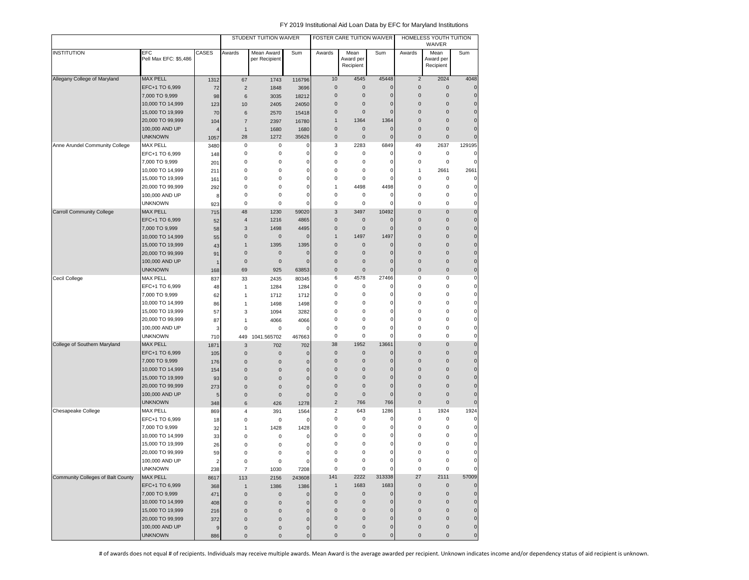|                                   |                              |                |                | STUDENT TUITION WAIVER      |             |                | FOSTER CARE TUITION WAIVER     |                |                | HOMELESS YOUTH TUITION<br>WAIVER |              |
|-----------------------------------|------------------------------|----------------|----------------|-----------------------------|-------------|----------------|--------------------------------|----------------|----------------|----------------------------------|--------------|
| <b>INSTITUTION</b>                | EFC<br>Pell Max EFC: \$5,486 | CASES          | Awards         | Mean Award<br>per Recipient | Sum         | Awards         | Mean<br>Award per<br>Recipient | Sum            | Awards         | Mean<br>Award per<br>Recipient   | Sum          |
| Allegany College of Maryland      | <b>MAX PELL</b>              | 1312           | 67             | 1743                        | 116796      | 10             | 4545                           | 45448          | $\sqrt{2}$     | 2024                             | 4048         |
|                                   | EFC+1 TO 6,999               | 72             | $\overline{2}$ | 1848                        | 3696        | 0              | $\pmb{0}$                      | $\mathbf{0}$   | $\bf 0$        | $\mathsf{O}\xspace$              | $\mathbf 0$  |
|                                   | 7,000 TO 9,999               | 98             | 6              | 3035                        | 18212       | 0              | 0                              | $\mathbf 0$    | $\pmb{0}$      | $\mathsf{O}\xspace$              | $\mathbf 0$  |
|                                   | 10,000 TO 14,999             | 123            | 10             | 2405                        | 24050       | 0              | 0                              | $\Omega$       | $\pmb{0}$      | $\mathsf{O}\xspace$              | $\mathbf{0}$ |
|                                   | 15,000 TO 19,999             | 70             | 6              | 2570                        | 15418       | 0              | 0                              | $\Omega$       | $\overline{0}$ | $\pmb{0}$                        | $\mathbf 0$  |
|                                   | 20,000 TO 99,999             | 104            | 7              | 2397                        | 16780       | $\mathbf{1}$   | 1364                           | 1364           | $\bf 0$        | $\mathsf{O}\xspace$              | $\mathbf{0}$ |
|                                   | 100,000 AND UP               | $\overline{4}$ | 1              | 1680                        | 1680        | 0              | 0                              | $\mathbf 0$    | 0              | $\pmb{0}$                        | $\mathbf 0$  |
|                                   | <b>UNKNOWN</b>               | 1057           | 28             | 1272                        | 35626       | 0              | $\pmb{0}$                      | $\overline{0}$ | $\pmb{0}$      | $\mathsf 0$                      | $\pmb{0}$    |
| Anne Arundel Community College    | <b>MAX PELL</b>              | 3480           | 0              | 0                           | 0           | 3              | 2283                           | 6849           | 49             | 2637                             | 129195       |
|                                   | EFC+1 TO 6,999               | 148            | 0              | 0                           | 0           | 0              | 0                              | 0              | 0              | 0                                | 0            |
|                                   | 7,000 TO 9,999               | 201            | 0              | 0                           | $\mathbf 0$ | 0              | 0                              | $\Omega$       | 0              | 0                                | 0            |
|                                   | 10,000 TO 14,999             | 211            | 0              | 0                           | $\pmb{0}$   | 0              | 0                              | 0              | 1              | 2661                             | 2661         |
|                                   | 15,000 TO 19,999             | 161            | 0              | 0                           | $\mathbf 0$ | 0              | 0                              | $\Omega$       | 0              | $\mathsf 0$                      | 0            |
|                                   | 20,000 TO 99,999             | 292            | 0              | 0                           | $\pmb{0}$   | 1              | 4498                           | 4498           | 0              | $\mathsf 0$                      | 0            |
|                                   | 100,000 AND UP               | 8              | 0              | 0                           | 0           | 0              | 0                              | $\mathbf 0$    | 0              | 0                                | 0            |
|                                   | <b>UNKNOWN</b>               | 923            | 0              | $\mathbf 0$                 | 0           | 0              | 0                              | $\Omega$       | 0              | 0                                | $\mathbf 0$  |
| <b>Carroll Community College</b>  | <b>MAX PELL</b>              | 715            | 48             | 1230                        | 59020       | 3              | 3497                           | 10492          | 0              | $\pmb{0}$                        | $\mathbf{0}$ |
|                                   | EFC+1 TO 6,999               | 52             | 4              | 1216                        | 4865        | 0              | 0                              | $\Omega$       | 0              | $\pmb{0}$                        | $\mathbf{0}$ |
|                                   | 7,000 TO 9,999               | 58             | 3              | 1498                        | 4495        | 0              | 0                              | $\Omega$       | $\bf 0$        | $\pmb{0}$                        | $\mathbf 0$  |
|                                   | 10,000 TO 14,999             | 55             | $\pmb{0}$      | $\pmb{0}$                   | $\mathbf 0$ | $\mathbf{1}$   | 1497                           | 1497           | $\bf 0$        | $\mathsf{O}\xspace$              | $\pmb{0}$    |
|                                   | 15,000 TO 19,999             | 43             | 1              | 1395                        | 1395        | 0              | 0                              | $\mathbf 0$    | $\bf 0$        | $\pmb{0}$                        | $\mathbf 0$  |
|                                   | 20,000 TO 99,999             | 91             | $\pmb{0}$      | $\mathbf 0$                 | $\mathbf 0$ | 0              | $\mathbf 0$                    | $\mathbf 0$    | $\pmb{0}$      | $\pmb{0}$                        | $\mathbf 0$  |
|                                   | 100,000 AND UP               | $\mathbf 1$    | $\pmb{0}$      | 0                           | $\mathbf 0$ | 0              | 0                              | $\mathbf 0$    | $\pmb{0}$      | $\pmb{0}$                        | $\mathbf{0}$ |
|                                   | <b>UNKNOWN</b>               | 168            | 69             | 925                         | 63853       | 0              | $\mathbf 0$                    | $\mathbf 0$    | $\mathbf 0$    | $\pmb{0}$                        | $\mathbf 0$  |
| Cecil College                     | <b>MAX PELL</b>              | 837            | 33             | 2435                        | 80345       | 6              | 4578                           | 27466          | 0              | $\mathsf 0$                      | 0            |
|                                   | EFC+1 TO 6,999               | 48             | 1              | 1284                        | 1284        | 0              | 0                              | 0              | 0              | $\mathsf 0$                      | 0            |
|                                   | 7,000 TO 9,999               | 62             | 1              | 1712                        | 1712        | 0              | 0                              | 0              | 0              | 0                                | 0            |
|                                   | 10,000 TO 14,999             | 86             | 1              | 1498                        | 1498        | 0              | 0                              | 0              | 0              | 0                                | 0            |
|                                   | 15,000 TO 19,999             | 57             | 3              | 1094                        | 3282        | 0              | 0                              | 0              | 0              | 0                                | 0            |
|                                   | 20,000 TO 99,999             | 87             | 1              | 4066                        | 4066        | 0              | 0                              | 0              | 0              | 0                                | 0            |
|                                   | 100,000 AND UP               | 3              | 0              | $\mathbf 0$                 | 0           | 0              | 0                              | $\overline{0}$ | 0              | $\pmb{0}$                        | 0            |
|                                   | <b>UNKNOWN</b>               | 710            | 449            | 1041.565702                 | 467663      | 0              | 0                              | $\Omega$       | 0              | $\mathsf 0$                      | 0            |
| College of Southern Maryland      | <b>MAX PELL</b>              | 1871           | 3              | 702                         | 702         | 38             | 1952                           | 13661          | $\bf 0$        | $\mathsf{O}\xspace$              | $\pmb{0}$    |
|                                   | EFC+1 TO 6,999               | 105            | $\pmb{0}$      | 0                           | $\mathbf 0$ | $\pmb{0}$      | 0                              | $\mathbf 0$    | $\bf 0$        | $\mathsf{O}\xspace$              | $\mathbf 0$  |
|                                   | 7,000 TO 9,999               | 176            | $\pmb{0}$      | $\pmb{0}$                   | $\mathbf 0$ | $\pmb{0}$      | $\mathbf 0$                    | $\Omega$       | $\pmb{0}$      | $\pmb{0}$                        | $\mathbf 0$  |
|                                   | 10,000 TO 14,999             | 154            | $\pmb{0}$      | $\pmb{0}$                   | $\mathbf 0$ | 0              | 0                              | $\mathbf 0$    | $\pmb{0}$      | $\pmb{0}$                        | $\mathbf{0}$ |
|                                   | 15,000 TO 19,999             | 93             | $\pmb{0}$      | $\mathbf 0$                 | $\mathbf 0$ | 0              | 0                              | 0              | 0              | $\pmb{0}$                        | $\mathbf 0$  |
|                                   | 20,000 TO 99,999             | 273            | $\pmb{0}$      | 0                           | $\mathbf 0$ | 0              | 0                              | $\mathbf 0$    | 0              | $\pmb{0}$                        | $\mathbf{0}$ |
|                                   | 100,000 AND UP               | 5              | $\pmb{0}$      | 0                           | $\mathbf 0$ | 0              | $\mathbf 0$                    | 0              | $\mathbf 0$    | $\pmb{0}$                        | $\mathbf 0$  |
|                                   | <b>UNKNOWN</b>               | 348            | 6              | 426                         | 1278        | $\overline{c}$ | 766                            | 766            | $\pmb{0}$      | $\mathsf 0$                      | $\mathbf 0$  |
| Chesapeake College                | <b>MAX PELL</b>              | 869            | 4              | 391                         | 1564        | 2              | 643                            | 1286           | 1              | 1924                             | 1924         |
|                                   | EFC+1 TO 6,999               | 18             | 0              | 0                           | 0           | 0              | 0                              | $\mathbf C$    | 0              | $\mathsf 0$                      | $\mathbf 0$  |
|                                   | 7,000 TO 9,999               | 32             | 1              | 1428                        | 1428        | 0              | 0                              | C              | 0              | $\mathsf 0$                      | 0            |
|                                   | 10,000 TO 14,999             | 33             | 0              | 0                           | 0           | 0              | 0                              | 0              | 0              | 0                                | 0            |
|                                   | 15,000 TO 19,999             | 26             | $\Omega$       | 0                           | 0           | 0              | 0                              | 0              | 0              | 0                                | 0            |
|                                   | 20,000 TO 99,999             | 59             | 0              | 0                           | 0           | 0              | 0                              | 0              | 0              | 0                                | 0            |
|                                   | 100,000 AND UP               | 2              | 0              | $\pmb{0}$                   | 0           | 0              | 0                              | 0              | 0              | 0                                | $\mathbf 0$  |
|                                   | <b>UNKNOWN</b>               | 238            | $\overline{7}$ | 1030                        | 7208        | $\pmb{0}$      | 0                              | 0              | 0              | $\mathsf 0$                      | 0            |
| Community Colleges of Balt County | MAX PELL                     | 8617           | 113            | 2156                        | 243608      | 141            | 2222                           | 313338         | 27             | 2111                             | 57009        |
|                                   | EFC+1 TO 6,999               | 368            | $\mathbf{1}$   | 1386                        | 1386        | $\mathbf{1}$   | 1683                           | 1683           | $\pmb{0}$      | $\mathbf 0$                      | $\pmb{0}$    |
|                                   | 7,000 TO 9,999               | 471            | $\pmb{0}$      | $\pmb{0}$                   | $\pmb{0}$   | $\pmb{0}$      | $\mathbf 0$                    | $\mathbf 0$    | $\pmb{0}$      | $\mathsf{O}\xspace$              | $\mathbf 0$  |
|                                   | 10,000 TO 14,999             | 408            | $\bf 0$        | $\mathbf 0$                 | $\pmb{0}$   | $\pmb{0}$      | $\mathsf{O}\xspace$            | $\pmb{0}$      | $\pmb{0}$      | $\mathsf{O}\xspace$              | $\pmb{0}$    |
|                                   | 15,000 TO 19,999             | 216            | $\pmb{0}$      | 0                           | $\pmb{0}$   | 0              | $\pmb{0}$                      | $\mathbf 0$    | $\pmb{0}$      | $\pmb{0}$                        | $\pmb{0}$    |
|                                   | 20,000 TO 99,999             | 372            | $\pmb{0}$      | 0                           | $\pmb{0}$   | 0              | $\pmb{0}$                      | 0              | $\pmb{0}$      | $\pmb{0}$                        | $\pmb{0}$    |
|                                   | 100,000 AND UP               | 9              | $\pmb{0}$      | $\pmb{0}$                   | $\mathbf 0$ | 0              | 0                              | $\mathbf 0$    | 0              | $\pmb{0}$                        | $\mathbf 0$  |
|                                   | <b>UNKNOWN</b>               | 886            | $\pmb{0}$      | $\pmb{0}$                   | $\mathbf 0$ | 0              | $\pmb{0}$                      | $\pmb{0}$      | 0              | $\mathbf 0$                      | $\pmb{0}$    |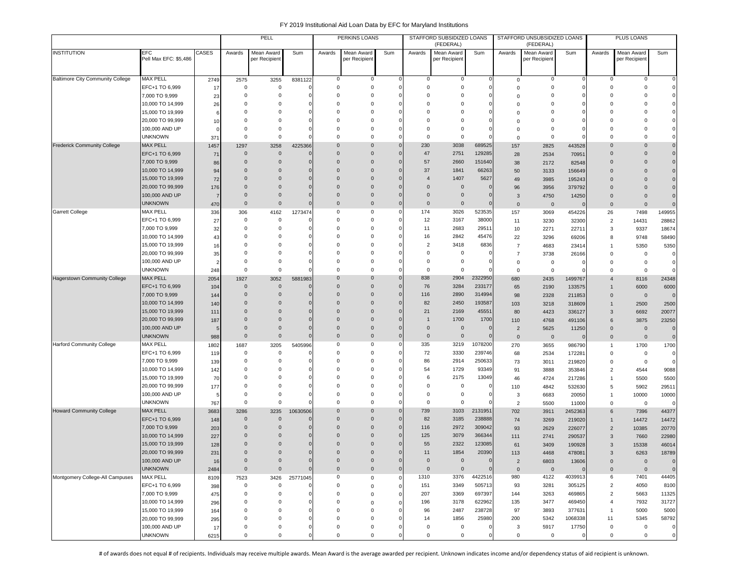|                                         |                                     |                |                      | PELL                             |                             |                 | PERKINS LOANS                |             |                            | STAFFORD SUBSIDIZED LOANS<br>(FEDERAL) |                             |                | STAFFORD UNSUBSIDIZED LOANS<br>(FEDERAL) |                   |                     | PLUS LOANS                  |                |
|-----------------------------------------|-------------------------------------|----------------|----------------------|----------------------------------|-----------------------------|-----------------|------------------------------|-------------|----------------------------|----------------------------------------|-----------------------------|----------------|------------------------------------------|-------------------|---------------------|-----------------------------|----------------|
| <b>INSTITUTION</b>                      | <b>EFC</b><br>Pell Max EFC: \$5,486 | CASES          | Awards               | Mean Award<br>per Recipient      | Sum                         | Awards          | Mean Award<br>per Recipient  | Sum         | Awards                     | Mean Award<br>per Recipient            | Sum                         | Awards         | Mean Award<br>per Recipient              | Sum               | Awards              | Mean Award<br>per Recipient | Sum            |
|                                         |                                     |                |                      |                                  |                             |                 |                              |             |                            |                                        |                             |                |                                          |                   |                     |                             |                |
| <b>Baltimore City Community College</b> | <b>MAX PELL</b>                     | 2749           | 2575                 | 3255                             | 8381122                     | 0               | 0                            |             | $^{\circ}$                 | 0                                      | 0                           | $\mathsf 0$    | 0                                        |                   | 0                   | 0                           | $\mathbf 0$    |
|                                         | EFC+1 TO 6,999                      | 17             | $\Omega$             | $\overline{0}$                   |                             | $^{\circ}$      | 0                            | c           | $\Omega$                   | $\mathbf 0$                            | $\mathbf 0$                 | $\Omega$       | $\mathbf 0$                              | $\Omega$          | $\Omega$            | $\mathbf 0$                 | $\mathbf 0$    |
|                                         | 7,000 TO 9,999                      | 23             | $\Omega$             | $\mathbf 0$                      | $\Omega$                    | $\Omega$        | 0                            | C           | $\Omega$                   | $\Omega$                               | $\mathbf 0$                 | $\Omega$       | $\mathbf 0$                              |                   | $\Omega$            | $\Omega$                    | $\mathbf 0$    |
|                                         | 10,000 TO 14,999                    | 26             | $\Omega$             | $\Omega$                         |                             | $\Omega$        | 0                            |             | $\Omega$                   | $\Omega$                               | $\Omega$                    | $\Omega$       | $\mathbf 0$                              |                   | $\Omega$            | $\Omega$                    | $\mathbf 0$    |
|                                         | 15,000 TO 19,999                    | 6              |                      | $\Omega$                         | $\Omega$                    | $\Omega$        | 0                            |             | $\Omega$                   | 0                                      | $\mathbf 0$                 | $\Omega$       | 0                                        |                   | $\Omega$            | $\Omega$                    | $\mathbf 0$    |
|                                         | 20,000 TO 99,999                    | 10             | $\Omega$             | $\Omega$                         | C                           | O               | 0                            |             | $\Omega$                   | $\Omega$                               | $\mathbf 0$                 | $\Omega$       | 0                                        |                   | $\Omega$            | $\Omega$                    | $\mathbf 0$    |
|                                         | 100,000 AND UP                      |                | $\Omega$             | 0                                | C                           | $\Omega$        | 0                            |             | $\Omega$                   | $\mathbf 0$                            | $\mathbf 0$                 | $\Omega$       | 0                                        |                   | $\Omega$            | 0                           | $\mathbf 0$    |
|                                         | <b>UNKNOWN</b>                      | 371            | $\Omega$             | $\overline{0}$                   |                             | $\Omega$        | 0                            |             | $\mathbf 0$                | $\mathbf 0$                            | $\Omega$                    | $\Omega$       | $\mathbf 0$                              |                   | $\Omega$            | $\Omega$                    | $\mathbf 0$    |
| <b>Frederick Community College</b>      | <b>MAX PELL</b>                     | 1457           | 1297                 | 3258                             | 4225366                     | $\Omega$        | $\mathbf 0$                  | O           | 230                        | 3038                                   | 689525                      | 157            | 2825                                     | 443528            | $\Omega$            | $\Omega$                    | $\mathbf 0$    |
|                                         | EFC+1 TO 6,999                      | 71             | $\Omega$             | $\mathbf 0$                      | $\Omega$                    | $\Omega$        | $\mathbf{0}$                 | C           | 47                         | 2751                                   | 129285                      | 28             | 2534                                     | 70951             | $\Omega$            | $\Omega$                    | $\mathbf 0$    |
|                                         | 7,000 TO 9,999                      | 86             | $\Omega$             | $\overline{0}$                   | $\sqrt{ }$                  | 0               | $\mathbf{0}$                 |             | 57                         | 2660                                   | 151640                      | 38             | 2172                                     | 82548             | $\Omega$            | $\Omega$                    | $\mathbf 0$    |
|                                         | 10,000 TO 14,999                    | 94             | $\Omega$             | $\overline{0}$                   | $\Omega$                    | 0               | $\mathbf{0}$                 | $\sqrt{ }$  | 37                         | 1841                                   | 66263                       | 50             | 3133                                     | 156649            | $\Omega$            | $\Omega$                    | $\mathbf 0$    |
|                                         | 15,000 TO 19,999                    | 72             | $\Omega$<br>$\Omega$ | $\overline{0}$<br>$\overline{0}$ | $\Omega$<br>$\Omega$        | 0<br>$\Omega$   | $\mathbf{0}$<br>$\mathbf{0}$ | $\sqrt{ }$  | $\overline{4}$<br>$\Omega$ | 1407                                   | 5627<br>$\mathbf{0}$        | 49             | 3985                                     | 195243            | $\Omega$            | $\Omega$                    | $\mathbf 0$    |
|                                         | 20,000 TO 99,999                    | 176            | $\Omega$             | $\overline{0}$                   | $\mathbf{0}$                | $\Omega$        | $\pmb{0}$                    | C           | $\Omega$                   | $\overline{0}$                         |                             | 96             | 3956                                     | 379792            | $\Omega$            | $\Omega$                    | $\mathbf 0$    |
|                                         | 100,000 AND UP<br><b>UNKNOWN</b>    | 7              | $\Omega$             | $\mathbf 0$                      | $\Omega$                    | $\Omega$        | $\mathbf{0}$                 | $\Omega$    | $\Omega$                   | $\overline{0}$<br>$\overline{0}$       | $\mathbf{0}$<br>$\Omega$    | 3              | 4750                                     | 14250             | 0                   | $\mathbf{0}$                | $\mathbf 0$    |
| Garrett College                         | <b>MAX PELL</b>                     | 470            |                      |                                  |                             | $\mathbf 0$     | 0                            |             | 174                        | 3026                                   | 523535                      | $\mathbf 0$    | $\overline{0}$                           |                   | $\mathbf{0}$        | $\mathbf 0$                 | $\mathbf 0$    |
|                                         | EFC+1 TO 6,999                      | 336            | 306<br>$^{\circ}$    | 4162<br>$\mathbf 0$              | 1273474                     | $\Omega$        | 0                            |             | 12                         | 3167                                   | 38000                       | 157            | 3069                                     | 454226            | 26                  | 7498                        | 149955         |
|                                         | 7,000 TO 9,999                      | 27<br>32       | $\Omega$             | $\mathbf 0$                      | C                           | $\Omega$        | 0                            |             | 11                         | 2683                                   | 29511                       | 11<br>10       | 3230<br>2271                             | 32300<br>22711    | $\overline{2}$<br>3 | 14431<br>9337               | 28862<br>18674 |
|                                         | 10,000 TO 14,999                    | 43             | $\Omega$             | $\Omega$                         | $\Omega$                    | $\Omega$        | 0                            | C           | 16                         | 2842                                   | 45476                       | 22             | 3296                                     | 69206             | 8                   | 9748                        | 58490          |
|                                         | 15,000 TO 19,999                    | 16             | $\Omega$             | $\Omega$                         | C                           | $\Omega$        | 0                            |             | $\overline{2}$             | 3418                                   | 6836                        | $\overline{7}$ | 4683                                     | 23414             | 1                   | 5350                        | 5350           |
|                                         | 20,000 TO 99,999                    | 35             | $\Omega$             | $\Omega$                         |                             | $\Omega$        | $\Omega$                     |             | $\Omega$                   | 0                                      | C                           | $\overline{7}$ | 3738                                     | 26166             | 0                   | 0                           | $\mathbf 0$    |
|                                         | 100,000 AND UP                      | $\overline{2}$ | $\Omega$             | 0                                |                             | $\Omega$        | 0                            |             | $\Omega$                   | $^{\circ}$                             | C                           | 0              | $\mathbf 0$                              | $\Omega$          | $\Omega$            | 0                           | $\mathbf 0$    |
|                                         | <b>UNKNOWN</b>                      | 248            | $\Omega$             | $\mathbf 0$                      |                             | $\Omega$        | 0                            |             | $\overline{0}$             | $^{\circ}$                             | C                           | $\mathbf 0$    | $\mathbf 0$                              |                   | $\Omega$            | $\mathbf 0$                 | $\mathbf 0$    |
| <b>Hagerstown Community College</b>     | <b>MAX PELL</b>                     | 2054           | 1927                 | 3052                             | 5881983                     | $\mathbf 0$     | $\mathbf{0}$                 |             | 838                        | 2904                                   | 2322950                     | 680            | 2435                                     | 1499767           | $\overline{4}$      | 8116                        | 24348          |
|                                         | EFC+1 TO 6,999                      | 104            | $\mathbf 0$          | $\mathbf{0}$                     |                             | 0               | $\mathbf{0}$                 |             | 76                         | 3284                                   | 233177                      | 65             | 2190                                     | 133575            | $\mathbf{1}$        | 6000                        | 6000           |
|                                         | 7,000 TO 9,999                      | 144            | $\Omega$             | $\overline{0}$                   | $\Omega$                    | $\Omega$        | $\pmb{0}$                    | $\Omega$    | 116                        | 2890                                   | 314994                      | 98             | 2328                                     | 211853            | $\mathbf 0$         | $\mathbf 0$                 | $\mathbf 0$    |
|                                         | 10,000 TO 14,999                    | 140            | $\Omega$             | $\Omega$                         | $\Omega$                    | $\Omega$        | $\mathbf{0}$                 | $\sqrt{ }$  | 82                         | 2450                                   | 193587                      | 103            | 3218                                     | 318609            | $\mathbf{1}$        | 2500                        | 2500           |
|                                         | 15,000 TO 19,999                    | 111            | $\Omega$             | $\Omega$                         | $\Omega$                    | $\Omega$        | $\mathbf{0}$                 | $\sqrt{ }$  | 21                         | 2169                                   | 45551                       | 80             | 4423                                     | 336127            | 3                   | 6692                        | 20077          |
|                                         | 20,000 TO 99,999                    | 187            | $\Omega$             | $\overline{0}$                   | $\Omega$                    | $\Omega$        | $\mathbf{0}$                 | O           | $\overline{1}$             | 1700                                   | 1700                        | 110            | 4768                                     | 491106            | 6                   | 3875                        | 23250          |
|                                         | 100,000 AND UP                      | 5              | $\Omega$             | $\mathbf 0$                      | $\mathbf 0$                 | $\mathbf 0$     | $\mathbf{0}$                 | $\sqrt{ }$  | $\mathbf{0}$               | $\overline{0}$                         | C                           | $\overline{2}$ | 5625                                     | 11250             | $\mathbf{0}$        | $\mathbf 0$                 | $\mathbf 0$    |
|                                         | <b>UNKNOWN</b>                      | 988            | $\mathbf 0$          | $\mathsf 0$                      | $\mathbf 0$                 | $\mathbf 0$     | $\mathbf{0}$                 | C           | $\mathbf 0$                | $\overline{0}$                         | $\mathbf 0$                 | $\mathbf 0$    | $\overline{0}$                           |                   | $\mathbf{0}$        | $\mathbf 0$                 | $\mathbf 0$    |
| <b>Harford Community College</b>        | <b>MAX PELL</b>                     | 1802           | 1687                 | 3205                             | 5405996                     | 0               | 0                            |             | 335                        | 3219                                   | 1078200                     | 270            | 3655                                     | 986790            | $\mathbf{1}$        | 1700                        | 1700           |
|                                         | EFC+1 TO 6,999                      | 119            | $^{\circ}$           | $\mathbf 0$                      | C                           | $^{\circ}$      | 0                            |             | 72                         | 3330                                   | 239746                      | 68             | 2534                                     | 172281            | 0                   | 0                           | $\mathbf 0$    |
|                                         | 7,000 TO 9,999                      | 139            | $\Omega$             | $\Omega$                         |                             | $\Omega$        | $\Omega$                     |             | 86                         | 2914                                   | 250633                      | 73             | 3011                                     | 219820            | 0                   | $\mathbf 0$                 | $\mathbf 0$    |
|                                         | 10,000 TO 14,999                    | 142            | $\Omega$             | 0                                |                             | $\Omega$        | 0                            |             | 54                         | 1729                                   | 93349                       | 91             | 3888                                     | 353846            | $\overline{2}$      | 4544                        | 9088           |
|                                         | 15,000 TO 19,999                    | 70             | $\Omega$             | 0                                | C                           | $\Omega$        | 0                            |             | 6                          | 2175                                   | 13049                       | 46             | 4724                                     | 217286            | 1                   | 5500                        | 5500           |
|                                         | 20,000 TO 99,999                    | 177            | $\Omega$             | 0                                | C                           | $\Omega$        | 0                            |             | $\Omega$                   | 0                                      | C                           | 110            | 4842                                     | 532630            | 5                   | 5902                        | 29511          |
|                                         | 100,000 AND UP                      | 5              | $\Omega$             | $\Omega$                         | C                           | $\Omega$        | 0                            | -0          | $\Omega$                   | $\overline{0}$                         | $\Omega$                    | 3              | 6683                                     | 20050             | 1                   | 10000                       | 10000          |
|                                         | <b>UNKNOWN</b>                      | 767            | $\mathbf 0$          | $\mathsf 0$                      | $\Omega$                    | $\mathbf 0$     | 0                            | C           | $\mathbf 0$                | $\overline{0}$                         | $\Omega$                    | $\overline{2}$ | 5500                                     | 11000             | 0                   | 0                           | $\mathbf 0$    |
| <b>Howard Community College</b>         | <b>MAX PELL</b>                     | 3683           | 3286                 | 3235                             | 10630506                    | $\Omega$        | $\mathbf{0}$                 | $\Omega$    | 739                        | 3103                                   | 2131951                     | 702            | 3911                                     | 2452363           | 6                   | 7396                        | 44377          |
|                                         | EFC+1 TO 6,999                      | 148            | $\mathbf 0$          | $\mathbf 0$                      |                             | $\Omega$        | $\mathbf{0}$                 | $\sqrt{ }$  | 82                         | 3185                                   | 238888                      | 74             | 3269                                     | 219020            | $\mathbf{1}$        | 14472                       | 14472          |
|                                         | 7,000 TO 9,999                      | 203            | $\Omega$             | $\mathbf 0$                      | $\Omega$                    | $\Omega$        | $\mathbf{0}$                 | $\sqrt{ }$  | 116                        | 2972                                   | 309042                      | 93             | 2629                                     | 226077            | $\overline{2}$      | 10385                       | 20770          |
|                                         | 10,000 TO 14,999                    | 227            | $\Omega$             | 0                                | $\mathbf 0$                 | 0               | $\mathbf{0}$                 |             | 125                        | 3079                                   | 366344                      | 111            | 2741                                     | 290537            | 3                   | 7660                        | 22980          |
|                                         | 15,000 TO 19,999                    | 128            | $\Omega$             | $\mathbf 0$                      | $\Omega$                    | $\Omega$        | $\mathbf{0}$                 |             | 55                         | 2322                                   | 123085                      | 61             | 3409                                     | 190928            | 3                   | 15338                       | 46014          |
|                                         | 20,000 TO 99,999                    | 231            | $\Omega$             | $\Omega$                         | $\mathbf 0$                 | $\Omega$        | $\Omega$                     | $\Omega$    | 11                         | 1854                                   | 20390                       | 113            | 4468                                     | 478081            | 3                   | 6263                        | 18789          |
|                                         | 100,000 AND UP                      | 16             | $\mathbf 0$          | $\mathbf 0$                      | $\mathbf 0$<br>$\mathbf{0}$ | $\bf{0}$        | $\mathbf 0$                  | $\Omega$    | $\mathbf 0$                | $\mathbf 0$                            | $\mathbf 0$<br>$\mathbf{0}$ | $\overline{2}$ | 6803                                     | 13606             | $\mathbf 0$         | $\mathbf{0}$                | $\mathbf 0$    |
|                                         | <b>UNKNOWN</b><br><b>MAX PELL</b>   | 2484           | $\mathsf{O}\xspace$  | $\mathsf{O}\xspace$              |                             | $\mathbf 0$     | $\mathbf 0$                  | $\mathbf 0$ | $\mathsf 0$                | $\mathbf 0$                            |                             | $\mathsf 0$    | $\mathbf 0$                              |                   | $\mathbf 0$         | $\mathsf 0$                 | $\overline{0}$ |
| Montgomery College-All Campuses         | EFC+1 TO 6,999                      | 8109           | 7523<br>0            | 3426                             | 25771045<br>0               | 0<br>0          | $\mathbf 0$                  | $\Omega$    | 1310                       | 3376                                   | 4422516<br>505713           | 980<br>93      | 4122<br>3281                             | 4039913<br>305125 | 6<br>$\overline{2}$ | 7401<br>4050                | 44405<br>8100  |
|                                         | 7,000 TO 9,999                      | 398            |                      | $\mathbf 0$                      | $\Omega$                    |                 | $\mathbf 0$                  | C           | 151                        | 3349                                   | 697397                      |                |                                          | 469865            | $\overline{2}$      |                             | 11325          |
|                                         | 10,000 TO 14,999                    | 475            | 0<br>0               | 0<br>$\mathbf 0$                 | $\Omega$                    | 0<br>$^{\circ}$ | 0                            | C           | 207<br>196                 | 3369<br>3178                           | 622962                      | 144<br>135     | 3263<br>3477                             | 469450            | $\overline{4}$      | 5663<br>7932                | 31727          |
|                                         | 15,000 TO 19,999                    | 296            | $\mathbf 0$          | $\Omega$                         | $\Omega$                    | $\mathbf 0$     | 0<br>0                       | C           | 96                         | 2487                                   | 238728                      | 97             | 3893                                     | 377631            | $\mathbf{1}$        | 5000                        | 5000           |
|                                         | 20,000 TO 99,999                    | 164            | $\Omega$             | $\Omega$                         | $\Omega$                    | 0               | 0                            |             | 14                         | 1856                                   | 25980                       | 200            | 5342                                     | 1068338           | 11                  | 5345                        | 58792          |
|                                         | 100,000 AND UP                      | 295<br>17      | 0                    | $\mathbf 0$                      | $\Omega$                    | 0               | 0                            |             | $\mathbf 0$                | $\mathbf 0$                            | 0                           | 3              | 5917                                     | 17750             | 0                   | $\mathbf 0$                 | $\mathbf 0$    |
|                                         | <b>UNKNOWN</b>                      | 6215           | 0                    | $\mathbf 0$                      | $\Omega$                    | $\mathbf 0$     | 0                            |             | $\mathsf 0$                | $\mathbf 0$                            | $\mathbf 0$                 | $\mathbf 0$    | $\mathbf 0$                              | 0                 | 0                   | $\mathbf 0$                 | $\mathsf{O}$   |
|                                         |                                     |                |                      |                                  |                             |                 |                              |             |                            |                                        |                             |                |                                          |                   |                     |                             |                |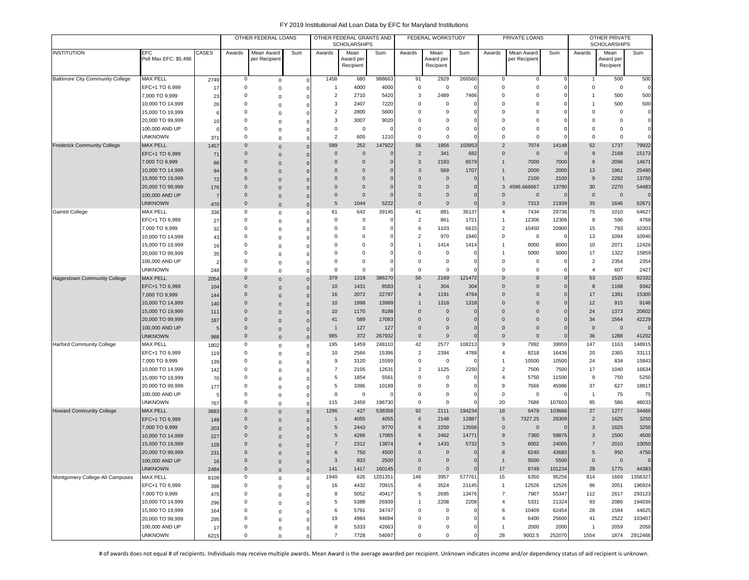|                                         |                                     |            |                             | OTHER FEDERAL LOANS         |                |                      | OTHER FEDERAL GRANTS AND<br><b>SCHOLARSHIPS</b> |              |                         | FEDERAL WORKSTUDY              |                 |                         | PRIVATE LOANS               |                                |                | OTHER PRIVATE<br><b>SCHOLARSHIPS</b> |                       |
|-----------------------------------------|-------------------------------------|------------|-----------------------------|-----------------------------|----------------|----------------------|-------------------------------------------------|--------------|-------------------------|--------------------------------|-----------------|-------------------------|-----------------------------|--------------------------------|----------------|--------------------------------------|-----------------------|
| <b>INSTITUTION</b>                      | <b>EFC</b><br>Pell Max EFC: \$5,486 | CASES      | Awards                      | Mean Award<br>per Recipient | Sum            | Awards               | Mean<br>Award per<br>Recipient                  | Sum          | Awards                  | Mean<br>Award per<br>Recipient | Sum             | Awards                  | Mean Award<br>per Recipient | Sum                            | Awards         | Mean<br>Award per<br>Recipient       | Sum                   |
| <b>Baltimore City Community College</b> | MAX PELL                            | 2749       | 0                           | $\mathsf 0$                 | $\mathbf 0$    | 1458                 | 680                                             | 988663       | 91                      | 2929                           | 266560          | 0                       | 0                           | $\Omega$                       | $\overline{1}$ | 500                                  | 500                   |
|                                         | EFC+1 TO 6,999                      | 17         | 0                           | $\mathsf 0$                 | 0              | 1                    | 4000                                            | 4000         | $^{\circ}$              | $\mathsf 0$                    | $\epsilon$      | $\mathbf 0$             | 0                           | 0                              | $\mathbf 0$    | $\mathbf 0$                          | $\circ$               |
|                                         | 7,000 TO 9,999                      | 23         | $\Omega$                    | $\mathsf 0$                 | $\Omega$       | $\overline{c}$       | 2710                                            | 5420         | 3                       | 2489                           | 7466            | $\Omega$                | 0                           | $\Omega$                       |                | 500                                  | 500                   |
|                                         | 10,000 TO 14,999                    | 26         | $\Omega$                    | $\mathsf 0$                 | 0              | 3                    | 2407                                            | 7220         | $\mathsf 0$             | 0                              | $\mathbf{C}$    | $\Omega$                | 0                           | $\Omega$                       |                | 500                                  | 500                   |
|                                         | 15,000 TO 19,999                    | $\epsilon$ | $\Omega$                    | $\mathbf 0$                 | C              | $\overline{2}$       | 2800                                            | 5600         | $\Omega$                | $\mathbf 0$                    | C               | $\Omega$                | 0                           | $\Omega$                       | $\Omega$       | 0                                    | $\mathbf{0}$          |
|                                         | 20,000 TO 99,999                    | 10         | $\Omega$                    | 0                           | O              | 3                    | 3007                                            | 9020         | $\Omega$                | $\Omega$                       |                 | $\Omega$                | 0                           | $\Omega$                       | $\Omega$       | $\mathbf 0$                          | $\mathbf 0$           |
|                                         | 100,000 AND UP                      |            | $\Omega$                    | 0                           | O              | 0                    | $\mathbf 0$                                     |              | $\Omega$                | $\mathbf 0$                    | C               | $\Omega$                | 0                           | $\Omega$                       | $\Omega$       | $\mathbf 0$                          | $\mathbf 0$           |
|                                         | <b>UNKNOWN</b>                      | 371        | $\Omega$                    | $\mathsf 0$                 | 0              | $\overline{2}$       | 605                                             | 1210         | $\mathbf 0$             | $\mathbf 0$                    |                 | $\mathbf 0$             | $\mathbf 0$                 | $\Omega$                       | $\mathbf 0$    | $\mathbf 0$                          | $\mathbf{0}$          |
| <b>Frederick Community College</b>      | <b>MAX PELL</b>                     | 1457       | $\mathbf 0$                 | $\mathbf 0$                 | $\mathbf 0$    | 589                  | 252                                             | 147922       | 56                      | 1856                           | 103953          | $\overline{2}$          | 7074                        | 14148                          | 52             | 1737                                 | 79922                 |
|                                         | EFC+1 TO 6,999                      | 71         | $\mathbf 0$                 | $\mathbf 0$                 | $\mathbf 0$    | $\mathbf{0}$         | $\overline{0}$                                  | $\Omega$     | $\overline{2}$          | 341                            | 682             | $\mathbf 0$             | $\mathbf 0$                 | $\Omega$                       | 9              | 2168                                 | 15173                 |
|                                         | 7,000 TO 9,999                      | 86         | $\Omega$                    | $\mathsf{O}\xspace$         | $\Omega$       | $\Omega$             | $\mathbf 0$                                     |              | 3                       | 2193                           | 6579            | $\mathbf{1}$            | 7000                        | 7000                           | 9              | 2096                                 | 14671                 |
|                                         | 10,000 TO 14,999                    | 94         | $\mathbf 0$                 | $\mathbf{0}$                | 0              | $\overline{0}$       | $\mathbf 0$                                     |              | 3                       | 569                            | 1707            | $\mathbf{1}$            | 2000                        | 2000                           | 13             | 1961                                 | 25490                 |
|                                         | 15,000 TO 19,999                    | 72         | $\Omega$                    | $\mathbf{0}$                | $\Omega$       | $\Omega$             | $\mathbf 0$                                     |              | $\Omega$                | $\mathbf{0}$                   | $\sqrt{ }$      | $\overline{1}$          | 2100                        | 2100                           | 9              | 2292                                 | 13750                 |
|                                         | 20,000 TO 99,999                    | 176        | $\mathbf 0$                 | $\mathsf{O}\xspace$         | 0              | $\mathbf 0$          | $\mathbf 0$                                     |              | $\Omega$                | $\mathbf 0$                    | $\mathsf{C}$    |                         | 3 4596.666667               | 13790                          | 30             | 2270                                 | 54483                 |
|                                         | 100,000 AND UP                      |            | $\mathbf 0$                 | $\mathsf{O}\xspace$         | $\mathbf 0$    | $\mathbf 0$          | $\mathbf 0$                                     |              | $\mathbf 0$             | $\mathbf 0$                    | C               | $\mathbf 0$             | $\mathbf 0$                 | C                              | $\mathbf 0$    | $\mathbf 0$                          | $\Omega$              |
|                                         | <b>UNKNOWN</b>                      | 470        | $\mathbf 0$                 | $\mathbf 0$                 | $\mathbf{0}$   | 5                    | 1044                                            | 5222         | $\mathbf 0$             | $\mathbf 0$                    | $\Omega$        | 3                       | 7313                        | 21939                          | 35             | 1646                                 | 52671                 |
| <b>Garrett College</b>                  | <b>MAX PELL</b>                     | 336        | $\mathbf 0$                 | $\mathsf 0$                 | $\Omega$       | 61                   | 642                                             | 39145        | 41                      | 881                            | 36137           | 4                       | 7434                        | 29736                          | 75             | 1010                                 | 64627                 |
|                                         | EFC+1 TO 6,999                      | 27         | $\Omega$                    | $\mathbf 0$                 | $\Omega$       | 0                    | $\overline{0}$                                  |              | $\overline{2}$          | 861                            | 1721            | $\mathbf{1}$            | 12306                       | 12306                          | 8              | 596                                  | 4768                  |
|                                         | 7,000 TO 9,999                      | 32         | $\Omega$                    | 0                           | O              | $\Omega$             | 0                                               |              | 6                       | 1103                           | 6615            | $\overline{2}$          | 10450                       | 20900                          | 15             | 793                                  | 10303                 |
|                                         | 10,000 TO 14,999                    | 43         | 0                           | $\mathsf 0$                 | $\Omega$       | 0                    | 0                                               |              | $\overline{2}$          | 970                            | 1940            | 0                       | 0                           | 0                              | 13             | 1094                                 | 10940                 |
|                                         | 15,000 TO 19,999                    | 16         | $\Omega$                    | $\mathsf 0$                 | 0              | 0                    | 0                                               |              |                         | 1414                           | 1414            | $\mathbf{1}$            | 8000                        | 8000                           | 10             | 2071                                 | 12426                 |
|                                         | 20,000 TO 99,999                    | 35         | $\Omega$                    | $\mathsf 0$                 | $\Omega$       | $\Omega$             | $\Omega$                                        |              | $\Omega$                | $\mathsf 0$                    | -0              | $\overline{1}$          | 5000                        | 5000                           | 17             | 1322                                 | 15859                 |
|                                         | 100,000 AND UP                      |            | $\Omega$                    | $\mathbf 0$                 | O              | $\Omega$             | $\Omega$                                        |              | $\Omega$                | 0                              |                 | $\Omega$                | 0                           | C                              | $\overline{c}$ | 2354                                 | 2354                  |
|                                         | <b>UNKNOWN</b>                      | 248        | $\Omega$                    | $\mathbf 0$                 | $\Omega$       | $\Omega$             | $\Omega$                                        |              | $^{\circ}$              | $\Omega$                       |                 | $\Omega$                | $\mathbf 0$                 | $\Omega$                       | $\overline{4}$ | 607                                  | 2427                  |
| <b>Hagerstown Community College</b>     | <b>MAX PELL</b>                     | 2054       | $\mathbf 0$                 | $\mathbf{0}$                | $\mathbf 0$    | 379                  | 1318                                            | 386270       | 56                      | 2169                           | 121472          | $\mathbf 0$             | $\mathbf 0$                 | $\Omega$                       | 53             | 1520                                 | 62332                 |
|                                         | EFC+1 TO 6,999                      | 104        | $\mathbf 0$                 | $\mathbf 0$                 | $\mathbf 0$    | 10                   | 1431                                            | 8583         |                         | 304                            | 304             | $\mathbf 0$             | $\mathbf 0$                 | 0                              | 8              | 1168                                 | 9342                  |
|                                         | 7,000 TO 9,999                      | 144        | $\mathbf 0$                 | $\mathbf 0$                 | $\mathbf 0$    | 16                   | 2072                                            | 22787        | $\overline{4}$          | 1191                           | 4764            | $\mathbf 0$             | $\mathbf 0$                 | 0                              | 17             | 1391                                 | 15300                 |
|                                         | 10,000 TO 14,999                    | 140        | $\mathbf 0$                 | $\mathbf 0$                 | $\mathbf 0$    | 10                   | 1998                                            | 13989        | $\overline{1}$          | 1318                           | 1318            | $\mathbf 0$             | $\mathbf 0$                 | $\overline{0}$                 | 12             | 915                                  | 9146                  |
|                                         | 15,000 TO 19,999                    | 111        | $\mathbf 0$                 | $\mathbf{0}$                | $\Omega$       | 10                   | 1170                                            | 8188         | $\mathbf 0$<br>$\Omega$ | $\mathbf 0$                    | $\mathbf 0$     | $\mathbf 0$<br>$\Omega$ | $\mathbf 0$                 | $\overline{0}$                 | 24             | 1373                                 | 20602                 |
|                                         | 20,000 TO 99,999                    | 187        | $\mathbf{0}$<br>$\mathbf 0$ | $\mathsf{O}\xspace$         | $\Omega$       | 41<br>$\overline{1}$ | 589                                             | 17083<br>127 | $\Omega$                | $\mathbf{0}$<br>$\mathbf{0}$   | $\Omega$        | $\mathbf 0$             | $\mathbf 0$                 | $\overline{0}$<br>$\mathbf{0}$ | 34             | 1564                                 | 42229<br>$\mathbf{0}$ |
|                                         | 100,000 AND UP                      |            | $\mathbf 0$                 | $\mathsf{O}\xspace$         | $\mathbf 0$    |                      | 127                                             | 267932       | $\mathbf 0$             | $\mathbf 0$                    | C<br>$\sqrt{ }$ | $\mathbf 0$             | $\mathbf 0$                 | $\overline{0}$                 | $\mathbf 0$    | $\mathbf 0$                          |                       |
| <b>Harford Community College</b>        | <b>UNKNOWN</b><br>MAX PELL          | 988        | 0                           | $\mathbf 0$                 | $\overline{0}$ | 985<br>195           | 372<br>1459                                     | 248110       | 42                      | 2577                           | 108213          | 9                       | $\mathbf 0$<br>7992         | 39959                          | 36<br>147      | 1288<br>1163                         | 41202<br>148915       |
|                                         | EFC+1 TO 6,999                      | 1802       | $\Omega$                    | $\mathsf 0$                 | 0              | 10                   | 2566                                            | 15396        | $\overline{2}$          | 2394                           | 4788            | $\overline{4}$          | 8218                        | 16436                          | 20             | 2365                                 | 33111                 |
|                                         | 7,000 TO 9,999                      | 119        | $\Omega$                    | $\mathsf 0$                 | $\Omega$       | 9                    | 3120                                            | 15599        | $^{\circ}$              | 0                              |                 | $\overline{1}$          | 10500                       | 10500                          | 24             | 834                                  | 15843                 |
|                                         | 10,000 TO 14,999                    | 139<br>142 | $\Omega$                    | $\mathsf 0$                 | $\Omega$       | $\overline{7}$       | 2105                                            | 1263'        | $\overline{2}$          | 1125                           | 2250            | $\overline{2}$          | 7500                        | 7500                           | 17             | 1040                                 | 16634                 |
|                                         | 15,000 TO 19,999                    | 70         | $\Omega$                    | $\mathbf 0$<br>$\mathbf 0$  | $\Omega$<br>O  | 5                    | 1854                                            | 5561         | $\Omega$                | $\mathbf 0$                    |                 | $\overline{4}$          | 5750                        | 11500                          | 9              | 750                                  | 5250                  |
|                                         | 20,000 TO 99,999                    | 177        | $\Omega$                    | $\mathbf 0$                 | 0              | 5                    | 3396                                            | 10189        | $^{\circ}$              | $\mathbf 0$                    | C               | 9                       | 7666                        | 45996                          | 37             | 627                                  | 18817                 |
|                                         | 100,000 AND UP                      |            | 0                           | $\mathsf 0$                 | 0              | 0                    | $\mathbf 0$                                     |              | $^{\circ}$              | $\mathbf 0$                    | C               | $\mathbf 0$             | 0                           |                                | $\overline{1}$ | 75                                   | 75                    |
|                                         | <b>UNKNOWN</b>                      | 767        | 0                           | $\mathbf 0$                 | $\mathbf{0}$   | 115                  | 2459                                            | 196730       | 0                       | $\mathsf 0$                    |                 | 20                      | 7686                        | 107603                         | 95             | 586                                  | 48033                 |
| <b>Howard Community College</b>         | <b>MAX PELL</b>                     | 3683       | $\mathbf 0$                 | $\mathsf{O}\xspace$         | $\mathbf{0}$   | 1296                 | 427                                             | 538358       | 92                      | 2111                           | 194234          | 18                      | 6479                        | 103666                         | 27             | 1277                                 | 34466                 |
|                                         | EFC+1 TO 6,999                      | 148        | $\Omega$                    | $\mathbf{0}$                | $\Omega$       | $\mathbf{1}$         | 4055                                            | 4055         | 6                       | 2148                           | 12887           | $5\phantom{.0}$         | 7327.25                     | 29309                          | $\overline{2}$ | 1625                                 | 3250                  |
|                                         | 7,000 TO 9,999                      | 203        | $\Omega$                    | $\mathbf 0$                 | $\Omega$       | 5                    | 2443                                            | 9770         | 6                       | 2259                           | 13556           | $\mathbf 0$             | $\overline{0}$              | $\Omega$                       | $\mathbf{3}$   | 1625                                 | 3250                  |
|                                         | 10,000 TO 14,999                    | 227        | $\Omega$                    | $\mathbf 0$                 | $\Omega$       | 5                    | 4266                                            | 17065        | 6                       | 2462                           | 14771           | 9                       | 7360                        | 58876                          | 3              | 1500                                 | 4500                  |
|                                         | 15,000 TO 19,999                    | 128        | $\Omega$                    | $\mathbf{0}$                | 0              | 7                    | 2312                                            | 13874        | $\overline{4}$          | 1433                           | 5732            | 5                       | 8002                        | 24005                          | $\overline{7}$ | 2010                                 | 10050                 |
|                                         | 20,000 TO 99,999                    | 231        | $\Omega$                    | $\Omega$                    | $\mathbf 0$    | 6                    | 750                                             | 4500         | $\Omega$                | $\Omega$                       | $\mathbf 0$     | 8                       | 6240                        | 43683                          | 5              | 950                                  | 4750                  |
|                                         | 100,000 AND UP                      | 16         | $\mathbf 0$                 | $\mathbf 0$                 | $\mathbf 0$    | 3                    | 833                                             | 2500         | $\mathbf 0$             | $\mathbf 0$                    | $\mathbf 0$     | $\mathbf{1}$            | 5500                        | 5500                           | $\mathbf 0$    | $\mathbf 0$                          | $\mathbf{0}$          |
|                                         | <b>UNKNOWN</b>                      | 2484       | $\mathbf 0$                 | $\mathsf{O}\xspace$         | $\Omega$       | 141                  | 1417                                            | 160145       | $\mathsf{O}\xspace$     | $\mathbf 0$                    | $\Omega$        | 17                      | 6749                        | 101234                         | 29             | 1775                                 | 44383                 |
| Montgomery College-All Campuses         | MAX PELL                            | 8109       | 0                           | $\mathsf 0$                 | $\Omega$       | 1940                 | 626                                             | 1201351      | 146                     | 3957                           | 577761          | 15                      | 6350                        | 95256                          | 814            | 1669                                 | 1358327               |
|                                         | EFC+1 TO 6,999                      | 398        | 0                           | $\mathsf 0$                 | $\Omega$       | 16                   | 4432                                            | 70915        | 6                       | 3524                           | 21145           | $\mathbf{1}$            | 12526                       | 12526                          | 96             | 2051                                 | 196924                |
|                                         | 7,000 TO 9,999                      | 475        | 0                           | $\mathsf 0$                 |                | 8                    | 5052                                            | 40417        | 5                       | 2695                           | 13476           | $\overline{7}$          | 7907                        | 55347                          | 112            | 2617                                 | 293123                |
|                                         | 10,000 TO 14,999                    | 296        | 0                           | $\mathsf 0$                 | 0              | 5                    | 5388                                            | 26939        | $\mathbf{1}$            | 2208                           | 2208            | $\overline{4}$          | 5331                        | 21324                          | 93             | 2086                                 | 194036                |
|                                         | 15,000 TO 19,999                    | 164        | 0                           | $\mathsf 0$                 | $\Omega$       | 6                    | 5791                                            | 34747        | $\mathsf 0$             | 0                              | C               | 6                       | 10409                       | 62454                          | 28             | 1594                                 | 44625                 |
|                                         | 20,000 TO 99,999                    | 295        | 0                           | $\mathsf 0$                 | 0              | 19                   | 4984                                            | 94694        | $\mathsf 0$             | $\mathbf 0$                    | C               | $\overline{4}$          | 6400                        | 25600                          | 41             | 2522                                 | 103407                |
|                                         | 100,000 AND UP                      | 17         | 0                           | $\mathsf 0$                 | 0              | 8                    | 5333                                            | 42663        | 0                       | 0                              | C               | $\mathbf{1}$            | 2000                        | 2000                           | $\overline{1}$ | 2059                                 | 2059                  |
|                                         | <b>UNKNOWN</b>                      | 6215       | $\mathbf 0$                 | $\Omega$                    |                | $\overline{7}$       | 7728                                            | 54097        | $\mathsf 0$             | $\Omega$                       | O               | 28                      | 9002.5                      | 252070                         | 1554           | 1874                                 | 2912466               |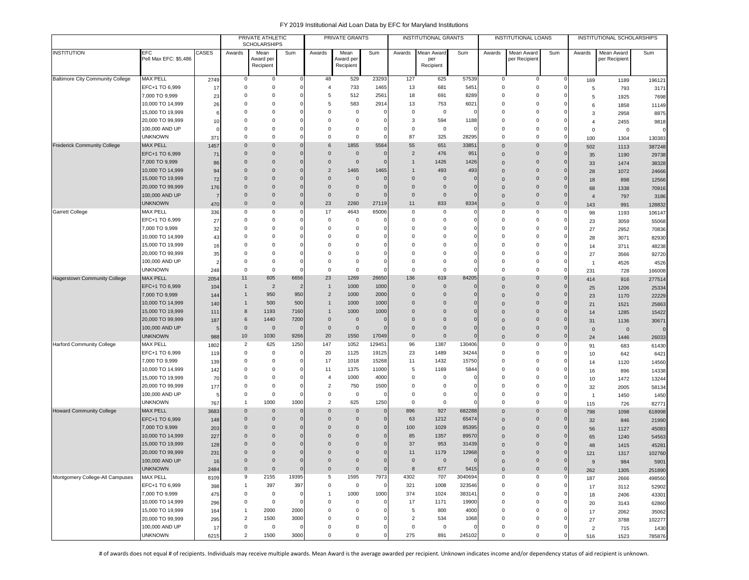|                                     |                                    |                | PRIVATE ATHLETIC<br><b>SCHOLARSHIPS</b> |                            |                         | PRIVATE GRANTS          |                                        |                             | <b>INSTITUTIONAL GRANTS</b> |                    |                      | <b>INSTITUTIONAL LOANS</b> |                            |                      | INSTITUTIONAL SCHOLARSHIPS |               |                  |
|-------------------------------------|------------------------------------|----------------|-----------------------------------------|----------------------------|-------------------------|-------------------------|----------------------------------------|-----------------------------|-----------------------------|--------------------|----------------------|----------------------------|----------------------------|----------------------|----------------------------|---------------|------------------|
| <b>INSTITUTION</b>                  | EFC                                | CASES          | Awards                                  | Mean                       | Sum                     | Awards                  | Mean                                   | Sum                         | Awards                      | Mean Award         | Sum                  | Awards                     | Mean Award                 | Sum                  | Awards                     | Mean Award    | Sum              |
|                                     | Pell Max EFC: \$5,486              |                |                                         | Award per<br>Recipient     |                         |                         | Award per<br>Recipient                 |                             |                             | per<br>Recipient   |                      |                            | per Recipient              |                      |                            | per Recipient |                  |
|                                     |                                    |                |                                         |                            |                         |                         |                                        |                             |                             |                    |                      |                            |                            |                      |                            |               |                  |
| Baltimore City Community College    | <b>MAX PELL</b>                    | 2749           | $\mathsf 0$                             | $\mathsf{O}\xspace$        |                         | 48                      | 529                                    | 23293                       | 127                         | 625                | 57539                | 0                          | 0                          | $^{\circ}$           | 169                        | 1189          | 196121           |
|                                     | EFC+1 TO 6,999                     | 17             | $\overline{0}$                          | $\mathsf 0$                |                         | $\overline{4}$          | 733                                    | 1465                        | 13                          | 681                | 5451                 | $^{\circ}$                 | 0                          | $\Omega$             | 5                          | 793           | 3171             |
|                                     | 7,000 TO 9,999                     | 23             | $^{\circ}$                              | $^{\circ}$                 |                         | 5                       | 512                                    | 2561                        | 18                          | 691                | 8289                 | $\Omega$                   | 0                          |                      | 5                          | 1925          | 7698             |
|                                     | 10,000 TO 14,999                   | 26             | $^{\circ}$                              | $^{\circ}$                 |                         | 5                       | 583                                    | 2914                        | 13                          | 753                | 6021                 | $\Omega$                   | 0                          |                      | 6                          | 1858          | 11149            |
|                                     | 15,000 TO 19,999                   | 6              | $\overline{0}$                          | $\mathbf 0$                |                         | 0                       | $\mathbf 0$                            | $\mathbf 0$                 | $\mathbf 0$                 | $\mathbf 0$        |                      | $\Omega$                   | 0                          |                      | 3                          | 2958          | 8875             |
|                                     | 20,000 TO 99,999                   | 10             | $\Omega$<br>$\Omega$                    | $\Omega$                   |                         | $\Omega$                | $\mathbf 0$                            | $\mathbf 0$                 | 3                           | 594                | 1188                 | $\Omega$<br>$\Omega$       | $\Omega$                   |                      | $\overline{4}$             | 2455          | 9818             |
|                                     | 100,000 AND UP<br><b>UNKNOWN</b>   | 371            | $\Omega$                                | $^{\circ}$<br>$^{\circ}$   | $\Omega$                | 0<br>$\Omega$           | $\overline{\mathbf{0}}$<br>$\mathbf 0$ | 0<br>$\Omega$               | $\mathbf 0$<br>87           | $\mathbf 0$<br>325 | O<br>28295           | $^{\circ}$                 | 0<br>$\Omega$              | $\Omega$             | $\mathbf 0$                | $\mathsf 0$   |                  |
| <b>Frederick Community College</b>  | <b>MAX PELL</b>                    | 1457           | $\mathbf 0$                             | $\mathbf 0$                | 0                       | 6                       | 1855                                   | 5564                        | 55                          | 651                | 33851                | $\Omega$                   | $\mathbf{0}$               | $\Omega$             | 100<br>502                 | 1304<br>1113  | 130383<br>387248 |
|                                     | EFC+1 TO 6,999                     | 71             | $\mathbf 0$                             | $\mathbf 0$                | $\Omega$                | $\mathbf 0$             | $\mathbf 0$                            | $\mathbf 0$                 | $\overline{2}$              | 476                | 951                  | $\mathbf{0}$               | $\mathbf 0$                |                      | 35                         | 1190          | 29738            |
|                                     | 7,000 TO 9,999                     | 86             | $\overline{0}$                          | $\mathbf 0$                |                         | $\mathbf 0$             | $\overline{0}$                         | $\mathbf 0$                 | $\mathbf{1}$                | 1426               | 1426                 | $\Omega$                   | $\mathbf{0}$               |                      | 33                         | 1474          | 38328            |
|                                     | 10,000 TO 14,999                   | 94             | $\overline{0}$                          | $\mathbf 0$                | $\mathbf 0$             | $\overline{2}$          | 1465                                   | 1465                        | $\mathbf{1}$                | 493                | 493                  | $\Omega$                   | $\mathbf 0$                | $\Omega$             | 28                         | 1072          | 24666            |
|                                     | 15,000 TO 19,999                   | 72             | $\overline{0}$                          | $\mathbf 0$                | $\Omega$                | $\Omega$                | $\overline{0}$                         | $\mathbf 0$                 | $\mathbf 0$                 | $\mathbf 0$        | $\Omega$             | $\Omega$                   | $\mathbf 0$                |                      | 18                         | 898           | 12566            |
|                                     | 20,000 TO 99,999                   | 176            | $\Omega$                                | $\Omega$                   | $\Omega$                | $\Omega$                | $\overline{0}$                         | $\mathbf 0$                 | $\mathbf 0$                 | $\mathbf 0$        | $\Omega$             | $\Omega$                   | $\mathbf 0$                | $\Omega$             | 68                         | 1338          | 70916            |
|                                     | 100,000 AND UP                     | $\overline{7}$ | $\overline{0}$                          | $\Omega$                   | $\mathbf{0}$            | $\mathbf{0}$            | $\overline{0}$                         | $\mathbf 0$                 | $\mathbf 0$                 | $\overline{0}$     | $\Omega$             | $\Omega$                   | $\mathbf 0$                | $\Omega$             | $\overline{4}$             | 797           | 3186             |
|                                     | <b>UNKNOWN</b>                     | 470            | $\overline{0}$                          | $\mathbf 0$                | $\mathbf{0}$            | 23                      | 2260                                   | 27119                       | 11                          | 833                | 8334                 | $\mathbf{0}$               | $\mathbf{0}$               | $\mathbf 0$          | 143                        | 991           | 128832           |
| Garrett College                     | <b>MAX PELL</b>                    | 336            | 0                                       | $^{\circ}$                 | 0                       | 17                      | 4643                                   | 65006                       | $\mathbf 0$                 | 0                  | 0                    | $\Omega$                   | 0                          | $\Omega$             | 98                         | 1193          | 106147           |
|                                     | EFC+1 TO 6,999                     | 27             | $^{\circ}$                              | $^{\circ}$                 | $\Omega$                | 0                       | $\overline{\mathbf{0}}$                | $\mathbf 0$                 | 0                           | 0                  |                      | $\Omega$                   | 0                          | 0                    | 23                         | 3059          | 55068            |
|                                     | 7,000 TO 9,999                     | 32             | $\overline{0}$                          | $^{\circ}$                 | $\Omega$                | 0                       | $\mathbf 0$                            | $\mathbf 0$                 | $\mathbf 0$                 | 0                  |                      | $\Omega$                   | 0                          |                      | 27                         | 2952          | 70836            |
|                                     | 10,000 TO 14,999                   | 43             | $\Omega$                                | $^{\circ}$                 |                         | $\Omega$                | $^{\circ}$                             | $\mathbf 0$                 | $\mathbf 0$                 | $\mathbf 0$        |                      | $\Omega$                   | $\Omega$                   |                      | 28                         | 3071          | 82930            |
|                                     | 15,000 TO 19,999                   | 16             | $\Omega$                                | $\Omega$                   |                         | $\Omega$                | $\Omega$                               | $\mathbf 0$                 | $\Omega$                    | $\Omega$           |                      | $\Omega$                   | $\Omega$                   |                      | 14                         | 3711          | 48238            |
|                                     | 20,000 TO 99,999                   | 35             | 0                                       | $^{\circ}$                 |                         | 0                       | $^{\circ}$                             | $\mathbf 0$                 | 0                           | $\mathbf 0$        |                      | $\Omega$                   | 0                          |                      | 27                         | 3566          | 92720            |
|                                     | 100,000 AND UP                     | 2              | $\mathbf 0$                             | $\mathsf 0$                |                         | 0                       | $\mathbf 0$                            | $\mathbf 0$                 | 0                           | $\mathbf 0$        |                      | $\Omega$                   | 0                          |                      | $\overline{1}$             | 4526          | 4526             |
|                                     | <b>UNKNOWN</b>                     | 248            | $\mathbf 0$                             | $\mathsf 0$                |                         | 0                       | $\mathbf 0$                            | $\mathbf 0$                 | $\mathbf 0$                 | $\mathbf 0$        |                      | $\Omega$                   | 0                          | $\Omega$<br>$\Omega$ | 231                        | 728           | 166008           |
| <b>Hagerstown Community College</b> | <b>MAX PELL</b><br>EFC+1 TO 6,999  | 2054           | 11<br>$\mathbf{1}$                      | 605<br>$\overline{2}$      | 6656<br>$\overline{2}$  | 23<br>$\mathbf{1}$      | 1269<br>1000                           | 26650<br>1000               | 136<br>$\mathbf 0$          | 619<br>$\mathbf 0$ | 84205<br>$\mathbf 0$ | $\Omega$                   | 0                          | $\Omega$             | 414                        | 916           | 277514           |
|                                     | 7,000 TO 9,999                     | 104<br>144     | $\mathbf{1}$                            | 950                        | 950                     | $\overline{2}$          | 1000                                   | 2000                        | $\mathbf 0$                 | $\overline{0}$     |                      | $\Omega$<br>$\Omega$       | $\mathbf 0$<br>$\mathbf 0$ | $\Omega$             | 25                         | 1206          | 25334            |
|                                     | 10,000 TO 14,999                   | 140            | -1                                      | 500                        | 500                     | $\mathbf{1}$            | 1000                                   | 1000                        | $\mathbf{0}$                | $\mathbf{0}$       |                      | $\Omega$                   | $\mathbf{0}$               | $\Omega$             | 23                         | 1170          | 22229            |
|                                     | 15,000 TO 19,999                   | 111            | 8                                       | 1193                       | 7160                    | $\mathbf{1}$            | 1000                                   | 1000                        | $\mathbf{0}$                | $\mathbf{0}$       |                      | $\Omega$                   | $\mathbf 0$                | $\Omega$             | 21<br>14                   | 1521<br>1285  | 25863<br>15422   |
|                                     | 20,000 TO 99,999                   | 187            | 6                                       | 1440                       | 7200                    | $\mathbf 0$             | $\overline{0}$                         | $\mathbf 0$                 | $\mathbf{0}$                | $\mathbf{0}$       |                      | $\Omega$                   | $\mathbf 0$                |                      | 31                         | 1136          | 30671            |
|                                     | 100,000 AND UP                     | 5              | $\mathbf 0$                             | $\mathbf 0$                |                         | $\mathbf 0$             | $\overline{0}$                         | $\mathbf 0$                 | $\mathbf 0$                 | $\mathbf 0$        | 0                    | $\Omega$                   | $\mathbf{0}$               | $\Omega$             | $\mathbf 0$                | $\mathbf 0$   | $\Omega$         |
|                                     | <b>UNKNOWN</b>                     | 988            | 10                                      | 1030                       | 9266                    | 20                      | 1550                                   | 17049                       | $\mathsf{O}\xspace$         | $\mathbf{0}$       | $\mathbf{0}$         | $\Omega$                   | $\mathbf 0$                | $\Omega$             | 24                         | 1446          | 26033            |
| <b>Harford Community College</b>    | MAX PELL                           | 1802           | $\overline{2}$                          | 625                        | 1250                    | 147                     | 1052                                   | 129451                      | 96                          | 1387               | 130406               | $\Omega$                   | $\Omega$                   | 0                    | 91                         | 683           | 61430            |
|                                     | EFC+1 TO 6,999                     | 119            | $^{\circ}$                              | $\mathbf 0$                | O                       | 20                      | 1125                                   | 19125                       | 23                          | 1489               | 34244                | $\Omega$                   | 0                          |                      | 10                         | 642           | 6421             |
|                                     | 7,000 TO 9,999                     | 139            | 0                                       | $^{\circ}$                 |                         | 17                      | 1018                                   | 15268                       | 11                          | 1432               | 15750                | $\Omega$                   | 0                          |                      | 14                         | 1120          | 14560            |
|                                     | 10,000 TO 14,999                   | 142            | $^{\circ}$                              | $^{\circ}$                 |                         | 11                      | 1375                                   | 11000                       | 5                           | 1169               | 5844                 | $\Omega$                   | 0                          |                      | 16                         | 896           | 14338            |
|                                     | 15,000 TO 19,999                   | 70             | $\overline{0}$                          | $\mathbf 0$                |                         | 4                       | 1000                                   | 4000                        | $\mathsf 0$                 | 0                  |                      | $\Omega$                   | 0                          |                      | 10                         | 1472          | 13244            |
|                                     | 20,000 TO 99,999                   | 177            | $\mathbf 0$                             | $\mathsf 0$                |                         | $\overline{2}$          | 750                                    | 1500                        | 0                           | 0                  |                      | $\Omega$                   | 0                          | $\Omega$             | 32                         | 2005          | 58134            |
|                                     | 100,000 AND UP                     | 5              | $^{\circ}$                              | $\mathsf 0$                |                         | 0                       | $\overline{0}$                         | $\mathsf 0$                 | 0                           | 0                  |                      | $\Omega$                   | 0                          |                      | $\overline{1}$             | 1450          | 1450             |
|                                     | <b>UNKNOWN</b>                     | 767            | 1                                       | 1000                       | 1000                    | 2                       | 625                                    | 1250                        | $\mathbf 0$                 | $^{\circ}$         | O                    | $\Omega$                   | $\Omega$                   | $\mathbf 0$          | 115                        | 726           | 82771            |
| <b>Howard Community College</b>     | <b>MAX PELL</b>                    | 3683           | $\overline{0}$                          | $\mathbf 0$                | $\mathbf 0$<br>$\Omega$ | $\Omega$                | $\mathbf 0$                            | $\mathbf 0$                 | 896                         | 927                | 682288               | $\mathbf{0}$               | $\mathbf{0}$               | $\mathbf 0$          | 798                        | 1098          | 618998           |
|                                     | EFC+1 TO 6,999                     | 148            | $\overline{0}$<br>$\overline{0}$        | $\mathbf 0$<br>$\mathbf 0$ | $\Omega$                | $\mathbf 0$             | $\mathbf 0$                            | $\mathbf 0$                 | 63                          | 1212               | 65474                | $\Omega$                   | $\mathbf{0}$               | $\mathbf 0$          | 32                         | 846           | 21990            |
|                                     | 7,000 TO 9,999<br>10,000 TO 14,999 | 203<br>227     | $\Omega$                                | $\mathbf 0$                | $\Omega$                | $\mathbf 0$<br>$\Omega$ | $\mathbf 0$<br>$\Omega$                | $\mathbf{0}$<br>$\mathbf 0$ | 100<br>85                   | 1029<br>1357       | 85395<br>89570       | $\Omega$<br>$\Omega$       | $\mathbf 0$<br>$\mathbf 0$ |                      | 56                         | 1127          | 45083            |
|                                     | 15,000 TO 19,999                   | 128            | $\Omega$                                | $\Omega$                   | $\Omega$                | $\Omega$                | $\Omega$                               | $\mathbf{0}$                | 37                          | 953                | 31439                | $\Omega$                   | $\Omega$                   |                      | 65                         | 1240          | 54563            |
|                                     | 20,000 TO 99,999                   | 231            | $\Omega$                                | $\Omega$                   | $\Omega$                | $\Omega$                | $\Omega$                               | $\mathbf 0$                 | 11                          | 1179               | 12968                | $\Omega$                   | $\Omega$                   |                      | 48<br>121                  | 1415<br>1317  | 45281            |
|                                     | 100,000 AND UP                     | 16             | $\mathbf 0$                             | $\mathbf 0$                | $\mathbf 0$             | $\mathbf 0$             | $\mathbf 0$                            | $\mathbf 0$                 | $\mathbf 0$                 | $\mathbf 0$        | $\mathbf{0}$         | $\mathbf 0$                | $\mathbf 0$                | $\mathbf 0$          | 9                          | 984           | 102760<br>5901   |
|                                     | <b>UNKNOWN</b>                     | 2484           | $\mathbf 0$                             | $\mathbf 0$                | $\mathbf 0$             | $\mathsf 0$             | $\overline{0}$                         | $\mathbf 0$                 | 8                           | 677                | 5415                 | $\mathbf{0}$               | $\mathbf 0$                | $\mathbf 0$          | 262                        | 1305          | 251890           |
| Montgomery College-All Campuses     | MAX PELL                           | 8109           | 9                                       | 2155                       | 19395                   | 5                       | 1595                                   | 7973                        | 4302                        | 707                | 3040694              | 0                          | 0                          | 0                    | 187                        | 2666          | 498560           |
|                                     | EFC+1 TO 6,999                     | 398            | $\mathbf{1}$                            | 397                        | 397                     | 0                       | $\mathsf 0$                            | $\mathbf 0$                 | 321                         | 1008               | 323546               | 0                          | 0                          | $\Omega$             | 17                         | 3112          | 52902            |
|                                     | 7,000 TO 9,999                     | 475            | $\mathbf 0$                             | $\mathsf 0$                | $\Omega$                | $\mathbf{1}$            | 1000                                   | 1000                        | 374                         | 1024               | 383141               | 0                          | 0                          | 0                    | 18                         | 2406          | 43301            |
|                                     | 10,000 TO 14,999                   | 296            | $\mathbf 0$                             | $\mathsf 0$                |                         | $\mathbf 0$             | $\overline{0}$                         | $\mathbf 0$                 | 17                          | 1171               | 19900                | 0                          | 0                          |                      | 20                         | 3143          | 62860            |
|                                     | 15,000 TO 19,999                   | 164            | $\overline{1}$                          | 2000                       | 2000                    | 0                       | $\overline{0}$                         | $\mathbf 0$                 | 5                           | 800                | 4000                 | $\Omega$                   | 0                          |                      | 17                         | 2062          | 35062            |
|                                     | 20,000 TO 99,999                   | 295            | $\overline{2}$                          | 1500                       | 3000                    | 0                       | $^{\circ}$                             | $\mathbf 0$                 | $\overline{2}$              | 534                | 1068                 | $\mathbf 0$                | 0                          |                      | 27                         | 3788          | 102277           |
|                                     | 100,000 AND UP                     | 17             | $\mathbf 0$                             | $\mathsf 0$                |                         | 0                       | $^{\circ}$                             | $\mathbf 0$                 | $\mathbf 0$                 | $\overline{0}$     |                      | 0                          | 0                          |                      | $\overline{2}$             | 715           | 1430             |
|                                     | <b>UNKNOWN</b>                     | 6215           | $\overline{2}$                          | 1500                       | 3000                    | $\mathbf 0$             | $\mathbf 0$                            | $\mathbf 0$                 | 275                         | 891                | 245102               | $\mathbf 0$                | 0                          | $\Omega$             | 516                        | 1523          | 785876           |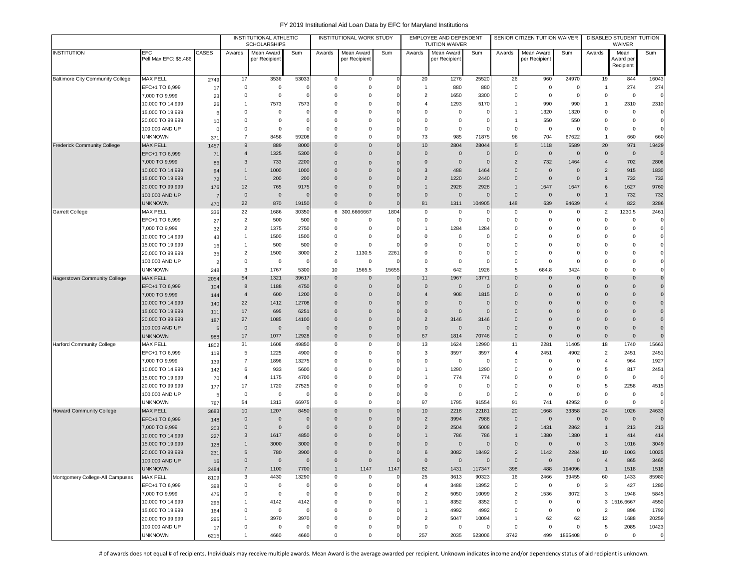|                                     |                                      |             |                               | INSTITUTIONAL ATHLETIC<br><b>SCHOLARSHIPS</b> |                   |                               | INSTITUTIONAL WORK STUDY      |                        |                               | EMPLOYEE AND DEPENDENT<br><b>TUITION WAIVER</b> |                |                               | SENIOR CITIZEN TUITION WAIVER |                      |                      | DISABLED STUDENT TUITION<br>WAIVER |                            |
|-------------------------------------|--------------------------------------|-------------|-------------------------------|-----------------------------------------------|-------------------|-------------------------------|-------------------------------|------------------------|-------------------------------|-------------------------------------------------|----------------|-------------------------------|-------------------------------|----------------------|----------------------|------------------------------------|----------------------------|
| <b>INSTITUTION</b>                  | EFC<br>Pell Max EFC: \$5,486         | CASES       | Awards                        | Mean Award<br>per Recipient                   | Sum               | Awards                        | Mean Award<br>per Recipient   | Sum                    | Awards                        | Mean Award<br>per Recipient                     | Sum            | Awards                        | Mean Award<br>per Recipient   | Sum                  | Awards               | Mean<br>Award per                  | Sum                        |
|                                     |                                      |             |                               |                                               |                   |                               |                               |                        |                               |                                                 |                |                               |                               |                      |                      | Recipient                          |                            |
| Baltimore City Community College    | <b>MAX PELL</b>                      | 2749        | 17                            | 3536                                          | 53033             | $\mathbf 0$                   | 0                             | $\Omega$               | 20                            | 1276                                            | 25520          | 26                            | 960                           | 24970                | 19                   | 844                                | 16043                      |
|                                     | EFC+1 TO 6,999                       | 17          | $\mathbf 0$                   | 0                                             |                   | 0                             | $\mathbf 0$                   | $\Omega$               | $\overline{1}$                | 880                                             | 880            | $\mathbf 0$                   | $\mathsf 0$                   | $\overline{0}$       | $\overline{1}$       | 274                                | 274                        |
|                                     | 7,000 TO 9,999                       | 23          | 0                             | $\mathbf 0$                                   |                   | 0                             | $\mathbf 0$                   | $\Omega$               | $\overline{2}$                | 1650                                            | 3300           | $\mathbf 0$                   | $\mathsf 0$                   | $\overline{0}$       | $^{\circ}$           | $\mathbf 0$                        | $\mathbf 0$                |
|                                     | 10,000 TO 14,999                     | 26          | $\mathbf{1}$                  | 7573                                          | 7573              | $\Omega$                      | $\mathbf 0$                   |                        | $\overline{4}$                | 1293                                            | 5170           | $\overline{1}$                | 990                           | 990                  | $\mathbf{1}$         | 2310                               | 2310                       |
|                                     | 15,000 TO 19,999                     | 6           | $\Omega$                      | 0                                             |                   | $\Omega$                      | $\Omega$                      |                        | $\mathbf 0$                   | $\mathbf 0$                                     | c              | $\overline{1}$                | 1320                          | 1320                 | $\Omega$             | 0                                  | $\mathbf 0$                |
|                                     | 20,000 TO 99,999                     | 10          | $\Omega$                      | $\mathbf 0$                                   |                   | $\Omega$                      | $\Omega$                      |                        | $\Omega$                      | 0                                               |                | $\overline{1}$                | 550                           | 550                  | $\Omega$             | $\mathbf 0$                        | $\mathbf 0$                |
|                                     | 100,000 AND UP                       |             | $\Omega$                      | $\Omega$                                      |                   | $\Omega$                      | $\Omega$                      | C                      | $\mathbf 0$                   | $\mathbf 0$                                     |                | $\mathbf 0$                   | 0                             | C                    | $\Omega$             | $\mathbf 0$                        | $\mathbf 0$                |
| <b>Frederick Community College</b>  | <b>UNKNOWN</b><br><b>MAX PELL</b>    | 371         | $\overline{7}$<br>9           | 8458<br>889                                   | 59208<br>8000     | $\mathbf 0$<br>$\mathbf 0$    | $\mathbf 0$<br>$\overline{0}$ | $\epsilon$<br>$\Omega$ | 73<br>10                      | 985<br>2804                                     | 71875<br>28044 | 96<br>5                       | 704<br>1118                   | 67622<br>5589        | 20                   | 660<br>971                         | 660<br>19429               |
|                                     | EFC+1 TO 6,999                       | 1457<br>71  | $\overline{4}$                | 1325                                          | 5300              | $\mathbf 0$                   | $\overline{0}$                | $\Omega$               | $\mathbf 0$                   | $\overline{0}$                                  |                | $\mathbf 0$                   | $\mathbf 0$                   | C                    | $\mathbf{0}$         | $\mathbf 0$                        | $\mathbf 0$                |
|                                     | 7,000 TO 9,999                       | 86          | 3                             | 733                                           | 2200              | $\mathbf 0$                   | $\mathbf 0$                   |                        | $\overline{0}$                | $\mathbf 0$                                     |                | $\overline{2}$                | 732                           | 1464                 | $\overline{4}$       | 702                                | 2806                       |
|                                     | 10,000 TO 14,999                     | 94          | $\mathbf{1}$                  | 1000                                          | 1000              | $\Omega$                      | $\overline{0}$                | $\Omega$               | $\overline{3}$                | 488                                             | 1464           | $\mathbf{0}$                  | $\mathbf 0$                   | $\overline{0}$       | $\overline{2}$       | 915                                | 1830                       |
|                                     | 15,000 TO 19,999                     | 72          | $\mathbf{1}$                  | 200                                           | 200               | $\Omega$                      | $\mathbf{0}$                  | $\Omega$               | $\overline{2}$                | 1220                                            | 2440           | $\mathbf 0$                   | $\mathbf 0$                   | $\Omega$             |                      | 732                                | 732                        |
|                                     | 20,000 TO 99,999                     | 176         | 12                            | 765                                           | 9175              | $\Omega$                      | $\overline{0}$                | $\Omega$               | $\overline{1}$                | 2928                                            | 2928           | $\overline{1}$                | 1647                          | 1647                 | 6                    | 1627                               | 9760                       |
|                                     | 100,000 AND UP                       | 7           | $\mathbf 0$                   | $\mathbf 0$                                   |                   | $\Omega$                      | $\mathbf{0}$                  |                        | $\overline{0}$                | $\mathbf 0$                                     | $\epsilon$     | $\mathbf 0$                   | $\mathbf 0$                   | $\Omega$             |                      | 732                                | 732                        |
|                                     | UNKNOWN                              | 470         | 22                            | 870                                           | 19150             | $\mathbf 0$                   | $\mathbf 0$                   | O                      | 81                            | 1311                                            | 104905         | 148                           | 639                           | 94639                | $\overline{4}$       | 822                                | 3286                       |
| Garrett College                     | MAX PELL                             | 336         | 22                            | 1686                                          | 30350             |                               | 6 300.6666667                 | 1804                   | 0                             | $^{\circ}$                                      | ſ              | 0                             | 0                             | $\Omega$             | $\overline{2}$       | 1230.5                             | 2461                       |
|                                     | EFC+1 TO 6,999                       | 27          | $\overline{2}$                | 500                                           | 500               | 0                             | $\mathbf 0$                   | C                      | 0                             | 0                                               |                | $\mathbf 0$                   | 0                             | $\Omega$             | $\Omega$             | 0                                  | $\mathbf 0$                |
|                                     | 7,000 TO 9,999                       | 32          | 2                             | 1375                                          | 2750              | 0                             | $^{\circ}$                    |                        | $\overline{1}$                | 1284                                            | 1284           | $\Omega$                      | $\Omega$                      | C                    | $\Omega$             | $\Omega$                           | $\mathbf 0$                |
|                                     | 10,000 TO 14,999                     | 43          | 1                             | 1500                                          | 1500              | 0                             | $\mathbf 0$                   |                        | $\mathbf 0$                   | $^{\circ}$                                      |                | $\Omega$                      | $\Omega$                      | $\Omega$             | $\Omega$             | 0                                  | $\mathbf 0$                |
|                                     | 15,000 TO 19,999                     | 16          | 1                             | 500                                           | 500               | 0                             | $\mathbf 0$                   |                        | $\mathbf 0$                   | $^{\circ}$                                      |                | $\Omega$                      | $\mathbf 0$                   |                      | $\Omega$             | $\Omega$                           | $\mathbf 0$                |
|                                     | 20,000 TO 99,999                     | 35          | $\overline{2}$<br>$\mathsf 0$ | 1500                                          | 3000              | $\overline{2}$<br>$\mathbf 0$ | 1130.5<br>$\mathbf 0$         | 2261<br>$\mathcal{C}$  | $\mathbf 0$<br>$\mathbf 0$    | 0<br>$\mathbf 0$                                |                | $\overline{0}$<br>$\mathbf 0$ | $\mathbf 0$<br>$\mathsf 0$    | $\Omega$<br>$\Omega$ | $\Omega$<br>$\Omega$ | 0<br>0                             | $\mathbf 0$<br>$\mathbf 0$ |
|                                     | 100,000 AND UP<br><b>UNKNOWN</b>     |             | 3                             | 0<br>1767                                     | 5300              | 10                            | 1565.5                        | 15655                  | 3                             | 642                                             | 1926           | 5                             | 684.8                         | 3424                 | $\Omega$             | 0                                  | $\mathbf 0$                |
| <b>Hagerstown Community College</b> | <b>MAX PELL</b>                      | 248<br>2054 | 54                            | 1321                                          | 39617             | $\mathbf 0$                   | $\overline{0}$                | $\Omega$               | 11                            | 1967                                            | 1377'          | $\Omega$                      | $\Omega$                      | $\Omega$             | $\Omega$             | $\Omega$                           | $\mathbf 0$                |
|                                     | EFC+1 TO 6,999                       | 104         | 8                             | 1188                                          | 4750              | $\overline{0}$                | $\mathbf{0}$                  | $\Omega$               | $\overline{0}$                | $\mathbf 0$                                     | C              | $\overline{0}$                | $\mathbf{0}$                  | $\mathbf 0$          | $\Omega$             | $\mathbf{0}$                       | $\mathbf 0$                |
|                                     | 7,000 TO 9,999                       | 144         | $\overline{4}$                | 600                                           | 1200              | $\Omega$                      | $\overline{0}$                | $\mathcal{C}$          | $\overline{4}$                | 908                                             | 1815           | $\overline{0}$                | $\Omega$                      | $\sqrt{ }$           | $\Omega$             | $\mathbf{0}$                       | $\mathbf 0$                |
|                                     | 10,000 TO 14,999                     | 140         | 22                            | 1412                                          | 12708             | $\mathbf 0$                   | $\mathbf{0}$                  | $\Omega$               | $\overline{0}$                | $\Omega$                                        |                | $\overline{0}$                | $\mathbf{0}$                  | $\sqrt{ }$           | $\Omega$             | $\mathbf{0}$                       | $\overline{0}$             |
|                                     | 15,000 TO 19,999                     | 111         | 17                            | 695                                           | 6251              | $\mathbf{0}$                  | $\mathbf{0}$                  | $\Omega$               | $\overline{0}$                | $\mathbf 0$                                     |                | $\overline{0}$                | $\mathbf{0}$                  | O                    | $\Omega$             | $\mathbf 0$                        | $\mathbf 0$                |
|                                     | 20,000 TO 99,999                     | 187         | 27                            | 1085                                          | 14100             | $\Omega$                      | $\overline{0}$                |                        | $\overline{2}$                | 3146                                            | 3146           | $\Omega$                      | $\Omega$                      | $\Omega$             | $\Omega$             | $\mathbf 0$                        | $\mathbf 0$                |
|                                     | 100,000 AND UP                       | -5          | $\mathbf 0$                   | $\overline{0}$                                |                   | $\Omega$                      | $\overline{0}$                | $\Omega$               | $\overline{0}$                | $\Omega$                                        |                | $\mathbf{0}$                  | $\Omega$                      | $\overline{0}$       | $\Omega$             | $\Omega$                           | $\mathbf 0$                |
|                                     | <b>UNKNOWN</b>                       | 988         | 17                            | 1077                                          | 12928             | $\Omega$                      | $\mathbf{0}$                  | $\Omega$               | 67                            | 1814                                            | 70746          | $\mathbf 0$                   | $\mathbf{0}$                  | $\overline{0}$       | $\Omega$             | $\mathbf 0$                        | $\mathbf 0$                |
| <b>Harford Community College</b>    | MAX PELL                             | 1802        | 31                            | 1608                                          | 49850             | 0                             | 0                             |                        | 13                            | 1624                                            | 12990          | 11                            | 2281                          | 11405                | 18                   | 1740                               | 15663                      |
|                                     | EFC+1 TO 6,999                       | 119         | 5                             | 1225                                          | 4900              | 0                             | 0                             | $\mathcal{C}$          | $\mathbf{3}$                  | 3597                                            | 3597           | $\overline{4}$                | 2451                          | 4902                 | $\overline{2}$       | 2451                               | 2451                       |
|                                     | 7,000 TO 9,999                       | 139         | $\overline{7}$<br>6           | 1896<br>933                                   | 13275<br>5600     | 0<br>0                        | $\mathbf 0$<br>$\mathbf 0$    | C<br>C                 | $\mathbf 0$<br>$\overline{1}$ | 0<br>1290                                       | C<br>1290      | 0<br>$\mathbf 0$              | 0<br>0                        | $\Omega$<br>$\Omega$ | $\overline{4}$<br>5  | 964<br>817                         | 1927<br>2451               |
|                                     | 10,000 TO 14,999<br>15,000 TO 19,999 | 142         | 4                             | 1175                                          | 4700              | $\Omega$                      | $\mathbf 0$                   |                        | $\overline{1}$                | 774                                             | 774            | $\Omega$                      | 0                             | $\Omega$             | $\Omega$             | 0                                  | $\mathbf 0$                |
|                                     | 20,000 TO 99,999                     | 70<br>177   | 17                            | 1720                                          | 27525             | $\Omega$                      | $\mathbf 0$                   | C                      | $\mathbf 0$                   | 0                                               | C              | $^{\circ}$                    | $\mathbf 0$                   | $\Omega$             | 5                    | 2258                               | 4515                       |
|                                     | 100,000 AND UP                       | -5          | $\mathbf 0$                   | 0                                             |                   | $\mathbf 0$                   | 0                             |                        | $\overline{0}$                | $\mathsf 0$                                     |                | $\mathbf 0$                   | $\mathsf 0$                   | $\Omega$             | $\Omega$             | 0                                  | $\mathbf 0$                |
|                                     | unknown                              | 767         | 54                            | 1313                                          | 66975             | 0                             | $\mathbf 0$                   | $\Omega$               | 97                            | 1795                                            | 91554          | 91                            | 741                           | 42952                | $\Omega$             | $\mathbf 0$                        | $\mathbf 0$                |
| <b>Howard Community College</b>     | <b>MAX PELL</b>                      | 3683        | 10                            | 1207                                          | 8450              | $\mathbf 0$                   | $\overline{0}$                |                        | 10                            | 2218                                            | 22181          | 20                            | 1668                          | 33358                | 24                   | 1026                               | 24633                      |
|                                     | EFC+1 TO 6,999                       | 148         | $\mathbf 0$                   | $\overline{0}$                                |                   | $\Omega$                      | $\overline{0}$                | $\Omega$               | $\overline{2}$                | 3994                                            | 7988           | $\mathbf 0$                   | $\mathbf 0$                   | $\Omega$             | $\Omega$             | $\mathsf{O}\xspace$                | $\mathbf 0$                |
|                                     | 7,000 TO 9,999                       | 203         | $\mathbf 0$                   | $\mathbf 0$                                   |                   | $\Omega$                      | $\overline{0}$                |                        | $\overline{2}$                | 2504                                            | 5008           | $\overline{2}$                | 1431                          | 2862                 |                      | 213                                | 213                        |
|                                     | 10,000 TO 14,999                     | 227         | 3                             | 1617                                          | 4850              | $\Omega$                      | $\Omega$                      |                        | $\mathbf{1}$                  | 786                                             | 786            | $\overline{1}$                | 1380                          | 1380                 |                      | 414                                | 414                        |
|                                     | 15,000 TO 19,999                     | 128         |                               | 3000                                          | 3000              | $\Omega$                      | $\overline{0}$                |                        | $\overline{0}$                | $\overline{0}$                                  | C              | $\mathbf 0$                   | $\mathbf 0$                   | $\sqrt{ }$           | 3                    | 1016                               | 3049                       |
|                                     | 20,000 TO 99,999                     | 231         | 5                             | 780                                           | 3900              | $\Omega$                      | $\Omega$                      |                        | 6                             | 3082                                            | 18492          | $\overline{2}$                | 1142                          | 2284                 | 10                   | 1003                               | 10025                      |
|                                     | 100,000 AND UP                       | 16          | $\mathbf 0$                   | $\mathbf 0$                                   |                   | $\mathbf{0}$                  | $\mathbf 0$                   | $\Omega$               | $\overline{0}$                | $\mathbf 0$                                     |                | $\mathbf 0$                   | $\mathbf 0$                   | $\Omega$             | $\overline{4}$       | 865                                | 3460                       |
|                                     | <b>UNKNOWN</b>                       | 2484        | $\overline{7}$                | 1100                                          | 7700              | $\mathbf{1}$                  | 1147                          | 1147                   | 82                            | 1431                                            | 117347         | 398                           | 488                           | 194096               | $\overline{1}$       | 1518                               | 1518                       |
| Montgomery College-All Campuses     | MAX PELL<br>EFC+1 TO 6,999           | 8109        | 3<br>0                        | 4430<br>$\mathbf 0$                           | 13290<br>$\Omega$ | $\mathbf 0$<br>$\mathbf 0$    | 0<br>0                        | $\Omega$               | 25<br>$\overline{4}$          | 3613<br>3488                                    | 90323<br>13952 | 16<br>$\mathsf 0$             | 2466<br>$\mathsf 0$           | 39455<br>$\mathbf 0$ | 60<br>3              | 1433<br>427                        | 85980<br>1280              |
|                                     | 7,000 TO 9,999                       | 398<br>475  | $\mathsf 0$                   | $\mathbf 0$                                   |                   | 0                             | 0                             | ſ                      | $\overline{2}$                | 5050                                            | 10099          | $\overline{2}$                | 1536                          | 3072                 | 3                    | 1948                               | 5845                       |
|                                     | 10,000 TO 14,999                     | 296         | $\mathbf{1}$                  | 4142                                          | 4142              | 0                             | $\mathbf 0$                   |                        | $\overline{1}$                | 8352                                            | 8352           | $\mathbf 0$                   | 0                             | $\overline{0}$       |                      | 3 1516.6667                        | 4550                       |
|                                     | 15,000 TO 19,999                     | 164         | 0                             | $\mathbf 0$                                   |                   | 0                             | $\mathsf 0$                   |                        | $\overline{1}$                | 4992                                            | 4992           | $\mathbf 0$                   | 0                             | 0                    | $\overline{2}$       | 896                                | 1792                       |
|                                     | 20,000 TO 99,999                     | 295         | $\mathbf{1}$                  | 3970                                          | 3970              | $\mathbf 0$                   | $^{\circ}$                    |                        | $\overline{2}$                | 5047                                            | 10094          | $\overline{1}$                | 62                            | 62                   | 12                   | 1688                               | 20259                      |
|                                     | 100,000 AND UP                       | 17          | $\mathbf 0$                   | $\mathbf 0$                                   |                   | 0                             | $\mathsf 0$                   |                        | $\mathbf 0$                   | $\mathbf 0$                                     | C              | $\mathbf 0$                   | $\mathsf 0$                   | $\overline{0}$       | 5                    | 2085                               | 10423                      |
|                                     | <b>UNKNOWN</b>                       | 6215        | $\mathbf{1}$                  | 4660                                          | 4660              | $\mathbf 0$                   | $\mathsf 0$                   | C                      | 257                           | 2035                                            | 523006         | 3742                          | 499                           | 1865408              | $\mathsf 0$          | 0                                  | $\mathbf 0$                |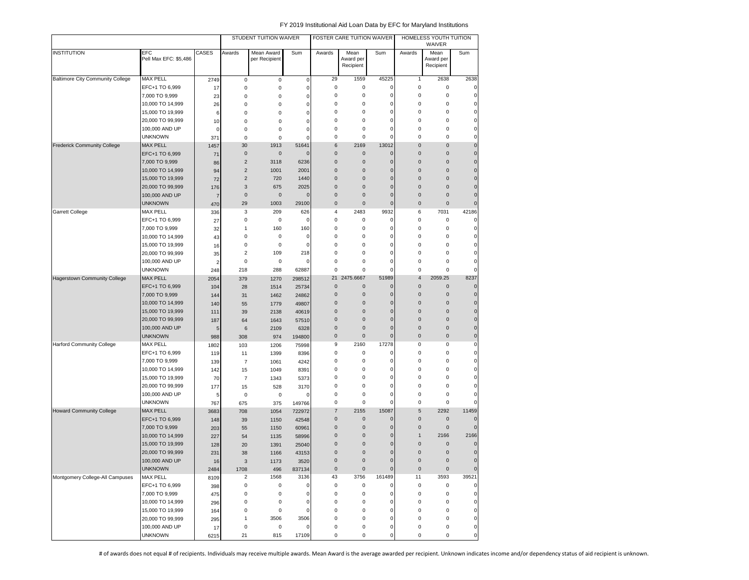|                                         |                                    |                | STUDENT TUITION WAIVER          |                             |                     | FOSTER CARE TUITION WAIVER |                                |                | HOMELESS YOUTH TUITION<br>WAIVER |                                |                      |
|-----------------------------------------|------------------------------------|----------------|---------------------------------|-----------------------------|---------------------|----------------------------|--------------------------------|----------------|----------------------------------|--------------------------------|----------------------|
| <b>INSTITUTION</b>                      | EFC<br>Pell Max EFC: \$5,486       | CASES          | Awards                          | Mean Award<br>per Recipient | Sum                 | Awards                     | Mean<br>Award per<br>Recipient | Sum            | Awards                           | Mean<br>Award per<br>Recipient | Sum                  |
| <b>Baltimore City Community College</b> | <b>MAX PELL</b>                    | 2749           | 0                               | $\mathsf 0$                 | 0                   | 29                         | 1559                           | 45225          | $\mathbf{1}$                     | 2638                           | 2638                 |
|                                         | EFC+1 TO 6,999                     | 17             | 0                               | 0                           | $\mathsf 0$         | 0                          | 0                              | 0              | 0                                | 0                              | 0                    |
|                                         | 7,000 TO 9,999                     | 23             | 0                               | 0                           | 0                   | 0                          | 0                              | 0              | 0                                | $\mathbf 0$                    | $\pmb{0}$            |
|                                         | 10,000 TO 14,999                   | 26             | $\mathbf 0$                     | 0                           | 0                   | 0                          | 0                              | 0              | 0                                | $\mathbf 0$                    | $\pmb{0}$            |
|                                         | 15,000 TO 19,999                   | 6              | 0                               | 0                           | 0                   | 0                          | $\mathbf 0$                    | 0              | 0                                | $\bf 0$                        | $\pmb{0}$            |
|                                         | 20,000 TO 99,999                   | 10             | $\mathbf 0$                     | 0                           | 0                   | 0                          | $\mathbf 0$                    | 0              | 0                                | $\mathbf 0$                    | 0                    |
|                                         | 100,000 AND UP                     | 0              | 0                               | 0                           | 0                   | 0                          | $\mathbf 0$                    | 0              | 0                                | $\mathbf 0$                    | 0                    |
|                                         | <b>UNKNOWN</b>                     | 371            | $\bf 0$                         | 0                           | 0                   | 0                          | 0                              | 0              | 0                                | $\bf 0$                        | $\pmb{0}$            |
| <b>Frederick Community College</b>      | <b>MAX PELL</b>                    | 1457           | 30                              | 1913                        | 51641               | 6                          | 2169                           | 13012          | $\pmb{0}$                        | $\bf 0$                        | $\mathbf 0$          |
|                                         | EFC+1 TO 6,999                     | 71             | $\mathbf 0$                     | $\pmb{0}$                   | 0                   | $\pmb{0}$                  | $\mathbf 0$                    | 0              | $\mathbf 0$                      | $\mathbf 0$                    | $\mathbf 0$          |
|                                         | 7,000 TO 9,999                     | 86             | $\sqrt{2}$                      | 3118                        | 6236                | $\bf 0$                    | $\pmb{0}$                      | $\mathbf 0$    | $\mathbf 0$                      | $\mathbf 0$                    | $\mathbf 0$          |
|                                         | 10,000 TO 14,999                   | 94             | $\overline{2}$                  | 1001                        | 2001                | $\pmb{0}$                  | $\mathbf 0$                    | $\Omega$       | $\mathbf{0}$                     | $\mathbf{0}$                   | $\pmb{0}$            |
|                                         | 15,000 TO 19,999                   | 72             | $\overline{2}$                  | 720                         | 1440                | $\pmb{0}$                  | $\mathbf 0$                    | $\Omega$       | $\mathbf{0}$                     | $\mathbf{0}$                   | $\pmb{0}$            |
|                                         | 20,000 TO 99,999                   | 176            | 3                               | 675                         | 2025                | 0                          | $\mathbf 0$                    | 0              | $\mathbf 0$                      | $\mathbf 0$                    | $\pmb{0}$            |
|                                         | 100,000 AND UP                     | $\overline{7}$ | $\mathbf 0$                     | $\mathbf 0$                 | 0                   | 0                          | $\mathbf 0$                    | 0              | $\mathbf 0$                      | $\mathbf 0$                    | $\pmb{0}$            |
|                                         | <b>UNKNOWN</b>                     | 470            | 29                              | 1003                        | 29100               | 0                          | $\mathbf 0$                    | $\pmb{0}$      | $\mathbf 0$                      | $\mathbf 0$                    | $\pmb{0}$            |
| Garrett College                         | <b>MAX PELL</b>                    | 336            | 3                               | 209                         | 626                 | 4                          | 2483                           | 9932           | 6                                | 7031                           | 42186                |
|                                         | EFC+1 TO 6,999                     | 27             | $\pmb{0}$                       | 0                           | 0                   | 0                          | 0                              | 0              | 0                                | $\mathbf 0$                    | 0                    |
|                                         | 7,000 TO 9,999                     | 32             | 1                               | 160                         | 160                 | 0                          | 0                              | 0              | 0                                | 0                              | 0                    |
|                                         | 10,000 TO 14,999                   | 43             | 0                               | 0                           | 0                   | 0                          | 0                              | 0              | 0                                | $\mathbf 0$                    | 0                    |
|                                         | 15,000 TO 19,999                   | 16             | $\mathbf 0$                     | 0                           | 0                   | 0                          | 0                              | 0              | 0                                | $\bf 0$                        | $\mathbf 0$          |
|                                         | 20,000 TO 99,999                   | 35             | $\overline{2}$                  | 109                         | 218                 | 0                          | 0                              | 0              | 0                                | $\bf 0$                        | $\mathbf 0$          |
|                                         | 100,000 AND UP                     | 2              | $\pmb{0}$                       | $\mathbf 0$                 | 0                   | 0                          | 0                              | 0              | 0                                | $\mathbf 0$                    | 0                    |
|                                         | <b>UNKNOWN</b>                     | 248            | 218                             | 288                         | 62887               | 0                          | $\mathbf 0$                    | 0              | 0                                | $\mathbf 0$                    | $\mathbf 0$          |
| Hagerstown Community College            | <b>MAX PELL</b>                    | 2054           | 379                             | 1270                        | 298512              |                            | 21 2475.6667                   | 51989          | $\overline{4}$                   | 2059.25                        | 8237                 |
|                                         | EFC+1 TO 6,999                     | 104            | 28                              | 1514                        | 25734               | $\mathbf{0}$               | $\mathbf 0$                    | 0              | $\mathbf 0$                      | $\mathbf 0$                    | $\mathbf{0}$         |
|                                         | 7,000 TO 9,999                     | 144            | 31                              | 1462                        | 24862               | $\mathbf{0}$               | $\mathbf{0}$                   | 0              | $\mathbf 0$                      | $\mathbf 0$                    | $\pmb{0}$            |
|                                         | 10,000 TO 14,999                   | 140            | 55                              | 1779                        | 49807               | $\pmb{0}$                  | $\mathbf 0$                    | 0              | $\mathbf 0$                      | $\mathbf 0$                    | $\mathbf 0$          |
|                                         | 15,000 TO 19,999                   | 111            | 39                              | 2138                        | 40619               | $\pmb{0}$                  | $\mathbf 0$                    | 0              | 0                                | $\mathbf 0$                    | $\mathbf 0$          |
|                                         | 20,000 TO 99,999                   | 187            | 64                              | 1643                        | 57510               | 0                          | $\mathbf 0$                    | $\mathbf 0$    | $\mathbf 0$                      | $\mathbf 0$                    | $\mathbf 0$          |
|                                         | 100,000 AND UP                     | 5              | 6                               | 2109                        | 6328                | 0                          | $\mathbf 0$                    | $\mathbf 0$    | $\mathbf 0$                      | $\pmb{0}$                      | $\pmb{0}$            |
|                                         | <b>UNKNOWN</b>                     | 988            | 308                             | 974                         | 194800              | $\pmb{0}$                  | $\mathbf 0$                    | $\overline{0}$ | $\pmb{0}$                        | $\pmb{0}$                      | $\pmb{0}$            |
| <b>Harford Community College</b>        | MAX PELL                           | 1802           | 103                             | 1206                        | 75998               | 9                          | 2160                           | 17278          | 0                                | 0                              | $\mathbf 0$          |
|                                         | EFC+1 TO 6,999                     | 119            | 11                              | 1399                        | 8396                | 0                          | 0                              | 0              | 0                                | 0                              | $\pmb{0}$            |
|                                         | 7,000 TO 9,999                     | 139            | 7                               | 1061                        | 4242                | 0                          | 0                              | 0              | 0                                | $\mathbf 0$                    | $\pmb{0}$            |
|                                         | 10,000 TO 14,999                   | 142            | 15                              | 1049                        | 8391                | 0                          | 0                              | 0              | 0                                | $\bf 0$                        | $\pmb{0}$            |
|                                         | 15,000 TO 19,999                   | 70             | $\overline{7}$                  | 1343                        | 5373                | 0                          | 0                              | 0              | 0                                | $\mathbf 0$                    | $\mathbf 0$          |
|                                         | 20,000 TO 99,999                   | 177            | 15                              | 528                         | 3170                | 0                          | 0                              | 0              | 0                                | $\mathbf 0$                    | 0                    |
|                                         | 100,000 AND UP                     | 5              | $\pmb{0}$                       | $\pmb{0}$                   | 0                   | 0                          | $\mathbf 0$                    | 0              | 0                                | $\bf 0$                        | 0                    |
|                                         | <b>UNKNOWN</b>                     | 767            | 675                             | 375                         | 149766              | 0<br>$\overline{7}$        | 0                              | 0<br>15087     | 0                                | $\mathbf 0$<br>2292            | 0                    |
| <b>Howard Community College</b>         | <b>MAX PELL</b>                    | 3683           | 708                             | 1054                        | 722972              | $\pmb{0}$                  | 2155<br>$\pmb{0}$              | 0              | 5<br>$\pmb{0}$                   | $\mathbf 0$                    | 11459<br>$\mathbf 0$ |
|                                         | EFC+1 TO 6,999                     | 148            | 39                              | 1150                        | 42548               |                            | $\pmb{0}$                      | $\Omega$       | $\pmb{0}$                        | $\mathbf 0$                    | $\mathbf 0$          |
|                                         | 7,000 TO 9,999<br>10,000 TO 14,999 | 203            | 55                              | 1150                        | 60961               | $\pmb{0}$<br>$\mathbf{0}$  | $\mathbf 0$                    | $\Omega$       | $\mathbf{1}$                     | 2166                           | 2166                 |
|                                         | 15,000 TO 19,999                   | 227            | 54                              | 1135                        | 58996               | $\overline{0}$             | $\mathbf 0$                    | 0              | $\mathbf 0$                      | $\pmb{0}$                      | $\mathbf{0}$         |
|                                         | 20,000 TO 99,999                   | 128            | 20                              | 1391                        | 25040               | $\mathbf{0}$               | $\mathbf 0$                    | 0              | $\mathbf 0$                      | $\pmb{0}$                      | $\mathbf 0$          |
|                                         | 100,000 AND UP                     | 231            | 38                              | 1166                        | 43153               | $\pmb{0}$                  | $\mathbf 0$                    | 0              | $\pmb{0}$                        | $\pmb{0}$                      | $\pmb{0}$            |
|                                         | <b>UNKNOWN</b>                     | 16             | $\ensuremath{\mathsf{3}}$       | 1173                        | 3520                | $\pmb{0}$                  | $\mathbf 0$                    | $\mathbf 0$    | $\mathsf{O}\xspace$              | $\mathbf 0$                    | $\mathbf 0$          |
| Montgomery College-All Campuses         | <b>MAX PELL</b>                    | 2484           | 1708<br>$\overline{\mathbf{c}}$ | 496<br>1568                 | 837134<br>3136      | 43                         | 3756                           | 161489         | 11                               | 3593                           | 39521                |
|                                         | EFC+1 TO 6,999                     | 8109           | $\pmb{0}$                       | 0                           | $\mathsf{O}\xspace$ | 0                          | 0                              | 0              | 0                                | $\mathsf 0$                    | $\mathsf{o}\,\,$     |
|                                         | 7,000 TO 9,999                     | 398<br>475     | $\pmb{0}$                       | 0                           | $\pmb{0}$           | 0                          | 0                              | 0              | $\pmb{0}$                        | $\pmb{0}$                      | $\mathsf{o}\,\,$     |
|                                         | 10,000 TO 14,999                   | 296            | $\pmb{0}$                       | 0                           | 0                   | 0                          | 0                              | 0              | 0                                | $\mathbf 0$                    | $\mathsf{o}\,\,$     |
|                                         | 15,000 TO 19,999                   | 164            | $\pmb{0}$                       | 0                           | $\mathsf{O}\xspace$ | 0                          | 0                              | 0              | 0                                | $\mathsf 0$                    | $\mathsf{o}\,\,$     |
|                                         | 20,000 TO 99,999                   |                | $\mathbf{1}$                    | 3506                        | 3506                | 0                          | 0                              | 0              | 0                                | $\mathsf 0$                    | $\mathsf{o}\,\,$     |
|                                         | 100,000 AND UP                     | 295<br>17      | $\pmb{0}$                       | 0                           | 0                   | 0                          | 0                              | 0              | 0                                | $\pmb{0}$                      | $\mathsf{o}\,\,$     |
|                                         | <b>UNKNOWN</b>                     | 6215           | 21                              | 815                         | 17109               | 0                          | 0                              | 0              | 0                                | $\mathsf 0$                    | $\mathbf{0}$         |
|                                         |                                    |                |                                 |                             |                     |                            |                                |                |                                  |                                |                      |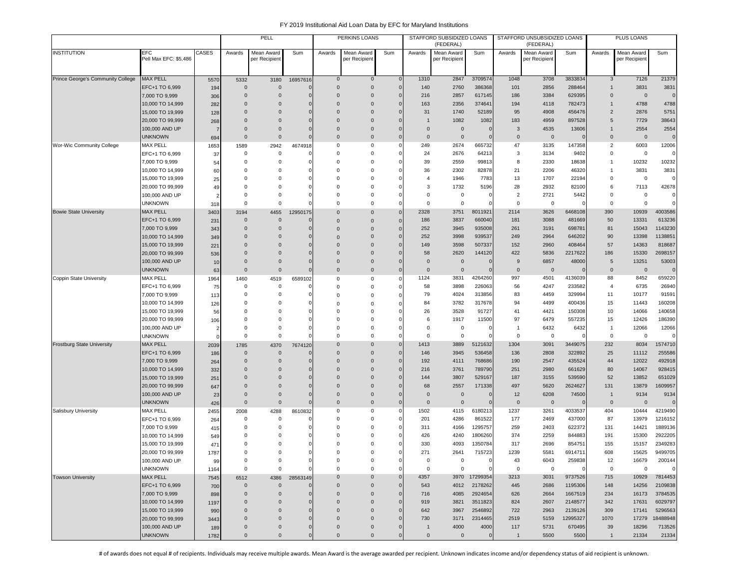|                                   |                                      |             |                          | PELL                         |                            |                              | PERKINS LOANS               |                            |                      | STAFFORD SUBSIDIZED LOANS<br>(FEDERAL) |                            |                      | STAFFORD UNSUBSIDIZED LOANS<br>(FEDERAL) |                    |                              | PLUS LOANS                 |                         |
|-----------------------------------|--------------------------------------|-------------|--------------------------|------------------------------|----------------------------|------------------------------|-----------------------------|----------------------------|----------------------|----------------------------------------|----------------------------|----------------------|------------------------------------------|--------------------|------------------------------|----------------------------|-------------------------|
| <b>INSTITUTION</b>                | EFC<br>Pell Max EFC: \$5,486         | CASES       | Awards                   | Mean Award<br>per Recipient  | Sum                        | Awards                       | Mean Award<br>per Recipient | Sum                        | Awards               | Mean Award<br>per Recipient            | Sum                        | Awards               | Mean Award<br>per Recipient              | Sum                | Awards                       | Mean Award<br>per Recipien | Sum                     |
|                                   |                                      |             |                          |                              |                            |                              |                             |                            |                      |                                        |                            |                      |                                          |                    |                              |                            |                         |
| Prince George's Community College | <b>MAX PELL</b>                      | 5570        | 5332                     | 3180                         | 16957616                   | $\bf{0}$                     | $\mathbf 0$                 | $\mathsf{C}$               | 1310                 | 2847                                   | 3709574                    | 1048                 | 3708                                     | 3833834            | 3                            | 7126                       | 21379                   |
|                                   | EFC+1 TO 6,999                       | 194         | $\Omega$                 | $\mathbf{0}$                 |                            | $\Omega$                     | $\mathsf 0$                 | $\sqrt{ }$                 | 140                  | 2760                                   | 386368                     | 101                  | 2856                                     | 288464             | $\mathbf{1}$                 | 3831                       | 3831                    |
|                                   | 7,000 TO 9,999                       | 306         | $\mathbf{0}$             | $\mathbf 0$                  | $\Omega$                   | $\Omega$                     | $\mathbf 0$                 | C                          | 216                  | 2857                                   | 617145                     | 186                  | 3384                                     | 629395             | $\mathbf{0}$                 | $\mathbf 0$                | $\mathbf 0$             |
|                                   | 10,000 TO 14,999                     | 282         | $\Omega$                 | $\mathbf 0$                  | $\mathbf 0$                | $\Omega$                     | $\mathbf{0}$                | C                          | 163                  | 2356                                   | 374641                     | 194                  | 4118                                     | 782473             | $\mathbf{1}$                 | 4788                       | 4788                    |
|                                   | 15,000 TO 19,999                     | 128         | $\Omega$                 | $\mathbf 0$                  | $\mathbf 0$                | $\Omega$                     | $\mathbf{0}$                | C                          | 31                   | 1740                                   | 52189                      | 95                   | 4908                                     | 456476             | $\overline{2}$               | 2876                       | 5751                    |
|                                   | 20,000 TO 99,999                     | 268         | $\Omega$                 | $\Omega$                     | $\mathbf 0$                | $\Omega$                     | $\mathbf{0}$                | $\sqrt{ }$                 | -1<br>$\Omega$       | 1082                                   | 1082                       | 183                  | 4959                                     | 897528             | 5                            | 7729                       | 38643                   |
|                                   | 100,000 AND UP<br><b>UNKNOWN</b>     | 7<br>694    | $\mathbf{0}$<br>$\Omega$ | $\mathbf 0$<br>$\mathbf{0}$  | $\mathbf 0$<br>$\Omega$    | $\Omega$<br>$\Omega$         | $\mathbf 0$<br>$\mathbf 0$  | O<br>-C                    | $\Omega$             | $\overline{0}$<br>$\overline{0}$       | $\mathbf 0$<br>$\mathbf 0$ | 3<br>$\Omega$        | 4535<br>$\overline{0}$                   | 13606              | $\mathbf{1}$<br>$\mathbf{0}$ | 2554<br>$\mathbf 0$        | 2554<br>$\mathbf 0$     |
| Wor-Wic Community College         | <b>MAX PELL</b>                      | 1653        | 1589                     | 2942                         | 4674918                    | $\mathbf 0$                  | 0                           |                            | 249                  | 2674                                   | 665732                     | 47                   | 3135                                     | 147358             | $\overline{2}$               | 6003                       | 12006                   |
|                                   | EFC+1 TO 6,999                       | 37          | $\mathbf 0$              | $\mathbf 0$                  |                            | $\mathbf 0$                  | 0                           | C                          | 24                   | 2676                                   | 64213                      | 3                    | 3134                                     | 9402               | 0                            | 0                          |                         |
|                                   | 7,000 TO 9,999                       | 54          | $^{\circ}$               | $\mathbf 0$                  | C                          | $\Omega$                     | 0                           | C                          | 39                   | 2559                                   | 99813                      | 8                    | 2330                                     | 18638              | 1                            | 10232                      | 10232                   |
|                                   | 10,000 TO 14,999                     | 60          | $\Omega$                 | $\mathbf 0$                  | $\Omega$                   | $\Omega$                     | 0                           | $\mathsf{C}$               | 36                   | 2302                                   | 82878                      | 21                   | 2206                                     | 46320              | 1                            | 3831                       | 3831                    |
|                                   | 15,000 TO 19,999                     | 25          | $\Omega$                 | $\Omega$                     | $\Omega$                   | $\Omega$                     | $\mathbf 0$                 | $\mathsf{C}$               | $\overline{4}$       | 1946                                   | 7783                       | 13                   | 1707                                     | 22194              | 0                            | $\mathsf 0$                | $\mathbf 0$             |
|                                   | 20,000 TO 99,999                     | 49          | $\Omega$                 | $\Omega$                     | $\Omega$                   | $\Omega$                     | $\mathbf 0$                 | $\epsilon$                 | 3                    | 1732                                   | 5196                       | 28                   | 2932                                     | 82100              | 6                            | 7113                       | 42678                   |
|                                   | 100,000 AND UP                       | 2           | $\Omega$                 | $\Omega$                     | $\Omega$                   | $\Omega$                     | 0                           | $\epsilon$                 | $\Omega$             | $\mathbf 0$                            | 0                          | $\overline{2}$       | 2721                                     | 5442               | 0                            | $\mathbf 0$                | $\mathbf 0$             |
|                                   | <b>UNKNOWN</b>                       | 318         | $\Omega$                 | $\mathbf 0$                  | $\Omega$                   | $\Omega$                     | 0                           | $\mathsf{C}$               | $\Omega$             | $\mathbf 0$                            | $\Omega$                   | $\mathbf 0$          | $\mathbf 0$                              |                    | $\Omega$                     | $\mathbf 0$                | $\mathbf 0$             |
| <b>Bowie State University</b>     | <b>MAX PELL</b>                      | 3403        | 3194                     | 4455                         | 12950175                   | $\mathbf{0}$                 | $\mathsf{O}\xspace$         | $\sqrt{ }$                 | 2328                 | 3751                                   | 8011921                    | 2114                 | 3626                                     | 6468108            | 390                          | 10939                      | 4003586                 |
|                                   | EFC+1 TO 6,999<br>7,000 TO 9,999     | 231         | $\mathbf{0}$<br>$\Omega$ | $\mathbf{0}$<br>$\mathbf{0}$ | 0                          | $\Omega$<br>$\Omega$         | $\mathbf 0$<br>$\mathbf{0}$ | $\sqrt{ }$<br>$\sqrt{ }$   | 186<br>252           | 3837<br>3945                           | 660040<br>935008           | 181<br>261           | 3088<br>3191                             | 481669<br>698781   | 50<br>81                     | 13331<br>15043             | 613236<br>1143230       |
|                                   | 10,000 TO 14,999                     | 343<br>349  | $\Omega$                 | $\mathbf 0$                  | $\Omega$                   | $\Omega$                     | $\mathbf{0}$                | O                          | 252                  | 3998                                   | 939537                     | 249                  | 2964                                     | 646202             | 90                           | 13398                      | 1138851                 |
|                                   | 15,000 TO 19,999                     | 221         | $\Omega$                 | $\Omega$                     | O                          | $\Omega$                     | $\mathbf{0}$                | O                          | 149                  | 3598                                   | 507337                     | 152                  | 2960                                     | 408464             | 57                           | 14363                      | 818687                  |
|                                   | 20,000 TO 99,999                     | 536         | $\Omega$                 | $\mathbf 0$                  | $\mathbf 0$                | $\Omega$                     | $\mathbf{0}$                | C                          | 58                   | 2620                                   | 144120                     | 422                  | 5836                                     | 2217622            | 186                          | 15330                      | 2698157                 |
|                                   | 100,000 AND UP                       | 10          | $\mathbf{0}$             | $\mathbf 0$                  | C                          | $\mathbf{0}$                 | $\mathbf{0}$                | C                          | $\mathbf{0}$         | $\overline{0}$                         | C                          | 9                    | 6857                                     | 48000              | 5                            | 13251                      | 53003                   |
|                                   | <b>UNKNOWN</b>                       | 63          | $\mathbf{0}$             | $\mathbf 0$                  | $\mathbf{0}$               | $\mathbf{0}$                 | $\mathbf 0$                 | C                          | $\mathbf{0}$         | $\overline{0}$                         | $\mathbf{0}$               | $\mathbf 0$          | $\overline{0}$                           |                    | $\mathbf{0}$                 | $\mathbf 0$                | $\mathbf 0$             |
| Coppin State University           | MAX PELL                             | 1964        | 1460                     | 4519                         | 6589102                    | 0                            | 0                           | C                          | 1124                 | 3831                                   | 4264260                    | 997                  | 4501                                     | 4136039            | 88                           | 8452                       | 659220                  |
|                                   | EFC+1 TO 6,999                       | 75          | $\mathbf 0$              | $\mathbf 0$                  | C                          | $\Omega$                     | 0                           |                            | 58                   | 3898                                   | 226063                     | 56                   | 4247                                     | 233582             | $\overline{4}$               | 6735                       | 26940                   |
|                                   | 7,000 TO 9,999                       | 113         | $\Omega$                 | $\mathbf 0$                  | C                          | $\mathbf 0$                  | 0                           | C                          | 79                   | 4024                                   | 313856                     | 83                   | 4459                                     | 329994             | 11                           | 10177                      | 91591                   |
|                                   | 10,000 TO 14,999                     | 126         | $\Omega$                 | 0                            | $\Omega$                   | $\Omega$                     | $\mathbf 0$                 | $\mathsf{C}$               | 84                   | 3782                                   | 317678                     | 94                   | 4499                                     | 400436             | 15                           | 11443                      | 160208                  |
|                                   | 15,000 TO 19,999                     | 56          | $\Omega$                 | 0                            | $\Omega$                   | $\Omega$                     | 0                           | C                          | 26                   | 3528                                   | 91727                      | 41                   | 4421                                     | 150308             | 10                           | 14066                      | 140658                  |
|                                   | 20,000 TO 99,999<br>100,000 AND UP   | 106         | $\Omega$<br>$\Omega$     | 0<br>$\mathbf 0$             | 0<br>0                     | $\Omega$<br>$\Omega$         | 0<br>$\mathbf 0$            | $\epsilon$<br>$\mathsf{C}$ | 6<br>$\Omega$        | 1917<br>$\mathbf 0$                    | 11500<br>0                 | 97<br>-1             | 6479<br>6432                             | 557235<br>6432     | 15<br>$\mathbf{1}$           | 12426<br>12066             | 186390<br>12066         |
|                                   | <b>UNKNOWN</b>                       | 2<br>O      | $\Omega$                 | $\mathbf 0$                  | $\Omega$                   | $\Omega$                     | $\mathbf 0$                 | $\mathsf{C}$               | $\Omega$             | $\mathbf 0$                            | $\mathbf 0$                | $\Omega$             | $\mathbf 0$                              |                    | 0                            | $\mathbf 0$                | $\Omega$                |
| <b>Frostburg State University</b> | <b>MAX PELL</b>                      | 2039        | 1785                     | 4370                         | 7674120                    | $\Omega$                     | $\mathbf{0}$                | $\sqrt{ }$                 | 1413                 | 3889                                   | 5121632                    | 1304                 | 3091                                     | 3449075            | 232                          | 8034                       | 1574710                 |
|                                   | EFC+1 TO 6,999                       | 186         | $\mathbf{0}$             | $\mathbf 0$                  | $\Omega$                   | $\Omega$                     | $\mathbf{0}$                | O                          | 146                  | 3945                                   | 536458                     | 136                  | 2808                                     | 322892             | 25                           | 11112                      | 255586                  |
|                                   | 7,000 TO 9,999                       | 264         | $\Omega$                 | $\mathbf 0$                  | $\mathbf 0$                | $\Omega$                     | $\mathbf{0}$                | $\epsilon$                 | 192                  | 4111                                   | 768686                     | 190                  | 2547                                     | 435524             | 44                           | 12022                      | 492918                  |
|                                   | 10,000 TO 14,999                     | 332         | $\mathbf{0}$             | $\mathbf 0$                  | C                          | $\mathbf{0}$                 | $\mathbf{0}$                | C                          | 216                  | 3761                                   | 789790                     | 251                  | 2980                                     | 661629             | 80                           | 14067                      | 928415                  |
|                                   | 15,000 TO 19,999                     | 251         | $\Omega$                 | $\mathbf 0$                  | $\mathbf 0$                | $\Omega$                     | $\bf 0$                     | $\sqrt{ }$                 | 144                  | 3807                                   | 529167                     | 187                  | 3155                                     | 539590             | 52                           | 13852                      | 651029                  |
|                                   | 20,000 TO 99,999                     | 647         | $\Omega$                 | $\mathbf 0$                  | $\mathbf 0$                | $\mathbf{0}$                 | $\pmb{0}$                   | $\mathbf{C}$               | 68                   | 2557                                   | 171338                     | 497                  | 5620                                     | 2624627            | 131                          | 13879                      | 1609957                 |
|                                   | 100,000 AND UP                       | 23          | $\Omega$                 | $\mathbf 0$                  | $\Omega$                   | $\Omega$                     | $\mathbf 0$                 | $\sqrt{ }$                 | $\Omega$             | $\overline{0}$                         | $\mathbf{C}$               | 12                   | 6208                                     | 74500              | $\mathbf{1}$                 | 9134                       | 9134                    |
| Salisbury University              | unknown<br><b>MAX PELL</b>           | 426         | $\Omega$                 | $\mathbf 0$                  | $\sqrt{ }$                 | $\Omega$<br>$\mathbf 0$      | $\mathbf 0$<br>0            | $\sqrt{ }$<br>$\epsilon$   | $\mathbf{0}$<br>1502 | $\overline{0}$<br>4115                 | $\mathsf{C}$<br>6180213    | $\mathbf{0}$<br>1237 | $\overline{0}$<br>3261                   | 4033537            | $\mathbf 0$<br>404           | $\mathbf 0$<br>10444       | $\mathbf{0}$<br>4219490 |
|                                   | EFC+1 TO 6,999                       | 2455        | 2008<br>0                | 4288<br>0                    | 8610832                    | 0                            | 0                           | C                          | 201                  | 4286                                   | 861522                     | 177                  | 2469                                     | 437000             | 87                           | 13979                      | 1216152                 |
|                                   | 7,000 TO 9,999                       | 264<br>415  | 0                        | $\mathbf 0$                  | 0                          | $\Omega$                     | 0                           | C                          | 311                  | 4166                                   | 1295757                    | 259                  | 2403                                     | 622372             | 131                          | 14421                      | 1889136                 |
|                                   | 10,000 TO 14,999                     | 549         | $\Omega$                 | 0                            | $\Omega$                   | $\Omega$                     | 0                           | C                          | 426                  | 4240                                   | 1806260                    | 374                  | 2259                                     | 844883             | 191                          | 15300                      | 2922205                 |
|                                   | 15,000 TO 19,999                     | 471         | $\Omega$                 | $\Omega$                     | 0                          | $\Omega$                     | 0                           | C                          | 330                  | 4093                                   | 1350784                    | 317                  | 2696                                     | 854751             | 155                          | 15157                      | 2349283                 |
|                                   | 20,000 TO 99,999                     | 1787        | $\Omega$                 | $\Omega$                     | 0                          | $\Omega$                     | $\Omega$                    | C                          | 271                  | 2641                                   | 715723                     | 1239                 | 5581                                     | 6914711            | 608                          | 15625                      | 9499705                 |
|                                   | 100,000 AND UP                       | 99          | 0                        | 0                            | 0                          | 0                            | $\mathbf 0$                 | $\mathsf{C}$               | 0                    | 0                                      | 0                          | 43                   | 6043                                     | 259838             | 12                           | 16679                      | 200144                  |
|                                   | <b>UNKNOWN</b>                       | 1164        | 0                        | $\mathsf{O}\xspace$          | $\mathbf 0$                | 0                            | $\mathsf 0$                 | C                          | $\mathsf 0$          | $\mathbf 0$                            | $^{\circ}$                 | $\mathbf 0$          | $\mathsf 0$                              |                    | 0                            | $\mathbf 0$                | $\mathbf 0$             |
| <b>Towson University</b>          | <b>MAX PELL</b>                      | 7545        | 6512                     | 4386                         | 28563149                   | $\mathbf 0$                  | $\mathbf 0$                 | $\mathbf{C}$               | 4357                 |                                        | 3970 17299354              | 3213                 | 3031                                     | 9737526            | 715                          | 10929                      | 7814453                 |
|                                   | EFC+1 TO 6,999                       | 700         | $\mathsf{O}\xspace$      | $\mathbf 0$                  | C                          | $\mathbf 0$                  | $\mathsf{O}\xspace$         | C                          | 543                  | 4012                                   | 2178262                    | 445                  | 2686                                     | 1195306            | 148                          | 14256                      | 2109838                 |
|                                   | 7,000 TO 9,999                       | 898         | $\mathbf 0$              | $\mathbf 0$                  | $\mathbf 0$                | $\mathbf 0$                  | $\mathbf 0$                 | $\mathbf 0$                | 716                  | 4085                                   | 2924654                    | 626                  | 2664                                     | 1667519            | 234                          | 16173                      | 3784535                 |
|                                   | 10,000 TO 14,999                     | 1197        | $\Omega$<br>$\mathbf{0}$ | $\mathbf{0}$<br>$\mathbf{0}$ | $\mathbf 0$<br>$\mathbf 0$ | $\mathbf{0}$<br>$\mathbf{0}$ | $\mathbf 0$<br>$\mathbf{0}$ | $\sqrt{ }$<br>$\mathbf 0$  | 919<br>642           | 3821<br>3967                           | 3511823<br>2546892         | 824<br>722           | 2607<br>2963                             | 2148577<br>2139126 | 342<br>309                   | 17631<br>17141             | 6029797<br>5296563      |
|                                   | 15,000 TO 19,999<br>20,000 TO 99,999 | 990         | $\mathbf{0}$             | $\mathbf 0$                  | $\mathbf 0$                | $\Omega$                     | $\mathbf{0}$                | C                          | 730                  | 3171                                   | 2314465                    | 2519                 | 5159                                     | 12995327           | 1070                         | 17279                      | 18488948                |
|                                   | 100,000 AND UP                       | 3443<br>189 | $\mathbf{0}$             | $\mathbf 0$                  | $\mathbf{0}$               | $\mathbf{0}$                 | $\mathbf 0$                 | C                          | $\mathbf{1}$         | 4000                                   | 4000                       | 117                  | 5731                                     | 670495             | 39                           | 18296                      | 713526                  |
|                                   | <b>UNKNOWN</b>                       | 1782        | $\mathbf 0$              | $\mathbf 0$                  | $\mathbf 0$                | $\mathsf 0$                  | $\mathsf{O}\xspace$         | $\mathbf 0$                | $\mathbf 0$          | $\mathbf 0$                            | $\overline{0}$             | $\overline{1}$       | 5500                                     | 5500               | $\overline{1}$               | 21334                      | 21334                   |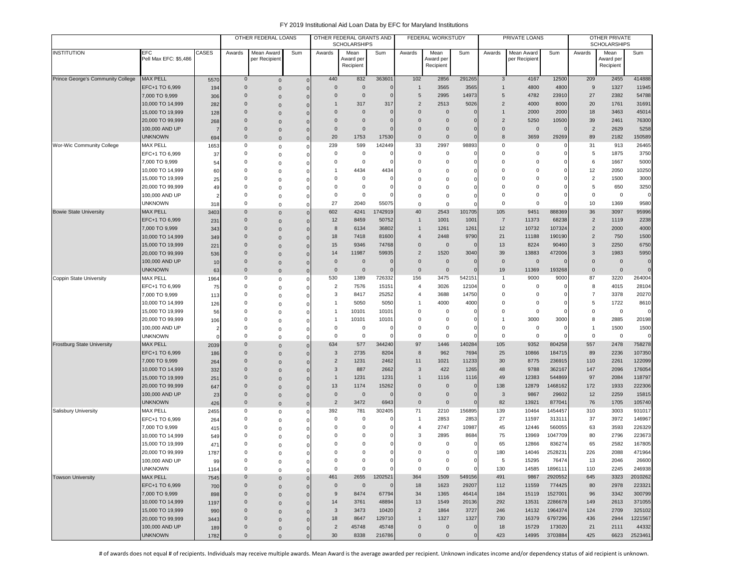|                                   |                                   |            |                  | OTHER FEDERAL LOANS |              |                | OTHER FEDERAL GRANTS AND<br><b>SCHOLARSHIPS</b> |                   |                      | FEDERAL WORKSTUDY      |                     |                  | PRIVATE LOANS  |                   |                | OTHER PRIVATE<br><b>SCHOLARSHIPS</b> |                  |
|-----------------------------------|-----------------------------------|------------|------------------|---------------------|--------------|----------------|-------------------------------------------------|-------------------|----------------------|------------------------|---------------------|------------------|----------------|-------------------|----------------|--------------------------------------|------------------|
| <b>INSTITUTION</b>                | <b>EFC</b>                        | CASES      | Awards           | Mean Award          | Sum          | Awards         | Mean                                            | Sum               | Awards               | Mean                   | Sum                 | Awards           | Mean Award     | Sum               | Awards         | Mean                                 | Sum              |
|                                   | Pell Max EFC: \$5,486             |            |                  | per Recipient       |              |                | Award per<br>Recipient                          |                   |                      | Award per<br>Recipient |                     |                  | per Recipient  |                   |                | Award per<br>Recipient               |                  |
|                                   |                                   |            |                  |                     |              |                |                                                 |                   |                      |                        |                     |                  |                |                   |                |                                      |                  |
| Prince George's Community College | MAX PELL                          | 557C       | $\mathbf 0$      | $\mathbf 0$         | $\Omega$     | 440            | 832                                             | 363601            | 102                  | 2856                   | 291265              | 3                | 4167           | 12500             | 209            | 2455                                 | 414888           |
|                                   | EFC+1 TO 6,999                    | 194        | $\mathbf 0$      | $\mathbf 0$         | $\Omega$     | $\bf 0$        | $\mathbf 0$                                     | $\Omega$          | $\mathbf{1}$         | 3565                   | 3565                | $\mathbf{1}$     | 4800           | 4800              | 9              | 1327                                 | 11945            |
|                                   | 7,000 TO 9,999                    | 306        | $\mathbf 0$      | $\mathbf 0$         | $\Omega$     | $\mathbf{0}$   | $\mathbf 0$                                     | $\Omega$          | 5                    | 2995                   | 14973               | 5                | 4782           | 23910             | 27             | 2382                                 | 54788            |
|                                   | 10,000 TO 14,999                  | 282        | $\mathbf 0$      | $\mathbf{0}$        | $\Omega$     | 1              | 317                                             | 317               | 2                    | 2513                   | 5026                | $\overline{2}$   | 4000           | 8000              | 20             | 1761                                 | 31691            |
|                                   | 15,000 TO 19,999                  | 128        | $\mathbf 0$      | $\mathbf 0$         |              | $\mathbf{0}$   | $\mathbf{0}$                                    | $\Omega$          | $\Omega$             | $\mathbf 0$            | C                   | $\mathbf{1}$     | 2000           | 2000              | 18             | 3463                                 | 45014            |
|                                   | 20,000 TO 99,999                  | 268        | $\mathbf 0$      | $\mathsf{O}\xspace$ |              | $\mathbf{0}$   | $\mathbf 0$                                     |                   | $\mathbf 0$          | $\mathbf 0$            | C                   | $\overline{2}$   | 5250           | 10500             | 39             | 2461                                 | 76300            |
|                                   | 100,000 AND UP                    |            | $\mathbf 0$      | $\mathbf 0$         |              | $\mathbf{0}$   | $\mathbf 0$                                     |                   | $\Omega$<br>$\Omega$ | $\mathbf 0$            | C                   | $\mathbf 0$      | $\mathbf 0$    | $\Omega$          | $\overline{2}$ | 2629                                 | 5258             |
|                                   | <b>UNKNOWN</b>                    | 694        | $\mathbf 0$<br>0 | $\mathsf{O}\xspace$ | $\Omega$     | 20<br>239      | 1753<br>599                                     | 17530<br>142449   | 33                   | $\mathbf 0$<br>2997    | $\epsilon$<br>98893 | 8<br>$\mathbf 0$ | 3659<br>0      | 29269<br>0        | 89<br>31       | 2182<br>913                          | 150589<br>26465  |
| Wor-Wic Community College         | <b>MAX PELL</b><br>EFC+1 TO 6,999 | 1653       | $\mathbf 0$      | 0                   | $\Omega$     | 0              | $\mathbf 0$                                     |                   | $\Omega$             | 0                      | $\epsilon$          | $\Omega$         | $\mathbf 0$    | $\Omega$          | 5              | 1875                                 | 3750             |
|                                   | 7,000 TO 9,999                    | 37         | 0                | $\mathbf 0$         | $\Omega$     | 0              | $^{\circ}$                                      |                   | $\mathbf 0$          | $\Omega$               | C                   | 0                | 0              |                   | 6              | 1667                                 | 5000             |
|                                   | 10,000 TO 14,999                  | 54         | 0                | 0                   |              | 1              | 4434                                            | 4434              | $\Omega$             | $\Omega$               | C                   | 0                | 0              |                   | 12             | 2050                                 | 10250            |
|                                   | 15,000 TO 19,999                  | 60<br>25   | 0                | 0                   | 0            | 0              | $\mathbf 0$                                     | $\mathbf 0$       | $\Omega$             | $\Omega$               | C                   | 0                | 0              |                   | $\overline{2}$ | 1500                                 | 3000             |
|                                   | 20,000 TO 99,999                  | 49         | $\mathbf 0$      | 0<br>$\mathbf 0$    | 0<br>O       | 0              | $\mathbf 0$                                     | $\Omega$          | $\Omega$             | $\Omega$               |                     | $\Omega$         | 0              | $\Omega$          | 5              | 650                                  | 3250             |
|                                   | 100,000 AND UP                    |            | $\mathbf 0$      | 0                   | 0            | 0              | $\mathbf 0$                                     |                   | $\Omega$             | $\Omega$               | C                   | $\mathbf 0$      | $\mathbf 0$    | ŋ                 | $\overline{0}$ | $\pmb{0}$                            | $\mathbf{0}$     |
|                                   | <b>UNKNOWN</b>                    | 318        | 0                | $\mathbf 0$         | O            | 27             | 2040                                            | 55075             | $\mathbf 0$          | $\mathsf 0$            | $\epsilon$          | $\Omega$         | $\mathbf 0$    | $\Omega$          | 10             | 1369                                 | 9580             |
| <b>Bowie State University</b>     | <b>MAX PELL</b>                   | 3403       | $\mathbf{0}$     | $\mathsf{O}\xspace$ | $\Omega$     | 602            | 4241                                            | 1742919           | 40                   | 2543                   | 101705              | 105              | 9451           | 888369            | 36             | 3097                                 | 95996            |
|                                   | EFC+1 TO 6,999                    | 231        | $\mathbf{0}$     | $\mathsf{O}\xspace$ | 0            | 12             | 8459                                            | 50752             |                      | 1001                   | 1001                | $\overline{7}$   | 11373          | 68238             | $\overline{2}$ | 1119                                 | 2238             |
|                                   | 7,000 TO 9,999                    | 343        | $\mathbf 0$      | $\mathsf{O}\xspace$ | $\Omega$     | 8              | 6134                                            | 36802             |                      | 1261                   | 1261                | 12               | 10732          | 107324            | $\overline{2}$ | 2000                                 | 4000             |
|                                   | 10,000 TO 14,999                  | 349        | $\mathbf 0$      | $\mathbf 0$         | $\Omega$     | 18             | 7418                                            | 81600             | $\boldsymbol{A}$     | 2448                   | 9790                | 21               | 11188          | 190190            | $\overline{2}$ | 750                                  | 1500             |
|                                   | 15,000 TO 19,999                  | 221        | $\mathbf 0$      | $\mathsf{O}\xspace$ | $\Omega$     | 15             | 9346                                            | 74768             | $\Omega$             | $\mathsf{O}\xspace$    | $\Omega$            | 13               | 8224           | 90460             | 3              | 2250                                 | 6750             |
|                                   | 20,000 TO 99,999                  | 536        | $\Omega$         | $\mathsf{O}\xspace$ | $\Omega$     | 14             | 11987                                           | 59935             | $\overline{2}$       | 1520                   | 3040                | 39               | 13883          | 472006            | 3              | 1983                                 | 5950             |
|                                   | 100,000 AND UP                    | 10         | $\mathbf 0$      | $\mathbf 0$         | $\Omega$     | $\mathbf 0$    | $\mathbf 0$                                     |                   | $\Omega$             | $\mathbf 0$            | $\epsilon$          | $\mathbf{0}$     | $\mathbf{0}$   |                   | $\overline{0}$ | $\mathbf 0$                          | $\mathbf{0}$     |
|                                   | <b>UNKNOWN</b>                    | 63         | $\mathbf 0$      | $\mathsf{O}\xspace$ | $\Omega$     | $\mathbf 0$    | $\mathbf 0$                                     |                   | $\mathbf{0}$         | $\mathbf 0$            | $\epsilon$          | 19               | 11369          | 193268            | $\mathbf 0$    | $\overline{0}$                       | $\Omega$         |
| Coppin State University           | <b>MAX PELL</b>                   | 1964       | 0                | $\mathbf 0$         | $\Omega$     | 530            | 1389                                            | 726332            | 156                  | 3475                   | 542151              | $\mathbf{1}$     | 9000           | 9000              | 87             | 3220                                 | 264004           |
|                                   | EFC+1 TO 6,999                    | 75         | 0                | $\mathbf 0$         | $\Omega$     | $\overline{2}$ | 7576                                            | 15151             | $\overline{4}$       | 3026                   | 12104               | 0                | 0              | C                 | 8              | 4015                                 | 28104            |
|                                   | 7,000 TO 9,999                    | 113        | $\mathbf 0$      | $\mathbf 0$         | O            | 3              | 8417                                            | 25252             | 4                    | 3688                   | 14750               | 0                | 0              | $\Omega$          | $\overline{7}$ | 3378                                 | 20270            |
|                                   | 10,000 TO 14,999                  | 126        | $\Omega$         | $\mathbf 0$         | $\Omega$     | 1              | 5050                                            | 5050              | $\mathbf{1}$         | 4000                   | 4000                | $\Omega$         | 0              |                   | 5              | 1722                                 | 8610             |
|                                   | 15,000 TO 19,999                  | 56         | $\Omega$         | 0                   |              | $\overline{1}$ | 10101                                           | 10101             | $\Omega$             | 0                      | $\Omega$            | $\Omega$         | 0              | C                 | $\Omega$       | $\mathsf 0$                          | $\mathbf{0}$     |
|                                   | 20,000 TO 99,999                  | 106        | 0                | 0                   |              | $\mathbf{1}$   | 10101                                           | 10101             | $\Omega$             | $\Omega$               | C                   | 1                | 3000           | 3000              | 8              | 2885                                 | 20198            |
|                                   | 100,000 AND UP                    |            | 0                | 0                   |              | 0              | $\mathbf 0$                                     |                   | 0                    | 0                      | C                   | $\mathbf 0$      | 0              |                   | $\overline{1}$ | 1500                                 | 1500             |
|                                   | <b>UNKNOWN</b>                    |            | 0                | $\mathbf 0$         | 0            | $\mathbf 0$    | $\mathbf 0$                                     | $\Omega$          | $\mathbf 0$          | $\mathsf 0$            | $\mathsf{C}$        | 0                | $\mathbf 0$    |                   | $\overline{0}$ | $\mathsf 0$                          | $\Omega$         |
| <b>Frostburg State University</b> | MAX PELL                          | 2039       | $\mathbf{0}$     | $\mathbf 0$         | $\Omega$     | 634            | 577                                             | 344240            | 97                   | 1446                   | 140284              | 105              | 9352           | 804258            | 557            | 2478                                 | 758278           |
|                                   | EFC+1 TO 6,999                    | 186        | $\mathbf 0$      | $\mathsf{O}\xspace$ | $\Omega$     | 3              | 2735                                            | 8204              | 8                    | 962                    | 7694                | 25               | 10866          | 184715            | 89             | 2236                                 | 107350           |
|                                   | 7,000 TO 9,999                    | 264        | $\mathbf 0$      | $\mathsf{O}\xspace$ | $\Omega$     | $\overline{2}$ | 1231                                            | 2462              | 11                   | 1021                   | 11233               | 30               | 8775           | 236915            | 110            | 2261                                 | 122099           |
|                                   | 10,000 TO 14,999                  | 332        | $\mathbf 0$      | $\mathbf{0}$        | $\Omega$     | 3              | 887                                             | 2662              | 3                    | 422                    | 1265                | 48               | 9788           | 362167            | 147            | 2096                                 | 176054           |
|                                   | 15,000 TO 19,999                  | 251        | $\mathbf 0$      | $\mathsf{O}\xspace$ | $\Omega$     | $\mathbf{1}$   | 1231                                            | 1231              |                      | 1116                   | 1116                | 49               | 12383          | 544869            | 97             | 2084                                 | 118797           |
|                                   | 20,000 TO 99,999                  | 647        | $\mathbf 0$      | $\mathsf{O}\xspace$ | $\Omega$     | 13             | 1174                                            | 15262<br>$\Omega$ | $\mathbf 0$          | $\mathbf 0$            | O                   | 138              | 12879          | 1468162           | 172            | 1933                                 | 222306           |
|                                   | 100,000 AND UP                    | 23         | $\mathbf 0$      | $\mathbf 0$         | $\Omega$     | $\mathbf 0$    | $\overline{0}$                                  |                   | $\mathbf{0}$         | $\mathbf 0$            | $\sqrt{ }$          | $\mathbf{3}$     | 9867           | 29602             | 12             | 2259                                 | 15815            |
|                                   | UNKNOWN<br><b>MAX PELL</b>        | 426        | $\mathbf 0$<br>0 | $\mathbf 0$         | $\mathbf{0}$ | $\overline{c}$ | 3472                                            | 6943<br>302405    | $\mathbf{0}$<br>71   | $\mathbf 0$<br>2210    | $\sqrt{ }$          | 82<br>139        | 13921          | 877041<br>1454457 | 76<br>310      | 1705                                 | 105740<br>931017 |
| Salisbury University              |                                   | 2455       | $\mathbf 0$      | $\mathbf 0$         | $\Omega$     | 392<br>0       | 781<br>$^{\circ}$                               |                   | $\mathbf{1}$         | 2853                   | 156895<br>2853      | 27               | 10464<br>11597 | 313111            | 37             | 3003<br>3972                         | 146967           |
|                                   | EFC+1 TO 6,999<br>7,000 TO 9,999  | 264        | $\Omega$         | $\mathbf 0$         |              | 0              | $^{\circ}$                                      |                   | $\overline{4}$       | 2747                   | 10987               | 45               | 12446          | 560055            | 63             | 3593                                 | 226329           |
|                                   | 10,000 TO 14,999                  | 415        | 0                | 0                   |              | 0              | $\mathbf 0$                                     |                   | 3                    | 2895                   | 8684                | 75               | 13969          | 1047709           | 80             | 2796                                 | 223673           |
|                                   | 15,000 TO 19,999                  | 549<br>471 | $\Omega$         | 0<br>0              | O            | $\Omega$       | $\Omega$                                        |                   | $\Omega$             | 0                      | $\mathsf{C}$        | 65               | 12866          | 836274            | 65             | 2582                                 | 167805           |
|                                   | 20,000 TO 99,999                  | 1787       | $\Omega$         | $\Omega$            | $\Omega$     | $\Omega$       | $\Omega$                                        |                   | $\Omega$             | $\Omega$               | $\Omega$            | 180              | 14046          | 2528231           | 226            | 2088                                 | 471964           |
|                                   | 100,000 AND UP                    | 99         | 0                | 0                   | $\Omega$     | 0              | 0                                               | $\Omega$          | 0                    | 0                      | 0                   | 5                | 15295          | 76474             | 13             | 2046                                 | 26600            |
|                                   | <b>UNKNOWN</b>                    | 1164       | 0                | 0                   | $\Omega$     | 0              | $\mathbf 0$                                     | $\Omega$          | $\mathbf 0$          | 0                      | $\mathbf{C}$        | 130              | 14585          | 1896111           | 110            | 2245                                 | 246938           |
| <b>Towson University</b>          | <b>MAX PELL</b>                   | 7545       | $\mathbf 0$      | $\mathsf{O}\xspace$ | $\mathbf{0}$ | 461            | 2655                                            | 1202521           | 364                  | 1509                   | 549156              | 491              | 9867           | 2920552           | 645            | 3323                                 | 2010262          |
|                                   | EFC+1 TO 6,999                    | 700        | $\mathbf 0$      | $\mathbf 0$         | $\mathbf{0}$ | $\mathbf 0$    | $\overline{0}$                                  | $\mathbf 0$       | 18                   | 1623                   | 29207               | 112              | 11559          | 774425            | 80             | 2978                                 | 223321           |
|                                   | 7,000 TO 9,999                    | 898        | $\mathbf 0$      | $\mathbf 0$         | $\Omega$     | 9              | 8474                                            | 67794             | 34                   | 1365                   | 46414               | 184              | 15119          | 1527001           | 96             | 3342                                 | 300799           |
|                                   | 10,000 TO 14,999                  | 1197       | $\mathbf 0$      | $\mathbf 0$         | $\Omega$     | 14             | 3761                                            | 48894             | 13                   | 1549                   | 20136               | 292              | 13531          | 2286678           | 149            | 2613                                 | 371055           |
|                                   | 15,000 TO 19,999                  | 990        | $\mathbf 0$      | $\mathbf 0$         | $\Omega$     | $\mathbf{3}$   | 3473                                            | 10420             | $\overline{2}$       | 1864                   | 3727                | 246              | 14132          | 1964374           | 124            | 2709                                 | 325102           |
|                                   | 20,000 TO 99,999                  | 3443       | $\mathbf 0$      | $\mathbf 0$         | $\Omega$     | 18             | 8647                                            | 129710            | $\overline{1}$       | 1327                   | 1327                | 730              | 16379          | 6797296           | 436            | 2944                                 | 1221567          |
|                                   | 100,000 AND UP                    | 189        | $\mathbf 0$      | $\mathsf{O}\xspace$ | 0            | $\overline{2}$ | 45748                                           | 45748             | $\mathbf 0$          | $\mathbf 0$            | $\mathbf 0$         | 18               | 15729          | 173020            | 21             | 2111                                 | 44332            |
|                                   | <b>UNKNOWN</b>                    | 1782       | $\mathbf 0$      | $\mathsf{O}\xspace$ |              | 30             | 8338                                            | 216786            | $\mathbf 0$          | $\mathbf 0$            | $\mathbf{0}$        | 423              | 14995          | 3703884           | 425            | 6623                                 | 2523461          |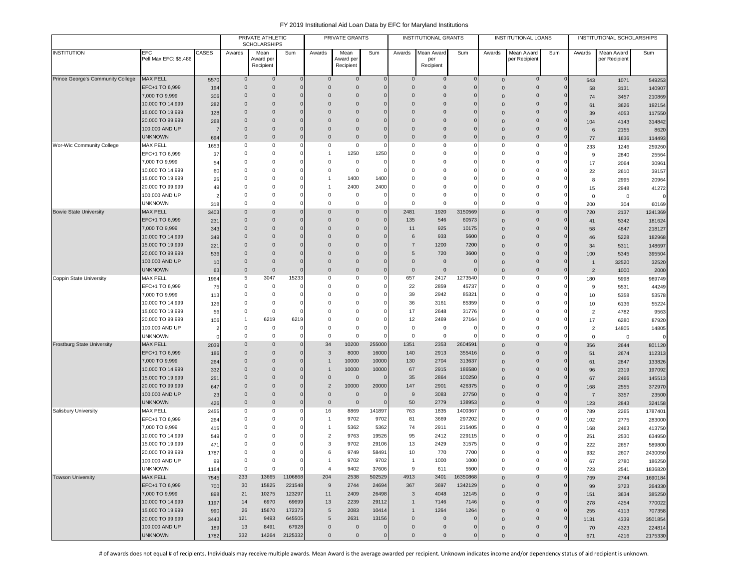|                                   |                       |       |                | PRIVATE ATHLETIC<br><b>SCHOLARSHIPS</b> |                |                     | PRIVATE GRANTS         |                     |                     | <b>INSTITUTIONAL GRANTS</b> |              |                     | <b>INSTITUTIONAL LOANS</b> |                     |                | INSTITUTIONAL SCHOLARSHIPS |              |
|-----------------------------------|-----------------------|-------|----------------|-----------------------------------------|----------------|---------------------|------------------------|---------------------|---------------------|-----------------------------|--------------|---------------------|----------------------------|---------------------|----------------|----------------------------|--------------|
| <b>INSTITUTION</b>                | EFC                   | CASES | Awards         | Mean                                    | Sum            | Awards              | Mean                   | Sum                 | Awards              | Mean Award                  | Sum          | Awards              | Mean Award                 | Sum                 | Awards         | Mean Award                 | Sum          |
|                                   | Pell Max EFC: \$5,486 |       |                | Award per<br>Recipient                  |                |                     | Award per<br>Recipient |                     |                     | per<br>Recipient            |              |                     | per Recipien               |                     |                | per Recipient              |              |
|                                   |                       |       |                |                                         |                |                     |                        |                     |                     |                             |              |                     |                            |                     |                |                            |              |
| Prince George's Community College | <b>MAX PELL</b>       | 5570  | $\overline{0}$ | $\mathbf 0$                             | $\Omega$       | $\mathbf{0}$        | $\mathbf 0$            | $\mathbf 0$         | $\mathbf 0$         | $\mathbf 0$                 | $\mathbf 0$  | $\mathbf 0$         | $\mathbf 0$                | $\mathbf 0$         | 543            | 1071                       | 549253       |
|                                   | EFC+1 TO 6,999        | 194   | $\overline{0}$ | $\mathbf 0$                             | $\mathbf{0}$   | $\Omega$            | $\mathbf 0$            | $\mathbf 0$         | $\mathbf{0}$        | $\mathbf 0$                 | $\mathbf 0$  | $\mathbf{0}$        | $\mathbf 0$                | $\mathbf 0$         | 58             | 3131                       | 140907       |
|                                   | 7,000 TO 9,999        | 306   | $\mathbf 0$    | $\mathbf 0$                             | 0              | $\mathbf 0$         | 0                      | $\mathbf 0$         | $\mathbf{0}$        | $\mathbf 0$                 | 0            | $\Omega$            | $\mathbf 0$                | $\mathsf{O}\xspace$ | 74             | 3457                       | 210869       |
|                                   | 10,000 TO 14,999      | 282   | $\overline{0}$ | $\mathbf 0$                             | $\Omega$       | $\Omega$            | 0                      | $\mathsf 0$         | $\mathbf{0}$        | $\mathbf 0$                 | 0            | $\Omega$            | $\mathbf 0$                | $\mathbf 0$         | 61             | 3626                       | 192154       |
|                                   | 15,000 TO 19,999      | 128   | $\mathbf 0$    | $\Omega$                                | $\Omega$       | $\Omega$            | $\Omega$               | $\mathsf 0$         | $\Omega$            | $\Omega$                    | 0            | $\Omega$            | $\mathbf 0$                | $\mathbf 0$         | 39             | 4053                       | 117550       |
|                                   | 20,000 TO 99,999      | 268   | $\Omega$       | $\Omega$                                | $\Omega$       | $\Omega$            | $\Omega$               | $\Omega$            | $\Omega$            | $\Omega$                    | $\Omega$     | $\Omega$            | $\Omega$                   | $\mathbf 0$         | 104            | 4143                       | 314842       |
|                                   | 100,000 AND UP        | 7     | $\Omega$       | $\Omega$                                | $\Omega$       | $\Omega$            | $\Omega$               | $\mathbf{0}$        | $\Omega$            | $\Omega$                    | $\Omega$     | $\mathbf 0$         | $\mathbf 0$                | $\mathbf 0$         | 6              | 2155                       | 8620         |
|                                   | <b>UNKNOWN</b>        | 694   | $\mathbf 0$    | $\mathbf 0$                             | $\overline{0}$ | $\Omega$            | $\mathbf{0}$           | $\mathbf{0}$        | $\mathbf 0$         | $\mathbf 0$                 | $\mathbf{0}$ | $\mathbf 0$         | $\mathbf 0$                | $\mathbf{0}$        | 77             | 1636                       | 114493       |
| Wor-Wic Community College         | <b>MAX PELL</b>       | 1653  | 0              | $^{\circ}$                              |                | 0                   | 0                      | $\mathbf 0$         | 0                   | 0                           | 0            | 0                   | 0                          | 0                   | 233            | 1246                       | 259260       |
|                                   | EFC+1 TO 6,999        | 37    | $^{\circ}$     | $^{\circ}$                              |                |                     | 1250                   | 1250                | 0                   | 0                           | 0            | 0                   | 0                          | $\Omega$            | 9              | 2840                       | 25564        |
|                                   | 7,000 TO 9,999        | 54    | $^{\circ}$     | $^{\circ}$                              |                | $\Omega$            | 0                      | $\mathbf 0$         | 0                   | 0                           | $\Omega$     | $\mathbf 0$         | 0                          |                     | 17             | 2064                       | 30961        |
|                                   | 10,000 TO 14,999      | 60    | $^{\circ}$     | $\Omega$                                |                | $\Omega$            | $\circ$                | $\Omega$            | $\Omega$            | $\Omega$                    | $\Omega$     | $\Omega$            | 0                          | $\Omega$            | 22             | 2610                       | 39157        |
|                                   | 15,000 TO 19,999      | 25    | $^{\circ}$     | $\Omega$                                |                | -1                  | 1400                   | 1400                | $\Omega$            | $\Omega$                    | $\Omega$     | $\Omega$            | 0                          |                     | 8              | 2995                       | 20964        |
|                                   | 20,000 TO 99,999      | 49    | $^{\circ}$     | $^{\circ}$                              |                |                     | 2400                   | 2400                | $\Omega$            | $\Omega$                    | $\Omega$     | $\mathbf 0$         | 0                          |                     | 15             | 2948                       | 41272        |
|                                   | 100,000 AND UP        |       | $\mathbf 0$    | $\Omega$                                |                | $\Omega$            | $\mathbf 0$            | $\mathbf 0$         | $\mathbf 0$         | $\mathbf 0$                 | $\Omega$     | $\mathbf 0$         | 0                          |                     | $\mathsf 0$    | $\mathsf 0$                | $\Omega$     |
|                                   | <b>UNKNOWN</b>        | 318   | $^{\circ}$     | $^{\circ}$                              | 0              | $\Omega$            | $\mathbf 0$            | $\mathbf 0$         | $\mathbf 0$         | $\mathsf 0$                 | 0            | $\mathbf 0$         | $\mathbf 0$                | $\mathbf 0$         | 200            | 304                        | 60169        |
| <b>Bowie State University</b>     | <b>MAX PELL</b>       | 3403  | $\mathbf 0$    | $\Omega$                                | $\Omega$       | $\Omega$            | $\Omega$               | $\mathsf{O}\xspace$ | 2481                | 1920                        | 3150569      | $\Omega$            | $\mathbf 0$                | $\mathbf{0}$        | 720            | 2137                       | 1241369      |
|                                   | EFC+1 TO 6,999        | 231   | $\mathbf 0$    | $\mathbf 0$                             | $\Omega$       | $\Omega$            | 0                      | $\mathsf{O}\xspace$ | 135                 | 546                         | 60573        | $\Omega$            | $\mathbf 0$                | $\mathbf 0$         | 41             | 5342                       | 181624       |
|                                   | 7,000 TO 9,999        | 343   | $\mathbf 0$    | $\Omega$                                | $\Omega$       | $\Omega$            | $\Omega$               | $\mathsf 0$         | 11                  | 925                         | 10175        | $\mathbf{0}$        | $\mathbf 0$                | $\Omega$            | 58             | 4847                       | 218127       |
|                                   | 10,000 TO 14,999      | 349   | $\mathbf 0$    | $\Omega$                                |                | $\Omega$            | 0                      | $\mathbf{0}$        | 6                   | 933                         | 5600         | $\Omega$            | $\mathbf 0$                | $\mathbf 0$         | 46             | 5228                       | 182968       |
|                                   | 15,000 TO 19,999      | 221   | $\mathbf 0$    | $\Omega$                                |                | $\Omega$            | 0                      | $\mathbf{0}$        | $\overline{7}$      | 1200                        | 7200         | $\Omega$            | $\mathbf 0$                | $\overline{0}$      | 34             | 5311                       | 148697       |
|                                   | 20,000 TO 99,999      | 536   | $\mathbf 0$    | $\mathbf 0$                             |                | $\Omega$            | 0                      | $\mathbf{0}$        | 5                   | 720                         | 3600         | $\Omega$            | $\mathbf 0$                | $\mathbf 0$         | 100            | 5345                       | 395504       |
|                                   | 100,000 AND UP        | 10    | $\overline{0}$ | $\mathbf 0$                             | $\Omega$       | $\Omega$            | $\mathbf{0}$           | $\mathsf 0$         | $\mathsf 0$         | $\mathbf 0$                 | 0            | $\Omega$            | $\mathbf 0$                | $\mathbf 0$         | $\overline{1}$ | 32520                      | 32520        |
|                                   | <b>UNKNOWN</b>        | 63    | $\mathbf 0$    | $\mathbf 0$                             | $\Omega$       | $\mathbf 0$         | $\mathbf{0}$           | $\mathbf 0$         | $\mathsf 0$         | $\mathbf 0$                 | 0            | $\mathbf 0$         | $\mathbf 0$                | $\mathbf 0$         | $\overline{2}$ | 1000                       | 2000         |
| Coppin State University           | <b>MAX PELL</b>       | 1964  | 5              | 3047                                    | 15233          | $\Omega$            | 0                      | $\mathsf 0$         | 657                 | 2417                        | 1273540      | $\mathbf 0$         | 0                          | $\mathbf 0$         | 180            | 5998                       | 989749       |
|                                   | EFC+1 TO 6,999        | 75    | $\overline{0}$ | $^{\circ}$                              | $\Omega$       | $\Omega$            | $\Omega$               | $\mathbf 0$         | 22                  | 2859                        | 45737        | 0                   | 0                          | 0                   | 9              | 5531                       | 44249        |
|                                   | 7,000 TO 9,999        | 113   | $^{\circ}$     | $^{\circ}$                              |                | $\Omega$            | $\Omega$               | $\mathsf 0$         | 39                  | 2942                        | 85321        | $\mathbf 0$         | 0                          |                     | 10             | 5358                       | 53578        |
|                                   | 10,000 TO 14,999      | 126   | $^{\circ}$     | $^{\circ}$                              |                | $\Omega$            | $\Omega$               | $\mathbf 0$         | 36                  | 3161                        | 85359        | 0                   | $\mathbf 0$                | n                   | 10             | 6136                       | 55224        |
|                                   | 15,000 TO 19,999      | 56    | $^{\circ}$     | $^{\circ}$                              |                | $\Omega$            | 0                      | $\mathbf 0$         | 17                  | 2648                        | 31776        | $\mathbf 0$         | 0                          | $\Omega$            | $\overline{c}$ | 4782                       | 9563         |
|                                   | 20,000 TO 99,999      | 106   | -1             | 6219                                    | 6219           | $\Omega$            | $\Omega$               | $\mathbf 0$         | 12                  | 2469                        | 27164        | $\Omega$            | 0                          | n                   | 17             | 6280                       | 87920        |
|                                   | 100,000 AND UP        | 2     | $\Omega$       | $^{\circ}$                              |                | $\Omega$            | $\Omega$               | $\Omega$            | 0                   | 0                           | 0            | $\mathbf 0$         | $\Omega$                   |                     | $\overline{2}$ | 14805                      | 14805        |
|                                   | <b>UNKNOWN</b>        |       | $\Omega$       | $\Omega$                                | $\Omega$       | $\Omega$            | $\mathbf 0$            | $\Omega$            | $\Omega$            | $\mathbf 0$                 | $\Omega$     | $\mathbf 0$         | $\Omega$                   | $\Omega$            | $\mathsf 0$    | $\mathbf 0$                | $\mathbf{0}$ |
| <b>Frostburg State University</b> | <b>MAX PELL</b>       | 2039  | $\mathbf 0$    | $\mathbf 0$                             |                | 34                  | 10200                  | 255000              | 1351                | 2353                        | 2604591      | $\Omega$            | $\mathbf 0$                | $\overline{0}$      | 356            | 2644                       | 801120       |
|                                   | EFC+1 TO 6,999        | 186   | $\mathbf 0$    | $\mathbf 0$                             | $\Omega$       | 3                   | 8000                   | 16000               | 140                 | 2913                        | 355416       | $\Omega$            | $\mathbf 0$                | $\overline{0}$      | 51             | 2674                       | 112313       |
|                                   | 7,000 TO 9,999        | 264   | $\mathbf 0$    | $\mathbf 0$                             |                |                     | 10000                  | 10000               | 130                 | 2704                        | 313637       | $\Omega$            | $\mathbf 0$                | $\overline{0}$      | 61             | 2847                       | 133826       |
|                                   | 10,000 TO 14,999      | 332   | $\overline{0}$ | $\mathbf 0$                             | $\Omega$       |                     | 10000                  | 10000               | 67                  | 2915                        | 186580       | $\Omega$            | $\mathbf 0$                | $\mathbf 0$         | 96             | 2319                       | 197092       |
|                                   | 15,000 TO 19,999      | 251   | $\mathbf 0$    | $\Omega$                                |                | $\Omega$            | $\circ$                | $\mathbf{0}$        | 35                  | 2864                        | 100250       | $\Omega$            | $\mathbf 0$                | $\mathbf{0}$        | 67             | 2466                       | 145513       |
|                                   | 20,000 TO 99,999      | 647   | $\Omega$       | $\Omega$                                | $\Omega$       | $\overline{2}$      | 10000                  | 20000               | 147                 | 2901                        | 426375       | 0                   | $\mathbf 0$                | $\mathbf 0$         | 168            | 2555                       | 372970       |
|                                   | 100,000 AND UP        | 23    | $\mathbf 0$    | $\mathbf 0$                             | $\Omega$       | $\mathbf 0$         | $\overline{0}$         | $\mathbf{0}$        | 9                   | 3083                        | 27750        | $\mathbf 0$         | $\mathbf 0$                | $\mathbf 0$         | $\overline{7}$ | 3357                       | 23500        |
|                                   | <b>UNKNOWN</b>        | 426   | $\overline{0}$ | $\mathbf 0$                             | $\overline{0}$ | $\mathbf 0$         | $\overline{0}$         | $\mathbf{0}$        | 50                  | 2779                        | 138953       | $\Omega$            | $\mathbf 0$                | $\mathbf 0$         | 123            | 2843                       | 324158       |
| <b>Salisbury University</b>       | <b>MAX PELL</b>       | 2455  | $^{\circ}$     | 0                                       | 0              | 16                  | 8869                   | 141897              | 763                 | 1835                        | 1400367      | 0                   | 0                          | 0                   | 789            | 2265                       | 1787401      |
|                                   | EFC+1 TO 6,999        | 264   | $^{\circ}$     | $\Omega$                                |                | -1                  | 9702                   | 9702                | 81                  | 3669                        | 297202       | $\Omega$            | $\mathbf 0$                | $\mathbf 0$         | 102            | 2775                       | 283000       |
|                                   | 7,000 TO 9,999        | 415   | $\Omega$       | $\Omega$                                |                |                     | 5362                   | 5362                | 74                  | 2911                        | 215405       | $\Omega$            | $\Omega$                   | $\Omega$            | 168            | 2463                       | 413750       |
|                                   | 10,000 TO 14,999      | 549   | $^{\circ}$     | $\Omega$                                |                | $\overline{2}$      | 9763                   | 19526               | 95                  | 2412                        | 229115       | $\Omega$            | $\Omega$                   |                     | 251            | 2530                       | 634950       |
|                                   | 15,000 TO 19,999      | 471   | $\mathbf 0$    | $\Omega$                                |                | 3                   | 9702                   | 29106               | 13                  | 2429                        | 31575        | $\mathbf 0$         | $\mathbf 0$                |                     | 222            | 2657                       | 589800       |
|                                   | 20,000 TO 99,999      | 1787  | $\Omega$       | $\Omega$                                |                | 6                   | 9749                   | 58491               | 10                  | 770                         | 7700         | $\mathbf 0$         | $\Omega$                   |                     | 932            | 2607                       | 2430050      |
|                                   | 100,000 AND UP        | 99    | $\mathbf 0$    | 0                                       | 0              |                     | 9702                   | 9702                | $\overline{1}$      | 1000                        | 1000         | 0                   | 0                          | 0                   | 67             | 2780                       | 186250       |
|                                   | <b>UNKNOWN</b>        | 1164  | $\mathsf 0$    | $\mathbf 0$                             | $\Omega$       | $\overline{4}$      | 9402                   | 37606               | 9                   | 611                         | 5500         | $\mathbf 0$         | $\mathsf{O}\xspace$        | $\mathbf 0$         | 723            | 2541                       | 1836820      |
| <b>Towson University</b>          | <b>MAX PELL</b>       | 7545  | 233            | 13665                                   | 1106868        | 204                 | 2538                   | 502529              | 4913                | 3401                        | 16350868     | $\mathsf{O}\xspace$ | $\mathbf 0$                | $\mathbf 0$         | 769            | 2744                       | 1690184      |
|                                   | EFC+1 TO 6,999        | 700   | 30             | 15825                                   | 221548         | 9                   | 2744                   | 24694               | 367                 | 3697                        | 1342129      | $\mathbf{0}$        | $\mathbf 0$                | $\mathbf 0$         | 99             | 3723                       | 264330       |
|                                   | 7,000 TO 9,999        | 898   | 21             | 10275                                   | 123297         | 11                  | 2409                   | 26498               | $\mathbf{3}$        | 4048                        | 12145        | $\mathbf 0$         | $\mathbf 0$                | $\overline{0}$      | 151            | 3634                       | 385250       |
|                                   | 10,000 TO 14,999      | 1197  | 14             | 6970                                    | 69699          | 13                  | 2239                   | 29112               | $\mathbf{1}$        | 7146                        | 7146         | $\mathbf 0$         | $\mathbf 0$                | $\mathbf 0$         | 278            | 4254                       | 770022       |
|                                   | 15,000 TO 19,999      | 990   | 26             | 15670                                   | 172373         | 5                   | 2083                   | 10414               | $\mathbf{1}$        | 1264                        | 1264         | $\Omega$            | $\mathbf 0$                | $\mathbf 0$         | 255            | 4113                       | 707358       |
|                                   | 20,000 TO 99,999      | 3443  | 121            | 9493                                    | 645505         | 5                   | 2631                   | 13156               | $\mathbf 0$         | $\mathbf 0$                 | $\mathbf 0$  | $\mathbf 0$         | $\mathbf 0$                | $\mathbf 0$         | 1131           | 4339                       | 3501854      |
|                                   | 100,000 AND UP        | 189   | 13             | 8491                                    | 67928          | $\mathsf{O}\xspace$ | $\mathbf 0$            | $\mathbf{0}$        | $\mathsf{O}\xspace$ | $\mathbf 0$                 | 0            | $\mathbf 0$         | $\mathbf 0$                | $\mathbf 0$         | 70             | 4323                       | 224814       |
|                                   | <b>UNKNOWN</b>        | 1782  | 332            | 14264                                   | 2125332        | $\mathbf 0$         | $\mathsf{O}\xspace$    | $\mathbf 0$         | $\mathsf{O}\xspace$ | $\mathbf 0$                 | $\mathbf 0$  | $\mathsf{O}\xspace$ | $\mathbf 0$                | $\overline{0}$      | 671            | 4216                       | 2175330      |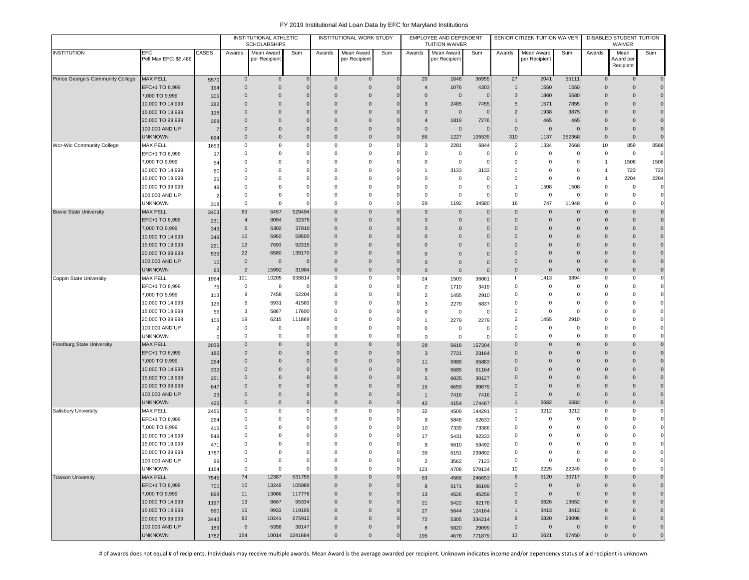| <b>EFC</b><br>CASES<br>Mean Award<br>Mean Award<br>Mean Award<br>Mean Award<br>Awards<br>Mean<br>Sum<br>Awards<br>Sum<br>Awards<br>Sum<br>Awards<br>Sum<br>Awards<br>Sum<br>Pell Max EFC: \$5,486<br>per Recipient<br>per Recipient<br>per Recipient<br>per Recipient<br>Award per<br>Recipient<br><b>MAX PELL</b><br>1848<br>36955<br>2041<br>55111<br>Prince George's Community College<br>20<br>27<br>$\mathbf 0$<br>$\mathbf 0$<br>$\overline{0}$<br>$\mathbf 0$<br>$\mathbf 0$<br>$\mathbf 0$<br>$\mathbf 0$<br>5570<br>$\Omega$<br>EFC+1 TO 6,999<br>$\mathbf 0$<br>$\overline{0}$<br>$\overline{4}$<br>1076<br>4303<br>1550<br>1550<br>$\mathbf 0$<br>$\mathbf 0$<br>$\mathbf{0}$<br>$\mathbf 0$<br>$\mathbf{1}$<br>194<br>$\Omega$<br>$\mathbf 0$<br>0<br>$\Omega$<br>$\mathbf 0$<br>$\overline{0}$<br>3<br>1860<br>5580<br>$\mathbf 0$<br>$\overline{0}$<br>7,000 TO 9,999<br>$\Omega$<br>$\Omega$<br>306<br>10,000 TO 14,999<br>3<br>2485<br>$\Omega$<br>$\mathbf{0}$<br>$\Omega$<br>$\Omega$<br>7455<br>5<br>1571<br>7855<br>$\mathbf 0$<br>$\overline{0}$<br>282<br>C<br>$\overline{2}$<br>15,000 TO 19,999<br>$\mathbf 0$<br>0<br>$\overline{0}$<br>$\overline{0}$<br>$\mathbf 0$<br>1938<br>3875<br>$\mathbf{0}$<br>$\overline{0}$<br>128<br>$\Omega$<br>$\Omega$<br>0<br>$\overline{0}$<br>$\overline{4}$<br>1819<br>465<br>465<br>$\mathbf{0}$<br>20,000 TO 99,999<br>$\mathbf 0$<br>$\Omega$<br>7276<br>$\mathbf{1}$<br>0<br>268<br>100,000 AND UP<br>$\overline{0}$<br>$\mathbf 0$<br>$\mathbf 0$<br>$\mathbf 0$<br>$\overline{0}$<br>$\mathbf 0$<br>$\mathbf 0$<br>0<br>$\mathbf 0$<br>$\mathbf 0$<br>$\Omega$<br>7<br><b>UNKNOWN</b><br>86<br>1227<br>105535<br>310<br>1137<br>352368<br>0<br>$\overline{0}$<br>$\mathbf 0$<br>$\mathbf 0$<br>$\mathbf 0$<br>$\mathbf 0$<br>$\mathbf 0$<br>694<br>2281<br>1334<br>8588<br><b>MAX PELL</b><br>$\mathbf 0$<br>$\mathbf 0$<br>$\mathbf 0$<br>3<br>6844<br>$\overline{2}$<br>2668<br>10<br>859<br>Wor-Wic Community College<br>0<br>$\Omega$<br>1653<br>EFC+1 TO 6,999<br>$\Omega$<br>$\mathbf 0$<br>$^{\circ}$<br>$\Omega$<br>0<br>0<br>$\Omega$<br>0<br>0<br>$\mathbf 0$<br>37<br>C<br>7,000 TO 9,999<br>1508<br>1508<br>$\mathbf 0$<br>$\mathbf 0$<br>$^{\circ}$<br>0<br>0<br>0<br>0<br>$\Omega$<br>$\overline{1}$<br>54<br>$\Omega$<br>3133<br>3133<br>723<br>723<br>$^{\circ}$<br>0<br>10,000 TO 14,999<br>0<br>0<br>$\Omega$<br>$\overline{1}$<br>0<br>$^{\circ}$<br>1<br>60<br>2204<br>15,000 TO 19,999<br>2204<br>$\mathbf 0$<br>$^{\circ}$<br>$^{\circ}$<br>$\mathbf 0$<br>0<br>25<br>0<br>$\Omega$<br>0<br>$\Omega$<br>1<br>$\mathbf 0$<br>$\mathbf 0$<br>1508<br>1508<br>$\mathbf 0$<br>0<br>$\mathbf 0$<br>0<br>0<br>20,000 TO 99,999<br>$\Omega$<br>ſ<br>$\mathbf{1}$<br>49<br>100,000 AND UP<br>$\mathbf 0$<br>0<br>$^{\circ}$<br>$^{\circ}$<br>0<br>$\Omega$<br>0<br>$\Omega$<br>0<br>$\Omega$<br>ſ<br>$\mathbf 0$<br>29<br>1192<br>747<br>11948<br><b>UNKNOWN</b><br>0<br>$^{\circ}$<br>$\mathbf 0$<br>$\Omega$<br>34580<br>16<br>$\Omega$<br>$\mathbf 0$<br>318<br><b>MAX PELL</b><br>83<br>6457<br>529494<br>$\overline{0}$<br>$\Omega$<br>$\overline{0}$<br>$\mathbf{0}$<br>$\mathbf 0$<br>$\mathbf{0}$<br>$\overline{0}$<br>3403<br>$\Omega$<br>$\mathbf 0$<br>$\mathbf 0$<br>EFC+1 TO 6,999<br>$\overline{4}$<br>8094<br>32375<br>$\overline{0}$<br>$\overline{0}$<br>$\mathbf{0}$<br>$\mathbf 0$<br>$\overline{0}$<br>$\mathbf{0}$<br>$\overline{0}$<br>231<br>$\Omega$<br>$\Omega$<br>$\mathbf 0$<br>7,000 TO 9,999<br>6302<br>37810<br>$\overline{0}$<br>$\overline{0}$<br>6<br>$\mathbf 0$<br>$\mathbf 0$<br>$\Omega$<br>$\mathbf 0$<br>$\mathbf 0$<br>$\mathbf{0}$<br>0<br>343<br>C<br>5950<br>59500<br>10<br>$\Omega$<br>$\overline{0}$<br>$\Omega$<br>10,000 TO 14,999<br>$\Omega$<br>$\Omega$<br>$\Omega$<br>$\mathbf 0$<br>$\mathbf{0}$<br>$\mathbf{0}$<br>O<br>349<br>15,000 TO 19,999<br>12<br>7693<br>92315<br>$\overline{0}$<br>$\Omega$<br>$\Omega$<br>$\Omega$<br>$\Omega$<br>$\Omega$<br>$\Omega$<br>$\Omega$<br>$\Omega$<br>221<br>C<br>20,000 TO 99,999<br>22<br>6580<br>138170<br>$\Omega$<br>$\Omega$<br>$\Omega$<br>$\Omega$<br>$\Omega$<br>$\Omega$<br>$\Omega$<br>536<br>$\overline{0}$<br>C<br>$\mathbf 0$<br>100,000 AND UP<br>$\mathbf 0$<br>$\overline{0}$<br>$\overline{0}$<br>$\Omega$<br>$\mathbf{0}$<br>$\Omega$<br>0<br>$\Omega$<br>Ω<br>10<br>$\overline{0}$<br>$\mathbf 0$<br><b>UNKNOWN</b><br>$\overline{2}$<br>15992<br>31984<br>$\overline{0}$<br>$\mathbf 0$<br>$\mathbf 0$<br>$\mathbf 0$<br>$\overline{0}$<br>$\mathbf{0}$<br>$\overline{0}$<br>63<br>$\mathbf 0$<br>$\mathbf 0$<br>$\mathbf 0$<br>1413<br>9894<br><b>MAX PELL</b><br>101<br>10205<br>938814<br>$\mathbf 0$<br>0<br>0<br>0<br>C<br>24<br>1503<br>H<br>1964<br>36061<br>$\mathbf 0$<br>$\mathbf 0$<br>EFC+1 TO 6,999<br>0<br>$\mathbf 0$<br>$\Omega$<br>0<br>$\Omega$<br>$\Omega$<br>$\Omega$<br>ſ<br>75<br>-0<br>$\overline{2}$<br>1710<br>3419<br>7,000 TO 9,999<br>7458<br>52204<br>$\mathbf 0$<br>9<br>$\overline{2}$<br>$\mathbf 0$<br>0<br>$\Omega$<br>$\Omega$<br>$\Omega$<br>C<br>$\Omega$<br>113<br>1455<br>2910<br>6931<br>41583<br>10,000 TO 14,999<br>6<br>$\mathbf 0$<br>$\Omega$<br>$\Omega$<br>$^{\circ}$<br>$\Omega$<br>126<br>C<br>3<br>2279<br>0<br>6837<br>17600<br>15,000 TO 19,999<br>3<br>5867<br>$^{\circ}$<br>0<br>0<br>$\Omega$<br>$\Omega$<br>56<br>$\Omega$<br>C<br>$\Omega$<br>$^{\circ}$<br>0<br>20,000 TO 99,999<br>19<br>6215<br>111869<br>$^{\circ}$<br>2<br>1455<br>2910<br>106<br>$\Omega$<br>2279<br>2279<br>$\Omega$<br>Ω<br>$\overline{1}$<br>0<br>0<br>$\mathbf 0$<br>0<br>0<br>100,000 AND UP<br>$\Omega$<br>0<br>$^{\circ}$<br>0<br>0<br>$\mathbf 0$<br>0<br>-2<br><b>UNKNOWN</b><br>0<br>0<br>$^{\circ}$<br>$\mathbf 0$<br>0<br>0<br>0<br>$\Omega$<br>$\Omega$<br>$\mathbf 0$<br>$^{\circ}$<br>$\mathbf 0$<br><b>MAX PELL</b><br><b>Frostburg State University</b><br>0<br>$\overline{0}$<br>$\mathbf 0$<br>$\mathbf{0}$<br>$\Omega$<br>$\mathbf 0$<br>$\Omega$<br>$\Omega$<br>28<br>$\mathbf 0$<br>$\Omega$<br>2039<br>5618<br>157304<br>EFC+1 TO 6,999<br>$\mathbf{0}$<br>0<br>$\Omega$<br>$\Omega$<br>$\Omega$<br>$\Omega$<br>$\Omega$<br>$\Omega$<br>$\Omega$<br>$\Omega$<br>186<br>3<br>7721<br>23164<br>7,000 TO 9,999<br>$\Omega$<br>$\Omega$<br>$\Omega$<br>$\Omega$<br>65883<br>$\Omega$<br>$\Omega$<br>$\Omega$<br>$\Omega$<br>$\Omega$<br>264<br>$\Omega$<br>11<br>5989<br>10,000 TO 14,999<br>$\mathbf 0$<br>$\mathbf{0}$<br>332<br>$\mathbf 0$<br>0<br>$\Omega$<br>9<br>5685<br>$\mathbf{0}$<br>$\mathbf 0$<br>$\Omega$<br>Ω<br>51164<br>15,000 TO 19,999<br>$\mathbf 0$<br>0<br>$\mathbf 0$<br>$\Omega$<br>$\mathbf{0}$<br>$\mathbf 0$<br>$\mathbf{0}$<br>$\mathbf 0$<br>0<br>6025<br>30127<br>251<br>5<br>20,000 TO 99,999<br>$\overline{0}$<br>$\mathbf 0$<br>$\mathbf{0}$<br>$\mathbf{0}$<br>0<br>0<br>$\Omega$<br>C<br>6659<br>99879<br>$\mathbf 0$<br>0<br>647<br>15<br>$\overline{0}$<br>$\mathbf 0$<br>$\mathbf 0$<br>0<br>$\mathbf 0$<br>$\overline{0}$<br>$\mathbf{0}$<br>$\mathbf 0$<br>$\overline{0}$<br>100,000 AND UP<br>23<br>$\Omega$<br>$\overline{1}$<br>7416<br>7416<br>$\overline{0}$<br>5682<br>5682<br>$\mathsf 0$<br><b>UNKNOWN</b><br>$\mathbf 0$<br>$\mathbf 0$<br>$\mathbf 0$<br>$\Omega$<br>$\overline{0}$<br>426<br>42<br>$\mathbf{1}$<br>4154<br>174467<br><b>MAX PELL</b><br>3212<br>3212<br>Salisbury University<br>0<br>$\mathbf 0$<br>$\mathbf 0$<br>$\mathbf 0$<br>$\overline{1}$<br>$^{\circ}$<br>$\mathbf 0$<br>2455<br>$\Omega$<br>144291<br>32<br>4509<br>EFC+1 TO 6,999<br>$\mathbf 0$<br>0<br>0<br>0<br>$^{\circ}$<br>$\Omega$<br>$\Omega$<br>$\Omega$<br>$\Omega$<br>$\Omega$<br>9<br>52633<br>264<br>5848<br>7,000 TO 9,999<br>$\mathbf 0$<br>0<br>0<br>$\mathbf 0$<br>415<br>$\Omega$<br>$\Omega$<br>C<br>10<br>7339<br>73386<br>$\Omega$<br>$\Omega$<br>O<br>10,000 TO 14,999<br>0<br>0<br>$\Omega$<br>$\Omega$<br>5431<br>92333<br>0<br>0<br>0<br>0<br>549<br>17<br>$\Omega$<br>$\Omega$<br>$\Omega$<br>$\Omega$<br>$\Omega$<br>15,000 TO 19,999<br>$\Omega$<br>$\Omega$<br>$\Omega$<br>$\Omega$<br>471<br>ſ<br>6610<br>59492<br>9<br>20,000 TO 99,999<br>$\Omega$<br>$\Omega$<br>$\mathbf 0$<br>1787<br>0<br>$\Omega$<br>$\Omega$<br>$\Omega$<br>0<br>O<br>$\Omega$<br>39<br>6151<br>239892<br>100,000 AND UP<br>0<br>0<br>0<br>0<br>$\mathbf 0$<br>0<br>$\mathbf 0$<br>0<br>0<br>0<br>$\Omega$<br>$\overline{2}$<br>99<br>3562<br>7123<br>$\mathbf 0$<br><b>UNKNOWN</b><br>$\mathbf 0$<br>$\mathbf 0$<br>$\mathbf 0$<br>10<br>2225<br>22249<br>$\mathsf 0$<br>$\mathbf 0$<br>$\mathbf 0$<br>$\Omega$<br>123<br>4708<br>1164<br>579134<br><b>MAX PELL</b><br><b>Towson University</b><br>74<br>12387<br>631755<br>$\mathbf 0$<br>6<br>5120<br>30717<br>$\overline{0}$<br>$\mathbf 0$<br>$\Omega$<br>$\mathbf{0}$<br>7545<br>63<br>4568<br>246653<br>EFC+1 TO 6,999<br>10<br>13249<br>105989<br>$\overline{0}$<br>$\mathbf 0$<br>$\mathbf 0$<br>$\overline{0}$<br>$\mathbf 0$<br>0<br>$\mathbf 0$<br>700<br>0<br>8<br>5171<br>36199<br>$\mathbf 0$<br>7,000 TO 9,999<br>11<br>$\overline{0}$<br>$\mathbf 0$<br>13086<br>117776<br>$\mathbf 0$<br>$\overline{0}$<br>$\mathbf{0}$<br>$\mathbf 0$<br>$\overline{0}$<br>898<br>$\mathbf 0$<br>13<br>4526<br>45259<br>10,000 TO 14,999<br>13<br>8667<br>95334<br>$\overline{0}$<br>$\overline{2}$<br>6826<br>13652<br>$\mathsf{O}\xspace$<br>$\mathbf 0$<br>$\mathbf 0$<br>1197<br>$\Omega$<br>21<br>5422<br>92178<br>15<br>9933<br>$\overline{0}$<br>3413<br>3413<br>15,000 TO 19,999<br>119195<br>$\mathbf 0$<br>$\overline{1}$<br>$\mathbf 0$<br>$\mathbf 0$<br>990<br>$\Omega$<br>27<br>5644<br>124164<br>20,000 TO 99,999<br>82<br>10241<br>675912<br>$\overline{0}$<br>6<br>5820<br>29098<br>3443<br>$\mathbf 0$<br>334214<br>$\mathbf 0$<br>$\mathbf 0$<br>$\Omega$<br>72<br>5305<br>100,000 AND UP<br>6<br>38147<br>$\mathsf 0$<br>$\overline{0}$<br>6358<br>$\overline{0}$<br>$\mathbf 0$<br>$\mathbf 0$<br>$\mathbf 0$<br>$\mathbf 0$<br>189<br>$\mathbf 0$<br>8<br>5820<br>29099<br>$\mathbf 0$<br>$\mathsf{O}\xspace$<br>13<br>$\mathsf{O}\xspace$<br>$\mathbf 0$<br>195 |                               |                |      |     | <b>INSTITUTIONAL ATHLETIC</b><br><b>SCHOLARSHIPS</b> |         | INSTITUTIONAL WORK STUDY |  | EMPLOYEE AND DEPENDENT<br><b>TUITION WAIVER</b> |        | SENIOR CITIZEN TUITION WAIVER |       | DISABLED STUDENT TUITION<br>WAIVER |  |
|---------------------------------------------------------------------------------------------------------------------------------------------------------------------------------------------------------------------------------------------------------------------------------------------------------------------------------------------------------------------------------------------------------------------------------------------------------------------------------------------------------------------------------------------------------------------------------------------------------------------------------------------------------------------------------------------------------------------------------------------------------------------------------------------------------------------------------------------------------------------------------------------------------------------------------------------------------------------------------------------------------------------------------------------------------------------------------------------------------------------------------------------------------------------------------------------------------------------------------------------------------------------------------------------------------------------------------------------------------------------------------------------------------------------------------------------------------------------------------------------------------------------------------------------------------------------------------------------------------------------------------------------------------------------------------------------------------------------------------------------------------------------------------------------------------------------------------------------------------------------------------------------------------------------------------------------------------------------------------------------------------------------------------------------------------------------------------------------------------------------------------------------------------------------------------------------------------------------------------------------------------------------------------------------------------------------------------------------------------------------------------------------------------------------------------------------------------------------------------------------------------------------------------------------------------------------------------------------------------------------------------------------------------------------------------------------------------------------------------------------------------------------------------------------------------------------------------------------------------------------------------------------------------------------------------------------------------------------------------------------------------------------------------------------------------------------------------------------------------------------------------------------------------------------------------------------------------------------------------------------------------------------------------------------------------------------------------------------------------------------------------------------------------------------------------------------------------------------------------------------------------------------------------------------------------------------------------------------------------------------------------------------------------------------------------------------------------------------------------------------------------------------------------------------------------------------------------------------------------------------------------------------------------------------------------------------------------------------------------------------------------------------------------------------------------------------------------------------------------------------------------------------------------------------------------------------------------------------------------------------------------------------------------------------------------------------------------------------------------------------------------------------------------------------------------------------------------------------------------------------------------------------------------------------------------------------------------------------------------------------------------------------------------------------------------------------------------------------------------------------------------------------------------------------------------------------------------------------------------------------------------------------------------------------------------------------------------------------------------------------------------------------------------------------------------------------------------------------------------------------------------------------------------------------------------------------------------------------------------------------------------------------------------------------------------------------------------------------------------------------------------------------------------------------------------------------------------------------------------------------------------------------------------------------------------------------------------------------------------------------------------------------------------------------------------------------------------------------------------------------------------------------------------------------------------------------------------------------------------------------------------------------------------------------------------------------------------------------------------------------------------------------------------------------------------------------------------------------------------------------------------------------------------------------------------------------------------------------------------------------------------------------------------------------------------------------------------------------------------------------------------------------------------------------------------------------------------------------------------------------------------------------------------------------------------------------------------------------------------------------------------------------------------------------------------------------------------------------------------------------------------------------------------------------------------------------------------------------------------------------------------------------------------------------------------------------------------------------------------------------------------------------------------------------------------------------------------------------------------------------------------------------------------------------------------------------------------------------------------------------------------------------------------------------------------------------------------------------------------------------------------------------------------------------------------------------------------------------------------------------------------------------------------------------------------------------------------------------------------------------------------------------------------------------------------------------------------------------------------------------------------------------------------------------------------------------------------------------------------------------------------------------------------------------------------------------------------------------------------------------------------------------------------------------------------------------------------------------------------------------------------------------------------------------------------------------------------------------------------------------------------------------------------------------------------------------------------------------------------------------------------------------------------------------------------------------------------------------------------------------------------------------------------------------------------------------------------------------------------------------------------------------------------------------------------------------------------------------------------------------------------------------------------------------------------------------------------------------------------------------------------------------------------------------------------------------------------------------------------------------------------------------------------------------------------------------------------------------------------------------------------------------------------------------------------------------------------------------------------------------------------------------------------------------------------------------------------------------------------------------------------------------------------------------------------------------------------------------------------------------------------------------------------------------------------------------------------------------------------------------------------------------------------------------------------------------------------------------------------------------------------------------------------------------------------------------------------------------------------------------------------------------------------------------------------------------------------------------------------------------------------------------------------------------------------------------------------------------------------------------------------|-------------------------------|----------------|------|-----|------------------------------------------------------|---------|--------------------------|--|-------------------------------------------------|--------|-------------------------------|-------|------------------------------------|--|
| $\Omega$                                                                                                                                                                                                                                                                                                                                                                                                                                                                                                                                                                                                                                                                                                                                                                                                                                                                                                                                                                                                                                                                                                                                                                                                                                                                                                                                                                                                                                                                                                                                                                                                                                                                                                                                                                                                                                                                                                                                                                                                                                                                                                                                                                                                                                                                                                                                                                                                                                                                                                                                                                                                                                                                                                                                                                                                                                                                                                                                                                                                                                                                                                                                                                                                                                                                                                                                                                                                                                                                                                                                                                                                                                                                                                                                                                                                                                                                                                                                                                                                                                                                                                                                                                                                                                                                                                                                                                                                                                                                                                                                                                                                                                                                                                                                                                                                                                                                                                                                                                                                                                                                                                                                                                                                                                                                                                                                                                                                                                                                                                                                                                                                                                                                                                                                                                                                                                                                                                                                                                                                                                                                                                                                                                                                                                                                                                                                                                                                                                                                                                                                                                                                                                                                                                                                                                                                                                                                                                                                                                                                                                                                                                                                                                                                                                                                                                                                                                                                                                                                                                                                                                                                                                                                                                                                                                                                                                                                                                                                                                                                                                                                                                                                                                                                                                                                                                                                                                                                                                                                                                                                                                                                                                                                                                                                                                                                                                                                                                                                                                                                                                                                                                                                                                                                                                                                                                                                                                                                                                                                                                                                                                                                                                                                                                                                                                                                                                                                                                                                                                                                                                                                                                                        | <b>INSTITUTION</b>            |                |      |     |                                                      |         |                          |  |                                                 |        |                               |       |                                    |  |
| $\overline{0}$<br>$\overline{0}$<br>$\overline{0}$<br>$\overline{0}$<br>$\overline{0}$<br>$\circ$<br>$\overline{0}$<br>$\mathbf 0$<br>$\mathbf 0$<br>$\circ$<br>$\overline{0}$<br>$\overline{0}$<br>$\overline{0}$<br>$\overline{0}$<br>$\overline{0}$<br>$\overline{0}$<br>$\overline{0}$<br>$\overline{0}$<br>$\mathbf 0$<br>$\mathbf 0$<br>$\circ$<br>$\mathbf{0}$<br>$\circ$<br>$\mathbf{0}$<br>$\mathbf 0$<br>$\overline{0}$<br>$\overline{0}$<br>$\overline{0}$<br>$\mathbf{0}$<br>$\overline{0}$<br>$\overline{0}$<br>$\overline{0}$<br>$\overline{0}$<br>$\overline{0}$<br>$\overline{0}$<br>$\overline{0}$<br>$\overline{0}$<br>$\circ$<br>$\mathbf 0$<br>$\mathbf{0}$<br>$\mathbf 0$<br>$\mathbf 0$<br>$\mathbf{0}$<br>$\mathbf 0$<br>$\overline{0}$<br>$\circ$                                                                                                                                                                                                                                                                                                                                                                                                                                                                                                                                                                                                                                                                                                                                                                                                                                                                                                                                                                                                                                                                                                                                                                                                                                                                                                                                                                                                                                                                                                                                                                                                                                                                                                                                                                                                                                                                                                                                                                                                                                                                                                                                                                                                                                                                                                                                                                                                                                                                                                                                                                                                                                                                                                                                                                                                                                                                                                                                                                                                                                                                                                                                                                                                                                                                                                                                                                                                                                                                                                                                                                                                                                                                                                                                                                                                                                                                                                                                                                                                                                                                                                                                                                                                                                                                                                                                                                                                                                                                                                                                                                                                                                                                                                                                                                                                                                                                                                                                                                                                                                                                                                                                                                                                                                                                                                                                                                                                                                                                                                                                                                                                                                                                                                                                                                                                                                                                                                                                                                                                                                                                                                                                                                                                                                                                                                                                                                                                                                                                                                                                                                                                                                                                                                                                                                                                                                                                                                                                                                                                                                                                                                                                                                                                                                                                                                                                                                                                                                                                                                                                                                                                                                                                                                                                                                                                                                                                                                                                                                                                                                                                                                                                                                                                                                                                                                                                                                                                                                                                                                                                                                                                                                                                                                                                                                                                                                                                                                                                                                                                                                                                                                                                                                                                                                                                                                                                                       |                               |                |      |     |                                                      |         |                          |  |                                                 |        |                               |       |                                    |  |
|                                                                                                                                                                                                                                                                                                                                                                                                                                                                                                                                                                                                                                                                                                                                                                                                                                                                                                                                                                                                                                                                                                                                                                                                                                                                                                                                                                                                                                                                                                                                                                                                                                                                                                                                                                                                                                                                                                                                                                                                                                                                                                                                                                                                                                                                                                                                                                                                                                                                                                                                                                                                                                                                                                                                                                                                                                                                                                                                                                                                                                                                                                                                                                                                                                                                                                                                                                                                                                                                                                                                                                                                                                                                                                                                                                                                                                                                                                                                                                                                                                                                                                                                                                                                                                                                                                                                                                                                                                                                                                                                                                                                                                                                                                                                                                                                                                                                                                                                                                                                                                                                                                                                                                                                                                                                                                                                                                                                                                                                                                                                                                                                                                                                                                                                                                                                                                                                                                                                                                                                                                                                                                                                                                                                                                                                                                                                                                                                                                                                                                                                                                                                                                                                                                                                                                                                                                                                                                                                                                                                                                                                                                                                                                                                                                                                                                                                                                                                                                                                                                                                                                                                                                                                                                                                                                                                                                                                                                                                                                                                                                                                                                                                                                                                                                                                                                                                                                                                                                                                                                                                                                                                                                                                                                                                                                                                                                                                                                                                                                                                                                                                                                                                                                                                                                                                                                                                                                                                                                                                                                                                                                                                                                                                                                                                                                                                                                                                                                                                                                                                                                                                                                                                 |                               |                |      |     |                                                      |         |                          |  |                                                 |        |                               |       |                                    |  |
|                                                                                                                                                                                                                                                                                                                                                                                                                                                                                                                                                                                                                                                                                                                                                                                                                                                                                                                                                                                                                                                                                                                                                                                                                                                                                                                                                                                                                                                                                                                                                                                                                                                                                                                                                                                                                                                                                                                                                                                                                                                                                                                                                                                                                                                                                                                                                                                                                                                                                                                                                                                                                                                                                                                                                                                                                                                                                                                                                                                                                                                                                                                                                                                                                                                                                                                                                                                                                                                                                                                                                                                                                                                                                                                                                                                                                                                                                                                                                                                                                                                                                                                                                                                                                                                                                                                                                                                                                                                                                                                                                                                                                                                                                                                                                                                                                                                                                                                                                                                                                                                                                                                                                                                                                                                                                                                                                                                                                                                                                                                                                                                                                                                                                                                                                                                                                                                                                                                                                                                                                                                                                                                                                                                                                                                                                                                                                                                                                                                                                                                                                                                                                                                                                                                                                                                                                                                                                                                                                                                                                                                                                                                                                                                                                                                                                                                                                                                                                                                                                                                                                                                                                                                                                                                                                                                                                                                                                                                                                                                                                                                                                                                                                                                                                                                                                                                                                                                                                                                                                                                                                                                                                                                                                                                                                                                                                                                                                                                                                                                                                                                                                                                                                                                                                                                                                                                                                                                                                                                                                                                                                                                                                                                                                                                                                                                                                                                                                                                                                                                                                                                                                                                                 |                               |                |      |     |                                                      |         |                          |  |                                                 |        |                               |       |                                    |  |
|                                                                                                                                                                                                                                                                                                                                                                                                                                                                                                                                                                                                                                                                                                                                                                                                                                                                                                                                                                                                                                                                                                                                                                                                                                                                                                                                                                                                                                                                                                                                                                                                                                                                                                                                                                                                                                                                                                                                                                                                                                                                                                                                                                                                                                                                                                                                                                                                                                                                                                                                                                                                                                                                                                                                                                                                                                                                                                                                                                                                                                                                                                                                                                                                                                                                                                                                                                                                                                                                                                                                                                                                                                                                                                                                                                                                                                                                                                                                                                                                                                                                                                                                                                                                                                                                                                                                                                                                                                                                                                                                                                                                                                                                                                                                                                                                                                                                                                                                                                                                                                                                                                                                                                                                                                                                                                                                                                                                                                                                                                                                                                                                                                                                                                                                                                                                                                                                                                                                                                                                                                                                                                                                                                                                                                                                                                                                                                                                                                                                                                                                                                                                                                                                                                                                                                                                                                                                                                                                                                                                                                                                                                                                                                                                                                                                                                                                                                                                                                                                                                                                                                                                                                                                                                                                                                                                                                                                                                                                                                                                                                                                                                                                                                                                                                                                                                                                                                                                                                                                                                                                                                                                                                                                                                                                                                                                                                                                                                                                                                                                                                                                                                                                                                                                                                                                                                                                                                                                                                                                                                                                                                                                                                                                                                                                                                                                                                                                                                                                                                                                                                                                                                                                 |                               |                |      |     |                                                      |         |                          |  |                                                 |        |                               |       |                                    |  |
|                                                                                                                                                                                                                                                                                                                                                                                                                                                                                                                                                                                                                                                                                                                                                                                                                                                                                                                                                                                                                                                                                                                                                                                                                                                                                                                                                                                                                                                                                                                                                                                                                                                                                                                                                                                                                                                                                                                                                                                                                                                                                                                                                                                                                                                                                                                                                                                                                                                                                                                                                                                                                                                                                                                                                                                                                                                                                                                                                                                                                                                                                                                                                                                                                                                                                                                                                                                                                                                                                                                                                                                                                                                                                                                                                                                                                                                                                                                                                                                                                                                                                                                                                                                                                                                                                                                                                                                                                                                                                                                                                                                                                                                                                                                                                                                                                                                                                                                                                                                                                                                                                                                                                                                                                                                                                                                                                                                                                                                                                                                                                                                                                                                                                                                                                                                                                                                                                                                                                                                                                                                                                                                                                                                                                                                                                                                                                                                                                                                                                                                                                                                                                                                                                                                                                                                                                                                                                                                                                                                                                                                                                                                                                                                                                                                                                                                                                                                                                                                                                                                                                                                                                                                                                                                                                                                                                                                                                                                                                                                                                                                                                                                                                                                                                                                                                                                                                                                                                                                                                                                                                                                                                                                                                                                                                                                                                                                                                                                                                                                                                                                                                                                                                                                                                                                                                                                                                                                                                                                                                                                                                                                                                                                                                                                                                                                                                                                                                                                                                                                                                                                                                                                                 |                               |                |      |     |                                                      |         |                          |  |                                                 |        |                               |       |                                    |  |
|                                                                                                                                                                                                                                                                                                                                                                                                                                                                                                                                                                                                                                                                                                                                                                                                                                                                                                                                                                                                                                                                                                                                                                                                                                                                                                                                                                                                                                                                                                                                                                                                                                                                                                                                                                                                                                                                                                                                                                                                                                                                                                                                                                                                                                                                                                                                                                                                                                                                                                                                                                                                                                                                                                                                                                                                                                                                                                                                                                                                                                                                                                                                                                                                                                                                                                                                                                                                                                                                                                                                                                                                                                                                                                                                                                                                                                                                                                                                                                                                                                                                                                                                                                                                                                                                                                                                                                                                                                                                                                                                                                                                                                                                                                                                                                                                                                                                                                                                                                                                                                                                                                                                                                                                                                                                                                                                                                                                                                                                                                                                                                                                                                                                                                                                                                                                                                                                                                                                                                                                                                                                                                                                                                                                                                                                                                                                                                                                                                                                                                                                                                                                                                                                                                                                                                                                                                                                                                                                                                                                                                                                                                                                                                                                                                                                                                                                                                                                                                                                                                                                                                                                                                                                                                                                                                                                                                                                                                                                                                                                                                                                                                                                                                                                                                                                                                                                                                                                                                                                                                                                                                                                                                                                                                                                                                                                                                                                                                                                                                                                                                                                                                                                                                                                                                                                                                                                                                                                                                                                                                                                                                                                                                                                                                                                                                                                                                                                                                                                                                                                                                                                                                                                 |                               |                |      |     |                                                      |         |                          |  |                                                 |        |                               |       |                                    |  |
|                                                                                                                                                                                                                                                                                                                                                                                                                                                                                                                                                                                                                                                                                                                                                                                                                                                                                                                                                                                                                                                                                                                                                                                                                                                                                                                                                                                                                                                                                                                                                                                                                                                                                                                                                                                                                                                                                                                                                                                                                                                                                                                                                                                                                                                                                                                                                                                                                                                                                                                                                                                                                                                                                                                                                                                                                                                                                                                                                                                                                                                                                                                                                                                                                                                                                                                                                                                                                                                                                                                                                                                                                                                                                                                                                                                                                                                                                                                                                                                                                                                                                                                                                                                                                                                                                                                                                                                                                                                                                                                                                                                                                                                                                                                                                                                                                                                                                                                                                                                                                                                                                                                                                                                                                                                                                                                                                                                                                                                                                                                                                                                                                                                                                                                                                                                                                                                                                                                                                                                                                                                                                                                                                                                                                                                                                                                                                                                                                                                                                                                                                                                                                                                                                                                                                                                                                                                                                                                                                                                                                                                                                                                                                                                                                                                                                                                                                                                                                                                                                                                                                                                                                                                                                                                                                                                                                                                                                                                                                                                                                                                                                                                                                                                                                                                                                                                                                                                                                                                                                                                                                                                                                                                                                                                                                                                                                                                                                                                                                                                                                                                                                                                                                                                                                                                                                                                                                                                                                                                                                                                                                                                                                                                                                                                                                                                                                                                                                                                                                                                                                                                                                                                                 |                               |                |      |     |                                                      |         |                          |  |                                                 |        |                               |       |                                    |  |
|                                                                                                                                                                                                                                                                                                                                                                                                                                                                                                                                                                                                                                                                                                                                                                                                                                                                                                                                                                                                                                                                                                                                                                                                                                                                                                                                                                                                                                                                                                                                                                                                                                                                                                                                                                                                                                                                                                                                                                                                                                                                                                                                                                                                                                                                                                                                                                                                                                                                                                                                                                                                                                                                                                                                                                                                                                                                                                                                                                                                                                                                                                                                                                                                                                                                                                                                                                                                                                                                                                                                                                                                                                                                                                                                                                                                                                                                                                                                                                                                                                                                                                                                                                                                                                                                                                                                                                                                                                                                                                                                                                                                                                                                                                                                                                                                                                                                                                                                                                                                                                                                                                                                                                                                                                                                                                                                                                                                                                                                                                                                                                                                                                                                                                                                                                                                                                                                                                                                                                                                                                                                                                                                                                                                                                                                                                                                                                                                                                                                                                                                                                                                                                                                                                                                                                                                                                                                                                                                                                                                                                                                                                                                                                                                                                                                                                                                                                                                                                                                                                                                                                                                                                                                                                                                                                                                                                                                                                                                                                                                                                                                                                                                                                                                                                                                                                                                                                                                                                                                                                                                                                                                                                                                                                                                                                                                                                                                                                                                                                                                                                                                                                                                                                                                                                                                                                                                                                                                                                                                                                                                                                                                                                                                                                                                                                                                                                                                                                                                                                                                                                                                                                                                 |                               |                |      |     |                                                      |         |                          |  |                                                 |        |                               |       |                                    |  |
|                                                                                                                                                                                                                                                                                                                                                                                                                                                                                                                                                                                                                                                                                                                                                                                                                                                                                                                                                                                                                                                                                                                                                                                                                                                                                                                                                                                                                                                                                                                                                                                                                                                                                                                                                                                                                                                                                                                                                                                                                                                                                                                                                                                                                                                                                                                                                                                                                                                                                                                                                                                                                                                                                                                                                                                                                                                                                                                                                                                                                                                                                                                                                                                                                                                                                                                                                                                                                                                                                                                                                                                                                                                                                                                                                                                                                                                                                                                                                                                                                                                                                                                                                                                                                                                                                                                                                                                                                                                                                                                                                                                                                                                                                                                                                                                                                                                                                                                                                                                                                                                                                                                                                                                                                                                                                                                                                                                                                                                                                                                                                                                                                                                                                                                                                                                                                                                                                                                                                                                                                                                                                                                                                                                                                                                                                                                                                                                                                                                                                                                                                                                                                                                                                                                                                                                                                                                                                                                                                                                                                                                                                                                                                                                                                                                                                                                                                                                                                                                                                                                                                                                                                                                                                                                                                                                                                                                                                                                                                                                                                                                                                                                                                                                                                                                                                                                                                                                                                                                                                                                                                                                                                                                                                                                                                                                                                                                                                                                                                                                                                                                                                                                                                                                                                                                                                                                                                                                                                                                                                                                                                                                                                                                                                                                                                                                                                                                                                                                                                                                                                                                                                                                                 |                               |                |      |     |                                                      |         |                          |  |                                                 |        |                               |       |                                    |  |
|                                                                                                                                                                                                                                                                                                                                                                                                                                                                                                                                                                                                                                                                                                                                                                                                                                                                                                                                                                                                                                                                                                                                                                                                                                                                                                                                                                                                                                                                                                                                                                                                                                                                                                                                                                                                                                                                                                                                                                                                                                                                                                                                                                                                                                                                                                                                                                                                                                                                                                                                                                                                                                                                                                                                                                                                                                                                                                                                                                                                                                                                                                                                                                                                                                                                                                                                                                                                                                                                                                                                                                                                                                                                                                                                                                                                                                                                                                                                                                                                                                                                                                                                                                                                                                                                                                                                                                                                                                                                                                                                                                                                                                                                                                                                                                                                                                                                                                                                                                                                                                                                                                                                                                                                                                                                                                                                                                                                                                                                                                                                                                                                                                                                                                                                                                                                                                                                                                                                                                                                                                                                                                                                                                                                                                                                                                                                                                                                                                                                                                                                                                                                                                                                                                                                                                                                                                                                                                                                                                                                                                                                                                                                                                                                                                                                                                                                                                                                                                                                                                                                                                                                                                                                                                                                                                                                                                                                                                                                                                                                                                                                                                                                                                                                                                                                                                                                                                                                                                                                                                                                                                                                                                                                                                                                                                                                                                                                                                                                                                                                                                                                                                                                                                                                                                                                                                                                                                                                                                                                                                                                                                                                                                                                                                                                                                                                                                                                                                                                                                                                                                                                                                                                 |                               |                |      |     |                                                      |         |                          |  |                                                 |        |                               |       |                                    |  |
|                                                                                                                                                                                                                                                                                                                                                                                                                                                                                                                                                                                                                                                                                                                                                                                                                                                                                                                                                                                                                                                                                                                                                                                                                                                                                                                                                                                                                                                                                                                                                                                                                                                                                                                                                                                                                                                                                                                                                                                                                                                                                                                                                                                                                                                                                                                                                                                                                                                                                                                                                                                                                                                                                                                                                                                                                                                                                                                                                                                                                                                                                                                                                                                                                                                                                                                                                                                                                                                                                                                                                                                                                                                                                                                                                                                                                                                                                                                                                                                                                                                                                                                                                                                                                                                                                                                                                                                                                                                                                                                                                                                                                                                                                                                                                                                                                                                                                                                                                                                                                                                                                                                                                                                                                                                                                                                                                                                                                                                                                                                                                                                                                                                                                                                                                                                                                                                                                                                                                                                                                                                                                                                                                                                                                                                                                                                                                                                                                                                                                                                                                                                                                                                                                                                                                                                                                                                                                                                                                                                                                                                                                                                                                                                                                                                                                                                                                                                                                                                                                                                                                                                                                                                                                                                                                                                                                                                                                                                                                                                                                                                                                                                                                                                                                                                                                                                                                                                                                                                                                                                                                                                                                                                                                                                                                                                                                                                                                                                                                                                                                                                                                                                                                                                                                                                                                                                                                                                                                                                                                                                                                                                                                                                                                                                                                                                                                                                                                                                                                                                                                                                                                                                                 |                               |                |      |     |                                                      |         |                          |  |                                                 |        |                               |       |                                    |  |
|                                                                                                                                                                                                                                                                                                                                                                                                                                                                                                                                                                                                                                                                                                                                                                                                                                                                                                                                                                                                                                                                                                                                                                                                                                                                                                                                                                                                                                                                                                                                                                                                                                                                                                                                                                                                                                                                                                                                                                                                                                                                                                                                                                                                                                                                                                                                                                                                                                                                                                                                                                                                                                                                                                                                                                                                                                                                                                                                                                                                                                                                                                                                                                                                                                                                                                                                                                                                                                                                                                                                                                                                                                                                                                                                                                                                                                                                                                                                                                                                                                                                                                                                                                                                                                                                                                                                                                                                                                                                                                                                                                                                                                                                                                                                                                                                                                                                                                                                                                                                                                                                                                                                                                                                                                                                                                                                                                                                                                                                                                                                                                                                                                                                                                                                                                                                                                                                                                                                                                                                                                                                                                                                                                                                                                                                                                                                                                                                                                                                                                                                                                                                                                                                                                                                                                                                                                                                                                                                                                                                                                                                                                                                                                                                                                                                                                                                                                                                                                                                                                                                                                                                                                                                                                                                                                                                                                                                                                                                                                                                                                                                                                                                                                                                                                                                                                                                                                                                                                                                                                                                                                                                                                                                                                                                                                                                                                                                                                                                                                                                                                                                                                                                                                                                                                                                                                                                                                                                                                                                                                                                                                                                                                                                                                                                                                                                                                                                                                                                                                                                                                                                                                                                 |                               |                |      |     |                                                      |         |                          |  |                                                 |        |                               |       |                                    |  |
|                                                                                                                                                                                                                                                                                                                                                                                                                                                                                                                                                                                                                                                                                                                                                                                                                                                                                                                                                                                                                                                                                                                                                                                                                                                                                                                                                                                                                                                                                                                                                                                                                                                                                                                                                                                                                                                                                                                                                                                                                                                                                                                                                                                                                                                                                                                                                                                                                                                                                                                                                                                                                                                                                                                                                                                                                                                                                                                                                                                                                                                                                                                                                                                                                                                                                                                                                                                                                                                                                                                                                                                                                                                                                                                                                                                                                                                                                                                                                                                                                                                                                                                                                                                                                                                                                                                                                                                                                                                                                                                                                                                                                                                                                                                                                                                                                                                                                                                                                                                                                                                                                                                                                                                                                                                                                                                                                                                                                                                                                                                                                                                                                                                                                                                                                                                                                                                                                                                                                                                                                                                                                                                                                                                                                                                                                                                                                                                                                                                                                                                                                                                                                                                                                                                                                                                                                                                                                                                                                                                                                                                                                                                                                                                                                                                                                                                                                                                                                                                                                                                                                                                                                                                                                                                                                                                                                                                                                                                                                                                                                                                                                                                                                                                                                                                                                                                                                                                                                                                                                                                                                                                                                                                                                                                                                                                                                                                                                                                                                                                                                                                                                                                                                                                                                                                                                                                                                                                                                                                                                                                                                                                                                                                                                                                                                                                                                                                                                                                                                                                                                                                                                                                                 |                               |                |      |     |                                                      |         |                          |  |                                                 |        |                               |       |                                    |  |
|                                                                                                                                                                                                                                                                                                                                                                                                                                                                                                                                                                                                                                                                                                                                                                                                                                                                                                                                                                                                                                                                                                                                                                                                                                                                                                                                                                                                                                                                                                                                                                                                                                                                                                                                                                                                                                                                                                                                                                                                                                                                                                                                                                                                                                                                                                                                                                                                                                                                                                                                                                                                                                                                                                                                                                                                                                                                                                                                                                                                                                                                                                                                                                                                                                                                                                                                                                                                                                                                                                                                                                                                                                                                                                                                                                                                                                                                                                                                                                                                                                                                                                                                                                                                                                                                                                                                                                                                                                                                                                                                                                                                                                                                                                                                                                                                                                                                                                                                                                                                                                                                                                                                                                                                                                                                                                                                                                                                                                                                                                                                                                                                                                                                                                                                                                                                                                                                                                                                                                                                                                                                                                                                                                                                                                                                                                                                                                                                                                                                                                                                                                                                                                                                                                                                                                                                                                                                                                                                                                                                                                                                                                                                                                                                                                                                                                                                                                                                                                                                                                                                                                                                                                                                                                                                                                                                                                                                                                                                                                                                                                                                                                                                                                                                                                                                                                                                                                                                                                                                                                                                                                                                                                                                                                                                                                                                                                                                                                                                                                                                                                                                                                                                                                                                                                                                                                                                                                                                                                                                                                                                                                                                                                                                                                                                                                                                                                                                                                                                                                                                                                                                                                                                 |                               |                |      |     |                                                      |         |                          |  |                                                 |        |                               |       |                                    |  |
|                                                                                                                                                                                                                                                                                                                                                                                                                                                                                                                                                                                                                                                                                                                                                                                                                                                                                                                                                                                                                                                                                                                                                                                                                                                                                                                                                                                                                                                                                                                                                                                                                                                                                                                                                                                                                                                                                                                                                                                                                                                                                                                                                                                                                                                                                                                                                                                                                                                                                                                                                                                                                                                                                                                                                                                                                                                                                                                                                                                                                                                                                                                                                                                                                                                                                                                                                                                                                                                                                                                                                                                                                                                                                                                                                                                                                                                                                                                                                                                                                                                                                                                                                                                                                                                                                                                                                                                                                                                                                                                                                                                                                                                                                                                                                                                                                                                                                                                                                                                                                                                                                                                                                                                                                                                                                                                                                                                                                                                                                                                                                                                                                                                                                                                                                                                                                                                                                                                                                                                                                                                                                                                                                                                                                                                                                                                                                                                                                                                                                                                                                                                                                                                                                                                                                                                                                                                                                                                                                                                                                                                                                                                                                                                                                                                                                                                                                                                                                                                                                                                                                                                                                                                                                                                                                                                                                                                                                                                                                                                                                                                                                                                                                                                                                                                                                                                                                                                                                                                                                                                                                                                                                                                                                                                                                                                                                                                                                                                                                                                                                                                                                                                                                                                                                                                                                                                                                                                                                                                                                                                                                                                                                                                                                                                                                                                                                                                                                                                                                                                                                                                                                                                                 |                               |                |      |     |                                                      |         |                          |  |                                                 |        |                               |       |                                    |  |
|                                                                                                                                                                                                                                                                                                                                                                                                                                                                                                                                                                                                                                                                                                                                                                                                                                                                                                                                                                                                                                                                                                                                                                                                                                                                                                                                                                                                                                                                                                                                                                                                                                                                                                                                                                                                                                                                                                                                                                                                                                                                                                                                                                                                                                                                                                                                                                                                                                                                                                                                                                                                                                                                                                                                                                                                                                                                                                                                                                                                                                                                                                                                                                                                                                                                                                                                                                                                                                                                                                                                                                                                                                                                                                                                                                                                                                                                                                                                                                                                                                                                                                                                                                                                                                                                                                                                                                                                                                                                                                                                                                                                                                                                                                                                                                                                                                                                                                                                                                                                                                                                                                                                                                                                                                                                                                                                                                                                                                                                                                                                                                                                                                                                                                                                                                                                                                                                                                                                                                                                                                                                                                                                                                                                                                                                                                                                                                                                                                                                                                                                                                                                                                                                                                                                                                                                                                                                                                                                                                                                                                                                                                                                                                                                                                                                                                                                                                                                                                                                                                                                                                                                                                                                                                                                                                                                                                                                                                                                                                                                                                                                                                                                                                                                                                                                                                                                                                                                                                                                                                                                                                                                                                                                                                                                                                                                                                                                                                                                                                                                                                                                                                                                                                                                                                                                                                                                                                                                                                                                                                                                                                                                                                                                                                                                                                                                                                                                                                                                                                                                                                                                                                                                 |                               |                |      |     |                                                      |         |                          |  |                                                 |        |                               |       |                                    |  |
|                                                                                                                                                                                                                                                                                                                                                                                                                                                                                                                                                                                                                                                                                                                                                                                                                                                                                                                                                                                                                                                                                                                                                                                                                                                                                                                                                                                                                                                                                                                                                                                                                                                                                                                                                                                                                                                                                                                                                                                                                                                                                                                                                                                                                                                                                                                                                                                                                                                                                                                                                                                                                                                                                                                                                                                                                                                                                                                                                                                                                                                                                                                                                                                                                                                                                                                                                                                                                                                                                                                                                                                                                                                                                                                                                                                                                                                                                                                                                                                                                                                                                                                                                                                                                                                                                                                                                                                                                                                                                                                                                                                                                                                                                                                                                                                                                                                                                                                                                                                                                                                                                                                                                                                                                                                                                                                                                                                                                                                                                                                                                                                                                                                                                                                                                                                                                                                                                                                                                                                                                                                                                                                                                                                                                                                                                                                                                                                                                                                                                                                                                                                                                                                                                                                                                                                                                                                                                                                                                                                                                                                                                                                                                                                                                                                                                                                                                                                                                                                                                                                                                                                                                                                                                                                                                                                                                                                                                                                                                                                                                                                                                                                                                                                                                                                                                                                                                                                                                                                                                                                                                                                                                                                                                                                                                                                                                                                                                                                                                                                                                                                                                                                                                                                                                                                                                                                                                                                                                                                                                                                                                                                                                                                                                                                                                                                                                                                                                                                                                                                                                                                                                                                                 |                               |                |      |     |                                                      |         |                          |  |                                                 |        |                               |       |                                    |  |
|                                                                                                                                                                                                                                                                                                                                                                                                                                                                                                                                                                                                                                                                                                                                                                                                                                                                                                                                                                                                                                                                                                                                                                                                                                                                                                                                                                                                                                                                                                                                                                                                                                                                                                                                                                                                                                                                                                                                                                                                                                                                                                                                                                                                                                                                                                                                                                                                                                                                                                                                                                                                                                                                                                                                                                                                                                                                                                                                                                                                                                                                                                                                                                                                                                                                                                                                                                                                                                                                                                                                                                                                                                                                                                                                                                                                                                                                                                                                                                                                                                                                                                                                                                                                                                                                                                                                                                                                                                                                                                                                                                                                                                                                                                                                                                                                                                                                                                                                                                                                                                                                                                                                                                                                                                                                                                                                                                                                                                                                                                                                                                                                                                                                                                                                                                                                                                                                                                                                                                                                                                                                                                                                                                                                                                                                                                                                                                                                                                                                                                                                                                                                                                                                                                                                                                                                                                                                                                                                                                                                                                                                                                                                                                                                                                                                                                                                                                                                                                                                                                                                                                                                                                                                                                                                                                                                                                                                                                                                                                                                                                                                                                                                                                                                                                                                                                                                                                                                                                                                                                                                                                                                                                                                                                                                                                                                                                                                                                                                                                                                                                                                                                                                                                                                                                                                                                                                                                                                                                                                                                                                                                                                                                                                                                                                                                                                                                                                                                                                                                                                                                                                                                                                 | <b>Bowie State University</b> |                |      |     |                                                      |         |                          |  |                                                 |        |                               |       |                                    |  |
|                                                                                                                                                                                                                                                                                                                                                                                                                                                                                                                                                                                                                                                                                                                                                                                                                                                                                                                                                                                                                                                                                                                                                                                                                                                                                                                                                                                                                                                                                                                                                                                                                                                                                                                                                                                                                                                                                                                                                                                                                                                                                                                                                                                                                                                                                                                                                                                                                                                                                                                                                                                                                                                                                                                                                                                                                                                                                                                                                                                                                                                                                                                                                                                                                                                                                                                                                                                                                                                                                                                                                                                                                                                                                                                                                                                                                                                                                                                                                                                                                                                                                                                                                                                                                                                                                                                                                                                                                                                                                                                                                                                                                                                                                                                                                                                                                                                                                                                                                                                                                                                                                                                                                                                                                                                                                                                                                                                                                                                                                                                                                                                                                                                                                                                                                                                                                                                                                                                                                                                                                                                                                                                                                                                                                                                                                                                                                                                                                                                                                                                                                                                                                                                                                                                                                                                                                                                                                                                                                                                                                                                                                                                                                                                                                                                                                                                                                                                                                                                                                                                                                                                                                                                                                                                                                                                                                                                                                                                                                                                                                                                                                                                                                                                                                                                                                                                                                                                                                                                                                                                                                                                                                                                                                                                                                                                                                                                                                                                                                                                                                                                                                                                                                                                                                                                                                                                                                                                                                                                                                                                                                                                                                                                                                                                                                                                                                                                                                                                                                                                                                                                                                                                                 |                               |                |      |     |                                                      |         |                          |  |                                                 |        |                               |       |                                    |  |
|                                                                                                                                                                                                                                                                                                                                                                                                                                                                                                                                                                                                                                                                                                                                                                                                                                                                                                                                                                                                                                                                                                                                                                                                                                                                                                                                                                                                                                                                                                                                                                                                                                                                                                                                                                                                                                                                                                                                                                                                                                                                                                                                                                                                                                                                                                                                                                                                                                                                                                                                                                                                                                                                                                                                                                                                                                                                                                                                                                                                                                                                                                                                                                                                                                                                                                                                                                                                                                                                                                                                                                                                                                                                                                                                                                                                                                                                                                                                                                                                                                                                                                                                                                                                                                                                                                                                                                                                                                                                                                                                                                                                                                                                                                                                                                                                                                                                                                                                                                                                                                                                                                                                                                                                                                                                                                                                                                                                                                                                                                                                                                                                                                                                                                                                                                                                                                                                                                                                                                                                                                                                                                                                                                                                                                                                                                                                                                                                                                                                                                                                                                                                                                                                                                                                                                                                                                                                                                                                                                                                                                                                                                                                                                                                                                                                                                                                                                                                                                                                                                                                                                                                                                                                                                                                                                                                                                                                                                                                                                                                                                                                                                                                                                                                                                                                                                                                                                                                                                                                                                                                                                                                                                                                                                                                                                                                                                                                                                                                                                                                                                                                                                                                                                                                                                                                                                                                                                                                                                                                                                                                                                                                                                                                                                                                                                                                                                                                                                                                                                                                                                                                                                                                 |                               |                |      |     |                                                      |         |                          |  |                                                 |        |                               |       |                                    |  |
|                                                                                                                                                                                                                                                                                                                                                                                                                                                                                                                                                                                                                                                                                                                                                                                                                                                                                                                                                                                                                                                                                                                                                                                                                                                                                                                                                                                                                                                                                                                                                                                                                                                                                                                                                                                                                                                                                                                                                                                                                                                                                                                                                                                                                                                                                                                                                                                                                                                                                                                                                                                                                                                                                                                                                                                                                                                                                                                                                                                                                                                                                                                                                                                                                                                                                                                                                                                                                                                                                                                                                                                                                                                                                                                                                                                                                                                                                                                                                                                                                                                                                                                                                                                                                                                                                                                                                                                                                                                                                                                                                                                                                                                                                                                                                                                                                                                                                                                                                                                                                                                                                                                                                                                                                                                                                                                                                                                                                                                                                                                                                                                                                                                                                                                                                                                                                                                                                                                                                                                                                                                                                                                                                                                                                                                                                                                                                                                                                                                                                                                                                                                                                                                                                                                                                                                                                                                                                                                                                                                                                                                                                                                                                                                                                                                                                                                                                                                                                                                                                                                                                                                                                                                                                                                                                                                                                                                                                                                                                                                                                                                                                                                                                                                                                                                                                                                                                                                                                                                                                                                                                                                                                                                                                                                                                                                                                                                                                                                                                                                                                                                                                                                                                                                                                                                                                                                                                                                                                                                                                                                                                                                                                                                                                                                                                                                                                                                                                                                                                                                                                                                                                                                                 |                               |                |      |     |                                                      |         |                          |  |                                                 |        |                               |       |                                    |  |
|                                                                                                                                                                                                                                                                                                                                                                                                                                                                                                                                                                                                                                                                                                                                                                                                                                                                                                                                                                                                                                                                                                                                                                                                                                                                                                                                                                                                                                                                                                                                                                                                                                                                                                                                                                                                                                                                                                                                                                                                                                                                                                                                                                                                                                                                                                                                                                                                                                                                                                                                                                                                                                                                                                                                                                                                                                                                                                                                                                                                                                                                                                                                                                                                                                                                                                                                                                                                                                                                                                                                                                                                                                                                                                                                                                                                                                                                                                                                                                                                                                                                                                                                                                                                                                                                                                                                                                                                                                                                                                                                                                                                                                                                                                                                                                                                                                                                                                                                                                                                                                                                                                                                                                                                                                                                                                                                                                                                                                                                                                                                                                                                                                                                                                                                                                                                                                                                                                                                                                                                                                                                                                                                                                                                                                                                                                                                                                                                                                                                                                                                                                                                                                                                                                                                                                                                                                                                                                                                                                                                                                                                                                                                                                                                                                                                                                                                                                                                                                                                                                                                                                                                                                                                                                                                                                                                                                                                                                                                                                                                                                                                                                                                                                                                                                                                                                                                                                                                                                                                                                                                                                                                                                                                                                                                                                                                                                                                                                                                                                                                                                                                                                                                                                                                                                                                                                                                                                                                                                                                                                                                                                                                                                                                                                                                                                                                                                                                                                                                                                                                                                                                                                                                 |                               |                |      |     |                                                      |         |                          |  |                                                 |        |                               |       |                                    |  |
|                                                                                                                                                                                                                                                                                                                                                                                                                                                                                                                                                                                                                                                                                                                                                                                                                                                                                                                                                                                                                                                                                                                                                                                                                                                                                                                                                                                                                                                                                                                                                                                                                                                                                                                                                                                                                                                                                                                                                                                                                                                                                                                                                                                                                                                                                                                                                                                                                                                                                                                                                                                                                                                                                                                                                                                                                                                                                                                                                                                                                                                                                                                                                                                                                                                                                                                                                                                                                                                                                                                                                                                                                                                                                                                                                                                                                                                                                                                                                                                                                                                                                                                                                                                                                                                                                                                                                                                                                                                                                                                                                                                                                                                                                                                                                                                                                                                                                                                                                                                                                                                                                                                                                                                                                                                                                                                                                                                                                                                                                                                                                                                                                                                                                                                                                                                                                                                                                                                                                                                                                                                                                                                                                                                                                                                                                                                                                                                                                                                                                                                                                                                                                                                                                                                                                                                                                                                                                                                                                                                                                                                                                                                                                                                                                                                                                                                                                                                                                                                                                                                                                                                                                                                                                                                                                                                                                                                                                                                                                                                                                                                                                                                                                                                                                                                                                                                                                                                                                                                                                                                                                                                                                                                                                                                                                                                                                                                                                                                                                                                                                                                                                                                                                                                                                                                                                                                                                                                                                                                                                                                                                                                                                                                                                                                                                                                                                                                                                                                                                                                                                                                                                                                                 |                               |                |      |     |                                                      |         |                          |  |                                                 |        |                               |       |                                    |  |
|                                                                                                                                                                                                                                                                                                                                                                                                                                                                                                                                                                                                                                                                                                                                                                                                                                                                                                                                                                                                                                                                                                                                                                                                                                                                                                                                                                                                                                                                                                                                                                                                                                                                                                                                                                                                                                                                                                                                                                                                                                                                                                                                                                                                                                                                                                                                                                                                                                                                                                                                                                                                                                                                                                                                                                                                                                                                                                                                                                                                                                                                                                                                                                                                                                                                                                                                                                                                                                                                                                                                                                                                                                                                                                                                                                                                                                                                                                                                                                                                                                                                                                                                                                                                                                                                                                                                                                                                                                                                                                                                                                                                                                                                                                                                                                                                                                                                                                                                                                                                                                                                                                                                                                                                                                                                                                                                                                                                                                                                                                                                                                                                                                                                                                                                                                                                                                                                                                                                                                                                                                                                                                                                                                                                                                                                                                                                                                                                                                                                                                                                                                                                                                                                                                                                                                                                                                                                                                                                                                                                                                                                                                                                                                                                                                                                                                                                                                                                                                                                                                                                                                                                                                                                                                                                                                                                                                                                                                                                                                                                                                                                                                                                                                                                                                                                                                                                                                                                                                                                                                                                                                                                                                                                                                                                                                                                                                                                                                                                                                                                                                                                                                                                                                                                                                                                                                                                                                                                                                                                                                                                                                                                                                                                                                                                                                                                                                                                                                                                                                                                                                                                                                                                 |                               |                |      |     |                                                      |         |                          |  |                                                 |        |                               |       |                                    |  |
|                                                                                                                                                                                                                                                                                                                                                                                                                                                                                                                                                                                                                                                                                                                                                                                                                                                                                                                                                                                                                                                                                                                                                                                                                                                                                                                                                                                                                                                                                                                                                                                                                                                                                                                                                                                                                                                                                                                                                                                                                                                                                                                                                                                                                                                                                                                                                                                                                                                                                                                                                                                                                                                                                                                                                                                                                                                                                                                                                                                                                                                                                                                                                                                                                                                                                                                                                                                                                                                                                                                                                                                                                                                                                                                                                                                                                                                                                                                                                                                                                                                                                                                                                                                                                                                                                                                                                                                                                                                                                                                                                                                                                                                                                                                                                                                                                                                                                                                                                                                                                                                                                                                                                                                                                                                                                                                                                                                                                                                                                                                                                                                                                                                                                                                                                                                                                                                                                                                                                                                                                                                                                                                                                                                                                                                                                                                                                                                                                                                                                                                                                                                                                                                                                                                                                                                                                                                                                                                                                                                                                                                                                                                                                                                                                                                                                                                                                                                                                                                                                                                                                                                                                                                                                                                                                                                                                                                                                                                                                                                                                                                                                                                                                                                                                                                                                                                                                                                                                                                                                                                                                                                                                                                                                                                                                                                                                                                                                                                                                                                                                                                                                                                                                                                                                                                                                                                                                                                                                                                                                                                                                                                                                                                                                                                                                                                                                                                                                                                                                                                                                                                                                                                                 |                               |                |      |     |                                                      |         |                          |  |                                                 |        |                               |       |                                    |  |
|                                                                                                                                                                                                                                                                                                                                                                                                                                                                                                                                                                                                                                                                                                                                                                                                                                                                                                                                                                                                                                                                                                                                                                                                                                                                                                                                                                                                                                                                                                                                                                                                                                                                                                                                                                                                                                                                                                                                                                                                                                                                                                                                                                                                                                                                                                                                                                                                                                                                                                                                                                                                                                                                                                                                                                                                                                                                                                                                                                                                                                                                                                                                                                                                                                                                                                                                                                                                                                                                                                                                                                                                                                                                                                                                                                                                                                                                                                                                                                                                                                                                                                                                                                                                                                                                                                                                                                                                                                                                                                                                                                                                                                                                                                                                                                                                                                                                                                                                                                                                                                                                                                                                                                                                                                                                                                                                                                                                                                                                                                                                                                                                                                                                                                                                                                                                                                                                                                                                                                                                                                                                                                                                                                                                                                                                                                                                                                                                                                                                                                                                                                                                                                                                                                                                                                                                                                                                                                                                                                                                                                                                                                                                                                                                                                                                                                                                                                                                                                                                                                                                                                                                                                                                                                                                                                                                                                                                                                                                                                                                                                                                                                                                                                                                                                                                                                                                                                                                                                                                                                                                                                                                                                                                                                                                                                                                                                                                                                                                                                                                                                                                                                                                                                                                                                                                                                                                                                                                                                                                                                                                                                                                                                                                                                                                                                                                                                                                                                                                                                                                                                                                                                                                 | Coppin State University       |                |      |     |                                                      |         |                          |  |                                                 |        |                               |       |                                    |  |
|                                                                                                                                                                                                                                                                                                                                                                                                                                                                                                                                                                                                                                                                                                                                                                                                                                                                                                                                                                                                                                                                                                                                                                                                                                                                                                                                                                                                                                                                                                                                                                                                                                                                                                                                                                                                                                                                                                                                                                                                                                                                                                                                                                                                                                                                                                                                                                                                                                                                                                                                                                                                                                                                                                                                                                                                                                                                                                                                                                                                                                                                                                                                                                                                                                                                                                                                                                                                                                                                                                                                                                                                                                                                                                                                                                                                                                                                                                                                                                                                                                                                                                                                                                                                                                                                                                                                                                                                                                                                                                                                                                                                                                                                                                                                                                                                                                                                                                                                                                                                                                                                                                                                                                                                                                                                                                                                                                                                                                                                                                                                                                                                                                                                                                                                                                                                                                                                                                                                                                                                                                                                                                                                                                                                                                                                                                                                                                                                                                                                                                                                                                                                                                                                                                                                                                                                                                                                                                                                                                                                                                                                                                                                                                                                                                                                                                                                                                                                                                                                                                                                                                                                                                                                                                                                                                                                                                                                                                                                                                                                                                                                                                                                                                                                                                                                                                                                                                                                                                                                                                                                                                                                                                                                                                                                                                                                                                                                                                                                                                                                                                                                                                                                                                                                                                                                                                                                                                                                                                                                                                                                                                                                                                                                                                                                                                                                                                                                                                                                                                                                                                                                                                                                 |                               |                |      |     |                                                      |         |                          |  |                                                 |        |                               |       |                                    |  |
|                                                                                                                                                                                                                                                                                                                                                                                                                                                                                                                                                                                                                                                                                                                                                                                                                                                                                                                                                                                                                                                                                                                                                                                                                                                                                                                                                                                                                                                                                                                                                                                                                                                                                                                                                                                                                                                                                                                                                                                                                                                                                                                                                                                                                                                                                                                                                                                                                                                                                                                                                                                                                                                                                                                                                                                                                                                                                                                                                                                                                                                                                                                                                                                                                                                                                                                                                                                                                                                                                                                                                                                                                                                                                                                                                                                                                                                                                                                                                                                                                                                                                                                                                                                                                                                                                                                                                                                                                                                                                                                                                                                                                                                                                                                                                                                                                                                                                                                                                                                                                                                                                                                                                                                                                                                                                                                                                                                                                                                                                                                                                                                                                                                                                                                                                                                                                                                                                                                                                                                                                                                                                                                                                                                                                                                                                                                                                                                                                                                                                                                                                                                                                                                                                                                                                                                                                                                                                                                                                                                                                                                                                                                                                                                                                                                                                                                                                                                                                                                                                                                                                                                                                                                                                                                                                                                                                                                                                                                                                                                                                                                                                                                                                                                                                                                                                                                                                                                                                                                                                                                                                                                                                                                                                                                                                                                                                                                                                                                                                                                                                                                                                                                                                                                                                                                                                                                                                                                                                                                                                                                                                                                                                                                                                                                                                                                                                                                                                                                                                                                                                                                                                                                                 |                               |                |      |     |                                                      |         |                          |  |                                                 |        |                               |       |                                    |  |
|                                                                                                                                                                                                                                                                                                                                                                                                                                                                                                                                                                                                                                                                                                                                                                                                                                                                                                                                                                                                                                                                                                                                                                                                                                                                                                                                                                                                                                                                                                                                                                                                                                                                                                                                                                                                                                                                                                                                                                                                                                                                                                                                                                                                                                                                                                                                                                                                                                                                                                                                                                                                                                                                                                                                                                                                                                                                                                                                                                                                                                                                                                                                                                                                                                                                                                                                                                                                                                                                                                                                                                                                                                                                                                                                                                                                                                                                                                                                                                                                                                                                                                                                                                                                                                                                                                                                                                                                                                                                                                                                                                                                                                                                                                                                                                                                                                                                                                                                                                                                                                                                                                                                                                                                                                                                                                                                                                                                                                                                                                                                                                                                                                                                                                                                                                                                                                                                                                                                                                                                                                                                                                                                                                                                                                                                                                                                                                                                                                                                                                                                                                                                                                                                                                                                                                                                                                                                                                                                                                                                                                                                                                                                                                                                                                                                                                                                                                                                                                                                                                                                                                                                                                                                                                                                                                                                                                                                                                                                                                                                                                                                                                                                                                                                                                                                                                                                                                                                                                                                                                                                                                                                                                                                                                                                                                                                                                                                                                                                                                                                                                                                                                                                                                                                                                                                                                                                                                                                                                                                                                                                                                                                                                                                                                                                                                                                                                                                                                                                                                                                                                                                                                                                 |                               |                |      |     |                                                      |         |                          |  |                                                 |        |                               |       |                                    |  |
|                                                                                                                                                                                                                                                                                                                                                                                                                                                                                                                                                                                                                                                                                                                                                                                                                                                                                                                                                                                                                                                                                                                                                                                                                                                                                                                                                                                                                                                                                                                                                                                                                                                                                                                                                                                                                                                                                                                                                                                                                                                                                                                                                                                                                                                                                                                                                                                                                                                                                                                                                                                                                                                                                                                                                                                                                                                                                                                                                                                                                                                                                                                                                                                                                                                                                                                                                                                                                                                                                                                                                                                                                                                                                                                                                                                                                                                                                                                                                                                                                                                                                                                                                                                                                                                                                                                                                                                                                                                                                                                                                                                                                                                                                                                                                                                                                                                                                                                                                                                                                                                                                                                                                                                                                                                                                                                                                                                                                                                                                                                                                                                                                                                                                                                                                                                                                                                                                                                                                                                                                                                                                                                                                                                                                                                                                                                                                                                                                                                                                                                                                                                                                                                                                                                                                                                                                                                                                                                                                                                                                                                                                                                                                                                                                                                                                                                                                                                                                                                                                                                                                                                                                                                                                                                                                                                                                                                                                                                                                                                                                                                                                                                                                                                                                                                                                                                                                                                                                                                                                                                                                                                                                                                                                                                                                                                                                                                                                                                                                                                                                                                                                                                                                                                                                                                                                                                                                                                                                                                                                                                                                                                                                                                                                                                                                                                                                                                                                                                                                                                                                                                                                                                                 |                               |                |      |     |                                                      |         |                          |  |                                                 |        |                               |       |                                    |  |
|                                                                                                                                                                                                                                                                                                                                                                                                                                                                                                                                                                                                                                                                                                                                                                                                                                                                                                                                                                                                                                                                                                                                                                                                                                                                                                                                                                                                                                                                                                                                                                                                                                                                                                                                                                                                                                                                                                                                                                                                                                                                                                                                                                                                                                                                                                                                                                                                                                                                                                                                                                                                                                                                                                                                                                                                                                                                                                                                                                                                                                                                                                                                                                                                                                                                                                                                                                                                                                                                                                                                                                                                                                                                                                                                                                                                                                                                                                                                                                                                                                                                                                                                                                                                                                                                                                                                                                                                                                                                                                                                                                                                                                                                                                                                                                                                                                                                                                                                                                                                                                                                                                                                                                                                                                                                                                                                                                                                                                                                                                                                                                                                                                                                                                                                                                                                                                                                                                                                                                                                                                                                                                                                                                                                                                                                                                                                                                                                                                                                                                                                                                                                                                                                                                                                                                                                                                                                                                                                                                                                                                                                                                                                                                                                                                                                                                                                                                                                                                                                                                                                                                                                                                                                                                                                                                                                                                                                                                                                                                                                                                                                                                                                                                                                                                                                                                                                                                                                                                                                                                                                                                                                                                                                                                                                                                                                                                                                                                                                                                                                                                                                                                                                                                                                                                                                                                                                                                                                                                                                                                                                                                                                                                                                                                                                                                                                                                                                                                                                                                                                                                                                                                                                 |                               |                |      |     |                                                      |         |                          |  |                                                 |        |                               |       |                                    |  |
|                                                                                                                                                                                                                                                                                                                                                                                                                                                                                                                                                                                                                                                                                                                                                                                                                                                                                                                                                                                                                                                                                                                                                                                                                                                                                                                                                                                                                                                                                                                                                                                                                                                                                                                                                                                                                                                                                                                                                                                                                                                                                                                                                                                                                                                                                                                                                                                                                                                                                                                                                                                                                                                                                                                                                                                                                                                                                                                                                                                                                                                                                                                                                                                                                                                                                                                                                                                                                                                                                                                                                                                                                                                                                                                                                                                                                                                                                                                                                                                                                                                                                                                                                                                                                                                                                                                                                                                                                                                                                                                                                                                                                                                                                                                                                                                                                                                                                                                                                                                                                                                                                                                                                                                                                                                                                                                                                                                                                                                                                                                                                                                                                                                                                                                                                                                                                                                                                                                                                                                                                                                                                                                                                                                                                                                                                                                                                                                                                                                                                                                                                                                                                                                                                                                                                                                                                                                                                                                                                                                                                                                                                                                                                                                                                                                                                                                                                                                                                                                                                                                                                                                                                                                                                                                                                                                                                                                                                                                                                                                                                                                                                                                                                                                                                                                                                                                                                                                                                                                                                                                                                                                                                                                                                                                                                                                                                                                                                                                                                                                                                                                                                                                                                                                                                                                                                                                                                                                                                                                                                                                                                                                                                                                                                                                                                                                                                                                                                                                                                                                                                                                                                                                                 |                               |                |      |     |                                                      |         |                          |  |                                                 |        |                               |       |                                    |  |
|                                                                                                                                                                                                                                                                                                                                                                                                                                                                                                                                                                                                                                                                                                                                                                                                                                                                                                                                                                                                                                                                                                                                                                                                                                                                                                                                                                                                                                                                                                                                                                                                                                                                                                                                                                                                                                                                                                                                                                                                                                                                                                                                                                                                                                                                                                                                                                                                                                                                                                                                                                                                                                                                                                                                                                                                                                                                                                                                                                                                                                                                                                                                                                                                                                                                                                                                                                                                                                                                                                                                                                                                                                                                                                                                                                                                                                                                                                                                                                                                                                                                                                                                                                                                                                                                                                                                                                                                                                                                                                                                                                                                                                                                                                                                                                                                                                                                                                                                                                                                                                                                                                                                                                                                                                                                                                                                                                                                                                                                                                                                                                                                                                                                                                                                                                                                                                                                                                                                                                                                                                                                                                                                                                                                                                                                                                                                                                                                                                                                                                                                                                                                                                                                                                                                                                                                                                                                                                                                                                                                                                                                                                                                                                                                                                                                                                                                                                                                                                                                                                                                                                                                                                                                                                                                                                                                                                                                                                                                                                                                                                                                                                                                                                                                                                                                                                                                                                                                                                                                                                                                                                                                                                                                                                                                                                                                                                                                                                                                                                                                                                                                                                                                                                                                                                                                                                                                                                                                                                                                                                                                                                                                                                                                                                                                                                                                                                                                                                                                                                                                                                                                                                                                 |                               |                |      |     |                                                      |         |                          |  |                                                 |        |                               |       |                                    |  |
|                                                                                                                                                                                                                                                                                                                                                                                                                                                                                                                                                                                                                                                                                                                                                                                                                                                                                                                                                                                                                                                                                                                                                                                                                                                                                                                                                                                                                                                                                                                                                                                                                                                                                                                                                                                                                                                                                                                                                                                                                                                                                                                                                                                                                                                                                                                                                                                                                                                                                                                                                                                                                                                                                                                                                                                                                                                                                                                                                                                                                                                                                                                                                                                                                                                                                                                                                                                                                                                                                                                                                                                                                                                                                                                                                                                                                                                                                                                                                                                                                                                                                                                                                                                                                                                                                                                                                                                                                                                                                                                                                                                                                                                                                                                                                                                                                                                                                                                                                                                                                                                                                                                                                                                                                                                                                                                                                                                                                                                                                                                                                                                                                                                                                                                                                                                                                                                                                                                                                                                                                                                                                                                                                                                                                                                                                                                                                                                                                                                                                                                                                                                                                                                                                                                                                                                                                                                                                                                                                                                                                                                                                                                                                                                                                                                                                                                                                                                                                                                                                                                                                                                                                                                                                                                                                                                                                                                                                                                                                                                                                                                                                                                                                                                                                                                                                                                                                                                                                                                                                                                                                                                                                                                                                                                                                                                                                                                                                                                                                                                                                                                                                                                                                                                                                                                                                                                                                                                                                                                                                                                                                                                                                                                                                                                                                                                                                                                                                                                                                                                                                                                                                                                                 |                               |                |      |     |                                                      |         |                          |  |                                                 |        |                               |       |                                    |  |
|                                                                                                                                                                                                                                                                                                                                                                                                                                                                                                                                                                                                                                                                                                                                                                                                                                                                                                                                                                                                                                                                                                                                                                                                                                                                                                                                                                                                                                                                                                                                                                                                                                                                                                                                                                                                                                                                                                                                                                                                                                                                                                                                                                                                                                                                                                                                                                                                                                                                                                                                                                                                                                                                                                                                                                                                                                                                                                                                                                                                                                                                                                                                                                                                                                                                                                                                                                                                                                                                                                                                                                                                                                                                                                                                                                                                                                                                                                                                                                                                                                                                                                                                                                                                                                                                                                                                                                                                                                                                                                                                                                                                                                                                                                                                                                                                                                                                                                                                                                                                                                                                                                                                                                                                                                                                                                                                                                                                                                                                                                                                                                                                                                                                                                                                                                                                                                                                                                                                                                                                                                                                                                                                                                                                                                                                                                                                                                                                                                                                                                                                                                                                                                                                                                                                                                                                                                                                                                                                                                                                                                                                                                                                                                                                                                                                                                                                                                                                                                                                                                                                                                                                                                                                                                                                                                                                                                                                                                                                                                                                                                                                                                                                                                                                                                                                                                                                                                                                                                                                                                                                                                                                                                                                                                                                                                                                                                                                                                                                                                                                                                                                                                                                                                                                                                                                                                                                                                                                                                                                                                                                                                                                                                                                                                                                                                                                                                                                                                                                                                                                                                                                                                                                 |                               |                |      |     |                                                      |         |                          |  |                                                 |        |                               |       |                                    |  |
|                                                                                                                                                                                                                                                                                                                                                                                                                                                                                                                                                                                                                                                                                                                                                                                                                                                                                                                                                                                                                                                                                                                                                                                                                                                                                                                                                                                                                                                                                                                                                                                                                                                                                                                                                                                                                                                                                                                                                                                                                                                                                                                                                                                                                                                                                                                                                                                                                                                                                                                                                                                                                                                                                                                                                                                                                                                                                                                                                                                                                                                                                                                                                                                                                                                                                                                                                                                                                                                                                                                                                                                                                                                                                                                                                                                                                                                                                                                                                                                                                                                                                                                                                                                                                                                                                                                                                                                                                                                                                                                                                                                                                                                                                                                                                                                                                                                                                                                                                                                                                                                                                                                                                                                                                                                                                                                                                                                                                                                                                                                                                                                                                                                                                                                                                                                                                                                                                                                                                                                                                                                                                                                                                                                                                                                                                                                                                                                                                                                                                                                                                                                                                                                                                                                                                                                                                                                                                                                                                                                                                                                                                                                                                                                                                                                                                                                                                                                                                                                                                                                                                                                                                                                                                                                                                                                                                                                                                                                                                                                                                                                                                                                                                                                                                                                                                                                                                                                                                                                                                                                                                                                                                                                                                                                                                                                                                                                                                                                                                                                                                                                                                                                                                                                                                                                                                                                                                                                                                                                                                                                                                                                                                                                                                                                                                                                                                                                                                                                                                                                                                                                                                                                                 |                               |                |      |     |                                                      |         |                          |  |                                                 |        |                               |       |                                    |  |
|                                                                                                                                                                                                                                                                                                                                                                                                                                                                                                                                                                                                                                                                                                                                                                                                                                                                                                                                                                                                                                                                                                                                                                                                                                                                                                                                                                                                                                                                                                                                                                                                                                                                                                                                                                                                                                                                                                                                                                                                                                                                                                                                                                                                                                                                                                                                                                                                                                                                                                                                                                                                                                                                                                                                                                                                                                                                                                                                                                                                                                                                                                                                                                                                                                                                                                                                                                                                                                                                                                                                                                                                                                                                                                                                                                                                                                                                                                                                                                                                                                                                                                                                                                                                                                                                                                                                                                                                                                                                                                                                                                                                                                                                                                                                                                                                                                                                                                                                                                                                                                                                                                                                                                                                                                                                                                                                                                                                                                                                                                                                                                                                                                                                                                                                                                                                                                                                                                                                                                                                                                                                                                                                                                                                                                                                                                                                                                                                                                                                                                                                                                                                                                                                                                                                                                                                                                                                                                                                                                                                                                                                                                                                                                                                                                                                                                                                                                                                                                                                                                                                                                                                                                                                                                                                                                                                                                                                                                                                                                                                                                                                                                                                                                                                                                                                                                                                                                                                                                                                                                                                                                                                                                                                                                                                                                                                                                                                                                                                                                                                                                                                                                                                                                                                                                                                                                                                                                                                                                                                                                                                                                                                                                                                                                                                                                                                                                                                                                                                                                                                                                                                                                                                 |                               |                |      |     |                                                      |         |                          |  |                                                 |        |                               |       |                                    |  |
|                                                                                                                                                                                                                                                                                                                                                                                                                                                                                                                                                                                                                                                                                                                                                                                                                                                                                                                                                                                                                                                                                                                                                                                                                                                                                                                                                                                                                                                                                                                                                                                                                                                                                                                                                                                                                                                                                                                                                                                                                                                                                                                                                                                                                                                                                                                                                                                                                                                                                                                                                                                                                                                                                                                                                                                                                                                                                                                                                                                                                                                                                                                                                                                                                                                                                                                                                                                                                                                                                                                                                                                                                                                                                                                                                                                                                                                                                                                                                                                                                                                                                                                                                                                                                                                                                                                                                                                                                                                                                                                                                                                                                                                                                                                                                                                                                                                                                                                                                                                                                                                                                                                                                                                                                                                                                                                                                                                                                                                                                                                                                                                                                                                                                                                                                                                                                                                                                                                                                                                                                                                                                                                                                                                                                                                                                                                                                                                                                                                                                                                                                                                                                                                                                                                                                                                                                                                                                                                                                                                                                                                                                                                                                                                                                                                                                                                                                                                                                                                                                                                                                                                                                                                                                                                                                                                                                                                                                                                                                                                                                                                                                                                                                                                                                                                                                                                                                                                                                                                                                                                                                                                                                                                                                                                                                                                                                                                                                                                                                                                                                                                                                                                                                                                                                                                                                                                                                                                                                                                                                                                                                                                                                                                                                                                                                                                                                                                                                                                                                                                                                                                                                                                                 |                               |                |      |     |                                                      |         |                          |  |                                                 |        |                               |       |                                    |  |
|                                                                                                                                                                                                                                                                                                                                                                                                                                                                                                                                                                                                                                                                                                                                                                                                                                                                                                                                                                                                                                                                                                                                                                                                                                                                                                                                                                                                                                                                                                                                                                                                                                                                                                                                                                                                                                                                                                                                                                                                                                                                                                                                                                                                                                                                                                                                                                                                                                                                                                                                                                                                                                                                                                                                                                                                                                                                                                                                                                                                                                                                                                                                                                                                                                                                                                                                                                                                                                                                                                                                                                                                                                                                                                                                                                                                                                                                                                                                                                                                                                                                                                                                                                                                                                                                                                                                                                                                                                                                                                                                                                                                                                                                                                                                                                                                                                                                                                                                                                                                                                                                                                                                                                                                                                                                                                                                                                                                                                                                                                                                                                                                                                                                                                                                                                                                                                                                                                                                                                                                                                                                                                                                                                                                                                                                                                                                                                                                                                                                                                                                                                                                                                                                                                                                                                                                                                                                                                                                                                                                                                                                                                                                                                                                                                                                                                                                                                                                                                                                                                                                                                                                                                                                                                                                                                                                                                                                                                                                                                                                                                                                                                                                                                                                                                                                                                                                                                                                                                                                                                                                                                                                                                                                                                                                                                                                                                                                                                                                                                                                                                                                                                                                                                                                                                                                                                                                                                                                                                                                                                                                                                                                                                                                                                                                                                                                                                                                                                                                                                                                                                                                                                                                 |                               |                |      |     |                                                      |         |                          |  |                                                 |        |                               |       |                                    |  |
|                                                                                                                                                                                                                                                                                                                                                                                                                                                                                                                                                                                                                                                                                                                                                                                                                                                                                                                                                                                                                                                                                                                                                                                                                                                                                                                                                                                                                                                                                                                                                                                                                                                                                                                                                                                                                                                                                                                                                                                                                                                                                                                                                                                                                                                                                                                                                                                                                                                                                                                                                                                                                                                                                                                                                                                                                                                                                                                                                                                                                                                                                                                                                                                                                                                                                                                                                                                                                                                                                                                                                                                                                                                                                                                                                                                                                                                                                                                                                                                                                                                                                                                                                                                                                                                                                                                                                                                                                                                                                                                                                                                                                                                                                                                                                                                                                                                                                                                                                                                                                                                                                                                                                                                                                                                                                                                                                                                                                                                                                                                                                                                                                                                                                                                                                                                                                                                                                                                                                                                                                                                                                                                                                                                                                                                                                                                                                                                                                                                                                                                                                                                                                                                                                                                                                                                                                                                                                                                                                                                                                                                                                                                                                                                                                                                                                                                                                                                                                                                                                                                                                                                                                                                                                                                                                                                                                                                                                                                                                                                                                                                                                                                                                                                                                                                                                                                                                                                                                                                                                                                                                                                                                                                                                                                                                                                                                                                                                                                                                                                                                                                                                                                                                                                                                                                                                                                                                                                                                                                                                                                                                                                                                                                                                                                                                                                                                                                                                                                                                                                                                                                                                                                                 |                               |                |      |     |                                                      |         |                          |  |                                                 |        |                               |       |                                    |  |
|                                                                                                                                                                                                                                                                                                                                                                                                                                                                                                                                                                                                                                                                                                                                                                                                                                                                                                                                                                                                                                                                                                                                                                                                                                                                                                                                                                                                                                                                                                                                                                                                                                                                                                                                                                                                                                                                                                                                                                                                                                                                                                                                                                                                                                                                                                                                                                                                                                                                                                                                                                                                                                                                                                                                                                                                                                                                                                                                                                                                                                                                                                                                                                                                                                                                                                                                                                                                                                                                                                                                                                                                                                                                                                                                                                                                                                                                                                                                                                                                                                                                                                                                                                                                                                                                                                                                                                                                                                                                                                                                                                                                                                                                                                                                                                                                                                                                                                                                                                                                                                                                                                                                                                                                                                                                                                                                                                                                                                                                                                                                                                                                                                                                                                                                                                                                                                                                                                                                                                                                                                                                                                                                                                                                                                                                                                                                                                                                                                                                                                                                                                                                                                                                                                                                                                                                                                                                                                                                                                                                                                                                                                                                                                                                                                                                                                                                                                                                                                                                                                                                                                                                                                                                                                                                                                                                                                                                                                                                                                                                                                                                                                                                                                                                                                                                                                                                                                                                                                                                                                                                                                                                                                                                                                                                                                                                                                                                                                                                                                                                                                                                                                                                                                                                                                                                                                                                                                                                                                                                                                                                                                                                                                                                                                                                                                                                                                                                                                                                                                                                                                                                                                                                 |                               |                |      |     |                                                      |         |                          |  |                                                 |        |                               |       |                                    |  |
|                                                                                                                                                                                                                                                                                                                                                                                                                                                                                                                                                                                                                                                                                                                                                                                                                                                                                                                                                                                                                                                                                                                                                                                                                                                                                                                                                                                                                                                                                                                                                                                                                                                                                                                                                                                                                                                                                                                                                                                                                                                                                                                                                                                                                                                                                                                                                                                                                                                                                                                                                                                                                                                                                                                                                                                                                                                                                                                                                                                                                                                                                                                                                                                                                                                                                                                                                                                                                                                                                                                                                                                                                                                                                                                                                                                                                                                                                                                                                                                                                                                                                                                                                                                                                                                                                                                                                                                                                                                                                                                                                                                                                                                                                                                                                                                                                                                                                                                                                                                                                                                                                                                                                                                                                                                                                                                                                                                                                                                                                                                                                                                                                                                                                                                                                                                                                                                                                                                                                                                                                                                                                                                                                                                                                                                                                                                                                                                                                                                                                                                                                                                                                                                                                                                                                                                                                                                                                                                                                                                                                                                                                                                                                                                                                                                                                                                                                                                                                                                                                                                                                                                                                                                                                                                                                                                                                                                                                                                                                                                                                                                                                                                                                                                                                                                                                                                                                                                                                                                                                                                                                                                                                                                                                                                                                                                                                                                                                                                                                                                                                                                                                                                                                                                                                                                                                                                                                                                                                                                                                                                                                                                                                                                                                                                                                                                                                                                                                                                                                                                                                                                                                                                                 |                               |                |      |     |                                                      |         |                          |  |                                                 |        |                               |       |                                    |  |
|                                                                                                                                                                                                                                                                                                                                                                                                                                                                                                                                                                                                                                                                                                                                                                                                                                                                                                                                                                                                                                                                                                                                                                                                                                                                                                                                                                                                                                                                                                                                                                                                                                                                                                                                                                                                                                                                                                                                                                                                                                                                                                                                                                                                                                                                                                                                                                                                                                                                                                                                                                                                                                                                                                                                                                                                                                                                                                                                                                                                                                                                                                                                                                                                                                                                                                                                                                                                                                                                                                                                                                                                                                                                                                                                                                                                                                                                                                                                                                                                                                                                                                                                                                                                                                                                                                                                                                                                                                                                                                                                                                                                                                                                                                                                                                                                                                                                                                                                                                                                                                                                                                                                                                                                                                                                                                                                                                                                                                                                                                                                                                                                                                                                                                                                                                                                                                                                                                                                                                                                                                                                                                                                                                                                                                                                                                                                                                                                                                                                                                                                                                                                                                                                                                                                                                                                                                                                                                                                                                                                                                                                                                                                                                                                                                                                                                                                                                                                                                                                                                                                                                                                                                                                                                                                                                                                                                                                                                                                                                                                                                                                                                                                                                                                                                                                                                                                                                                                                                                                                                                                                                                                                                                                                                                                                                                                                                                                                                                                                                                                                                                                                                                                                                                                                                                                                                                                                                                                                                                                                                                                                                                                                                                                                                                                                                                                                                                                                                                                                                                                                                                                                                                                 |                               |                |      |     |                                                      |         |                          |  |                                                 |        |                               |       |                                    |  |
|                                                                                                                                                                                                                                                                                                                                                                                                                                                                                                                                                                                                                                                                                                                                                                                                                                                                                                                                                                                                                                                                                                                                                                                                                                                                                                                                                                                                                                                                                                                                                                                                                                                                                                                                                                                                                                                                                                                                                                                                                                                                                                                                                                                                                                                                                                                                                                                                                                                                                                                                                                                                                                                                                                                                                                                                                                                                                                                                                                                                                                                                                                                                                                                                                                                                                                                                                                                                                                                                                                                                                                                                                                                                                                                                                                                                                                                                                                                                                                                                                                                                                                                                                                                                                                                                                                                                                                                                                                                                                                                                                                                                                                                                                                                                                                                                                                                                                                                                                                                                                                                                                                                                                                                                                                                                                                                                                                                                                                                                                                                                                                                                                                                                                                                                                                                                                                                                                                                                                                                                                                                                                                                                                                                                                                                                                                                                                                                                                                                                                                                                                                                                                                                                                                                                                                                                                                                                                                                                                                                                                                                                                                                                                                                                                                                                                                                                                                                                                                                                                                                                                                                                                                                                                                                                                                                                                                                                                                                                                                                                                                                                                                                                                                                                                                                                                                                                                                                                                                                                                                                                                                                                                                                                                                                                                                                                                                                                                                                                                                                                                                                                                                                                                                                                                                                                                                                                                                                                                                                                                                                                                                                                                                                                                                                                                                                                                                                                                                                                                                                                                                                                                                                                 |                               |                |      |     |                                                      |         |                          |  |                                                 |        |                               |       |                                    |  |
|                                                                                                                                                                                                                                                                                                                                                                                                                                                                                                                                                                                                                                                                                                                                                                                                                                                                                                                                                                                                                                                                                                                                                                                                                                                                                                                                                                                                                                                                                                                                                                                                                                                                                                                                                                                                                                                                                                                                                                                                                                                                                                                                                                                                                                                                                                                                                                                                                                                                                                                                                                                                                                                                                                                                                                                                                                                                                                                                                                                                                                                                                                                                                                                                                                                                                                                                                                                                                                                                                                                                                                                                                                                                                                                                                                                                                                                                                                                                                                                                                                                                                                                                                                                                                                                                                                                                                                                                                                                                                                                                                                                                                                                                                                                                                                                                                                                                                                                                                                                                                                                                                                                                                                                                                                                                                                                                                                                                                                                                                                                                                                                                                                                                                                                                                                                                                                                                                                                                                                                                                                                                                                                                                                                                                                                                                                                                                                                                                                                                                                                                                                                                                                                                                                                                                                                                                                                                                                                                                                                                                                                                                                                                                                                                                                                                                                                                                                                                                                                                                                                                                                                                                                                                                                                                                                                                                                                                                                                                                                                                                                                                                                                                                                                                                                                                                                                                                                                                                                                                                                                                                                                                                                                                                                                                                                                                                                                                                                                                                                                                                                                                                                                                                                                                                                                                                                                                                                                                                                                                                                                                                                                                                                                                                                                                                                                                                                                                                                                                                                                                                                                                                                                                 |                               |                |      |     |                                                      |         |                          |  |                                                 |        |                               |       |                                    |  |
|                                                                                                                                                                                                                                                                                                                                                                                                                                                                                                                                                                                                                                                                                                                                                                                                                                                                                                                                                                                                                                                                                                                                                                                                                                                                                                                                                                                                                                                                                                                                                                                                                                                                                                                                                                                                                                                                                                                                                                                                                                                                                                                                                                                                                                                                                                                                                                                                                                                                                                                                                                                                                                                                                                                                                                                                                                                                                                                                                                                                                                                                                                                                                                                                                                                                                                                                                                                                                                                                                                                                                                                                                                                                                                                                                                                                                                                                                                                                                                                                                                                                                                                                                                                                                                                                                                                                                                                                                                                                                                                                                                                                                                                                                                                                                                                                                                                                                                                                                                                                                                                                                                                                                                                                                                                                                                                                                                                                                                                                                                                                                                                                                                                                                                                                                                                                                                                                                                                                                                                                                                                                                                                                                                                                                                                                                                                                                                                                                                                                                                                                                                                                                                                                                                                                                                                                                                                                                                                                                                                                                                                                                                                                                                                                                                                                                                                                                                                                                                                                                                                                                                                                                                                                                                                                                                                                                                                                                                                                                                                                                                                                                                                                                                                                                                                                                                                                                                                                                                                                                                                                                                                                                                                                                                                                                                                                                                                                                                                                                                                                                                                                                                                                                                                                                                                                                                                                                                                                                                                                                                                                                                                                                                                                                                                                                                                                                                                                                                                                                                                                                                                                                                                                 |                               |                |      |     |                                                      |         |                          |  |                                                 |        |                               |       |                                    |  |
|                                                                                                                                                                                                                                                                                                                                                                                                                                                                                                                                                                                                                                                                                                                                                                                                                                                                                                                                                                                                                                                                                                                                                                                                                                                                                                                                                                                                                                                                                                                                                                                                                                                                                                                                                                                                                                                                                                                                                                                                                                                                                                                                                                                                                                                                                                                                                                                                                                                                                                                                                                                                                                                                                                                                                                                                                                                                                                                                                                                                                                                                                                                                                                                                                                                                                                                                                                                                                                                                                                                                                                                                                                                                                                                                                                                                                                                                                                                                                                                                                                                                                                                                                                                                                                                                                                                                                                                                                                                                                                                                                                                                                                                                                                                                                                                                                                                                                                                                                                                                                                                                                                                                                                                                                                                                                                                                                                                                                                                                                                                                                                                                                                                                                                                                                                                                                                                                                                                                                                                                                                                                                                                                                                                                                                                                                                                                                                                                                                                                                                                                                                                                                                                                                                                                                                                                                                                                                                                                                                                                                                                                                                                                                                                                                                                                                                                                                                                                                                                                                                                                                                                                                                                                                                                                                                                                                                                                                                                                                                                                                                                                                                                                                                                                                                                                                                                                                                                                                                                                                                                                                                                                                                                                                                                                                                                                                                                                                                                                                                                                                                                                                                                                                                                                                                                                                                                                                                                                                                                                                                                                                                                                                                                                                                                                                                                                                                                                                                                                                                                                                                                                                                                                 |                               |                |      |     |                                                      |         |                          |  |                                                 |        |                               |       |                                    |  |
|                                                                                                                                                                                                                                                                                                                                                                                                                                                                                                                                                                                                                                                                                                                                                                                                                                                                                                                                                                                                                                                                                                                                                                                                                                                                                                                                                                                                                                                                                                                                                                                                                                                                                                                                                                                                                                                                                                                                                                                                                                                                                                                                                                                                                                                                                                                                                                                                                                                                                                                                                                                                                                                                                                                                                                                                                                                                                                                                                                                                                                                                                                                                                                                                                                                                                                                                                                                                                                                                                                                                                                                                                                                                                                                                                                                                                                                                                                                                                                                                                                                                                                                                                                                                                                                                                                                                                                                                                                                                                                                                                                                                                                                                                                                                                                                                                                                                                                                                                                                                                                                                                                                                                                                                                                                                                                                                                                                                                                                                                                                                                                                                                                                                                                                                                                                                                                                                                                                                                                                                                                                                                                                                                                                                                                                                                                                                                                                                                                                                                                                                                                                                                                                                                                                                                                                                                                                                                                                                                                                                                                                                                                                                                                                                                                                                                                                                                                                                                                                                                                                                                                                                                                                                                                                                                                                                                                                                                                                                                                                                                                                                                                                                                                                                                                                                                                                                                                                                                                                                                                                                                                                                                                                                                                                                                                                                                                                                                                                                                                                                                                                                                                                                                                                                                                                                                                                                                                                                                                                                                                                                                                                                                                                                                                                                                                                                                                                                                                                                                                                                                                                                                                                                 |                               |                |      |     |                                                      |         |                          |  |                                                 |        |                               |       |                                    |  |
|                                                                                                                                                                                                                                                                                                                                                                                                                                                                                                                                                                                                                                                                                                                                                                                                                                                                                                                                                                                                                                                                                                                                                                                                                                                                                                                                                                                                                                                                                                                                                                                                                                                                                                                                                                                                                                                                                                                                                                                                                                                                                                                                                                                                                                                                                                                                                                                                                                                                                                                                                                                                                                                                                                                                                                                                                                                                                                                                                                                                                                                                                                                                                                                                                                                                                                                                                                                                                                                                                                                                                                                                                                                                                                                                                                                                                                                                                                                                                                                                                                                                                                                                                                                                                                                                                                                                                                                                                                                                                                                                                                                                                                                                                                                                                                                                                                                                                                                                                                                                                                                                                                                                                                                                                                                                                                                                                                                                                                                                                                                                                                                                                                                                                                                                                                                                                                                                                                                                                                                                                                                                                                                                                                                                                                                                                                                                                                                                                                                                                                                                                                                                                                                                                                                                                                                                                                                                                                                                                                                                                                                                                                                                                                                                                                                                                                                                                                                                                                                                                                                                                                                                                                                                                                                                                                                                                                                                                                                                                                                                                                                                                                                                                                                                                                                                                                                                                                                                                                                                                                                                                                                                                                                                                                                                                                                                                                                                                                                                                                                                                                                                                                                                                                                                                                                                                                                                                                                                                                                                                                                                                                                                                                                                                                                                                                                                                                                                                                                                                                                                                                                                                                                                 |                               |                |      |     |                                                      |         |                          |  |                                                 |        |                               |       |                                    |  |
|                                                                                                                                                                                                                                                                                                                                                                                                                                                                                                                                                                                                                                                                                                                                                                                                                                                                                                                                                                                                                                                                                                                                                                                                                                                                                                                                                                                                                                                                                                                                                                                                                                                                                                                                                                                                                                                                                                                                                                                                                                                                                                                                                                                                                                                                                                                                                                                                                                                                                                                                                                                                                                                                                                                                                                                                                                                                                                                                                                                                                                                                                                                                                                                                                                                                                                                                                                                                                                                                                                                                                                                                                                                                                                                                                                                                                                                                                                                                                                                                                                                                                                                                                                                                                                                                                                                                                                                                                                                                                                                                                                                                                                                                                                                                                                                                                                                                                                                                                                                                                                                                                                                                                                                                                                                                                                                                                                                                                                                                                                                                                                                                                                                                                                                                                                                                                                                                                                                                                                                                                                                                                                                                                                                                                                                                                                                                                                                                                                                                                                                                                                                                                                                                                                                                                                                                                                                                                                                                                                                                                                                                                                                                                                                                                                                                                                                                                                                                                                                                                                                                                                                                                                                                                                                                                                                                                                                                                                                                                                                                                                                                                                                                                                                                                                                                                                                                                                                                                                                                                                                                                                                                                                                                                                                                                                                                                                                                                                                                                                                                                                                                                                                                                                                                                                                                                                                                                                                                                                                                                                                                                                                                                                                                                                                                                                                                                                                                                                                                                                                                                                                                                                                                 |                               |                |      |     |                                                      |         |                          |  |                                                 |        |                               |       |                                    |  |
|                                                                                                                                                                                                                                                                                                                                                                                                                                                                                                                                                                                                                                                                                                                                                                                                                                                                                                                                                                                                                                                                                                                                                                                                                                                                                                                                                                                                                                                                                                                                                                                                                                                                                                                                                                                                                                                                                                                                                                                                                                                                                                                                                                                                                                                                                                                                                                                                                                                                                                                                                                                                                                                                                                                                                                                                                                                                                                                                                                                                                                                                                                                                                                                                                                                                                                                                                                                                                                                                                                                                                                                                                                                                                                                                                                                                                                                                                                                                                                                                                                                                                                                                                                                                                                                                                                                                                                                                                                                                                                                                                                                                                                                                                                                                                                                                                                                                                                                                                                                                                                                                                                                                                                                                                                                                                                                                                                                                                                                                                                                                                                                                                                                                                                                                                                                                                                                                                                                                                                                                                                                                                                                                                                                                                                                                                                                                                                                                                                                                                                                                                                                                                                                                                                                                                                                                                                                                                                                                                                                                                                                                                                                                                                                                                                                                                                                                                                                                                                                                                                                                                                                                                                                                                                                                                                                                                                                                                                                                                                                                                                                                                                                                                                                                                                                                                                                                                                                                                                                                                                                                                                                                                                                                                                                                                                                                                                                                                                                                                                                                                                                                                                                                                                                                                                                                                                                                                                                                                                                                                                                                                                                                                                                                                                                                                                                                                                                                                                                                                                                                                                                                                                                                 |                               |                |      |     |                                                      |         |                          |  |                                                 |        |                               |       |                                    |  |
|                                                                                                                                                                                                                                                                                                                                                                                                                                                                                                                                                                                                                                                                                                                                                                                                                                                                                                                                                                                                                                                                                                                                                                                                                                                                                                                                                                                                                                                                                                                                                                                                                                                                                                                                                                                                                                                                                                                                                                                                                                                                                                                                                                                                                                                                                                                                                                                                                                                                                                                                                                                                                                                                                                                                                                                                                                                                                                                                                                                                                                                                                                                                                                                                                                                                                                                                                                                                                                                                                                                                                                                                                                                                                                                                                                                                                                                                                                                                                                                                                                                                                                                                                                                                                                                                                                                                                                                                                                                                                                                                                                                                                                                                                                                                                                                                                                                                                                                                                                                                                                                                                                                                                                                                                                                                                                                                                                                                                                                                                                                                                                                                                                                                                                                                                                                                                                                                                                                                                                                                                                                                                                                                                                                                                                                                                                                                                                                                                                                                                                                                                                                                                                                                                                                                                                                                                                                                                                                                                                                                                                                                                                                                                                                                                                                                                                                                                                                                                                                                                                                                                                                                                                                                                                                                                                                                                                                                                                                                                                                                                                                                                                                                                                                                                                                                                                                                                                                                                                                                                                                                                                                                                                                                                                                                                                                                                                                                                                                                                                                                                                                                                                                                                                                                                                                                                                                                                                                                                                                                                                                                                                                                                                                                                                                                                                                                                                                                                                                                                                                                                                                                                                                                 |                               |                |      |     |                                                      |         |                          |  |                                                 |        |                               |       |                                    |  |
|                                                                                                                                                                                                                                                                                                                                                                                                                                                                                                                                                                                                                                                                                                                                                                                                                                                                                                                                                                                                                                                                                                                                                                                                                                                                                                                                                                                                                                                                                                                                                                                                                                                                                                                                                                                                                                                                                                                                                                                                                                                                                                                                                                                                                                                                                                                                                                                                                                                                                                                                                                                                                                                                                                                                                                                                                                                                                                                                                                                                                                                                                                                                                                                                                                                                                                                                                                                                                                                                                                                                                                                                                                                                                                                                                                                                                                                                                                                                                                                                                                                                                                                                                                                                                                                                                                                                                                                                                                                                                                                                                                                                                                                                                                                                                                                                                                                                                                                                                                                                                                                                                                                                                                                                                                                                                                                                                                                                                                                                                                                                                                                                                                                                                                                                                                                                                                                                                                                                                                                                                                                                                                                                                                                                                                                                                                                                                                                                                                                                                                                                                                                                                                                                                                                                                                                                                                                                                                                                                                                                                                                                                                                                                                                                                                                                                                                                                                                                                                                                                                                                                                                                                                                                                                                                                                                                                                                                                                                                                                                                                                                                                                                                                                                                                                                                                                                                                                                                                                                                                                                                                                                                                                                                                                                                                                                                                                                                                                                                                                                                                                                                                                                                                                                                                                                                                                                                                                                                                                                                                                                                                                                                                                                                                                                                                                                                                                                                                                                                                                                                                                                                                                                                 |                               |                |      |     |                                                      |         |                          |  |                                                 |        |                               |       |                                    |  |
|                                                                                                                                                                                                                                                                                                                                                                                                                                                                                                                                                                                                                                                                                                                                                                                                                                                                                                                                                                                                                                                                                                                                                                                                                                                                                                                                                                                                                                                                                                                                                                                                                                                                                                                                                                                                                                                                                                                                                                                                                                                                                                                                                                                                                                                                                                                                                                                                                                                                                                                                                                                                                                                                                                                                                                                                                                                                                                                                                                                                                                                                                                                                                                                                                                                                                                                                                                                                                                                                                                                                                                                                                                                                                                                                                                                                                                                                                                                                                                                                                                                                                                                                                                                                                                                                                                                                                                                                                                                                                                                                                                                                                                                                                                                                                                                                                                                                                                                                                                                                                                                                                                                                                                                                                                                                                                                                                                                                                                                                                                                                                                                                                                                                                                                                                                                                                                                                                                                                                                                                                                                                                                                                                                                                                                                                                                                                                                                                                                                                                                                                                                                                                                                                                                                                                                                                                                                                                                                                                                                                                                                                                                                                                                                                                                                                                                                                                                                                                                                                                                                                                                                                                                                                                                                                                                                                                                                                                                                                                                                                                                                                                                                                                                                                                                                                                                                                                                                                                                                                                                                                                                                                                                                                                                                                                                                                                                                                                                                                                                                                                                                                                                                                                                                                                                                                                                                                                                                                                                                                                                                                                                                                                                                                                                                                                                                                                                                                                                                                                                                                                                                                                                                                 |                               |                |      |     |                                                      |         |                          |  |                                                 |        |                               |       |                                    |  |
|                                                                                                                                                                                                                                                                                                                                                                                                                                                                                                                                                                                                                                                                                                                                                                                                                                                                                                                                                                                                                                                                                                                                                                                                                                                                                                                                                                                                                                                                                                                                                                                                                                                                                                                                                                                                                                                                                                                                                                                                                                                                                                                                                                                                                                                                                                                                                                                                                                                                                                                                                                                                                                                                                                                                                                                                                                                                                                                                                                                                                                                                                                                                                                                                                                                                                                                                                                                                                                                                                                                                                                                                                                                                                                                                                                                                                                                                                                                                                                                                                                                                                                                                                                                                                                                                                                                                                                                                                                                                                                                                                                                                                                                                                                                                                                                                                                                                                                                                                                                                                                                                                                                                                                                                                                                                                                                                                                                                                                                                                                                                                                                                                                                                                                                                                                                                                                                                                                                                                                                                                                                                                                                                                                                                                                                                                                                                                                                                                                                                                                                                                                                                                                                                                                                                                                                                                                                                                                                                                                                                                                                                                                                                                                                                                                                                                                                                                                                                                                                                                                                                                                                                                                                                                                                                                                                                                                                                                                                                                                                                                                                                                                                                                                                                                                                                                                                                                                                                                                                                                                                                                                                                                                                                                                                                                                                                                                                                                                                                                                                                                                                                                                                                                                                                                                                                                                                                                                                                                                                                                                                                                                                                                                                                                                                                                                                                                                                                                                                                                                                                                                                                                                                                 |                               |                |      |     |                                                      |         |                          |  |                                                 |        |                               |       |                                    |  |
|                                                                                                                                                                                                                                                                                                                                                                                                                                                                                                                                                                                                                                                                                                                                                                                                                                                                                                                                                                                                                                                                                                                                                                                                                                                                                                                                                                                                                                                                                                                                                                                                                                                                                                                                                                                                                                                                                                                                                                                                                                                                                                                                                                                                                                                                                                                                                                                                                                                                                                                                                                                                                                                                                                                                                                                                                                                                                                                                                                                                                                                                                                                                                                                                                                                                                                                                                                                                                                                                                                                                                                                                                                                                                                                                                                                                                                                                                                                                                                                                                                                                                                                                                                                                                                                                                                                                                                                                                                                                                                                                                                                                                                                                                                                                                                                                                                                                                                                                                                                                                                                                                                                                                                                                                                                                                                                                                                                                                                                                                                                                                                                                                                                                                                                                                                                                                                                                                                                                                                                                                                                                                                                                                                                                                                                                                                                                                                                                                                                                                                                                                                                                                                                                                                                                                                                                                                                                                                                                                                                                                                                                                                                                                                                                                                                                                                                                                                                                                                                                                                                                                                                                                                                                                                                                                                                                                                                                                                                                                                                                                                                                                                                                                                                                                                                                                                                                                                                                                                                                                                                                                                                                                                                                                                                                                                                                                                                                                                                                                                                                                                                                                                                                                                                                                                                                                                                                                                                                                                                                                                                                                                                                                                                                                                                                                                                                                                                                                                                                                                                                                                                                                                                                 |                               | <b>UNKNOWN</b> | 1782 | 154 | 10014                                                | 1241684 |                          |  | 4678                                            | 771879 | 5621                          | 67450 | $\mathbf 0$                        |  |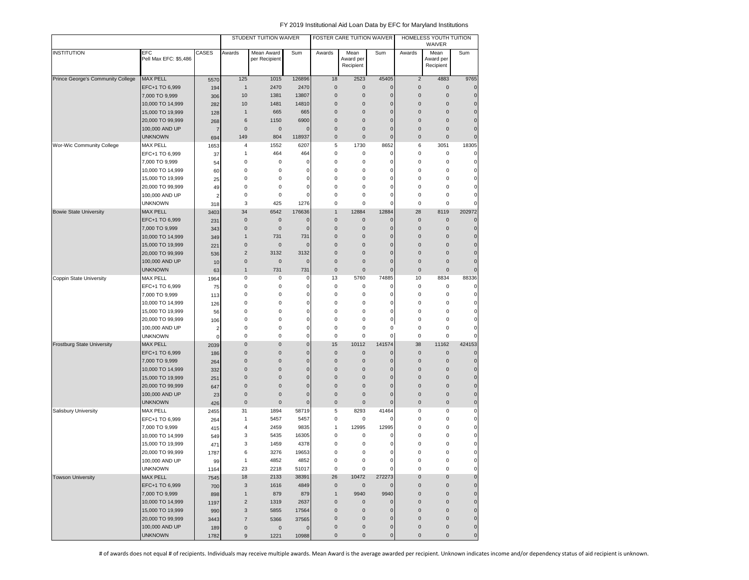|                                   |                                      |                |                  | STUDENT TUITION WAIVER      |              |                                            | FOSTER CARE TUITION WAIVER     |                                  |                                  | HOMELESS YOUTH TUITION<br>WAIVER |                          |
|-----------------------------------|--------------------------------------|----------------|------------------|-----------------------------|--------------|--------------------------------------------|--------------------------------|----------------------------------|----------------------------------|----------------------------------|--------------------------|
| <b>INSTITUTION</b>                | EFC<br>Pell Max EFC: \$5,486         | CASES          | Awards           | Mean Award<br>per Recipient | Sum          | Awards                                     | Mean<br>Award per<br>Recipient | Sum                              | Awards                           | Mean<br>Award per<br>Recipient   | Sum                      |
| Prince George's Community College | <b>MAX PELL</b>                      | 5570           | 125              | 1015                        | 126896       | 18                                         | 2523                           | 45405                            | $\overline{2}$                   | 4883                             | 9765                     |
|                                   | EFC+1 TO 6,999                       | 194            | $\mathbf{1}$     | 2470                        | 2470         | $\mathbf 0$                                | $\mathbf 0$                    | $\mathbf 0$                      | $\pmb{0}$                        | $\mathbf 0$                      | $\mathbf 0$              |
|                                   | 7,000 TO 9,999                       | 306            | 10               | 1381                        | 13807        | $\mathsf 0$                                | $\mathbf 0$                    | $\mathbf 0$                      | $\mathsf 0$                      | $\mathbf 0$                      | $\pmb{0}$                |
|                                   | 10,000 TO 14,999                     | 282            | 10               | 1481                        | 14810        | $\mathsf 0$                                | $\mathbf 0$                    | $\mathbf 0$                      | $\pmb{0}$                        | $\mathbf{0}$                     | $\pmb{0}$                |
|                                   | 15,000 TO 19,999                     | 128            | $\mathbf{1}$     | 665                         | 665          | $\mathbf 0$                                | $\mathbf 0$                    | $\mathbf 0$                      | $\mathbf 0$                      | $\mathbf 0$                      | $\pmb{0}$                |
|                                   | 20,000 TO 99,999                     | 268            | 6                | 1150                        | 6900         | $\mathbf 0$                                | $\mathbf 0$                    | $\overline{0}$                   | $\mathbf 0$                      | $\mathbf{0}$                     | $\mathbf 0$              |
|                                   | 100,000 AND UP                       | $\overline{7}$ | $\mathbf 0$      | $\mathbf 0$                 | $\Omega$     | $\mathbf 0$                                | $\mathbf 0$                    | $\overline{0}$                   | $\mathbf 0$                      | $\mathbf 0$                      | $\mathbf 0$              |
|                                   | <b>UNKNOWN</b>                       | 694            | 149              | 804                         | 118937       | $\mathbf 0$                                | $\pmb{0}$                      | $\overline{0}$                   | $\pmb{0}$                        | $\mathbf 0$                      | $\mathbf 0$              |
| <b>Wor-Wic Community College</b>  | <b>MAX PELL</b>                      | 1653           | 4                | 1552                        | 6207         | 5                                          | 1730                           | 8652                             | 6                                | 3051                             | 18305                    |
|                                   | EFC+1 TO 6,999                       | 37             | 1                | 464                         | 464          | $\pmb{0}$                                  | 0                              | 0                                | $\pmb{0}$                        | $\pmb{0}$                        | $\mathsf 0$              |
|                                   | 7,000 TO 9,999                       | 54             | 0                | $\mathsf 0$                 | 0            | 0                                          | $\mathsf 0$                    | $\mathbf 0$                      | 0                                | 0                                | $\pmb{0}$                |
|                                   | 10,000 TO 14,999                     | 60             | 0                | $\mathsf 0$                 | 0            | 0                                          | 0                              | 0                                | 0                                | 0                                | $\mathsf 0$              |
|                                   | 15,000 TO 19,999                     | 25             | 0                | 0                           | 0            | 0                                          | 0                              | 0                                | 0                                | 0                                | $\mathbf 0$              |
|                                   | 20,000 TO 99,999                     | 49             | 0                | $\mathbf 0$                 | 0            | $\mathsf 0$                                | 0                              | 0                                | 0                                | 0                                | $\pmb{0}$                |
|                                   | 100,000 AND UP                       | $\overline{2}$ | 0                | $\mathbf 0$                 | 0            | $\mathsf 0$                                | 0                              | $\mathbf 0$                      | 0                                | 0                                | $\pmb{0}$                |
|                                   | <b>UNKNOWN</b>                       | 318            | 3                | 425                         | 1276         | $\pmb{0}$                                  | $\mathsf 0$                    | $\mathbf 0$                      | $\mathbf 0$                      | $\mathbf 0$                      | $\mathbf 0$              |
| <b>Bowie State University</b>     | <b>MAX PELL</b>                      | 3403           | 34               | 6542                        | 176636       | $\mathbf{1}$                               | 12884                          | 12884                            | 28                               | 8119                             | 202972                   |
|                                   | EFC+1 TO 6,999                       | 231            | $\mathbf 0$      | $\mathbf 0$                 | $\mathbf{0}$ | $\mathbf{0}$                               | $\mathbf 0$                    | $\mathbf 0$                      | $\mathsf 0$                      | $\mathbf 0$                      | $\mathbf 0$              |
|                                   | 7,000 TO 9,999                       | 343            | $\mathbf{0}$     | $\mathbf 0$                 | $\mathbf 0$  | $\mathbf 0$                                | $\mathbf 0$                    | $\overline{0}$                   | $\mathbf 0$                      | 0                                | $\bf 0$                  |
|                                   | 10,000 TO 14,999                     | 349            | $\mathbf{1}$     | 731                         | 731          | $\mathbf 0$                                | $\pmb{0}$                      | $\mathbf 0$                      | 0                                | $\mathbf 0$                      | $\pmb{0}$                |
|                                   | 15,000 TO 19,999                     | 221            | $\mathbf 0$      | $\mathbf 0$                 | 0            | $\mathbf 0$                                | $\mathbf 0$                    | $\mathbf 0$                      | 0                                | $\mathbf 0$                      | $\pmb{0}$                |
|                                   | 20,000 TO 99,999                     | 536            | $\overline{c}$   | 3132                        | 3132         | $\mathsf 0$                                | $\pmb{0}$                      | $\mathbf 0$                      | $\pmb{0}$                        | $\mathbf 0$                      | $\pmb{0}$                |
|                                   | 100,000 AND UP                       | 10             | $\mathbf 0$      | $\mathbf 0$                 | $\mathbf{0}$ | $\mathbf 0$                                | $\mathbf{0}$                   | $\mathbf 0$                      | $\mathbf 0$                      | $\mathbf{0}$                     | $\pmb{0}$                |
|                                   | <b>UNKNOWN</b>                       | 63             | $\mathbf{1}$     | 731                         | 731          | $\mathsf 0$                                | $\mathbf 0$                    | $\mathbf 0$                      | $\mathbf 0$                      | $\mathbf 0$                      | $\pmb{0}$                |
| Coppin State University           | <b>MAX PELL</b>                      | 1964           | 0                | 0                           | 0            | 13                                         | 5760                           | 74885                            | 10                               | 8834                             | 88336                    |
|                                   | EFC+1 TO 6,999                       | 75             | $\bf 0$          | $\mathsf 0$                 | 0            | 0                                          | 0                              | 0                                | 0                                | $\bf 0$                          | $\pmb{0}$                |
|                                   | 7,000 TO 9,999                       | 113            | 0                | 0                           | 0            | 0                                          | 0                              | 0                                | 0                                | 0                                | $\pmb{0}$                |
|                                   | 10,000 TO 14,999                     | 126            | $\bf 0$          | $\mathsf 0$                 | 0            | $\bf 0$                                    | 0                              | $\mathbf 0$                      | 0                                | 0                                | $\pmb{0}$                |
|                                   | 15,000 TO 19,999                     | 56             | $\bf 0$          | $\mathsf 0$                 | 0            | $\bf 0$                                    | 0                              | $\mathbf 0$                      | $\pmb{0}$                        | 0                                | $\pmb{0}$                |
|                                   | 20,000 TO 99,999                     | 106            | 0                | 0                           | $\mathbf 0$  | 0                                          | 0                              | 0                                | 0                                | 0                                | $\pmb{0}$                |
|                                   | 100,000 AND UP                       | $\overline{2}$ | 0                | $\mathbf 0$                 | 0            | 0                                          | 0                              | 0                                | 0                                | 0                                | $\mathbf 0$              |
|                                   | <b>UNKNOWN</b>                       | $\mathbf 0$    | 0                | $\pmb{0}$                   | $\mathbf 0$  | $\mathsf 0$                                | 0                              | $\mathbf 0$                      | $\mathsf 0$                      | $\mathbf 0$                      | $\mathbf 0$              |
| <b>Frostburg State University</b> | <b>MAX PELL</b>                      | 2039           | $\mathbf 0$      | $\mathbf 0$                 | $\pmb{0}$    | 15                                         | 10112                          | 141574                           | 38                               | 11162                            | 424153                   |
|                                   | EFC+1 TO 6,999                       | 186            | $\pmb{0}$        | $\mathbf 0$                 | $\pmb{0}$    | $\pmb{0}$                                  | $\pmb{0}$                      | $\mathbf 0$                      | $\mathbf 0$                      | $\mathbf 0$                      | $\pmb{0}$                |
|                                   | 7,000 TO 9,999                       | 264            | $\pmb{0}$        | $\mathbf 0$                 | $\pmb{0}$    | $\mathsf 0$                                | $\mathbf 0$                    | $\mathbf 0$                      | $\pmb{0}$                        | $\mathbf 0$                      | $\pmb{0}$                |
|                                   | 10,000 TO 14,999                     | 332            | $\mathbf 0$      | $\mathbf 0$                 | $\pmb{0}$    | $\mathbf 0$                                | $\mathbf{0}$                   | $\mathbf 0$                      | $\mathbf 0$                      | $\mathbf 0$                      | $\pmb{0}$                |
|                                   | 15,000 TO 19,999                     | 251            | $\mathbf 0$      | $\mathbf 0$                 | $\mathbf 0$  | $\mathbf 0$                                | $\mathbf 0$                    | $\mathbf 0$                      | $\mathbf 0$                      | $\mathbf 0$                      | $\pmb{0}$                |
|                                   | 20,000 TO 99,999                     | 647            | $\mathbf 0$      | $\mathbf 0$                 | $\mathbf 0$  | $\mathbf 0$                                | $\mathbf 0$                    | $\mathbf 0$                      | $\mathbf 0$                      | $\mathbf 0$                      | $\pmb{0}$                |
|                                   | 100,000 AND UP                       | 23             | $\mathbf 0$      | $\mathbf 0$                 | $\mathbf 0$  | $\mathbf 0$                                | $\mathbf 0$                    | $\mathbf 0$                      | $\pmb{0}$                        | $\mathbf 0$                      | $\pmb{0}$                |
|                                   | <b>UNKNOWN</b>                       | 426            | $\mathbf 0$      | $\mathbf 0$                 | $\mathbf 0$  | $\mathbf 0$                                | $\mathbf 0$                    | $\mathbf 0$                      | $\mathbf 0$                      | $\bf 0$                          | $\pmb{0}$                |
| Salisbury University              | <b>MAX PELL</b>                      | 2455           | 31               | 1894                        | 58719        | 5                                          | 8293                           | 41464                            | $\pmb{0}$                        | 0                                | $\pmb{0}$                |
|                                   | EFC+1 TO 6,999                       | 264            | $\mathbf{1}$     | 5457                        | 5457         | $\bf 0$                                    | 0                              | $\Omega$                         | $\mathbf 0$                      | 0                                | $\pmb{0}$                |
|                                   | 7,000 TO 9,999                       | 415            | $\overline{4}$   | 2459                        | 9835         | $\mathbf{1}$                               | 12995                          | 12995                            | 0                                | 0                                | $\mathbf 0$              |
|                                   | 10,000 TO 14,999                     | 549            | 3                | 5435                        | 16305        | 0                                          | 0                              | 0                                | 0                                | 0                                | $\pmb{0}$                |
|                                   | 15,000 TO 19,999                     | 471            | 3                | 1459                        | 4378         | 0                                          | $\bf 0$                        | 0                                | 0                                | 0                                | $\pmb{0}$                |
|                                   | 20,000 TO 99,999                     | 1787           | 6                | 3276                        | 19653        | $\mathsf 0$                                | 0                              | 0                                | 0                                | 0                                | $\mathbf 0$              |
|                                   | 100,000 AND UP                       | 99             | $\mathbf{1}$     | 4852                        | 4852         | 0                                          | $\mathsf 0$                    | $\mathbf 0$                      | $\pmb{0}$                        | 0                                | $\pmb{0}$                |
|                                   | <b>UNKNOWN</b>                       | 1164           | 23               | 2218                        | 51017        | $\mathbf 0$                                | $\mathsf 0$                    | $\mathbf 0$                      | $\pmb{0}$                        | 0                                | $\pmb{0}$<br>$\mathbf 0$ |
| <b>Towson University</b>          | MAX PELL                             | 7545           | 18               | 2133                        | 38391        | 26                                         | 10472                          | 272273                           | $\pmb{0}$                        | $\mathsf 0$<br>$\mathbf 0$       |                          |
|                                   | EFC+1 TO 6,999                       | 700            | $\sqrt{3}$       | 1616                        | 4849         | $\mathsf{O}\xspace$                        | $\mathsf{O}\xspace$            | $\mathbf 0$                      | $\mathsf{O}\xspace$              |                                  | $\mathbf 0$              |
|                                   | 7,000 TO 9,999                       | 898            | $\mathbf{1}$     | 879                         | 879          | $\mathbf{1}$                               | 9940                           | 9940                             | $\pmb{0}$                        | $\pmb{0}$                        | $\pmb{0}$                |
|                                   | 10,000 TO 14,999                     | 1197           | $\overline{2}$   | 1319                        | 2637         | $\mathbf 0$                                | $\mathsf{O}\xspace$            | $\pmb{0}$                        | $\pmb{0}$                        | $\pmb{0}$                        | $\pmb{0}$                |
|                                   | 15,000 TO 19,999<br>20,000 TO 99,999 | 990            | $\sqrt{3}$       | 5855                        | 17564        | $\mathsf{O}\xspace$                        | $\mathsf{O}\xspace$            | $\pmb{0}$                        | $\pmb{0}$                        | $\mathsf{O}\xspace$              | $\pmb{0}$                |
|                                   | 100,000 AND UP                       | 3443           | $\overline{7}$   | 5366                        | 37565        | $\mathsf{O}\xspace$<br>$\mathsf{O}\xspace$ | $\mathbf 0$<br>$\pmb{0}$       | $\mathbf 0$                      | $\pmb{0}$<br>$\mathsf{O}\xspace$ | $\mathsf{O}\xspace$<br>$\pmb{0}$ | $\pmb{0}$<br>$\pmb{0}$   |
|                                   |                                      | 189            | $\pmb{0}$        | $\mathbf 0$                 | $\mathbf 0$  |                                            | $\pmb{0}$                      | $\mathsf{O}\xspace$<br>$\pmb{0}$ | 0                                | $\mathsf 0$                      |                          |
|                                   | <b>UNKNOWN</b>                       | 1782           | $\boldsymbol{9}$ | 1221                        | 10988        | $\mathsf{O}\xspace$                        |                                |                                  |                                  |                                  | $\mathbf 0$              |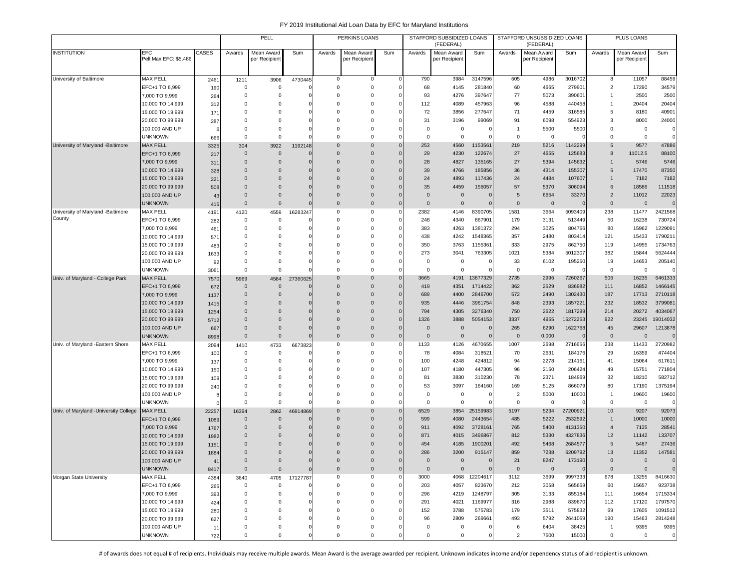|                                             |                                     |            |                      | PELL                    |                        |                            | PERKINS LOANS    |                |                        | STAFFORD SUBSIDIZED LOANS<br>(FEDERAL) |                         |                       | STAFFORD UNSUBSIDIZED LOANS<br>(FEDERAL) |                     |                    | PLUS LOANS     |                        |
|---------------------------------------------|-------------------------------------|------------|----------------------|-------------------------|------------------------|----------------------------|------------------|----------------|------------------------|----------------------------------------|-------------------------|-----------------------|------------------------------------------|---------------------|--------------------|----------------|------------------------|
| <b>INSTITUTION</b>                          | <b>EFC</b><br>Pell Max EFC: \$5,486 | CASES      | Awards               | Mean Award              | Sum                    | Awards                     | Mean Award       | Sum            | Awards                 | Mean Award                             | Sum                     | Awards                | Mean Award                               | Sum                 | Awards             | Mean Award     | Sum                    |
|                                             |                                     |            |                      | per Recipien            |                        |                            | per Recipient    |                |                        | per Recipien                           |                         |                       | per Recipient                            |                     |                    | per Recipient  |                        |
| University of Baltimore                     | <b>MAX PELL</b>                     | 2461       | 1211                 | 3906                    | 4730445                | 0                          | 0                | $\Omega$       | 790                    | 3984                                   | 3147596                 | 605                   | 4986                                     | 3016702             | 8                  | 11057          | 88459                  |
|                                             | EFC+1 TO 6,999                      | 190        | 0                    | $\mathbf 0$             |                        | $\mathbf 0$                | $\mathbf 0$      |                | 68                     | 4145                                   | 281840                  | 60                    | 4665                                     | 279901              | $\overline{2}$     | 17290          | 34579                  |
|                                             | 7,000 TO 9,999                      | 264        | 0                    | 0                       | $\Omega$               | $\Omega$                   | $\mathbf 0$      |                | 93                     | 4276                                   | 397647                  | 77                    | 5073                                     | 390601              | 1                  | 2500           | 2500                   |
|                                             | 10,000 TO 14,999                    | 312        | $\Omega$             | $\mathbf 0$             | $\Omega$               | $\Omega$                   | $\mathbf 0$      |                | 112                    | 4089                                   | 457963                  | 96                    | 4588                                     | 440458              | $\mathbf{1}$       | 20404          | 20404                  |
|                                             | 15,000 TO 19,999                    | 17'        | $\Omega$             | $\Omega$                | $\Omega$               | $\Omega$                   | 0                | c              | 72                     | 3856                                   | 277647                  | 71                    | 4459                                     | 316585              | 5                  | 8180           | 40901                  |
|                                             | 20,000 TO 99,999                    | 287        | $\Omega$             | $\Omega$                | $\Omega$               | $\Omega$                   | $\Omega$         |                | 31                     | 3196                                   | 99069                   | 91                    | 6098                                     | 554923              | 3                  | 8000           | 24000                  |
|                                             | 100,000 AND UP                      | 6          | $\Omega$             | $\Omega$                | $\mathbf 0$            | $\mathbf 0$                | 0                |                | $\mathbf 0$            | 0                                      | C                       | $\overline{1}$        | 5500                                     | 5500                | 0                  | $\mathbf 0$    | $\mathbf 0$            |
|                                             | <b>UNKNOWN</b>                      | 666        | $^{\circ}$           | 0                       | $\Omega$               | $\Omega$                   | 0                |                | $\mathbf 0$            | $^{\circ}$                             | C                       | 0                     | $\mathbf 0$                              |                     | 0                  | $\mathbf 0$    | $\mathbf 0$            |
| University of Maryland -Baltimore           | MAX PELL                            | 3325       | 304                  | 3922                    | 1192148                | $\mathbf{0}$               | $\mathbf{0}$     |                | 253                    | 4560                                   | 1153561                 | 219                   | 5216                                     | 1142299             | 5                  | 9577           | 47886                  |
|                                             | EFC+1 TO 6,999                      | 217        | $\mathbf 0$          | $\mathbf{0}$            | $\Omega$               | $\mathbf{0}$               | $\mathbf 0$      |                | 29                     | 4230                                   | 122674                  | 27                    | 4655                                     | 125683              | 8                  | 11012.5        | 88100                  |
|                                             | 7,000 TO 9,999                      | 311        | $\mathbf 0$          | $\mathbf 0$             | $\Omega$               | $\Omega$                   | $\mathbf{0}$     | $\Omega$       | 28                     | 4827                                   | 135165                  | 27                    | 5394                                     | 145632              | $\mathbf{1}$       | 5746           | 5746                   |
|                                             | 10,000 TO 14,999                    | 328        | $\mathbf{0}$         | $\mathbf 0$             | $\Omega$               | 0                          | $\mathbf{0}$     |                | 39                     | 4766                                   | 185856                  | 36                    | 4314                                     | 155307              | 5                  | 17470          | 87350                  |
|                                             | 15,000 TO 19,999                    | 221        | $\Omega$             | $\Omega$                | $\Omega$               | 0                          | $\mathbf{0}$     |                | 24                     | 4893                                   | 117436                  | 24                    | 4484                                     | 107607              | $\mathbf{1}$       | 7182           | 7182                   |
|                                             | 20,000 TO 99,999                    | 508        | $\Omega$             | $\mathbf{0}$            | $\mathbf 0$            | 0                          | $\mathbf{0}$     |                | 35                     | 4459                                   | 156057                  | 57                    | 5370                                     | 306094              | 6                  | 18586          | 111518                 |
|                                             | 100,000 AND UP                      | 43         | 0                    | $\mathbf 0$             | $\mathbf 0$            | 0                          | $\mathbf{0}$     |                | $\overline{0}$         | $\overline{0}$                         | $\mathbf 0$<br>$\Omega$ | 5                     | 6654                                     | 33270               | $\overline{2}$     | 11012          | 22023                  |
|                                             | <b>UNKNOWN</b>                      | 415        | $\mathbf{0}$         | $\mathbf 0$             | $\Omega$               | $\mathbf 0$<br>$\mathbf 0$ | $\mathbf 0$<br>0 | $\Omega$<br>c  | $\overline{0}$<br>2382 | $\overline{0}$                         |                         | $\mathbf 0$<br>1581   | $\overline{0}$                           | $\Omega$<br>5093409 | $\mathbf 0$<br>238 | $\mathbf 0$    | $\mathbf 0$<br>2421568 |
| University of Maryland -Baltimore<br>County | MAX PELL<br>EFC+1 TO 6,999          | 4191       | 4120<br>0            | 4559<br>$\mathbf 0$     | 16283247<br>$\Omega$   | $\Omega$                   | 0                | C              | 248                    | 4146<br>4340                           | 8390705<br>867901       | 179                   | 3664<br>3131                             | 513449              | 50                 | 11477<br>16238 | 730724                 |
|                                             | 7,000 TO 9,999                      | 282<br>461 | 0                    | $\mathbf 0$             | $\Omega$               | $\mathbf 0$                | 0                |                | 383                    | 4263                                   | 1381372                 | 294                   | 3025                                     | 804756              | 80                 | 15962          | 1229091                |
|                                             | 10,000 TO 14,999                    | 571        | $\Omega$             | 0                       | 0                      | $\mathbf 0$                | 0                | C              | 438                    | 4242                                   | 1548365                 | 357                   | 2480                                     | 803414              | 121                | 15433          | 1790211                |
|                                             | 15,000 TO 19,999                    | 483        | $\Omega$             | $\Omega$                | $\Omega$               | $\Omega$                   | 0                |                | 350                    | 3763                                   | 1155361                 | 333                   | 2975                                     | 862750              | 119                | 14955          | 1734763                |
|                                             | 20,000 TO 99,999                    | 1633       | $\mathbf 0$          | $\Omega$                | $\Omega$               | $\Omega$                   | $\Omega$         |                | 273                    | 3041                                   | 763305                  | 1021                  | 5384                                     | 5012307             | 382                | 15844          | 5624444                |
|                                             | 100,000 AND UP                      | 92         | $\Omega$             | $\Omega$                | $\Omega$               | $\Omega$                   | $\Omega$         |                | 0                      | $^{\circ}$                             | C                       | 33                    | 6102                                     | 195250              | 19                 | 14653          | 205140                 |
|                                             | UNKNOWN                             | 3061       | $^{\circ}$           | $\Omega$                | $\Omega$               | $\Omega$                   | $\Omega$         | c              | $\mathbf 0$            | $\Omega$                               |                         | $^{\circ}$            | $\overline{\mathbf{0}}$                  |                     | $\Omega$           | $\mathbf 0$    |                        |
| Univ. of Maryland - College Park            | <b>MAX PELL</b>                     | 7570       | 5969                 | 4584                    | 27360625               | 0                          | $\mathbf{0}$     |                | 3665                   | 4191                                   | 13877329                | 2735                  | 2996                                     | 7260267             | 506                | 16235          | 6461333                |
|                                             | EFC+1 TO 6,999                      | 672        | $\mathbf{0}$         | $\mathbf 0$             |                        | 0                          | $\mathbf{0}$     |                | 419                    | 4351                                   | 1714422                 | 362                   | 2529                                     | 836982              | 111                | 16852          | 1466145                |
|                                             | 7,000 TO 9,999                      | 1137       | $\mathbf 0$          | $\mathbf 0$             | $\mathbf 0$            | 0                          | $\mathbf 0$      | $\Omega$       | 689                    | 4400                                   | 2846700                 | 572                   | 2490                                     | 1302430             | 187                | 17713          | 2710118                |
|                                             | 10,000 TO 14,999                    | 1415       | $\Omega$             | $\mathbf{0}$            | $\Omega$               | $\Omega$                   | $\mathbf 0$      | $\Omega$       | 935                    | 4446                                   | 3961754                 | 848                   | 2393                                     | 1857221             | 232                | 18532          | 3799081                |
|                                             | 15,000 TO 19,999                    | 1254       | $\Omega$             | $\mathbf{0}$            | $\Omega$               | $\mathbf{0}$               | $\mathbf 0$      | $\Omega$       | 794                    | 4305                                   | 3276340                 | 750                   | 2622                                     | 1817299             | 214                | 20272          | 4034067                |
|                                             | 20,000 TO 99,999                    | 5712       | $\Omega$             | $\Omega$                | $\Omega$               | $\Omega$                   | $\mathbf{0}$     | $\Omega$       | 1326                   | 3888                                   | 5054153                 | 3337                  | 4955                                     | 15272253            | 922                | 23245          | 19014032               |
|                                             | 100,000 AND UP                      | 667        | $\overline{0}$       | $\mathbf{0}$            | $\mathbf{0}$           | $\mathbf{0}$               | $\mathbf{0}$     | $\Omega$       | $\overline{0}$         | $\overline{0}$                         | $\mathbf 0$             | 265                   | 6290                                     | 1622768             | 45                 | 29607          | 1213878                |
|                                             | unknown                             | 8998       | $\mathbf 0$          | $\mathbf{0}$            | $\mathbf{0}$           | $\mathbf{0}$               | $\mathbf 0$      | 0              | $\overline{0}$         | $\overline{0}$                         | $\mathbf 0$             | $\mathbf 0$           | 0.000                                    |                     | $\mathbf 0$        | $\mathbf{0}$   | $\mathbf 0$            |
| Univ. of Maryland -Eastern Shore            | MAX PELL                            | 2094       | 1410                 | 4733                    | 6673823                | 0                          | 0                |                | 1133                   | 4126                                   | 4670655                 | 1007                  | 2698                                     | 2716656             | 238                | 11433          | 2720982                |
|                                             | EFC+1 TO 6,999                      | 100        | 0                    | 0                       | $\Omega$               | $\Omega$                   | $\mathbf 0$      |                | 78                     | 4084                                   | 318521                  | 70                    | 2631                                     | 184176              | 29                 | 16359          | 474404                 |
|                                             | 7,000 TO 9,999                      | 137        | 0                    | $\mathbf 0$             | $\Omega$               | $\Omega$                   | 0                | c              | 100                    | 4248                                   | 424812                  | 94                    | 2278                                     | 214161              | 41                 | 15064          | 617611                 |
|                                             | 10,000 TO 14,999                    | 150        | $\Omega$             | $\Omega$                | $\Omega$               | $\Omega$                   | $\Omega$         |                | 107                    | 4180                                   | 447305                  | 96                    | 2150                                     | 206424              | 49                 | 15751          | 771804                 |
|                                             | 15,000 TO 19,999                    | 109        | $\Omega$             | $\Omega$                | 0                      | $\mathbf 0$                | 0                |                | 81                     | 3830                                   | 310230                  | 78                    | 2371                                     | 184969              | 32                 | 18210          | 582712                 |
|                                             | 20,000 TO 99,999                    | 240        | $\Omega$<br>$\Omega$ | $\Omega$<br>$\mathbf 0$ | $\Omega$<br>$^{\circ}$ | $\mathbf 0$<br>0           | 0<br>0           |                | 53<br>$\mathbf 0$      | 3097<br>$^{\circ}$                     | 164160<br>C             | 169<br>$\overline{2}$ | 5125                                     | 866079<br>10000     | 80<br>$\mathbf{1}$ | 17190          | 1375194<br>19600       |
|                                             | 100,000 AND UP<br><b>UNKNOWN</b>    | 8          | $\mathbf 0$          | $\mathbf 0$             | $\Omega$               | $\mathbf 0$                | 0                |                | $\mathbf 0$            | $^{\circ}$                             | $\Omega$                | 0                     | 5000<br>0                                |                     | 0                  | 19600<br>0     | $\mathbf 0$            |
| Univ. of Maryland - University College      | <b>MAX PELL</b>                     | 22257      | 16394                | 2862                    | 46914869               | $\mathbf{0}$               | $\mathbf 0$      |                | 6529                   | 3854                                   | 25159983                | 5197                  | 5234                                     | 27200921            | 10 <sup>°</sup>    | 9207           | 92073                  |
|                                             | EFC+1 TO 6,999                      | 1089       | $\mathbf 0$          | $\mathbf 0$             |                        | $\Omega$                   | $\mathbf 0$      | $\Omega$       | 599                    | 4080                                   | 2443654                 | 485                   | 5222                                     | 2532592             | $\mathbf{1}$       | 10000          | 10000                  |
|                                             | 7,000 TO 9,999                      | 1767       | $\mathbf 0$          | $\Omega$                | $\Omega$               | $\Omega$                   | $\mathbf{0}$     | $\Omega$       | 911                    | 4092                                   | 3728161                 | 765                   | 5400                                     | 4131350             | $\overline{4}$     | 7135           | 28541                  |
|                                             | 10,000 TO 14,999                    | 1982       | $\mathbf 0$          | $\mathbf 0$             | $\Omega$               | $\Omega$                   | $\mathbf{0}$     | $\Omega$       | 871                    | 4015                                   | 3496867                 | 812                   | 5330                                     | 4327836             | 12                 | 11142          | 133707                 |
|                                             | 15,000 TO 19,999                    | 1151       | $\Omega$             | $\mathbf 0$             | $\mathbf{0}$           | 0                          | $\mathbf{0}$     |                | 454                    | 4185                                   | 1900201                 | 492                   | 5468                                     | 2684577             | 5                  | 5487           | 27436                  |
|                                             | 20,000 TO 99,999                    | 1884       | $\Omega$             | $\Omega$                | $\mathbf{0}$           | $\Omega$                   | $\Omega$         | $\Omega$       | 286                    | 3200                                   | 915147                  | 859                   | 7238                                     | 6209792             | 13                 | 11352          | 147581                 |
|                                             | 100,000 AND UP                      | 41         | $\mathbf 0$          | $\mathbf 0$             | $\mathbf 0$            | $\mathbf 0$                | $\mathbf 0$      | $\Omega$       | $\mathbf 0$            | $\mathbf 0$                            | $\mathbf 0$             | 21                    | 8247                                     | 173190              | $\mathbf{0}$       | $\mathbf 0$    | $\Omega$               |
|                                             | <b>UNKNOWN</b>                      | 8417       | $\mathbf 0$          | $\mathbf 0$             | $\mathbf{0}$           | $\mathbf 0$                | $\mathbf 0$      | $\overline{0}$ | $\mathbf 0$            | $\mathbf 0$                            | $\mathbf{0}$            | $\mathsf 0$           | $\overline{0}$                           | $\Omega$            | $\mathbf 0$        | $\mathbf{0}$   | $\overline{0}$         |
| Morgan State University                     | MAX PELL                            | 4384       | 3640                 | 4705                    | 17127787               | $\mathbf 0$                | 0                | $\Omega$       | 3000                   |                                        | 4068 12204617           | 3112                  | 3699                                     | 9997333             | 678                | 13255          | 8416630                |
|                                             | EFC+1 TO 6,999                      | 265        | $\mathbf 0$          | 0                       | 0                      | $\mathbf 0$                | $\mathbf 0$      |                | 203                    | 4057                                   | 823670                  | 212                   | 3058                                     | 565659              | 60                 | 15657          | 923738                 |
|                                             | 7,000 TO 9,999                      | 393        | 0                    | 0                       | $\Omega$               | $\mathbf 0$                | 0                |                | 296                    | 4219                                   | 1248797                 | 305                   | 3133                                     | 855184              | 111                | 16654          | 1715334                |
|                                             | 10,000 TO 14,999                    | 424        | $\mathbf 0$          | 0                       | $^{\circ}$             | $\mathbf 0$                | $\mathbf 0$      |                | 291                    | 4021                                   | 1169977                 | 316                   | 2988                                     | 839670              | 112                | 17120          | 1797570                |
|                                             | 15,000 TO 19,999                    | 280        | 0                    | $\Omega$                | $\Omega$               | $\mathbf 0$                | $\mathbf 0$      | $\Omega$       | 152                    | 3788                                   | 575783                  | 179                   | 3511                                     | 575832              | 69                 | 17605          | 1091512                |
|                                             | 20,000 TO 99,999                    | 627        | 0                    | $\Omega$                | $\Omega$               | $\mathbf 0$                | $\mathbf 0$      |                | 96                     | 2809                                   | 269661                  | 493                   | 5792                                     | 2641059             | 190                | 15463          | 2814248                |
|                                             | 100,000 AND UP                      | 11         | 0                    | 0                       | $\Omega$               | 0                          | 0                |                | $\mathbf 0$            | 0                                      | C                       | 6                     | 6404                                     | 38425               | $\mathbf{1}$       | 9395           | 9395                   |
|                                             | <b>UNKNOWN</b>                      | 722        | 0                    | 0                       | $\mathbf 0$            | 0                          | $\mathbf 0$      |                | $\mathbf 0$            | $\mathbf 0$                            | 0                       | $\overline{2}$        | 7500                                     | 15000               | 0                  | $\mathbf 0$    | $\mathbf 0$            |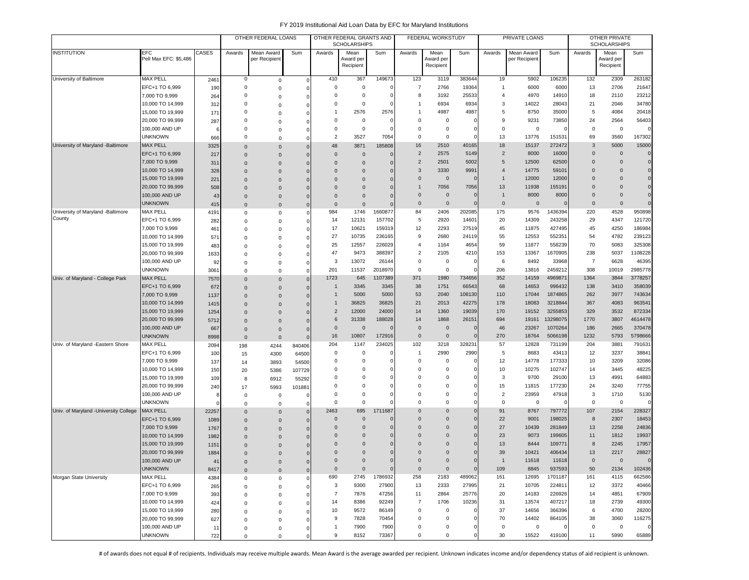|                                        |                                     |             |                      | OTHER FEDERAL LOANS          |                      |                | OTHER FEDERAL GRANTS AND<br><b>SCHOLARSHIPS</b> |          |                      | FEDERAL WORKSTUDY              |                |                      | PRIVATE LOANS               |                 |                | OTHER PRIVATE<br><b>SCHOLARSHIPS</b> |                |
|----------------------------------------|-------------------------------------|-------------|----------------------|------------------------------|----------------------|----------------|-------------------------------------------------|----------|----------------------|--------------------------------|----------------|----------------------|-----------------------------|-----------------|----------------|--------------------------------------|----------------|
| <b>INSTITUTION</b>                     | <b>EFC</b><br>Pell Max EFC: \$5,486 | CASES       | Awards               | Mean Award<br>per Recipient  | Sum                  | Awards         | Mean<br>Award per<br>Recipient                  | Sum      | Awards               | Mean<br>Award per<br>Recipient | Sum            | Awards               | Mean Award<br>per Recipient | Sum             | Awards         | Mean<br>Award per<br>Recipient       | Sum            |
| University of Baltimore                |                                     |             |                      |                              |                      | 410            |                                                 | 149673   | 123                  |                                | 383644         |                      |                             | 106235          | 132            |                                      | 263182         |
|                                        | <b>MAX PELL</b><br>EFC+1 TO 6,999   | 2461<br>190 | 0<br>$\mathbf 0$     | $\mathsf 0$                  | $\mathbf 0$          | 0              | 367<br>$\overline{0}$                           | $\Omega$ | $\overline{7}$       | 3119<br>2766                   | 19364          | 19<br>$\mathbf{1}$   | 5902<br>6000                | 6000            | 13             | 2309<br>2706                         | 21647          |
|                                        | 7,000 TO 9,999                      | 264         | $\Omega$             | $\mathsf 0$<br>$\Omega$      | 0<br>$\Omega$        | $\Omega$       | $\overline{0}$                                  |          | 8                    | 3192                           | 25533          | $\overline{4}$       | 4970                        | 14910           | 18             | 2110                                 | 23212          |
|                                        | 10,000 TO 14,999                    | 312         | $\Omega$             | 0                            | $\Omega$             | $\Omega$       | $\overline{0}$                                  |          | -1                   | 6934                           | 6934           | 3                    | 14022                       | 28043           | 21             | 2046                                 | 34780          |
|                                        | 15,000 TO 19,999                    | 171         | $\Omega$             | $\mathbf 0$                  | $\Omega$             | 1              | 2576                                            | 2576     |                      | 4987                           | 4987           | 5                    | 8750                        | 35000           | 5              | 4084                                 | 20418          |
|                                        | 20,000 TO 99,999                    | 287         | $\Omega$             | $\mathbf 0$                  | $\Omega$             | 0              | $\mathbf 0$                                     | $\Omega$ | $^{\circ}$           | $\mathsf 0$                    | C              | 9                    | 9231                        | 73850           | 24             | 2564                                 | 56403          |
|                                        | 100,000 AND UP                      |             | 0                    | $\mathbf 0$                  | $\Omega$             | 0              | $\mathbf 0$                                     |          | $^{\circ}$           | 0                              | C              | 0                    | 0                           |                 | $\mathbf 0$    | $\mathbf 0$                          | $\Omega$       |
|                                        | <b>UNKNOWN</b>                      | 666         | 0                    | $\mathbf 0$                  | $\Omega$             | $\overline{2}$ | 3527                                            | 7054     | $^{\circ}$           | $\mathsf 0$                    | $\mathsf{C}$   | 13                   | 13776                       | 15153           | 69             | 3560                                 | 167302         |
| University of Maryland -Baltimore      | <b>MAX PELL</b>                     | 3325        | $\Omega$             | $\mathbf{0}$                 | $\Omega$             | 48             | 3871                                            | 185808   | 16                   | 2510                           | 40165          | 18                   | 15137                       | 272472          | 3              | 5000                                 | 15000          |
|                                        | EFC+1 TO 6.999                      | 217         | $\Omega$             | $\Omega$                     | $\Omega$             | $\mathbf{0}$   | $\overline{0}$                                  | $\Omega$ | $\overline{2}$       | 2575                           | 5149           | $\overline{2}$       | 8000                        | 16000           | $\mathbf 0$    | $\Omega$                             | $\mathbf{0}$   |
|                                        | 7,000 TO 9,999                      | 311         | $\Omega$             | $\mathbf{0}$                 | $\mathbf 0$          | $\mathbf 0$    | $\mathbf 0$                                     |          | $\overline{2}$       | 2501                           | 5002           | 5                    | 12500                       | 62500           | $\mathbf 0$    | $\Omega$                             | $\mathbf{0}$   |
|                                        | 10,000 TO 14,999                    | 328         | $\mathbf 0$          | $\mathbf 0$                  | $\mathbf 0$          | $\Omega$       | $\Omega$                                        |          | 3                    | 3330                           | 9991           | $\overline{4}$       | 14775                       | 59101           | 0              | $\Omega$                             | $\mathbf 0$    |
|                                        | 15,000 TO 19,999                    | 221         | $\Omega$             | $\mathbf{0}$                 | $\mathbf 0$          | $\Omega$       | $\Omega$                                        |          | $\Omega$             | $\mathbf 0$                    | $\epsilon$     | $\mathbf{1}$         | 12000                       | 12000           | 0              | $\Omega$                             | $\overline{0}$ |
|                                        | 20,000 TO 99,999                    | 508         | $\Omega$             | $\mathbf{0}$                 | $\Omega$             | $\Omega$       | $\Omega$                                        |          |                      | 7056                           | 7056           | 13                   | 11938                       | 155191          | $\mathbf 0$    | $\Omega$                             | $\mathbf 0$    |
|                                        | 100,000 AND UP                      | 43          | $\Omega$             | $\mathbf 0$                  | $\Omega$             | $\overline{0}$ | $\mathbf 0$                                     |          | $\mathbf{0}$         | $\mathsf 0$                    | $\overline{0}$ | $\overline{1}$       | 8000                        | 8000            | $\mathbf 0$    | $\Omega$                             | $\mathbf{0}$   |
|                                        | <b>UNKNOWN</b>                      | 415         | $\Omega$             | $\mathbf{0}$                 | $\mathbf 0$          | $\mathbf{0}$   | $\mathbf 0$                                     |          | $\Omega$             | $\mathsf 0$                    | $\sqrt{ }$     | $\mathbf 0$          | $\mathbf 0$                 |                 | $\mathbf 0$    | $\Omega$                             | $\Omega$       |
| University of Maryland -Baltimore      | <b>MAX PELL</b>                     | 4191        | 0                    | $\mathsf 0$                  | 0                    | 984            | 1746                                            | 1660877  | 84                   | 2406                           | 202085         | 175                  | 9576                        | 1436394         | 220            | 4528                                 | 950898         |
| County                                 | EFC+1 TO 6,999                      | 282         | 0                    | $\mathsf 0$                  | $\mathbf 0$          | 14             | 12131                                           | 157702   | 5                    | 2920                           | 14601          | 20                   | 14309                       | 243258          | 29             | 4347                                 | 121720         |
|                                        | 7,000 TO 9,999                      | 461         | $\Omega$             | $\mathbf 0$                  | 0                    | 17             | 10621                                           | 159319   | 12                   | 2293                           | 27519          | 45                   | 11875                       | 427495          | 45             | 4250                                 | 186984         |
|                                        | 10,000 TO 14,999                    | 571         | $\Omega$             | $\mathbf 0$                  | 0                    | 27             | 10735                                           | 236165   | 9                    | 2680                           | 24119          | 55                   | 12553                       | 552351          | 54             | 4782                                 | 239123         |
|                                        | 15,000 TO 19,999                    | 483         | $\Omega$             | $\mathbf 0$                  | 0                    | 25             | 12557                                           | 226029   | $\overline{4}$       | 1164                           | 4654           | 59                   | 11877                       | 558239          | 70             | 5083                                 | 325308         |
|                                        | 20,000 TO 99,999                    | 1633        | $\Omega$             | $\mathbf 0$                  | $\Omega$             | 47             | 9473                                            | 388397   | $\overline{2}$       | 2105                           | 4210           | 153                  | 13367                       | 1670905         | 238            | 5037                                 | 1108228        |
|                                        | 100,000 AND UP                      | 92          | $\Omega$             | $\mathbf 0$                  | 0                    | 3              | 13072                                           | 26144    | $^{\circ}$           | $\mathsf 0$                    | $\epsilon$     | 6                    | 8492                        | 33968           | $\overline{7}$ | 6628                                 | 46395          |
|                                        | <b>UNKNOWN</b>                      | 3061        | $\Omega$             | $\mathsf 0$                  | $\Omega$             | 201            | 11537                                           | 2018970  | $\Omega$             | 0                              |                | 206                  | 13816                       | 2459212         | 308            | 10019                                | 2985778        |
| Univ. of Maryland - College Park       | <b>MAX PELL</b>                     | <b>7570</b> | $\Omega$             | $\mathbf{0}$                 | $\mathbf{0}$         | 1723           | 645                                             | 1107389  | 371                  | 1980                           | 734656         | 352                  | 14159                       | 496987          | 1364           | 3844                                 | 3778257        |
|                                        | EFC+1 TO 6,999                      | 672         | $\Omega$             | $\mathbf{0}$                 | $\mathbf{0}$         | $\mathbf{1}$   | 3345                                            | 3345     | 38                   | 1751                           | 66543          | 68                   | 14653                       | 996432          | 138            | 3410                                 | 358039         |
|                                        | 7,000 TO 9,999                      | 1137        | $\Omega$             | $\mathbf{0}$                 | $\mathbf{0}$         | $\mathbf{1}$   | 5000                                            | 5000     | 53                   | 2040                           | 108130         | 110                  | 17044                       | 1874865         | 262            | 3977                                 | 743634         |
|                                        | 10,000 TO 14,999                    | 1415        | $\Omega$             | $\Omega$                     | $\Omega$             | $\mathbf{1}$   | 36825                                           | 36825    | 21                   | 2013                           | 42275          | 178                  | 18083                       | 3218844         | 367            | 4083                                 | 963541         |
|                                        | 15,000 TO 19,999                    | 1254        | $\Omega$             | $\mathbf 0$                  | $\Omega$             | $\overline{2}$ | 12000                                           | 24000    | 14                   | 1360                           | 19039          | 170                  | 19152                       | 3255853         | 329            | 3532                                 | 872334         |
|                                        | 20,000 TO 99,999                    | 5712        | $\Omega$             | $\mathbf 0$                  | $\Omega$             | 6              | 31338                                           | 188028   | 14                   | 1868                           | 26151          | 694                  | 19161                       | 13298075        | 1770           | 3807                                 | 4614478        |
|                                        | 100,000 AND UP                      | 667         | $\mathbf 0$          | $\mathbf 0$                  |                      | $\mathbf 0$    | $\overline{0}$                                  |          | $\mathbf 0$          | $\mathbf 0$                    | C              | 46                   | 23267                       | 1070264         | 186            | 2665                                 | 370478         |
|                                        | <b>UNKNOWN</b>                      | 8998        | $\mathbf{0}$         | $\mathbf 0$                  |                      | 16             | 10807                                           | 172916   | $\mathbf 0$          | $\mathbf 0$                    | $\mathbf{C}$   | 270                  | 18764                       | 5066198         | 1232           | 5793                                 | 5798666        |
| Univ. of Maryland -Eastern Shore       | MAX PELL                            | 2094        | 198                  | 4244                         | 840406               | 204            | 1147                                            | 234025   | 102                  | 3218                           | 328231         | 57                   | 12828                       | 731199          | 204            | 3881                                 | 791631         |
|                                        | EFC+1 TO 6,999                      | 100         | 15                   | 4300                         | 64500                | 0              | $^{\circ}$                                      | $\Omega$ | -1                   | 2990                           | 2990           | 5                    | 8683                        | 43413           | 12             | 3237                                 | 38841          |
|                                        | 7,000 TO 9,999                      | 137         | 14                   | 3893                         | 54500                | $\Omega$       | $^{\circ}$                                      |          | $\Omega$             | $\Omega$                       | $\mathsf{C}$   | 12                   | 14778                       | 177333          | 10             | 3209                                 | 32086          |
|                                        | 10,000 TO 14,999                    | 150         | 20                   | 5386                         | 107729               | 0              | 0                                               |          | $\Omega$<br>$\Omega$ | 0                              | $\epsilon$     | 10                   | 10275                       | 102747          | 14             | 3445                                 | 48225          |
|                                        | 15,000 TO 19,999                    | 109         | 8                    | 6912                         | 55292                | 0<br>0         | 0<br>0                                          |          | $^{\circ}$           | $\Omega$<br>$\Omega$           | $\mathsf{C}$   | 3                    | 9700                        | 29100           | 13             | 4991                                 | 64883<br>77755 |
|                                        | 20,000 TO 99,999                    | 240         | 17                   | 5993                         | 101881               | 0              | $\mathbf 0$                                     |          | $\Omega$             | $\Omega$                       | 0<br>$\Omega$  | 15<br>$\overline{2}$ | 11815<br>23959              | 177230<br>47918 | 24<br>3        | 3240<br>1710                         | 5130           |
|                                        | 100,000 AND UP<br><b>UNKNOWN</b>    |             | $\mathsf 0$          | $\mathbf 0$                  | n                    | $\Omega$       | $\overline{0}$                                  |          | $\Omega$             | $\Omega$                       | $\mathbf{C}$   | $\mathbf 0$          | $\mathbf 0$                 |                 | $\mathbf 0$    | $\mathsf 0$                          | $\Omega$       |
| Univ. of Maryland - University College | <b>MAX PELL</b>                     | 22257       | $\Omega$<br>$\Omega$ | $\mathbf 0$                  | O                    | 2463           | 695                                             | 1711687  | $\Omega$             | $\Omega$                       | $\sqrt{ }$     | 91                   | 8767                        | 797772          | 107            | 2154                                 | 228327         |
|                                        | EFC+1 TO 6,999                      | 1089        | $\Omega$             | $\mathbf{0}$<br>$\mathbf{0}$ | $\Omega$<br>$\Omega$ | $\mathbf 0$    | $\mathbf 0$                                     |          | $\Omega$             | $\Omega$                       | C              | 22                   | 9001                        | 198025          | 8              | 2307                                 | 18453          |
|                                        | 7,000 TO 9,999                      | 1767        | $\mathbf 0$          | $\mathbf{0}$                 |                      | $\mathbf 0$    | $\mathbf 0$                                     | $\Omega$ | $\Omega$             | $\Omega$                       | C              | 27                   | 10439                       | 281849          | 13             | 2258                                 | 24836          |
|                                        | 10,000 TO 14,999                    | 1982        | $\Omega$             | $\mathbf{0}$                 |                      | $\mathbf 0$    | $\mathbf 0$                                     |          | $\Omega$             | $\Omega$                       | C              | 23                   | 9073                        | 199605          | 11             | 1812                                 | 19937          |
|                                        | 15,000 TO 19,999                    | 1151        | $\Omega$             | $\mathbf{0}$                 | $\Omega$             | $\Omega$       | $\Omega$                                        |          | $\Omega$             | $\Omega$                       | $\sqrt{ }$     | 13                   | 8444                        | 109771          | 8              | 2245                                 | 17957          |
|                                        | 20,000 TO 99,999                    | 1884        | $\Omega$             | $\Omega$                     | $\Omega$             | $\Omega$       | $\Omega$                                        |          | $\Omega$             | $\Omega$                       | $\Omega$       | 39                   | 10421                       | 406434          | 13             | 2217                                 | 28827          |
|                                        | 100,000 AND UP                      | 41          | $\mathbf 0$          | $\mathbf 0$                  | $\mathbf 0$          | 0              | $\mathbf 0$                                     | $\Omega$ | $\mathbf 0$          | $\mathbf 0$                    | $\mathbf 0$    | $\overline{1}$       | 11618                       | 11618           | $\mathbf 0$    | $\mathbf 0$                          | $\Omega$       |
|                                        | <b>UNKNOWN</b>                      | 8417        | $\mathbf 0$          | $\mathbf 0$                  | $\mathbf{0}$         | $\mathbf{0}$   | $\mathbf 0$                                     | $\Omega$ | $\mathbf 0$          | $\mathbf 0$                    | $\mathbf{C}$   | 109                  | 8845                        | 937593          | 50             | 2134                                 | 102436         |
| Morgan State University                | <b>MAX PELL</b>                     | 4384        | 0                    | 0                            | 0                    | 690            | 2745                                            | 1786932  | 258                  | 2183                           | 489062         | 161                  | 12695                       | 1701187         | 161            | 4115                                 | 662586         |
|                                        | EFC+1 TO 6,999                      | 265         | 0                    | $\mathsf 0$                  | 0                    | 3              | 9300                                            | 27900    | 13                   | 2333                           | 27995          | 21                   | 10705                       | 22481           | 12             | 3372                                 | 40466          |
|                                        | 7,000 TO 9,999                      | 393         | $\Omega$             | $\mathbf 0$                  | $\Omega$             | $\overline{7}$ | 7876                                            | 47256    | 11                   | 2864                           | 25776          | 20                   | 14183                       | 226926          | 14             | 4851                                 | 67909          |
|                                        | 10,000 TO 14,999                    | 424         | $\Omega$             | $\mathbf 0$                  | $\Omega$             | 14             | 8386                                            | 92249    | $\overline{7}$       | 1706                           | 10236          | 31                   | 13574                       | 407217          | 18             | 2739                                 | 49300          |
|                                        | 15,000 TO 19,999                    | 280         | $\Omega$             | $\mathsf 0$                  | $\Omega$             | 10             | 9572                                            | 86149    | 0                    | 0                              | -C             | 37                   | 14656                       | 366396          | 6              | 4700                                 | 28200          |
|                                        | 20,000 TO 99,999                    | 627         | 0                    | 0                            |                      | 9              | 7828                                            | 70454    | 0                    | $\Omega$                       | C              | 70                   | 14402                       | 864105          | 38             | 3060                                 | 116275         |
|                                        | 100,000 AND UP                      | 11          | 0                    | 0                            | $\Omega$             | $\mathbf{1}$   | 7900                                            | 7900     | 0                    | 0                              | $^{\circ}$     | $\mathbf 0$          | $\mathbf 0$                 |                 | $\mathbf 0$    | $\mathbf 0$                          |                |
|                                        | <b>UNKNOWN</b>                      | 722         | 0                    | $\mathbf 0$                  | 0                    | 9              | 8152                                            | 73367    | 0                    | 0                              | 0              | 30                   | 15522                       | 419100          | 11             | 5990                                 | 65889          |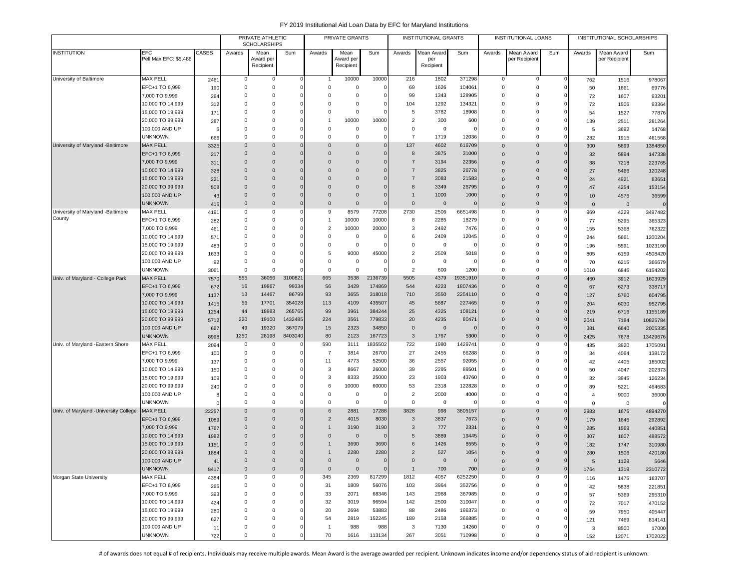|                                       |                                      |              |             | PRIVATE ATHLETIC<br><b>SCHOLARSHIPS</b> |                 |                | PRIVATE GRANTS         |                     |                | <b>INSTITUTIONAL GRANTS</b> |                   |                      | INSTITUTIONAL LOANS         |                            |                | INSTITUTIONAL SCHOLARSHIPS |                     |
|---------------------------------------|--------------------------------------|--------------|-------------|-----------------------------------------|-----------------|----------------|------------------------|---------------------|----------------|-----------------------------|-------------------|----------------------|-----------------------------|----------------------------|----------------|----------------------------|---------------------|
| <b>INSTITUTION</b>                    | EFC                                  | CASES        | Awards      | Mean                                    | Sum             | Awards         | Mean                   | Sum                 | Awards         | Mean Award                  | Sum               | Awards               | Mean Award                  | Sum                        | Awards         | Mean Award                 | Sum                 |
|                                       | Pell Max EFC: \$5,486                |              |             | Award per<br>Recipient                  |                 |                | Award per<br>Recipient |                     |                | per<br>Recipient            |                   |                      | per Recipien                |                            |                | per Recipient              |                     |
|                                       |                                      |              |             |                                         |                 |                |                        |                     |                |                             |                   |                      |                             |                            |                |                            |                     |
| University of Baltimore               | <b>MAX PELL</b>                      | 2461         | 0           | 0                                       | $\Omega$        |                | 10000                  | 10000               | 216            | 1802                        | 371298            | 0                    | 0                           | $^{\circ}$                 | 762            | 1516                       | 978067              |
|                                       | EFC+1 TO 6,999                       | 190          | $\mathbf 0$ | $\Omega$                                | $\Omega$        | $\Omega$       | $\mathbf 0$            | $\mathbf 0$         | 69             | 1626                        | 104061            | 0                    | $\mathsf 0$                 | $\mathbf 0$                | 50             | 1661                       | 69776               |
|                                       | 7,000 TO 9,999                       | 264          | 0           | $\Omega$                                |                 | $\Omega$       | 0                      | $\mathbf 0$         | 99             | 1343                        | 128905            | $\Omega$             | 0                           | $\Omega$                   | 72             | 1607                       | 93201               |
|                                       | 10,000 TO 14,999                     | 312          | 0           | $\Omega$                                |                 | $\Omega$       | $\Omega$               | $\mathbf 0$         | 104            | 1292                        | 134321            | $\Omega$             | 0                           |                            | 72             | 1506                       | 93364               |
|                                       | 15,000 TO 19,999                     | 171          | 0           | $\Omega$                                |                 | $\Omega$       | $^{\circ}$             | $\mathbf 0$         | 5              | 3782                        | 18908             | $\Omega$             | 0                           | $\Omega$                   | 54             | 1527                       | 77876               |
|                                       | 20,000 TO 99,999                     | 287          | $\mathbf 0$ | $\Omega$                                | $\Omega$        |                | 10000                  | 10000               | $\overline{2}$ | 300                         | 600               | $\mathbf 0$          | 0                           | $\Omega$                   | 139            | 2511                       | 281264              |
|                                       | 100,000 AND UP                       | -6           | 0           | $\Omega$                                |                 | $\Omega$       | 0                      | $\mathbf 0$         | 0              | 0                           | O                 | $\mathbf 0$          | 0                           | $\Omega$                   | 5              | 3692                       | 14768               |
|                                       | <b>UNKNOWN</b>                       | 666          | $\Omega$    | $\Omega$                                | $\Omega$        | $\Omega$       | 0                      | $\Omega$            | $\overline{7}$ | 1719                        | 12036             | $\mathbf 0$          | $\Omega$                    | $\Omega$                   | 282            | 1915                       | 461568              |
| University of Maryland -Baltimore     | <b>MAX PELL</b>                      | 3325         | $\mathbf 0$ | $\Omega$                                | $\Omega$        | $\Omega$       | $\mathbf{0}$           | $\mathbf 0$         | 137            | 4602                        | 616709            | $\Omega$             | $\mathbf{0}$                | $\mathbf 0$                | 300            | 5699                       | 1384850             |
|                                       | EFC+1 TO 6,999                       | 217          | $\mathbf 0$ | $\mathbf 0$                             | $\Omega$        | $\Omega$       | $\mathbf{0}$           | $\mathbf 0$         | 8              | 3875                        | 31000             | $\Omega$             | $\mathbf{0}$                | $\Omega$                   | 32             | 5894                       | 147338              |
|                                       | 7,000 TO 9,999                       | 311          | $\mathbf 0$ | $\Omega$                                |                 | $\Omega$       | 0                      | $\mathbf 0$         | $\overline{7}$ | 3194                        | 22356             | $\Omega$             | $\mathbf{0}$                |                            | 38             | 7218                       | 223765              |
|                                       | 10,000 TO 14,999                     | 328          | $\mathbf 0$ | $\Omega$                                | $\Omega$        | $\Omega$       | $\mathbf 0$            | $\mathbf 0$         | $\overline{7}$ | 3825                        | 26778             | $\Omega$             | $\mathbf 0$                 | $\Omega$                   | 27             | 5466                       | 120248              |
|                                       | 15,000 TO 19,999                     | 221          | $\mathbf 0$ | $\Omega$                                | $\Omega$        | $\Omega$       | $\mathbf 0$            | $\mathbf 0$         | $\overline{7}$ | 3083                        | 21583             | $\Omega$             | $\mathbf{0}$                | $\Omega$                   | 24             | 4921                       | 83651               |
|                                       | 20,000 TO 99,999                     | 508          | $\mathbf 0$ | $\Omega$                                | $\Omega$        | $\Omega$       | $\Omega$               | $\mathbf 0$         | 8              | 3349                        | 26795             | $\Omega$             | $\mathbf{0}$                | $\Omega$                   | 47             | 4254                       | 153154              |
|                                       | 100,000 AND UP                       | 43           | $\mathbf 0$ | $\Omega$                                | $\Omega$        | $\Omega$       | $\overline{0}$         | $\mathbf 0$         | $\mathbf{1}$   | 1000                        | 1000              | $\Omega$             | $\mathbf 0$                 | $\Omega$                   | 10             | 4575                       | 36599               |
|                                       | <b>UNKNOWN</b>                       | 415          | $\mathbf 0$ | $\mathbf 0$                             | $\mathbf 0$     | $\Omega$       | $\overline{0}$         | $\mathbf 0$         | $\mathbf 0$    | $\mathbf 0$                 | $\Omega$          | $\Omega$             | $\mathbf{0}$                | $\mathbf 0$                | $\mathsf 0$    | $\mathbf 0$                | $\Omega$            |
| University of Maryland -Baltimore     | <b>MAX PELL</b>                      | 4191         | 0           | $\Omega$                                | O               | 9              | 8579                   | 77208               | 2730           | 2506                        | 6651498           | $\Omega$             | 0                           | 0                          | 969            | 4229                       | 3497482             |
| County                                | EFC+1 TO 6,999                       | 282          | 0           | $^{\circ}$                              |                 | -1             | 10000                  | 10000               | 8              | 2285                        | 18279             | $\Omega$             | 0                           | 0                          | 77             | 5295                       | 365323              |
|                                       | 7,000 TO 9,999                       | 461          | $\mathbf 0$ | $\Omega$                                |                 | $\overline{2}$ | 10000                  | 20000               | 3              | 2492                        | 7476              | $\Omega$             | $\mathbf 0$                 | $\Omega$                   | 155            | 5368                       | 762322              |
|                                       | 10,000 TO 14,999                     | 571          | $\Omega$    | $\Omega$                                |                 | $\Omega$       | $\mathbf 0$            | $\Omega$            | 6              | 2409                        | 12045             | $\Omega$             | $\Omega$                    | $\Omega$                   | 244            | 5661                       | 1200204             |
|                                       | 15,000 TO 19,999                     | 483          | 0           | $\Omega$                                |                 | $\Omega$       | $\mathbf 0$            | $\Omega$            | 0              | $\mathbf 0$                 |                   | $\Omega$             | $\Omega$                    | $\Omega$                   | 196            | 5591                       | 1023160             |
|                                       | 20,000 TO 99,999                     | 1633         | 0           | $\Omega$                                |                 | 5              | 9000                   | 45000               | $\overline{2}$ | 2509                        | 5018              | $\Omega$             | 0                           | $\Omega$                   | 805            | 6159                       | 4508420             |
|                                       | 100,000 AND UP                       | 92           | $\mathbf 0$ | $\mathbf 0$                             |                 | $\Omega$       | 0                      | $\mathbf 0$         | 0              | 0                           |                   | $\Omega$             | 0                           | $\Omega$                   | 70             | 6215                       | 366679              |
|                                       | <b>UNKNOWN</b>                       | 3061         | $^{\circ}$  | $\Omega$                                |                 | $^{\circ}$     | $\mathbf 0$            | $\mathbf 0$         | $\overline{2}$ | 600                         | 1200              | 0                    | $\mathbf 0$                 | 0                          | 1010           | 6846                       | 6154202             |
| Univ. of Maryland - College Park      | <b>MAX PELL</b>                      | 7570         | 555         | 36056                                   | 3100821         | 665            | 3538                   | 2136739             | 5505           | 4379                        | 19351910          | $\Omega$<br>$\Omega$ | $\mathbf{0}$                | $\Omega$                   | 460            | 3912                       | 1603929             |
|                                       | EFC+1 TO 6,999                       | 672          | 16          | 19867                                   | 99334           | 56<br>93       | 3429                   | 174869<br>318018    | 544            | 4223                        | 1807436           | $\Omega$             | $\mathbf 0$<br>$\mathbf{0}$ | $\Omega$<br>$\Omega$       | 67             | 6273                       | 338717              |
|                                       | 7,000 TO 9,999                       | 1137         | 13<br>56    | 14467<br>17701                          | 86799<br>354028 | 113            | 3655<br>4109           | 435507              | 710<br>45      | 3550<br>5687                | 2254110<br>227465 | $\Omega$             | $\mathbf{0}$                | $\mathbf 0$                | 127            | 5760                       | 604795              |
|                                       | 10,000 TO 14,999                     | 1415         | 44          | 18983                                   | 265765          | 99             | 3961                   | 384244              | 25             | 4325                        | 108121            | $\Omega$             | $\mathbf{0}$                |                            | 204            | 6030                       | 952795              |
|                                       | 15,000 TO 19,999<br>20,000 TO 99,999 | 1254<br>5712 | 220         | 19100                                   | 1432485         | 224            | 3561                   | 779833              | 20             | 4235                        | 80471             | $\Omega$             | $\mathbf{0}$                | $\mathbf 0$<br>$\mathbf 0$ | 219            | 6716                       | 1155189             |
|                                       | 100,000 AND UP                       |              | 49          | 19320                                   | 367079          | 15             | 2323                   | 34850               | $\mathbf{0}$   | $\mathbf 0$                 | $\Omega$          | $\Omega$             | $\mathbf{0}$                | $\mathbf 0$                | 2041<br>381    | 7184<br>6640               | 10825784            |
|                                       | <b>UNKNOWN</b>                       | 667<br>8998  | 1250        | 28198                                   | 8403040         | 80             | 2123                   | 167723              | $\mathbf{3}$   | 1767                        | 5300              | $\Omega$             | $\mathbf 0$                 | $\mathbf 0$                | 2425           | 7678                       | 2005335<br>13429676 |
| Univ. of Maryland -Eastern Shore      | <b>MAX PELL</b>                      | 2094         | 0           | 0                                       |                 | 590            | 3111                   | 1835502             | 722            | 1980                        | 1429741           | $\Omega$             | $\mathbf 0$                 | - 0                        | 435            | 3920                       | 1705091             |
|                                       | EFC+1 TO 6,999                       | 100          | $\mathbf 0$ | $^{\circ}$                              |                 | $\overline{7}$ | 3814                   | 26700               | 27             | 2455                        | 66288             | $\Omega$             | 0                           | $\Omega$                   | 34             | 4064                       | 138172              |
|                                       | 7,000 TO 9,999                       | 137          | 0           | $\Omega$                                |                 | 11             | 4773                   | 52500               | 36             | 2557                        | 92055             | $\Omega$             | 0                           |                            | 42             | 4405                       | 185002              |
|                                       | 10,000 TO 14,999                     | 150          | 0           | $^{\circ}$                              |                 | 3              | 8667                   | 26000               | 39             | 2295                        | 89501             | $\Omega$             | $\mathbf 0$                 |                            | 50             | 4047                       | 202373              |
|                                       | 15,000 TO 19,999                     | 109          | 0           | $\Omega$                                |                 | 3              | 8333                   | 25000               | 23             | 1903                        | 43760             | $\Omega$             | $\mathbf 0$                 |                            | 32             | 3945                       | 126234              |
|                                       | 20,000 TO 99,999                     | 240          | $\mathbf 0$ | $\Omega$                                |                 | 6              | 10000                  | 60000               | 53             | 2318                        | 122828            | $\Omega$             | 0                           | $\Omega$                   | 89             | 5221                       | 464683              |
|                                       | 100,000 AND UP                       | f            | $\mathbf 0$ | $\Omega$                                |                 | $\Omega$       | $\circ$                | $\Omega$            | $\overline{2}$ | 2000                        | 4000              | $\Omega$             | $\mathbf 0$                 |                            | $\overline{4}$ | 9000                       | 36000               |
|                                       | <b>UNKNOWN</b>                       |              | $\Omega$    | $\Omega$                                | O               | $\Omega$       | $\mathbf 0$            | $\Omega$            | 0              | $\mathbf 0$                 | 0                 | $\Omega$             | $\mathbf 0$                 | $\Omega$                   | $\mathbf 0$    | $\mathbf 0$                |                     |
| Univ. of Maryland -University College | <b>MAX PELL</b>                      | 22257        | $\mathbf 0$ | $\Omega$                                | $\Omega$        | 6              | 2881                   | 17288               | 3828           | 998                         | 3805157           | $\Omega$             | $\mathbf{0}$                | $\mathbf 0$                | 2983           | 1675                       | 4894270             |
|                                       | EFC+1 TO 6,999                       | 1089         | $\mathbf 0$ | $\mathbf 0$                             | $\Omega$        | $\overline{2}$ | 4015                   | 8030                | 3              | 3837                        | 7673              | $\Omega$             | $\mathbf{0}$                | $\mathbf 0$                | 179            | 1645                       | 292892              |
|                                       | 7,000 TO 9,999                       | 1767         | $\mathbf 0$ | $\mathbf 0$                             | $\Omega$        |                | 3190                   | 3190                | 3              | 777                         | 2331              | $\Omega$             | $\mathbf{0}$                | $\mathbf 0$                | 285            | 1569                       | 440851              |
|                                       | 10,000 TO 14,999                     | 1982         | $\mathbf 0$ | $\Omega$                                |                 | $\Omega$       | $\overline{0}$         | $\Omega$            | 5              | 3889                        | 19445             | 0                    | $\mathbf{0}$                | 0                          | 307            | 1607                       | 488572              |
|                                       | 15,000 TO 19,999                     | 1151         | $\Omega$    | $\Omega$                                |                 |                | 3690                   | 3690                | 6              | 1426                        | 8555              | $\Omega$             | $\Omega$                    |                            | 182            | 1747                       | 310980              |
|                                       | 20,000 TO 99,999                     | 1884         | $\Omega$    | $\Omega$                                |                 |                | 2280                   | 2280                | $\overline{2}$ | 527                         | 1054              | $\Omega$             | $\Omega$                    | 0                          | 280            | 1506                       | 420180              |
|                                       | 100,000 AND UP                       | 41           | $\mathbf 0$ | $\mathbf 0$                             |                 | $\mathbf 0$    | $\mathbf 0$            | $\mathbf 0$         | $\mathbf{0}$   | $\mathbf 0$                 | $\mathbf{0}$      | $\mathbf 0$          | $\mathbf 0$                 | $\mathbf 0$                | 5              | 1129                       | 5646                |
|                                       | <b>UNKNOWN</b>                       | 8417         | $\mathbf 0$ | $\mathbf 0$                             | $\mathbf{0}$    | $\mathbf 0$    | $\mathbf 0$            | $\mathsf{O}\xspace$ | $\mathbf{1}$   | 700                         | 700               | $\mathbf{0}$         | $\mathbf 0$                 | $\mathbf 0$                | 1764           | 1319                       | 2310772             |
| Morgan State University               | MAX PELL                             | 4384         | 0           | 0                                       | 0               | 345            | 2369                   | 817299              | 1812           | 4057                        | 6252250           | 0                    | 0                           | 0                          | 116            | 1475                       | 163707              |
|                                       | EFC+1 TO 6,999                       | 265          | 0           | $^{\circ}$                              |                 | 31             | 1809                   | 56076               | 103            | 3964                        | 352756            | 0                    | 0                           | 0                          | 42             | 5838                       | 221851              |
|                                       | 7,000 TO 9,999                       | 393          | 0           | $^{\circ}$                              |                 | 33             | 2071                   | 68346               | 143            | 2968                        | 367985            | 0                    | 0                           | 0                          | 57             | 5369                       | 295310              |
|                                       | 10,000 TO 14,999                     | 424          | $^{\circ}$  | $\Omega$                                |                 | 32             | 3019                   | 96594               | 142            | 2500                        | 310047            | 0                    | 0                           | $\Omega$                   | 72             | 7017                       | 470152              |
|                                       | 15,000 TO 19,999                     | 280          | $\mathbf 0$ | $^{\circ}$                              |                 | 20             | 2694                   | 53883               | 88             | 2486                        | 196373            | $\mathbf 0$          | 0                           | $\Omega$                   | 59             | 7950                       | 405447              |
|                                       | 20,000 TO 99,999                     | 627          | $\mathbf 0$ | $^{\circ}$                              |                 | 54             | 2819                   | 152245              | 189            | 2158                        | 366885            | 0                    | $\mathbf 0$                 | $\Omega$                   | 121            | 7469                       | 814141              |
|                                       | 100,000 AND UP                       | 11           | $^{\circ}$  | $^{\circ}$                              |                 | $\overline{1}$ | 988                    | 988                 | $\mathbf{3}$   | 7130                        | 14260             | 0                    | 0                           | $\Omega$                   | 3              | 8500                       | 17000               |
|                                       | <b>UNKNOWN</b>                       | 722          | 0           | $\mathbf 0$                             |                 | 70             | 1616                   | 113134              | 267            | 3051                        | 710998            | 0                    | 0                           | $\Omega$                   | 152            | 12071                      | 1702022             |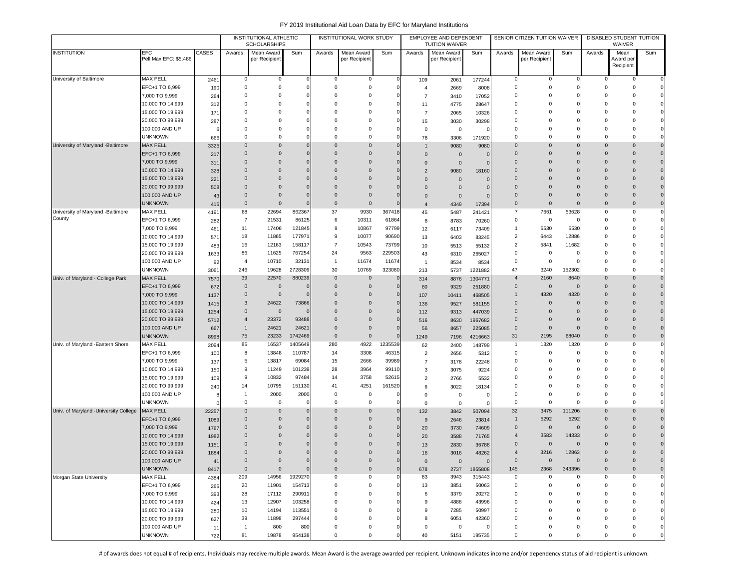|                                       |                                      |             |                  | INSTITUTIONAL ATHLETIC<br><b>SCHOLARSHIPS</b> |                  |                  | INSTITUTIONAL WORK STUDY   |                 |                   | EMPLOYEE AND DEPENDENT<br><b>TUITION WAIVER</b> |                   |                            | SENIOR CITIZEN TUITION WAIVER |                            |                              | DISABLED STUDENT TUITION<br>WAIVER |                                  |
|---------------------------------------|--------------------------------------|-------------|------------------|-----------------------------------------------|------------------|------------------|----------------------------|-----------------|-------------------|-------------------------------------------------|-------------------|----------------------------|-------------------------------|----------------------------|------------------------------|------------------------------------|----------------------------------|
| <b>INSTITUTION</b>                    | EFC                                  | CASES       | Awards           | Mean Award                                    | Sum              | Awards           | Mean Award                 | Sum             | Awards            | Mean Award                                      | Sum               | Awards                     | Mean Award                    | Sum                        | Awards                       | Mean                               | Sum                              |
|                                       | Pell Max EFC: \$5,486                |             |                  | per Recipient                                 |                  |                  | per Recipient              |                 |                   | per Recipient                                   |                   |                            | per Recipient                 |                            |                              | Award per<br>Recipient             |                                  |
|                                       |                                      |             |                  |                                               |                  |                  |                            |                 |                   |                                                 |                   |                            |                               |                            |                              |                                    |                                  |
| University of Baltimore               | <b>MAX PELL</b>                      | 2461        | 0                | $\mathbf 0$                                   | $\Omega$         | 0                | 0                          | $\mathbf 0$     | 109               | 2061                                            | 177244            | 0                          | 0                             | $\Omega$                   | 0                            | 0                                  | $\overline{0}$                   |
|                                       | EFC+1 TO 6,999                       | 190         | 0                | $\mathbf 0$                                   |                  | 0                | $\mathbf 0$                | $\Omega$        | $\overline{4}$    | 2669                                            | 8008              | $^{\circ}$                 | $^{\circ}$                    | 0                          | 0                            | $\mathbf 0$<br>0                   | $\overline{0}$                   |
|                                       | 7,000 TO 9,999                       | 264         | 0                | $\mathbf 0$                                   |                  | 0                | $^{\circ}$                 |                 | $\overline{7}$    | 3410                                            | 17052             | $^{\circ}$                 | $^{\circ}$                    | 0                          | 0                            |                                    |                                  |
|                                       | 10,000 TO 14,999<br>15,000 TO 19,999 | 312         | 0<br>$\Omega$    | $\mathbf 0$<br>$\mathbf 0$                    |                  | 0<br>$\Omega$    | $^{\circ}$<br>$\mathbf 0$  |                 | 11                | 4775                                            | 28647             | $\Omega$<br>$\Omega$       | $^{\circ}$<br>$^{\circ}$      | $\Omega$<br>$\mathbf 0$    | 0<br>$\Omega$                | $\Omega$<br>$\Omega$               | $\Omega$                         |
|                                       | 20,000 TO 99,999                     | 171         | $\Omega$         | $\Omega$                                      |                  | $\Omega$         | $\Omega$                   |                 | $\overline{7}$    | 2065                                            | 10326             | $\Omega$                   | $^{\circ}$                    |                            | $\Omega$                     | O                                  |                                  |
|                                       | 100,000 AND UP                       | 287         | $\Omega$         | $\Omega$                                      |                  | $\Omega$         | $\Omega$                   |                 | 15<br>$\mathbf 0$ | 3030<br>$\mathsf 0$                             | 30298             | $\Omega$                   | $\mathbf 0$                   |                            | $\Omega$                     | O                                  |                                  |
|                                       | <b>UNKNOWN</b>                       | -6<br>666   | $\Omega$         | 0                                             |                  | $\mathbf 0$      | $^{\circ}$                 |                 | 78                | 3306                                            | 171920            | $\Omega$                   | $^{\circ}$                    | $\Omega$                   | $\Omega$                     | $\Omega$                           | $\Omega$                         |
| University of Maryland -Baltimore     | <b>MAX PELL</b>                      | 3325        | $\mathbf 0$      | 0                                             |                  | 0                | $\mathbf 0$                |                 | $\mathbf{1}$      | 9080                                            | 9080              | $\Omega$                   | $\mathbf 0$                   | $\mathbf 0$                | $\mathbf{0}$                 | $\overline{0}$                     | $\overline{0}$                   |
|                                       | EFC+1 TO 6,999                       | 217         | $\mathbf 0$      | $\mathbf{0}$                                  |                  | 0                | $\mathbf 0$                |                 | $\overline{0}$    | $\mathbf{0}$                                    |                   | $\Omega$                   | $\mathbf 0$                   | $\mathbf 0$                | $\mathbf 0$                  | $\overline{0}$                     | $\mathbf 0$                      |
|                                       | 7,000 TO 9,999                       | 311         | $\mathbf 0$      | $\mathbf 0$                                   |                  | $\mathbf 0$      | $\mathbf 0$                |                 | $\overline{0}$    | $\mathbf 0$                                     |                   | $\Omega$                   | $\mathbf 0$                   | $\Omega$                   | $\mathbf{0}$                 | $\overline{0}$                     | $\overline{0}$                   |
|                                       | 10,000 TO 14,999                     | 328         | $\Omega$         | $\mathbf{0}$                                  |                  | $\Omega$         | $\mathbf 0$                |                 | $\overline{2}$    | 9080                                            | 18160             | $\Omega$                   | $\Omega$                      | $\Omega$                   | $\Omega$                     | $\Omega$                           | $\overline{0}$                   |
|                                       | 15,000 TO 19,999                     | 221         | $\Omega$         | $\mathbf{0}$                                  |                  | $\Omega$         | $\mathbf 0$                | C               | $\overline{0}$    | $\mathbf 0$                                     |                   | $\Omega$                   | $\Omega$                      | $\overline{0}$             | $\Omega$                     | $\Omega$                           | $\overline{0}$                   |
|                                       | 20,000 TO 99,999                     | 508         | $\mathbf 0$      | $\mathbf{0}$                                  |                  | $\Omega$         | $\mathbf 0$                |                 | $\overline{0}$    | $\mathbf 0$                                     |                   | $\Omega$                   | $\mathbf 0$                   | $\overline{0}$             | $\mathbf{0}$                 | $\Omega$                           | $\overline{0}$                   |
|                                       | 100,000 AND UP                       | 43          | $\mathbf 0$      | $\mathbf{0}$                                  |                  | $\mathbf 0$      | $\mathbf 0$                |                 | $\overline{0}$    | $\mathbf 0$                                     |                   | $\Omega$                   | $\overline{0}$                | $\overline{0}$             | $\mathbf{0}$                 | $\overline{0}$                     | $\overline{0}$                   |
|                                       | <b>UNKNOWN</b>                       | 415         | $\mathbf 0$      | $\mathbf{0}$                                  |                  | $\mathbf 0$      | $\mathbf 0$                |                 | $\overline{4}$    | 4349                                            | 17394             | $\mathbf 0$                | $\mathbf 0$                   | $\overline{0}$             | $\mathbf{0}$                 | $\overline{0}$                     | $\overline{0}$                   |
| University of Maryland -Baltimore     | <b>MAX PELL</b>                      | 4191        | 68               | 22694                                         | 862367           | 37               | 9930                       | 367418          | 45                | 5487                                            | 241421            | 7                          | 7661                          | 53628                      | 0                            | $\mathbf 0$                        | $\overline{0}$                   |
| County                                | EFC+1 TO 6,999                       | 282         | $\overline{7}$   | 21531                                         | 86125            | 6                | 10311                      | 61864           | 8                 | 8783                                            | 70260             | 0                          | $\mathbf 0$                   | $\Omega$                   | $\Omega$                     | $\Omega$                           | $\mathbf{0}$                     |
|                                       | 7,000 TO 9,999                       | 461         | 11               | 17406                                         | 121845           | 9                | 10867                      | 97799           | 12                | 6117                                            | 73409             | $\overline{1}$             | 5530                          | 5530                       | $\Omega$                     | $\Omega$                           | $\mathbf{0}$                     |
|                                       | 10,000 TO 14,999                     | 571         | 18               | 11865                                         | 177971           | 9                | 10077                      | 90690           | 13                | 6403                                            | 83245             | $\overline{2}$             | 6443                          | 12886                      | $\Omega$                     | 0                                  |                                  |
|                                       | 15,000 TO 19,999                     | 483         | 16               | 12163                                         | 158117           | $\overline{7}$   | 10543                      | 73799           | 10                | 5513                                            | 55132             | $\overline{2}$             | 5841                          | 11682                      | $\Omega$                     | 0                                  |                                  |
|                                       | 20,000 TO 99,999                     | 1633        | 86               | 11625                                         | 767254           | 24               | 9563                       | 229503          | 43                | 6310                                            | 265027            | $\mathbf 0$                | 0                             | $\Omega$                   | 0                            | 0                                  |                                  |
|                                       | 100,000 AND UP                       | 92          | 4                | 10710                                         | 32131            | $\overline{1}$   | 11674                      | 11674           | $\overline{1}$    | 8534                                            | 8534              | $\Omega$                   | $\mathbf 0$                   | $\Omega$                   | $\Omega$                     | $\Omega$                           | $\mathbf{0}$                     |
|                                       | <b>UNKNOWN</b>                       | 3061        | 246              | 19628                                         | 2728309          | 30               | 10769                      | 323080          | 213               | 5737                                            | 1221882           | 47                         | 3240                          | 152302                     | 0                            | $\mathbf 0$                        | $\mathbf{0}$                     |
| Univ. of Maryland - College Park      | <b>MAX PELL</b>                      | 7570        | 39               | 22570                                         | 880239           | $\mathbf 0$      | $\mathbf 0$                | $\overline{0}$  | 314               | 8876                                            | 1304771           | $\overline{4}$             | 2160                          | 8640                       | $\mathbf 0$                  | 0                                  | $\overline{0}$                   |
|                                       | EFC+1 TO 6,999                       | 672         | $\mathbf 0$      | $\overline{0}$                                |                  | $\mathbf{0}$     | $\mathbf 0$                | O               | 60                | 9329                                            | 251880            | $\mathbf 0$                | $\mathbf 0$                   | $\Omega$                   | $\mathbf{0}$                 | $\overline{0}$                     | $\overline{0}$                   |
|                                       | 7,000 TO 9,999                       | 1137        | $\mathbf 0$      | $\mathbf 0$                                   |                  | $\Omega$         | $\mathbf 0$                | $\Omega$        | 107               | 10411                                           | 468505            | $\overline{1}$             | 4320                          | 4320                       | $\mathbf{0}$                 | $\overline{0}$                     | $\overline{0}$                   |
|                                       | 10,000 TO 14,999                     | 1415        | 3                | 24622                                         | 73866            | 0                | $\mathbf 0$                | O               | 136               | 9527                                            | 581155            | $\mathbf 0$                | $\mathbf 0$                   | $\overline{0}$             | $\mathbf{0}$                 | 0                                  | $\overline{0}$                   |
|                                       | 15,000 TO 19,999<br>20,000 TO 99,999 | 1254        | $\mathbf 0$<br>4 | $\mathbf 0$<br>23372                          | 93488            | 0<br>$\Omega$    | $\mathbf 0$<br>$\mathbf 0$ | 0<br>$\epsilon$ | 112               | 9313                                            | 447039            | $\mathbf 0$<br>$\mathbf 0$ | $\mathbf 0$<br>$\mathbf 0$    | $\overline{0}$<br>$\Omega$ | $\mathbf{0}$<br>$\mathbf{0}$ | $\overline{0}$<br>$\Omega$         | $\overline{0}$<br>$\overline{0}$ |
|                                       | 100,000 AND UP                       | 5712        | $\mathbf{1}$     | 24621                                         | 24621            | $\Omega$         | $\mathbf 0$                |                 | 516               | 8630                                            | 1967682           | $\mathbf 0$                | $\mathbf 0$                   | $\Omega$                   | $\Omega$                     | $\Omega$                           | $\overline{0}$                   |
|                                       | <b>UNKNOWN</b>                       | 667<br>8998 | 75               | 23233                                         | 1742469          | $\mathbf{0}$     | $\mathbf 0$                | $\Omega$        | 56<br>1249        | 8657<br>7196                                    | 225085<br>4216663 | 31                         | 2195                          | 68040                      | $\mathbf{0}$                 | $\overline{0}$                     | $\overline{0}$                   |
| Univ. of Maryland -Eastern Shore      | <b>MAX PELL</b>                      | 2094        | 85               | 16537                                         | 1405649          | 280              | 4922                       | 1235539         | 62                | 2400                                            | 148799            | $\mathbf{1}$               | 1320                          | 1320                       | 0                            | 0                                  | $\mathbf 0$                      |
|                                       | EFC+1 TO 6,999                       | 100         | 8                | 13848                                         | 110787           | 14               | 3308                       | 46315           | $\overline{2}$    | 2656                                            | 5312              | $^{\circ}$                 | 0                             |                            | 0                            | 0                                  | $\circ$                          |
|                                       | 7,000 TO 9,999                       | 137         | 5                | 13817                                         | 69084            | 15               | 2666                       | 39989           | $\overline{7}$    | 3178                                            | 22248             | $^{\circ}$                 | 0                             | $\Omega$                   | 0                            | 0                                  | $\mathbf 0$                      |
|                                       | 10,000 TO 14,999                     | 150         | 9                | 11249                                         | 101239           | 28               | 3964                       | 99110           | 3                 | 3075                                            | 9224              | $\Omega$                   | $^{\circ}$                    | $\Omega$                   | $\Omega$                     | $\Omega$                           | $\Omega$                         |
|                                       | 15,000 TO 19,999                     | 109         | 9                | 10832                                         | 97484            | 14               | 3758                       | 52615           | $\overline{2}$    | 2766                                            | 5532              | $\Omega$                   | $\mathbf 0$                   | $\Omega$                   | $\Omega$                     | 0                                  | $\mathbf{0}$                     |
|                                       | 20,000 TO 99,999                     | 240         | 14               | 10795                                         | 151130           | 41               | 4251                       | 161520          | 6                 | 3022                                            | 18134             | $\Omega$                   | $\mathbf 0$                   | $\Omega$                   | $\Omega$                     | 0                                  | $\mathbf{0}$                     |
|                                       | 100,000 AND UP                       |             | $\mathbf{1}$     | 2000                                          | 2000             | $\mathbf 0$      | 0                          | C               | $\mathbf 0$       | $\mathsf 0$                                     | O                 | $\Omega$                   | $^{\circ}$                    | $\Omega$                   | $\Omega$                     | $\Omega$                           | $\circ$                          |
|                                       | <b>UNKNOWN</b>                       |             | 0                | $\mathbf 0$                                   |                  | $\mathbf 0$      | 0                          |                 | $\mathbf 0$       | $\mathsf 0$                                     |                   | $\Omega$                   | 0                             | $\Omega$                   | $\Omega$                     | $\Omega$                           | $\mathbf{0}$                     |
| Univ. of Maryland -University College | <b>MAX PELL</b>                      | 22257       | $\mathbf 0$      | $\mathbf 0$                                   |                  | $\mathbf 0$      | $\mathbf 0$                | O               | 132               | 3842                                            | 507094            | 32                         | 3475                          | 111206                     | $\mathbf{0}$                 | 0                                  | $\overline{0}$                   |
|                                       | EFC+1 TO 6,999                       | 1089        | $\mathbf 0$      | $\mathbf{0}$                                  |                  | $\Omega$         | $\mathbf 0$                |                 | 9                 | 2646                                            | 23814             | $\mathbf{1}$               | 5292                          | 5292                       | $\mathbf 0$                  | $\overline{0}$                     | $\overline{0}$                   |
|                                       | 7,000 TO 9,999                       | 1767        | $\mathbf 0$      | $\mathbf{0}$                                  |                  | $\Omega$         | $\overline{0}$             |                 | 20                | 3730                                            | 74609             | $\mathbf 0$                | $\mathbf 0$                   | $\Omega$                   | $\mathbf{0}$                 | $\Omega$                           | $\overline{0}$                   |
|                                       | 10,000 TO 14,999                     | 1982        | $\Omega$         | $\mathbf{0}$                                  |                  | $\Omega$         | $\Omega$                   |                 | 20                | 3588                                            | 71765             | $\overline{4}$             | 3583                          | 14333                      | $\Omega$                     | $\Omega$                           | $\mathbf 0$                      |
|                                       | 15,000 TO 19,999                     | 1151        | $\Omega$         | $\mathbf{0}$                                  |                  | $\Omega$         | 0                          |                 | 13                | 2830                                            | 36788             | $\Omega$                   | $\mathbf 0$                   |                            | $\mathbf{0}$                 |                                    | $\mathbf 0$                      |
|                                       | 20,000 TO 99,999                     | 1884        | $\Omega$         | $\Omega$                                      |                  | $\Omega$         | $\Omega$                   |                 | 16                | 3016                                            | 48262             | $\overline{4}$             | 3216                          | 12863                      | $\Omega$                     | $\Omega$                           |                                  |
|                                       | 100,000 AND UP                       | 41          | $\mathbf 0$      | 0                                             |                  | $\mathbf 0$      | $\mathbf 0$                |                 | $\overline{0}$    | $\mathbf 0$                                     | $\Omega$          | $\mathbf 0$                | $\mathbf 0$                   | $\Omega$                   | $\mathbf 0$                  | $\mathbf 0$                        | $\mathbf 0$                      |
|                                       | <b>UNKNOWN</b>                       | 8417        | $\mathbf 0$      | $\mathbf 0$                                   | $\Omega$         | $\mathbf 0$      | $\mathbf 0$                | $\overline{0}$  | 678               | 2737                                            | 1855808           | 145                        | 2368                          | 343396                     | $\mathbf 0$                  | $\mathsf{O}\xspace$                | $\mathbf 0$                      |
| Morgan State University               | <b>MAX PELL</b>                      | 4384        | 209              | 14956                                         | 1929270          | 0                | 0                          | $\Omega$        | 83                | 3943                                            | 315443            | 0                          | $\mathbf 0$                   | $\Omega$<br>$\Omega$       | $\mathbf 0$                  | $\bf 0$                            | $\mathbf{0}$<br>$\mathbf{0}$     |
|                                       | EFC+1 TO 6,999                       | 265         | 20               | 11901<br>17112                                | 154713           | 0                | 0                          |                 | 13                | 3851                                            | 50063             | $\mathbf 0$                | 0                             | $\Omega$                   | 0<br>$\Omega$                | 0                                  |                                  |
|                                       | 7,000 TO 9,999<br>10,000 TO 14,999   | 393         | 28<br>13         | 12907                                         | 290911<br>103258 | $\mathbf 0$<br>0 | 0<br>$^{\circ}$            |                 | 6<br>9            | 3379<br>4888                                    | 20272<br>43996    | 0<br>$^{\circ}$            | 0<br>$^{\circ}$               | $\overline{0}$             | $\Omega$                     | $^{\circ}$<br>$\mathbf 0$          | $\mathbf{0}$<br>$\mathbf{0}$     |
|                                       | 15,000 TO 19,999                     | 424<br>280  | 10               | 14194                                         | 113551           | 0                | $\mathsf 0$                |                 | 9                 | 7285                                            | 50997             | $^{\circ}$                 | 0                             | 0                          | 0                            | $^{\circ}$                         | $\Omega$                         |
|                                       | 20,000 TO 99,999                     | 627         | 39               | 11898                                         | 297444           | 0                | 0                          |                 | 8                 | 6051                                            | 42360             | $^{\circ}$                 | 0                             | $\overline{0}$             | $\Omega$                     | $^{\circ}$                         | $\Omega$                         |
|                                       | 100,000 AND UP                       | 11          | $\overline{1}$   | 800                                           | 800              | 0                | $\mathsf 0$                |                 | $\mathbf 0$       | $\mathbf 0$                                     |                   | 0                          | 0                             | $\mathbf 0$                | 0                            | 0                                  | $\Omega$                         |
|                                       | <b>UNKNOWN</b>                       | 722         | 81               | 19878                                         | 954138           | 0                | $\mathbf 0$                |                 | 40                | 5151                                            | 195735            | 0                          | 0                             | $\Omega$                   | $\Omega$                     | 0                                  | 0                                |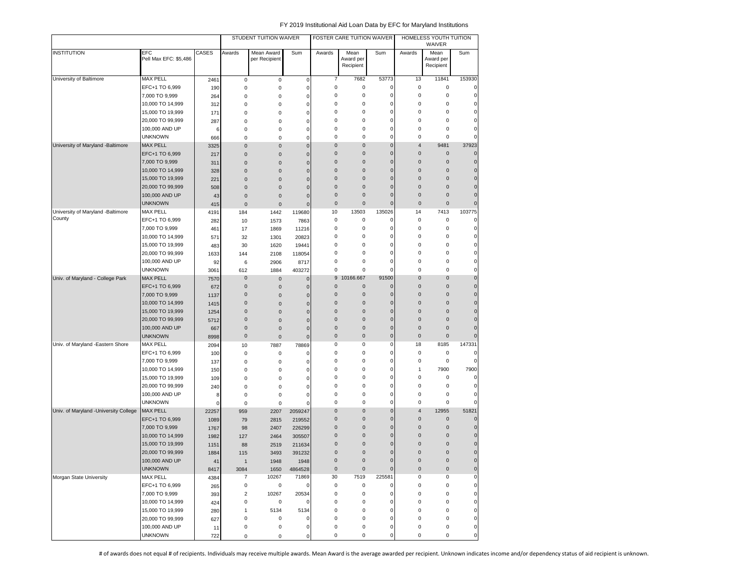|                                       |                              |             |                         | STUDENT TUITION WAIVER      |                |             | FOSTER CARE TUITION WAIVER     |                     |             | HOMELESS YOUTH TUITION<br>WAIVER |             |
|---------------------------------------|------------------------------|-------------|-------------------------|-----------------------------|----------------|-------------|--------------------------------|---------------------|-------------|----------------------------------|-------------|
| <b>INSTITUTION</b>                    | EFC<br>Pell Max EFC: \$5,486 | CASES       | Awards                  | Mean Award<br>per Recipient | Sum            | Awards      | Mean<br>Award per<br>Recipient | Sum                 | Awards      | Mean<br>Award per<br>Recipient   | Sum         |
| University of Baltimore               | <b>MAX PELL</b>              | 2461        | $\pmb{0}$               | $\pmb{0}$                   | $\mathbf 0$    | 7           | 7682                           | 53773               | 13          | 11841                            | 153930      |
|                                       | EFC+1 TO 6,999               | 190         | 0                       | $\pmb{0}$                   | 0              | $\mathsf 0$ | 0                              | 0                   | $\bf 0$     | 0                                | $\pmb{0}$   |
|                                       | 7,000 TO 9,999               | 264         | 0                       | 0                           | 0              | $\mathsf 0$ | 0                              | 0                   | $\bf 0$     | $\mathbf 0$                      | $\pmb{0}$   |
|                                       | 10,000 TO 14,999             | 312         | 0                       | 0                           | 0              | $\mathsf 0$ | 0                              | $\mathbf 0$         | $\bf 0$     | $\mathbf 0$                      | $\mathbf 0$ |
|                                       | 15,000 TO 19,999             | 171         | 0                       | 0                           | $\mathbf 0$    | 0           | 0                              | 0                   | 0           | 0                                | $\pmb{0}$   |
|                                       | 20,000 TO 99,999             | 287         | 0                       | 0                           | 0              | 0           | 0                              | 0                   | 0           | 0                                | $\mathbf 0$ |
|                                       | 100,000 AND UP               | 6           | 0                       | 0                           | $\pmb{0}$      | 0           | 0                              | 0                   | 0           | 0                                | $\mathbf 0$ |
|                                       | <b>UNKNOWN</b>               | 666         | 0                       | 0                           | 0              | 0           | 0                              | $\mathbf 0$         | 0           | 0                                | $\mathbf 0$ |
| University of Maryland -Baltimore     | <b>MAX PELL</b>              | 3325        | $\mathbf 0$             | $\pmb{0}$                   | $\overline{0}$ | $\pmb{0}$   | $\pmb{0}$                      | $\mathbf 0$         | 4           | 9481                             | 37923       |
|                                       | EFC+1 TO 6,999               | 217         | $\pmb{0}$               | 0                           | $\mathbf 0$    | $\pmb{0}$   | $\pmb{0}$                      | $\mathbf 0$         | $\pmb{0}$   | $\pmb{0}$                        | $\mathbf 0$ |
|                                       | 7,000 TO 9,999               | 311         | $\pmb{0}$               | $\pmb{0}$                   | $\mathbf{0}$   | $\mathbf 0$ | $\pmb{0}$                      | $\mathbf 0$         | $\mathbf 0$ | $\bf 0$                          | $\pmb{0}$   |
|                                       | 10,000 TO 14,999             | 328         | $\pmb{0}$               | $\pmb{0}$                   | $\mathbf 0$    | $\mathbf 0$ | $\pmb{0}$                      | $\mathbf 0$         | 0           | $\pmb{0}$                        | $\mathbf 0$ |
|                                       | 15,000 TO 19,999             | 221         | $\bf 0$                 | $\pmb{0}$                   | $\mathbf 0$    | 0           | $\pmb{0}$                      | $\mathbf 0$         | 0           | $\pmb{0}$                        | $\mathbf 0$ |
|                                       | 20,000 TO 99,999             | 508         | $\mathbf{0}$            | $\mathbf 0$                 | $\mathbf 0$    | 0           | $\pmb{0}$                      | $\mathbf 0$         | 0           | $\bf 0$                          | $\pmb{0}$   |
|                                       | 100,000 AND UP               | 43          | $\pmb{0}$               | $\pmb{0}$                   | $\mathbf 0$    | 0           | $\pmb{0}$                      | $\mathbf 0$         | $\mathbf 0$ | $\mathbf 0$                      | $\mathbf 0$ |
|                                       | <b>UNKNOWN</b>               | 415         | $\mathbf 0$             | $\pmb{0}$                   | $\mathbf 0$    | $\pmb{0}$   | $\bf 0$                        | $\mathbf 0$         | $\mathbf 0$ | $\mathbf 0$                      | $\mathbf 0$ |
| University of Maryland -Baltimore     | <b>MAX PELL</b>              | 4191        | 184                     | 1442                        | 119680         | 10          | 13503                          | 135026              | 14          | 7413                             | 103775      |
| County                                | EFC+1 TO 6,999               |             |                         |                             | 7863           | $\mathsf 0$ | 0                              | 0                   | $\bf 0$     | $\mathbf 0$                      | $\pmb{0}$   |
|                                       | 7,000 TO 9,999               | 282<br>461  | 10                      | 1573<br>1869                | 11216          | 0           | $\mathbf 0$                    | $\mathbf 0$         | $\bf 0$     | 0                                | $\pmb{0}$   |
|                                       |                              |             | 17                      |                             |                | 0           | 0                              | 0                   | 0           | 0                                | $\pmb{0}$   |
|                                       | 10,000 TO 14,999             | 571         | 32                      | 1301                        | 20823          | 0           |                                | 0                   | 0           | 0                                | $\pmb{0}$   |
|                                       | 15,000 TO 19,999             | 483         | 30                      | 1620                        | 19441          |             | 0                              |                     |             |                                  |             |
|                                       | 20,000 TO 99,999             | 1633        | 144                     | 2108                        | 118054         | 0           | 0                              | 0                   | $\bf 0$     | 0                                | $\pmb{0}$   |
|                                       | 100,000 AND UP               | 92          | 6                       | 2906                        | 8717           | 0           | 0                              | 0                   | 0           | 0                                | $\pmb{0}$   |
|                                       | <b>UNKNOWN</b>               | 3061        | 612                     | 1884                        | 403272         | 0           | 0                              | $\mathbf 0$         | $\mathbf 0$ | 0                                | $\mathbf 0$ |
| Univ. of Maryland - College Park      | <b>MAX PELL</b>              | 7570        | $\mathbf 0$             | $\pmb{0}$                   | 0              | 9           | 10166.667                      | 91500               | 0           | $\bf 0$                          | $\mathbf 0$ |
|                                       | EFC+1 TO 6,999               | 672         | $\pmb{0}$               | $\pmb{0}$                   | 0              | $\mathbf 0$ | 0                              | $\mathbf 0$         | $\mathbf 0$ | $\bf 0$                          | $\pmb{0}$   |
|                                       | 7,000 TO 9,999               | 1137        | 0                       | $\pmb{0}$                   | $\mathbf 0$    | $\mathbf 0$ | 0                              | $\mathbf 0$         | 0           | $\pmb{0}$                        | $\pmb{0}$   |
|                                       | 10,000 TO 14,999             | 1415        | $\mathbf 0$             | 0                           | $\mathbf 0$    | $\pmb{0}$   | $\pmb{0}$                      | $\mathbf 0$         | $\mathbf 0$ | $\bf 0$                          | $\pmb{0}$   |
|                                       | 15,000 TO 19,999             | 1254        | 0                       | 0                           | $\mathbf 0$    | $\pmb{0}$   | $\pmb{0}$                      | $\mathbf 0$         | 0           | $\bf 0$                          | $\pmb{0}$   |
|                                       | 20,000 TO 99,999             | 5712        | $\mathbf 0$             | 0                           | $\mathbf 0$    | 0           | $\mathbf{0}$                   | $\mathbf 0$         | 0           | $\mathbf 0$                      | $\pmb{0}$   |
|                                       | 100,000 AND UP               | 667         | $\mathbf 0$             | 0                           | $\mathbf 0$    | 0           | $\pmb{0}$                      | $\mathbf 0$         | 0           | 0                                | $\mathbf 0$ |
|                                       | <b>UNKNOWN</b>               | 8998        | 0                       | $\pmb{0}$                   | $\mathbf 0$    | $\mathbf 0$ | 0                              | $\mathbf 0$         | $\pmb{0}$   | $\mathbf{0}$                     | $\mathbf 0$ |
| Univ. of Maryland - Eastern Shore     | <b>MAX PELL</b>              | 2094        | 10                      | 7887                        | 78869          | $\mathsf 0$ | 0                              | $\mathbf 0$         | 18          | 8185                             | 147331      |
|                                       | EFC+1 TO 6,999               | 100         | 0                       | 0                           | 0              | 0           | 0                              | 0                   | $\pmb{0}$   | $\pmb{0}$                        | $\mathbf 0$ |
|                                       | 7,000 TO 9,999               | 137         | 0                       | 0                           | 0              | $\mathsf 0$ | 0                              | 0                   | $\pmb{0}$   | $\bf 0$                          | $\pmb{0}$   |
|                                       | 10,000 TO 14,999             | 150         | 0                       | 0                           | 0              | 0           | 0                              | 0                   | 1           | 7900                             | 7900        |
|                                       | 15,000 TO 19,999             | 109         | 0                       | 0                           | $\mathbf 0$    | 0           | 0                              | 0                   | 0           | 0                                | $\mathbf 0$ |
|                                       | 20,000 TO 99,999             | 240         | 0                       | 0                           | $\pmb{0}$      | 0           | 0                              | 0                   | 0           | 0                                | $\mathbf 0$ |
|                                       | 100,000 AND UP               | 8           | 0                       | 0                           | 0              | 0           | 0                              | $\mathbf 0$         | 0           | 0                                | $\pmb{0}$   |
|                                       | <b>UNKNOWN</b>               | $\mathbf 0$ | 0                       | $\mathbf 0$                 | 0              | 0           | 0                              | $\mathbf 0$         | 0           | $\mathsf 0$                      | $\pmb{0}$   |
| Univ. of Maryland -University College | <b>MAX PELL</b>              | 22257       | 959                     | 2207                        | 2059247        | $\pmb{0}$   | $\pmb{0}$                      | $\mathbf 0$         | 4           | 12955                            | 51821       |
|                                       | EFC+1 TO 6,999               | 1089        | 79                      | 2815                        | 219552         | 0           | $\mathbf{0}$                   | $\mathbf 0$         | 0           | $\bf 0$                          | $\mathbf 0$ |
|                                       | 7,000 TO 9,999               | 1767        | 98                      | 2407                        | 226299         | $\mathbf 0$ | $\pmb{0}$                      | $\mathbf 0$         | 0           | $\pmb{0}$                        | $\mathbf 0$ |
|                                       | 10,000 TO 14,999             | 1982        | 127                     | 2464                        | 305507         | 0           | $\pmb{0}$                      | $\mathbf 0$         | 0           | $\mathbf 0$                      | $\mathbf 0$ |
|                                       | 15,000 TO 19,999             | 1151        | 88                      | 2519                        | 211634         | 0           | $\pmb{0}$                      | $\mathbf 0$         | 0           | $\mathbf{0}$                     | $\mathbf 0$ |
|                                       | 20,000 TO 99,999             | 1884        | 115                     | 3493                        | 391232         | 0           | $\pmb{0}$                      | $\pmb{0}$           | 0           | $\mathbf 0$                      | $\mathbf 0$ |
|                                       | 100,000 AND UP               | 41          | $\mathbf{1}$            | 1948                        | 1948           | $\pmb{0}$   | $\pmb{0}$                      | $\pmb{0}$           | $\pmb{0}$   | $\pmb{0}$                        | $\pmb{0}$   |
|                                       | <b>UNKNOWN</b>               | 8417        | 3084                    | 1650                        | 4864528        | $\pmb{0}$   | $\pmb{0}$                      | $\mathbf 0$         | $\pmb{0}$   | $\mathsf 0$                      | $\mathbf 0$ |
| Morgan State University               | MAX PELL                     | 4384        | 7                       | 10267                       | 71869          | 30          | 7519                           | 225581              | $\pmb{0}$   | 0                                | $\pmb{0}$   |
|                                       | EFC+1 TO 6,999               | 265         | 0                       | $\mathsf 0$                 | 0              | 0           | 0                              | 0                   | $\pmb{0}$   | 0                                | $\mathsf 0$ |
|                                       | 7,000 TO 9,999               | 393         | $\overline{\mathbf{c}}$ | 10267                       | 20534          | $\pmb{0}$   | 0                              | 0                   | $\pmb{0}$   | 0                                | $\pmb{0}$   |
|                                       | 10,000 TO 14,999             | 424         | 0                       | 0                           | 0              | $\mathsf 0$ | 0                              | 0                   | $\pmb{0}$   | 0                                | $\pmb{0}$   |
|                                       | 15,000 TO 19,999             | 280         | 1                       | 5134                        | 5134           | $\mathsf 0$ | 0                              | 0                   | $\pmb{0}$   | 0                                | $\pmb{0}$   |
|                                       | 20,000 TO 99,999             | 627         | 0                       | 0                           | 0              | 0           | 0                              | 0                   | 0           | 0                                | $\pmb{0}$   |
|                                       | 100,000 AND UP               | 11          | 0                       | 0                           | $\mathbf 0$    | 0           | 0                              | $\mathsf{O}\xspace$ | 0           | 0                                | $\pmb{0}$   |
|                                       | <b>UNKNOWN</b>               |             |                         |                             |                | 0           | 0                              | 0                   | 0           | 0                                | $\pmb{0}$   |
|                                       |                              | 722         | 0                       | 0                           | 0              |             |                                |                     |             |                                  |             |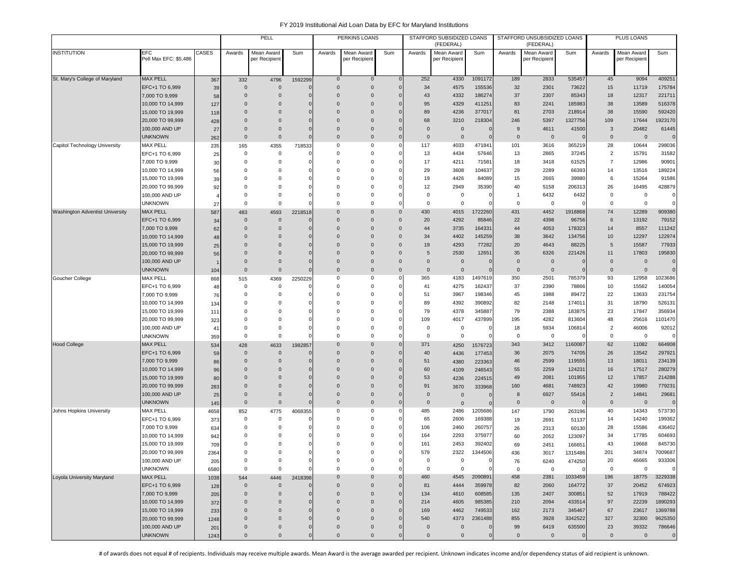|                                 |                                      |             |                      | PELL                        |               |                      | <b>PERKINS LOANS</b>         |                            |                         | STAFFORD SUBSIDIZED LOANS<br>(FEDERAL) |                   |                   | STAFFORD UNSUBSIDIZED LOANS<br>(FEDERAL) |                   |                     | PLUS LOANS                 |                   |
|---------------------------------|--------------------------------------|-------------|----------------------|-----------------------------|---------------|----------------------|------------------------------|----------------------------|-------------------------|----------------------------------------|-------------------|-------------------|------------------------------------------|-------------------|---------------------|----------------------------|-------------------|
| <b>INSTITUTION</b>              | EFC<br>Pell Max EFC: \$5,486         | CASES       | Awards               | Mean Award<br>per Recipient | Sum           | Awards               | Mean Award<br>per Recipient  | Sum                        | Awards                  | Mean Award<br>per Recipien             | Sum               | Awards            | Mean Award<br>per Recipient              | Sum               | Awards              | Mean Award<br>per Recipien | Sum               |
|                                 |                                      |             |                      |                             |               |                      |                              |                            |                         |                                        |                   |                   |                                          |                   |                     |                            |                   |
| St. Mary's College of Maryland  | <b>MAX PELL</b>                      | 367         | 332                  | 4796                        | 1592299       | $\mathbf 0$          | $\mathbf 0$                  |                            | 252                     | 4330                                   | 1091172           | 189               | 2833                                     | 535457            | 45                  | 9094                       | 409251            |
|                                 | EFC+1 TO 6,999                       | 39          | $\mathbf{0}$         | $\mathbf{0}$                |               | $\mathbf{0}$         | $\pmb{0}$                    | $\sqrt{ }$                 | 34                      | 4575                                   | 155536            | 32                | 2301                                     | 73622             | 15                  | 11719                      | 175784            |
|                                 | 7,000 TO 9,999                       | 58          | $\Omega$             | $\mathbf 0$                 | O             | $\Omega$             | $\pmb{0}$                    | -C                         | 43                      | 4332                                   | 186274            | 37                | 2307                                     | 85343             | 18                  | 12317                      | 221711            |
|                                 | 10,000 TO 14,999                     | 127         | $\Omega$<br>$\Omega$ | $\mathbf 0$<br>$\mathbf 0$  | O<br>$\Omega$ | $\Omega$<br>$\Omega$ | $\mathbf{0}$<br>$\mathbf{0}$ | O<br>C                     | 95<br>89                | 4329<br>4236                           | 411251<br>377017  | 83<br>81          | 2241<br>2703                             | 185983            | 38<br>38            | 13589<br>15590             | 516378<br>592420  |
|                                 | 15,000 TO 19,999<br>20,000 TO 99,999 | 118         | $\mathbf{0}$         | $\mathbf 0$                 | $\mathbf 0$   | $\Omega$             | $\mathbf{0}$                 | C                          | 68                      | 3210                                   | 218304            | 246               | 5397                                     | 218914<br>1327756 | 109                 | 17644                      | 1923170           |
|                                 | 100,000 AND UP                       | 428<br>27   | $\mathbf{0}$         | $\mathbf 0$                 | $\mathbf 0$   | $\mathbf 0$          | $\mathbf{0}$                 |                            | $\mathbf{0}$            | $\overline{0}$                         | C                 | 9                 | 4611                                     | 41500             | 3                   | 20482                      | 61445             |
|                                 | <b>UNKNOWN</b>                       | 262         | $\mathbf{0}$         | $\mathbf 0$                 | $\mathbf 0$   | $\Omega$             | $\bf 0$                      | C                          | $\mathbf{0}$            | $\overline{0}$                         | $\mathbf 0$       | $\Omega$          | $\overline{0}$                           |                   | 0                   | $\mathbf 0$                | $\mathbf{0}$      |
| Capitol Technology University   | <b>MAX PELL</b>                      | 235         | 165                  | 4355                        | 718533        | 0                    | $\mathbf 0$                  | x                          | 117                     | 4033                                   | 471841            | 101               | 3616                                     | 365219            | 28                  | 10644                      | 298036            |
|                                 | EFC+1 TO 6,999                       | 25          | $\mathbf 0$          | $\mathbf 0$                 |               | $\Omega$             | 0                            | $\mathsf{C}$               | 13                      | 4434                                   | 57646             | 13                | 2865                                     | 37245             | $\overline{2}$      | 15791                      | 31582             |
|                                 | 7,000 TO 9,999                       | 30          | $^{\circ}$           | $\mathbf 0$                 | 0             | $\Omega$             | 0                            | C                          | 17                      | 4211                                   | 71581             | 18                | 3418                                     | 61525             | $\overline{7}$      | 12986                      | 90901             |
|                                 | 10,000 TO 14,999                     | 56          | $\Omega$             | 0                           |               | $\Omega$             | 0                            | C                          | 29                      | 3608                                   | 104637            | 29                | 2289                                     | 66393             | 14                  | 13516                      | 189224            |
|                                 | 15,000 TO 19,999                     | 39          | $\Omega$             | 0                           | C             | 0                    | 0                            |                            | 19                      | 4426                                   | 84089             | 15                | 2665                                     | 39980             | 6                   | 15264                      | 91586             |
|                                 | 20,000 TO 99,999                     | 92          | $\Omega$             | $\Omega$                    | $\Omega$      | $\Omega$             | 0                            | $\mathsf{C}$               | 12                      | 2949                                   | 35390             | 40                | 5158                                     | 206313            | 26                  | 16495                      | 428879            |
|                                 | 100,000 AND UP                       |             | $\Omega$             | 0                           | 0             | $\Omega$             | 0                            | C                          | $\mathbf 0$             | $\mathbf 0$                            | 0                 | $\overline{1}$    | 6432                                     | 6432              | 0                   | $\mathsf 0$                | $\mathbf 0$       |
|                                 | <b>UNKNOWN</b>                       | 27          | $\Omega$             | $\Omega$                    | $\Omega$      | $\Omega$             | 0                            | $\mathsf{C}$               | $\Omega$                | $\mathbf 0$                            | $\mathbf{C}$      | $\Omega$          | $\mathbf 0$                              |                   | $\Omega$            | $\mathbf 0$                | $\mathbf 0$       |
| Washington Adventist University | <b>MAX PELL</b>                      | 587         | 483<br>$\mathbf{0}$  | 4593<br>$\mathbf{0}$        | 2218518       | $\Omega$<br>$\Omega$ | $\mathbf{0}$<br>$\mathbf{0}$ | $\mathbf 0$                | 430                     | 4015                                   | 1722260           | 431<br>22         | 4452                                     | 1918868           | 74<br>6             | 12289                      | 909380            |
|                                 | EFC+1 TO 6,999<br>7,000 TO 9,999     | 34          | $\mathbf{0}$         | $\mathbf 0$                 | C             | $\Omega$             | $\mathbf 0$                  | $\mathbf 0$<br>$\mathbf 0$ | 20<br>44                | 4292<br>3735                           | 85846<br>164331   | 44                | 4398<br>4053                             | 96756<br>178323   | 14                  | 13192<br>8557              | 79152<br>111242   |
|                                 | 10,000 TO 14,999                     | 62<br>48    | $\Omega$             | $\mathbf 0$                 | $\Omega$      | $\Omega$             | $\mathbf{0}$                 | $\mathbf 0$                | 34                      | 4402                                   | 145259            | 38                | 3642                                     | 134756            | 10                  | 12297                      | 122974            |
|                                 | 15,000 TO 19,999                     | 25          | $\Omega$             | $\Omega$                    | $\Omega$      | $\Omega$             | $\mathbf{0}$                 | $\mathbf 0$                | 19                      | 4293                                   | 77282             | 20                | 4643                                     | 88225             | 5                   | 15587                      | 77933             |
|                                 | 20,000 TO 99,999                     | 56          | $\Omega$             | $\Omega$                    | $\Omega$      | $\Omega$             | $\mathbf{0}$                 | $\Omega$                   | 5                       | 2530                                   | 12651             | 35                | 6326                                     | 221426            | 11                  | 17803                      | 195830            |
|                                 | 100,000 AND UP                       |             | $\Omega$             | $\mathbf 0$                 | O             | $\Omega$             | $\mathbf{0}$                 | $\mathbf 0$                | $\mathbf{0}$            | $\overline{0}$                         | C                 | $\mathbf{0}$      | $\overline{0}$                           |                   | $\mathbf 0$         | $\mathbf 0$                | $\mathbf{O}$      |
|                                 | <b>UNKNOWN</b>                       | 104         | $\mathbf{0}$         | $\mathbf{0}$                | $\mathbf{0}$  | $\mathbf{0}$         | $\mathbf{0}$                 | $\mathbf 0$                | $\mathbf{0}$            | $\overline{0}$                         | $\mathbf 0$       | $\mathbf{0}$      | $\overline{0}$                           |                   | $\mathbf{0}$        | $\mathbf 0$                | $\overline{0}$    |
| Goucher College                 | <b>MAX PELL</b>                      | 668         | 515                  | 4369                        | 2250229       | 0                    | 0                            | C                          | 365                     | 4183                                   | 1497619           | 350               | 2501                                     | 785379            | 93                  | 12958                      | 1023686           |
|                                 | EFC+1 TO 6,999                       | 48          | 0                    | $\mathbf 0$                 |               | 0                    | 0                            | C                          | 41                      | 4275                                   | 162437            | 37                | 2390                                     | 78866             | 10                  | 15562                      | 140054            |
|                                 | 7,000 TO 9,999                       | 76          | $\Omega$             | $\mathbf 0$                 | C             | $\Omega$             | 0                            | $\mathsf{C}$               | 51                      | 3967                                   | 198346            | 45                | 1988                                     | 89472             | 22                  | 13633                      | 231754            |
|                                 | 10,000 TO 14,999                     | 134         | $\Omega$             | $\Omega$                    | $\Omega$      | $\Omega$             | $\mathbf 0$                  | $\mathsf{C}$               | 89                      | 4392                                   | 390892            | 82                | 2148                                     | 174011            | 31                  | 18790                      | 526131            |
|                                 | 15,000 TO 19,999                     | 111         | $\Omega$             | $\Omega$                    | $\Omega$      | $\Omega$             | 0                            | $\mathsf{C}$               | 79                      | 4378                                   | 345887            | 79                | 2388                                     | 183875            | 23                  | 17847                      | 356934            |
|                                 | 20,000 TO 99,999                     | 323         | $\Omega$             | 0                           | C             | $\Omega$             | 0                            | C                          | 109                     | 4017                                   | 437899            | 195               | 4282                                     | 813604            | 48                  | 25616                      | 1101470           |
|                                 | 100,000 AND UP<br><b>UNKNOWN</b>     | 41          | 0<br>$\mathbf 0$     | 0<br>$\mathbf 0$            | 0<br>$\Omega$ | $\Omega$<br>$\Omega$ | 0<br>$\mathbf 0$             | C<br>C                     | $\mathbf 0$<br>$\Omega$ | $\mathbf 0$<br>$\mathbf 0$             | 0<br>$^{\circ}$   | 18<br>$\mathbf 0$ | 5934<br>$\mathbf 0$                      | 106814            | $\overline{2}$<br>0 | 46006<br>$\mathbf 0$       | 92012             |
| <b>Hood College</b>             | <b>MAX PELL</b>                      | 359         | 428                  | 4633                        | 1982857       | $\Omega$             | $\mathbf 0$                  | $\sqrt{ }$                 | 371                     | 4250                                   | 1576723           | 343               | 3412                                     | 1160087           | 62                  | 11082                      | 0<br>664908       |
|                                 | EFC+1 TO 6,999                       | 534<br>59   | $\Omega$             | $\mathbf{0}$                | 0             | $\Omega$             | $\mathbf 0$                  | $\epsilon$                 | 40                      | 4436                                   | 177453            | 36                | 2075                                     | 74705             | 26                  | 13542                      | 297921            |
|                                 | 7,000 TO 9,999                       | 86          | $\Omega$             | $\mathbf 0$                 | O             | $\Omega$             | $\mathbf{0}$                 | C                          | 51                      | 4380                                   | 223363            | 46                | 2599                                     | 119555            | 13                  | 18011                      | 234139            |
|                                 | 10,000 TO 14,999                     | 96          | $\Omega$             | $\mathbf 0$                 | O             | $\Omega$             | $\mathbf{0}$                 | C                          | 60                      | 4109                                   | 246543            | 55                | 2259                                     | 124231            | 16                  | 17517                      | 280279            |
|                                 | 15,000 TO 19,999                     | 80          | $\mathbf{0}$         | $\mathbf 0$                 | $\mathbf 0$   | $\Omega$             | $\mathbf{0}$                 |                            | 53                      | 4236                                   | 224515            | 49                | 2081                                     | 101955            | 12                  | 17857                      | 214288            |
|                                 | 20,000 TO 99,999                     | 283         | $\mathbf{0}$         | $\mathbf 0$                 | C             | $\mathbf{0}$         | $\mathbf{0}$                 | $\epsilon$                 | 91                      | 3670                                   | 333968            | 160               | 4681                                     | 748923            | 42                  | 19980                      | 779231            |
|                                 | 100,000 AND UP                       | 25          | $\mathbf{0}$         | $\mathbf 0$                 | $\mathbf 0$   | $\Omega$             | $\pmb{0}$                    | $\sqrt{ }$                 | $\mathbf{0}$            | $\overline{0}$                         | C                 | 8                 | 6927                                     | 55416             | $\overline{2}$      | 14841                      | 29681             |
|                                 | <b>UNKNOWN</b>                       | 145         | $\mathbf{0}$         | $\mathbf 0$                 | $\mathbf 0$   | $\mathbf{0}$         | $\mathbf 0$                  | C                          | $\mathbf{0}$            | $\overline{0}$                         | C                 | $\mathbf{0}$      | $\overline{0}$                           |                   | $\mathbf 0$         | $\mathbf 0$                | $\mathbf 0$       |
| Johns Hopkins University        | MAX PELL                             | 4658        | 852                  | 4775                        | 4068355       | 0                    | 0                            | -0                         | 485                     | 2486                                   | 1205686           | 147               | 1790                                     | 263196            | 40                  | 14343                      | 573730            |
|                                 | EFC+1 TO 6,999                       | 373         | $\mathbf 0$          | $\mathbf 0$                 |               | $\Omega$             | 0                            | C                          | 65                      | 2606                                   | 169388            | 19                | 2691                                     | 51137             | 14                  | 14240                      | 199362            |
|                                 | 7,000 TO 9,999                       | 634         | 0                    | $\mathbf 0$                 | C             | $\Omega$             | 0                            | C                          | 106                     | 2460                                   | 260757            | 26                | 2313                                     | 60130             | 28                  | 15586                      | 436402            |
|                                 | 10,000 TO 14,999                     | 942         | $\Omega$             | 0<br>$\Omega$               | 0             | $\Omega$<br>$\Omega$ | 0                            | C                          | 164                     | 2293                                   | 375977            | 60                | 2052                                     | 123097            | 34                  | 17785                      | 604693            |
|                                 | 15,000 TO 19,999<br>20,000 TO 99,999 | 709         | $\Omega$<br>$\Omega$ | $\Omega$                    | 0<br>0        | $\Omega$             | 0<br>$\mathbf 0$             | C<br>$\mathsf{C}$          | 161<br>579              | 2453<br>2322                           | 392402<br>1344506 | 69                | 2451                                     | 166651            | 43<br>201           | 19668<br>34874             | 845730<br>7009687 |
|                                 | 100,000 AND UP                       | 2364        | 0                    | 0                           | 0             | 0                    | 0                            | $\mathsf{C}$               | 0                       | 0                                      | $\mathbf 0$       | 436<br>76         | 3017                                     | 1315486           | 20                  | 46665                      | 933306            |
|                                 | <b>UNKNOWN</b>                       | 205<br>6580 | 0                    | $\mathbf 0$                 | $\mathbf 0$   | 0                    | $\mathbf 0$                  | C                          | $\mathsf 0$             | $\mathbf 0$                            | $^{\circ}$        | $\mathbf 0$       | 6240<br>$\mathbf 0$                      | 474250            | 0                   | $\mathbf 0$                | $\mathbf 0$       |
| Loyola University Maryland      | <b>MAX PELL</b>                      | 1038        | 544                  | 4446                        | 2418398       | $\mathbf 0$          | $\mathbf 0$                  | $\sqrt{ }$                 | 460                     | 4545                                   | 2090891           | 458               | 2381                                     | 1033459           | 196                 | 18775                      | 3229338           |
|                                 | EFC+1 TO 6,999                       | 128         | $\mathbf 0$          | $\mathbf 0$                 |               | $\mathbf{0}$         | $\mathbf 0$                  |                            | 81                      | 4444                                   | 359978            | 82                | 2060                                     | 164772            | 37                  | 20452                      | 674923            |
|                                 | 7,000 TO 9,999                       | 205         | $\mathbf{0}$         | $\mathbf 0$                 | $\mathbf 0$   | $\mathbf 0$          | $\mathbf 0$                  | C                          | 134                     | 4610                                   | 608585            | 135               | 2407                                     | 300851            | 52                  | 17919                      | 788422            |
|                                 | 10,000 TO 14,999                     | 372         | $\mathbf{0}$         | $\mathbf{0}$                | $\mathbf 0$   | $\mathbf 0$          | $\mathsf{O}\xspace$          | C                          | 214                     | 4605                                   | 985385            | 210               | 2094                                     | 433514            | 97                  | 22239                      | 1890293           |
|                                 | 15,000 TO 19,999                     | 233         | $\Omega$             | $\mathbf 0$                 | $\mathbf 0$   | $\mathbf 0$          | $\mathbf 0$                  | $\sqrt{ }$                 | 169                     | 4462                                   | 749533            | 162               | 2173                                     | 345467            | 67                  | 23617                      | 1369788           |
|                                 | 20,000 TO 99,999                     | 1248        | $\mathbf{0}$         | $\mathbf 0$                 | $\mathbf 0$   | $\Omega$             | $\pmb{0}$                    | -C                         | 540                     | 4373                                   | 2361488           | 855               | 3928                                     | 3342522           | 327                 | 32300                      | 9625350           |
|                                 | 100,000 AND UP                       | 201         | $\mathbf{0}$         | $\mathbf 0$                 | $\mathbf{0}$  | $\mathbf 0$          | $\mathbf 0$                  | C                          | $\mathbf{0}$            | $\overline{0}$                         | $\mathbf 0$       | 99                | 6419                                     | 635500            | 23                  | 39332                      | 786646            |
|                                 | <b>UNKNOWN</b>                       | 1243        | $\mathbf 0$          | $\mathbf 0$                 | $\mathbf 0$   | $\mathsf 0$          | $\mathbf 0$                  | C                          | $\mathbf 0$             | $\mathbf 0$                            | $\mathbf 0$       | $\mathbf 0$       | $\mathbf 0$                              | $\overline{0}$    | $\mathbf 0$         | $\mathbf 0$                | $\mathbf{0}$      |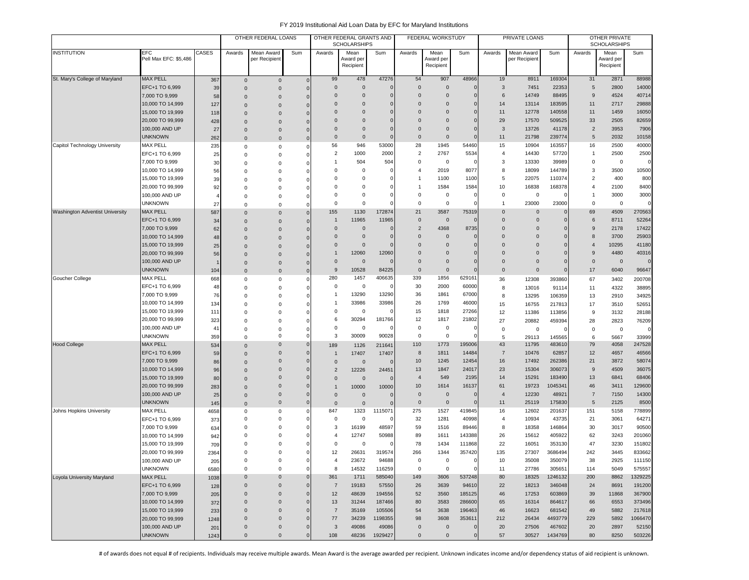|                                        |                                  |          |                            | OTHER FEDERAL LOANS        |                |                                | OTHER FEDERAL GRANTS AND<br><b>SCHOLARSHIPS</b> |         |                | FEDERAL WORKSTUDY      |                     |                | PRIVATE LOANS  |                  |                | OTHER PRIVATE<br><b>SCHOLARSHIPS</b> |                 |
|----------------------------------------|----------------------------------|----------|----------------------------|----------------------------|----------------|--------------------------------|-------------------------------------------------|---------|----------------|------------------------|---------------------|----------------|----------------|------------------|----------------|--------------------------------------|-----------------|
| <b>INSTITUTION</b>                     | <b>EFC</b>                       | CASES    | Awards                     | Mean Award                 | Sum            | Awards                         | Mean                                            | Sum     | Awards         | Mean                   | Sum                 | Awards         | Mean Award     | Sum              | Awards         | Mean                                 | Sum             |
|                                        | Pell Max EFC: \$5,486            |          |                            | per Recipient              |                |                                | Award peı<br>Recipient                          |         |                | Award per<br>Recipient |                     |                | per Recipient  |                  |                | Award per<br>Recipient               |                 |
|                                        |                                  |          |                            |                            |                |                                |                                                 |         |                |                        |                     |                |                |                  |                |                                      |                 |
| St. Mary's College of Maryland         | <b>MAX PELL</b>                  | 367      | $\mathsf{O}\xspace$        | $\mathbf 0$                | $\overline{0}$ | 99                             | 478                                             | 47276   | 54             | 907                    | 48966               | 19             | 8911           | 169304           | 31             | 2871                                 | 88988           |
|                                        | EFC+1 TO 6,999                   | 39       | $\mathbf 0$                | $\mathbf 0$                | $\overline{0}$ | $\mathbf{0}$                   | $\mathbf 0$                                     |         | $\Omega$       | $\mathbf{0}$           | $\mathbf 0$         | $\mathbf{3}$   | 7451           | 22353            | 5              | 2800                                 | 14000           |
|                                        | 7,000 TO 9,999                   | 58       | $\Omega$                   | $\mathbf 0$                | $\Omega$       | $\Omega$                       | $\mathbf 0$                                     |         | $\Omega$       | $\Omega$               | $\Omega$            | 6              | 14749          | 88495            | 9              | 4524                                 | 40714           |
|                                        | 10,000 TO 14,999                 | 127      | $\Omega$                   | $\mathbf{0}$               | $\Omega$       | $\Omega$                       | $\mathbf 0$                                     |         | $\Omega$       | $\Omega$               | $\Omega$            | 14             | 13114          | 183595           | 11             | 2717                                 | 29888           |
|                                        | 15,000 TO 19,999                 | 118      | $\Omega$                   | $\mathbf 0$                | $\Omega$       | $\Omega$                       | $\mathbf 0$                                     |         | $\Omega$       | $\Omega$               | 0                   | 11             | 12778          | 140558           | 11             | 1459                                 | 16050           |
|                                        | 20,000 TO 99,999                 | 428      | $\Omega$                   | $\mathbf{0}$               | 0              | $\Omega$                       | $\mathbf 0$                                     |         | $\Omega$       | $\Omega$               | 0                   | 29             | 17570          | 509525           | 33             | 2505                                 | 82659           |
|                                        | 100,000 AND UP                   | 27       | $\mathbf 0$                | $\mathbf 0$                | 0              | $\mathbf 0$                    | $\mathbf 0$                                     |         | $\Omega$       | $\mathbf 0$            | 0                   | 3              | 13726          | 41178            | $\overline{2}$ | 3953                                 | 7906            |
|                                        | <b>UNKNOWN</b>                   | 262      | $\Omega$                   | $\pmb{0}$                  | $\mathbf 0$    | $\mathbf 0$                    | $\overline{0}$                                  |         | $\Omega$       | $\mathbf 0$            | $\sqrt{ }$          | 11             | 21798          | 239774           | 5              | 2032                                 | 10158           |
| Capitol Technology University          | <b>MAX PELL</b>                  | 235      | 0                          | 0                          | $\Omega$       | 56                             | 946                                             | 53000   | 28             | 1945                   | 54460               | 15             | 10904          | 163557           | 16             | 2500                                 | 40000           |
|                                        | EFC+1 TO 6,999                   | 25       | $\Omega$                   | $\mathbf 0$                | $\Omega$       | 2                              | 1000                                            | 2000    | $\overline{2}$ | 2767                   | 5534                | 4              | 14430          | 57720            | $\overline{1}$ | 2500                                 | 2500            |
|                                        | 7,000 TO 9,999                   | 30       | $\Omega$                   | 0                          | 0              |                                | 504                                             | 504     | $\Omega$       | 0                      |                     | 3              | 13330          | 39989            | 0              | $^{\circ}$                           | $\Omega$        |
|                                        | 10,000 TO 14,999                 | 56       | $\Omega$                   | $\mathbf 0$                | 0              | 0                              | $^{\circ}$                                      |         | $\overline{4}$ | 2019                   | 8077                | 8              | 18099          | 144789           | 3              | 3500                                 | 10500           |
|                                        | 15,000 TO 19,999                 | 39       | $\Omega$                   | $\mathbf 0$                | 0              | 0                              | 0                                               |         |                | 1100                   | 1100                | 5              | 22075          | 110374           | $\overline{2}$ | 400                                  | 800             |
|                                        | 20,000 TO 99,999                 | 92       | $\Omega$                   | $\mathbf 0$                | 0              | $\Omega$                       | 0                                               |         |                | 1584                   | 1584                | 10             | 16838          | 168378           | 4              | 2100                                 | 8400            |
|                                        | 100,000 AND UP                   |          | $\Omega$                   | 0                          | 0              | $\Omega$                       | 0                                               |         | $^{\circ}$     | $\mathsf 0$            | $\mathcal{L}$       | 0              | $\mathbf 0$    |                  | $\overline{1}$ | 3000                                 | 3000            |
|                                        | <b>UNKNOWN</b>                   | 27       | $\Omega$                   | $\mathbf 0$                | C              | $\Omega$                       | $\Omega$                                        |         | $\Omega$       | 0                      |                     | $\mathbf{1}$   | 23000          | 23000            | $\Omega$       | $\mathbf 0$                          | $\Omega$        |
| <b>Washington Adventist University</b> | <b>MAX PELL</b>                  | 587      | $\Omega$                   | $\mathbf{0}$               | $\mathbf 0$    | 155                            | 1130                                            | 172874  | 21             | 3587                   | 75319               | $\mathbf 0$    | $\mathbf 0$    | $\Omega$         | 69             | 4509                                 | 270563          |
|                                        | EFC+1 TO 6,999                   | 34       | $\mathbf 0$                | $\mathbf 0$                | $\mathbf 0$    | $\overline{1}$                 | 11965                                           | 11965   | $\mathbf 0$    | $\mathbf 0$            | $\sqrt{ }$          | $\mathbf 0$    | $\mathbf 0$    | 0                | 6              | 8711                                 | 52264           |
|                                        | 7,000 TO 9,999                   | 62       | $\mathbf 0$                | $\mathbf{0}$               | 0              | $\mathbf 0$                    | $\overline{0}$                                  |         | $\overline{2}$ | 4368                   | 8735                | $\mathbf 0$    | $\mathbf 0$    | 0                | 9              | 2178                                 | 17422           |
|                                        | 10,000 TO 14,999                 | 48       | $\Omega$                   | $\mathbf 0$                | $\Omega$       | $\mathbf 0$                    | $\mathbf 0$                                     |         | $\Omega$       | $\mathbf{0}$           | 0                   | $\mathbf 0$    | $\mathbf 0$    | $\Omega$         | 8              | 3700                                 | 25903           |
|                                        | 15,000 TO 19,999                 | 25       | $\Omega$                   | $\mathbf 0$                | $\Omega$       | $\Omega$                       | $\mathbf 0$                                     |         | $\Omega$       | $\Omega$               | $\sqrt{ }$          | $\Omega$       | $\mathbf 0$    | $\Omega$         | $\overline{4}$ | 10295                                | 41180           |
|                                        | 20,000 TO 99,999                 | 56       | $\Omega$                   | $\mathbf 0$                | $\Omega$       | 1                              | 12060                                           | 12060   | $\Omega$       | $\Omega$               | O                   | $\Omega$       | $\Omega$       | $\Omega$         | 9              | 4480                                 | 40316           |
|                                        | 100,000 AND UP                   |          | $\mathbf 0$                | $\mathbf 0$                | 0              | $\mathbf 0$                    | $\mathbf 0$                                     |         | $\Omega$       | $\Omega$               | $\sqrt{ }$          | 0              | $\mathbf 0$    | $\Omega$         | $\overline{0}$ | $\mathbf 0$                          | $\Omega$        |
|                                        | <b>UNKNOWN</b>                   | 104      | $\Omega$                   | $\mathbf 0$                | $\mathbf 0$    | 9                              | 10528                                           | 84225   | $\mathbf{0}$   | $\mathbf{0}$           |                     | $\mathbf 0$    | $\mathbf 0$    | 0                | 17             | 6040                                 | 96647           |
| Goucher College                        | <b>MAX PELL</b>                  | 668      | 0                          | $\mathsf 0$                | 0              | 280                            | 1457                                            | 406635  | 339            | 1856                   | 629161              | 36             | 12308          | 393860           | 67             | 3402                                 | 200708          |
|                                        | EFC+1 TO 6,999                   | 48       | $\Omega$                   | $\mathsf 0$                | 0              | 0                              | 0                                               |         | 30             | 2000                   | 60000               | 8              | 13016          | 91114            | 11             | 4322                                 | 38895           |
|                                        | 7,000 TO 9,999                   | 76       | $\Omega$                   | $\mathbf 0$                | 0              | 1                              | 13290                                           | 13290   | 36             | 1861                   | 67000               | 8              | 13295          | 106359           | 13             | 2910                                 | 34925           |
|                                        | 10,000 TO 14,999                 | 134      | $\Omega$                   | 0                          | $\Omega$       | 1                              | 33986                                           | 33986   | 26             | 1769                   | 46000               | 15             | 16755          | 217813           | 17             | 3510                                 | 52651           |
|                                        | 15,000 TO 19,999                 | 111      | $\Omega$                   | 0                          |                | 0                              | 0                                               |         | 15             | 1818                   | 27266               | 12             | 11386          | 113856           | 9              | 3132                                 | 28188           |
|                                        | 20,000 TO 99,999                 | 323      | $\Omega$                   | 0                          | O              | 6<br>0                         | 30294<br>$^{\circ}$                             | 181766  | 12<br>$\Omega$ | 1817<br>$\mathsf 0$    | 21802<br>$\epsilon$ | 27             | 20882          | 459394           | 28             | 2823                                 | 76209           |
|                                        | 100,000 AND UP<br><b>UNKNOWN</b> | 41       | 0                          | $\mathsf 0$<br>$\mathsf 0$ | 0<br>0         | 3                              | 30009                                           | 90028   | $\Omega$       | $\mathsf 0$            | $\epsilon$          | $\mathbf 0$    | 0              |                  | $\mathbf 0$    | $\mathsf 0$                          | $\mathbf 0$     |
| <b>Hood College</b>                    | <b>MAX PELL</b>                  | 359      | 0                          | $\mathbf 0$                | $\mathbf{0}$   |                                |                                                 |         | 110            | 1773                   | 195006              | 5<br>43        | 29113<br>11795 | 145565<br>483610 | 6<br>79        | 5667<br>4058                         | 33999<br>247528 |
|                                        | EFC+1 TO 6,999                   | 534      | $\Omega$                   | $\mathbf 0$                | 0              | 189                            | 1126                                            | 211641  | 8              | 1811                   | 14484               | $\overline{7}$ | 10476          | 62857            | 12             | 4657                                 | 46566           |
|                                        | 7,000 TO 9,999                   | 59       | $\Omega$                   | $\mathbf 0$                | $\Omega$       | $\overline{1}$                 | 17407                                           | 17407   | 10             | 1245                   | 12454               | 16             | 17492          | 262386           | 21             | 3872                                 | 58074           |
|                                        | 10,000 TO 14,999                 | 86<br>96 | $\Omega$                   | $\mathbf 0$                | 0              | $\mathbf{0}$<br>$\overline{2}$ | $\overline{0}$<br>12226                         | 24451   | 13             | 1847                   | 24017               | 23             | 15304          | 306073           | 9              | 4509                                 | 36075           |
|                                        | 15,000 TO 19,999                 | 80       | $\Omega$                   | $\mathbf{0}$               | 0              | $\mathbf 0$                    | $\mathbf 0$                                     |         | $\overline{4}$ | 549                    | 2195                | 14             | 15291          | 183490           | 13             | 6841                                 | 68406           |
|                                        | 20,000 TO 99,999                 | 283      | $\Omega$                   | $\mathbf{0}$               | 0              | $\mathbf{1}$                   | 10000                                           | 10000   | 10             | 1614                   | 16137               | 61             | 19723          | 1045341          | 46             | 3411                                 | 129600          |
|                                        | 100,000 AND UP                   | 25       | $\mathbf 0$<br>$\mathbf 0$ | $\mathbf 0$                | $\mathbf{0}$   | $\mathbf 0$                    | $\mathbf 0$                                     |         | $\Omega$       | $\mathbf 0$            | $\sqrt{ }$          | $\overline{4}$ | 12230          | 48921            | $\overline{7}$ | 7150                                 | 14300           |
|                                        | UNKNOWN                          | 145      | $\Omega$                   | $\mathbf 0$                | 0              | $\mathbf 0$                    | $\mathbf 0$                                     |         | $\mathbf 0$    | $\mathbf 0$            | $\sqrt{ }$          | 11             | 25119          | 175830           | 5              | 2125                                 | 8500            |
| Johns Hopkins University               | <b>MAX PELL</b>                  | 4658     | 0                          | $\mathsf 0$                | 0              | 847                            | 1323                                            | 1115071 | 275            | 1527                   | 419845              | 16             | 12602          | 201637           | 151            | 5158                                 | 778899          |
|                                        | EFC+1 TO 6,999                   | 373      | $\Omega$                   | 0                          | 0              | 0                              | $\overline{0}$                                  |         | 32             | 1281                   | 40998               | $\overline{4}$ | 10934          | 43735            | 21             | 3061                                 | 64271           |
|                                        | 7,000 TO 9,999                   | 634      | $\Omega$                   | 0                          |                | 3                              | 16199                                           | 48597   | 59             | 1516                   | 89446               | 8              | 18358          | 146864           | 30             | 3017                                 | 90500           |
|                                        | 10,000 TO 14,999                 | 942      | $\Omega$                   | $\mathbf 0$                | 0              | 4                              | 12747                                           | 50988   | 89             | 1611                   | 143388              | 26             | 15612          | 405922           | 62             | 3243                                 | 201060          |
|                                        | 15,000 TO 19,999                 | 709      | $\Omega$                   | $\Omega$                   | 0              | 0                              | $^{\circ}$                                      |         | 78             | 1434                   | 111868              | 22             | 16051          | 353130           | 47             | 3230                                 | 151802          |
|                                        | 20,000 TO 99,999                 | 2364     | $\Omega$                   | $\Omega$                   | $\Omega$       | 12                             | 26631                                           | 319574  | 266            | 1344                   | 357420              | 135            | 27307          | 3686494          | 242            | 3445                                 | 833662          |
|                                        | 100,000 AND UP                   | 205      | 0                          | 0                          | 0              | $\overline{4}$                 | 23672                                           | 94688   | 0              | 0                      | $\mathbf 0$         | 10             | 35008          | 350079           | 38             | 2925                                 | 111150          |
|                                        | <b>UNKNOWN</b>                   | 6580     | 0                          | 0                          | 0              | 8                              | 14532                                           | 116259  | 0              | 0                      | $\Omega$            | 11             | 27786          | 305651           | 114            | 5049                                 | 575557          |
| Loyola University Maryland             | <b>MAX PELL</b>                  | 1038     | $\mathbf 0$                | $\mathbf 0$                | $\mathbf 0$    | 361                            | 1711                                            | 585040  | 149            | 3606                   | 537248              | 80             | 18325          | 1246132          | 200            | 8862                                 | 1329225         |
|                                        | EFC+1 TO 6,999                   | 128      | $\mathbf 0$                | $\mathbf 0$                | $\mathbf{0}$   | $\overline{7}$                 | 19183                                           | 57550   | 26             | 3639                   | 94610               | 22             | 18213          | 346048           | 24             | 8691                                 | 191200          |
|                                        | 7,000 TO 9,999                   | 205      | $\mathbf 0$                | $\mathbf 0$                | $\mathbf{0}$   | 12                             | 48639                                           | 194556  | 52             | 3560                   | 185125              | 46             | 17253          | 603869           | 39             | 11868                                | 367900          |
|                                        | 10,000 TO 14,999                 | 372      | $\mathbf 0$                | $\mathbf 0$                | $\mathbf{0}$   | 13                             | 31244                                           | 187466  | 80             | 3583                   | 286600              | 65             | 16314          | 864617           | 66             | 6553                                 | 373496          |
|                                        | 15,000 TO 19,999                 | 233      | $\mathbf 0$                | $\mathbf 0$                | $\mathbf{0}$   | $\overline{7}$                 | 35169                                           | 105506  | 54             | 3638                   | 196463              | 46             | 16623          | 681542           | 49             | 5882                                 | 217618          |
|                                        | 20,000 TO 99,999                 | 1248     | $\mathbf 0$                | $\mathbf 0$                | 0              | 77                             | 34239                                           | 1198355 | 98             | 3608                   | 353611              | 212            | 26434          | 4493779          | 229            | 5892                                 | 1066470         |
|                                        | 100,000 AND UP                   | 201      | $\mathbf 0$                | $\mathbf 0$                | $\mathbf{0}$   | $\overline{\mathbf{3}}$        | 49086                                           | 49086   | $\mathbf 0$    | $\mathbf{0}$           | $\mathbf 0$         | 20             | 27506          | 467602           | 20             | 2897                                 | 52150           |
|                                        | unknown                          | 1243     | $\mathbf 0$                | $\mathsf{O}\xspace$        | $\mathbf{0}$   | 108                            | 48236                                           | 1929427 | $\mathbf 0$    | $\mathbf 0$            | $\overline{0}$      | 57             | 30527          | 1434769          | 80             | 8250                                 | 503226          |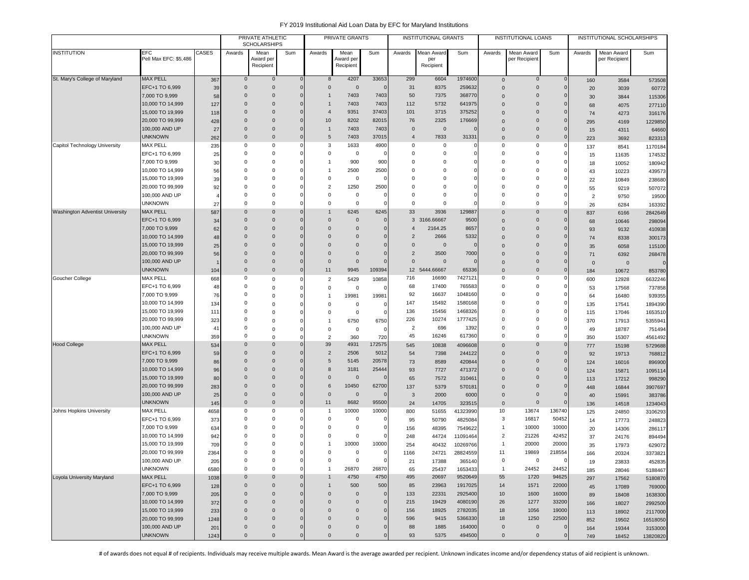|                                 |                                      |            |                        | PRIVATE ATHLETIC<br><b>SCHOLARSHIPS</b> |          |                                  | PRIVATE GRANTS          |               |                | <b>INSTITUTIONAL GRANTS</b> |                    |                      | <b>INSTITUTIONAL LOANS</b> |              |                | INSTITUTIONAL SCHOLARSHIPS |                   |
|---------------------------------|--------------------------------------|------------|------------------------|-----------------------------------------|----------|----------------------------------|-------------------------|---------------|----------------|-----------------------------|--------------------|----------------------|----------------------------|--------------|----------------|----------------------------|-------------------|
| <b>INSTITUTION</b>              | EFC                                  | CASES      | Awards                 | Mean                                    | Sum      | Awards                           | Mean                    | Sum           | Awards         | Mean Award                  | Sum                | Awards               | Mean Award                 | Sum          | Awards         | Mean Award                 | Sum               |
|                                 | Pell Max EFC: \$5,486                |            |                        | Award per                               |          |                                  | Award per               |               |                | per                         |                    |                      | per Recipient              |              |                | per Recipient              |                   |
|                                 |                                      |            |                        | Recipient                               |          |                                  | Recipient               |               |                | Recipient                   |                    |                      |                            |              |                |                            |                   |
| St. Mary's College of Maryland  | <b>MAX PELL</b>                      | 367        | $\overline{0}$         | $\mathbf 0$                             |          | $\mathbf 0$<br>8                 | 4207                    | 33653         | 299            | 6604                        | 1974600            | $\mathsf 0$          | 0                          | $\mathbf{0}$ | 160            | 3584                       | 573508            |
|                                 | EFC+1 TO 6,999                       | 39         | $\overline{0}$         | $\mathbf 0$                             |          | $\mathbf{0}$<br>$\Omega$         | $\overline{0}$          | $\mathbf 0$   | 31             | 8375                        | 259632             | $\Omega$             | $\mathbf{0}$               | $\mathbf 0$  | 20             | 3039                       | 60772             |
|                                 | 7,000 TO 9,999                       | 58         | $\overline{0}$         | $\mathbf 0$                             |          | $\mathbf{0}$<br>-1               | 7403                    | 7403          | 50             | 7375                        | 368770             | $\Omega$             | $\mathbf{0}$               | 0            | 30             | 3844                       | 115306            |
|                                 | 10,000 TO 14,999                     | 127        | $\overline{0}$         | $\mathbf 0$                             |          | $\mathbf{0}$                     | 7403                    | 7403          | 112            | 5732                        | 641975             | $\Omega$             | $\mathbf{0}$               |              | 68             | 4075                       | 277110            |
|                                 | 15,000 TO 19,999                     | 118        | $\Omega$               | $\mathbf 0$                             |          | $\mathbf{0}$<br>$\overline{4}$   | 9351                    | 37403         | 101            | 3715                        | 375252             | $\Omega$             | $\mathbf{0}$               | $\Omega$     | 74             | 4273                       | 316176            |
|                                 | 20,000 TO 99,999                     | 428        | $\Omega$               | $\Omega$                                |          | $\Omega$<br>10                   | 8202                    | 82015         | 76             | 2325                        | 176669             | $\Omega$             | $\Omega$                   |              | 295            | 4169                       | 1229850           |
|                                 | 100,000 AND UP                       | 27         | $\Omega$               | $\Omega$                                |          | 0<br>-1                          | 7403                    | 7403          | $\mathbf 0$    | $\overline{0}$              | O                  | $\Omega$             | $\mathbf 0$                | $\Omega$     | 15             | 4311                       | 64660             |
|                                 | <b>UNKNOWN</b>                       | 262        | $\mathbf 0$            | $\mathbf 0$                             |          | $\mathbf{0}$<br>5                | 7403                    | 37015         | $\overline{4}$ | 7833                        | 31331              | $\Omega$             | $\mathbf{0}$               | $\mathbf 0$  | 223            | 3692                       | 823313            |
| Capitol Technology University   | MAX PELL                             | 235        | $^{\circ}$             | $^{\circ}$                              |          | 3                                | 1633                    | 4900          | $\mathbf 0$    | 0                           |                    | $\Omega$             | 0                          |              | 137            | 8541                       | 1170184           |
|                                 | EFC+1 TO 6,999                       | 25         | $^{\circ}$             | $^{\circ}$                              |          | 0                                | $\overline{\mathbf{0}}$ | $\mathbf 0$   | 0              | $\mathbf 0$                 |                    | $\Omega$             | 0                          | $\Omega$     | 15             | 11635                      | 174532            |
|                                 | 7,000 TO 9,999                       | 30         | $\overline{0}$         | $^{\circ}$                              |          | -1                               | 900                     | 900           | 0              | $\mathbf 0$                 |                    | $\Omega$             | 0                          |              | 18             | 10052                      | 180942            |
|                                 | 10,000 TO 14,999                     | 56         | $^{\circ}$             | $^{\circ}$                              |          | -1                               | 2500                    | 2500          | $\mathbf 0$    | $^{\circ}$                  |                    | $\Omega$             | 0                          |              | 43             | 10223                      | 439573            |
|                                 | 15,000 TO 19,999                     | 39         | $\Omega$               | $\Omega$                                |          | $\Omega$                         | $\overline{\mathbf{0}}$ | 0             | $\mathbf 0$    | $\Omega$                    |                    | $\Omega$             | 0                          |              | 22             | 10849                      | 238680            |
|                                 | 20,000 TO 99,999                     | 92         | $^{\circ}$             | $^{\circ}$                              |          | $\overline{2}$                   | 1250                    | 2500          | 0              | $\mathbf 0$                 |                    | $\Omega$             | 0                          |              | 55             | 9219                       | 507072            |
|                                 | 100,000 AND UP                       |            | 0                      | $^{\circ}$                              |          | 0                                | $\overline{0}$          | $\mathbf 0$   | 0              | $\mathbf 0$                 |                    | $\Omega$             | 0                          |              | $\overline{2}$ | 9750                       | 19500             |
|                                 | <b>UNKNOWN</b>                       | 27         | $\Omega$               | $\mathbf 0$                             | $\Omega$ | 0                                | $\mathbf 0$             | $\mathbf 0$   | $\mathbf 0$    | $\mathbf 0$                 |                    | $\Omega$             | 0                          | $\Omega$     | 26             | 6284                       | 163392            |
| Washington Adventist University | <b>MAX PELL</b>                      | 587        | $\overline{0}$         | $\mathbf 0$                             |          | $\mathbf 0$                      | 6245                    | 6245          | 33             | 3936                        | 129887             | $\Omega$             | $\mathbf 0$                | $\Omega$     | 837            | 6166                       | 2842649           |
|                                 | EFC+1 TO 6,999                       | 34         | $\mathbf 0$            | $\mathbf 0$                             |          | $\mathbf{0}$<br>$\mathbf 0$      | $\overline{0}$          | $\mathbf 0$   |                | 3 3166.66667                | 9500               | $\Omega$             | $\mathbf 0$                | $\Omega$     | 68             | 10646                      | 298094            |
|                                 | 7,000 TO 9,999                       | 62         | $\Omega$               | $\Omega$                                |          | $\Omega$<br>$\Omega$             | $\mathbf 0$             | $\mathbf 0$   | $\overline{4}$ | 2164.25                     | 8657               | $\Omega$             | $\mathbf{0}$               |              | 93             | 9132                       | 410938            |
|                                 | 10,000 TO 14,999                     | 48         | $\mathbf 0$            | $\mathbf 0$                             |          | $\Omega$<br>$\Omega$             | $\Omega$                | $\mathbf 0$   | $\overline{2}$ | 2666                        | 5332               | $\Omega$             | $\mathbf 0$                |              | 74             | 8338                       | 300173            |
|                                 | 15,000 TO 19,999                     | 25         | $\mathbf 0$            | $\mathbf 0$                             |          | $\Omega$<br>$\Omega$             | $\Omega$                | $\mathbf 0$   | $\overline{0}$ | $\mathbf 0$                 | 0                  | $\Omega$             | $\mathbf{0}$               |              | 35             | 6058                       | 115100            |
|                                 | 20,000 TO 99,999                     | 56         | $\mathbf 0$            | $\mathbf 0$                             |          | $\Omega$<br>$\mathbf 0$          | $\overline{0}$          | $\mathbf 0$   | $\overline{2}$ | 3500                        | 7000               | $\Omega$             | $\mathbf 0$                |              | 71             | 6392                       | 268478            |
|                                 | 100,000 AND UP                       |            | $\overline{0}$         | $\mathbf 0$                             |          | $\mathbf 0$<br>$\mathbf 0$       | $\overline{0}$          | $\mathbf 0$   | $\mathbf 0$    | $\overline{0}$              |                    | $\Omega$             | 0                          | $\Omega$     | $\mathbf 0$    | $\mathbf 0$                |                   |
|                                 | <b>UNKNOWN</b>                       | 104        | $\overline{0}$         | $\mathbf 0$                             |          | $\mathbf 0$<br>11                | 9945                    | 109394        | 12             | 5444.66667                  | 65336              | $\Omega$             | $\mathbf 0$                | $\mathbf 0$  | 184            | 10672                      | 853780            |
| Goucher College                 | <b>MAX PELL</b>                      | 668        | $^{\circ}$             | $\Omega$                                | $\Omega$ | $\overline{2}$                   | 5429                    | 10858         | 716            | 16690                       | 7427121            | $\Omega$             | 0                          | 0            | 600            | 12928                      | 6632246           |
|                                 | EFC+1 TO 6,999                       | 48         | $^{\circ}$             | $^{\circ}$                              |          | 0                                | $\mathbf 0$             | 0             | 68             | 17400                       | 765583             | $\Omega$             | 0                          |              | 53             | 17568                      | 737858            |
|                                 | 7,000 TO 9,999                       | 76         | 0<br>$\overline{0}$    | $^{\circ}$                              |          |                                  | 19981                   | 19981         | 92             | 16637                       | 1048160<br>1580168 | $\Omega$<br>$\Omega$ | 0<br>0                     | $\Omega$     | 64             | 16480                      | 939355            |
|                                 | 10,000 TO 14,999                     | 134        |                        | $^{\circ}$                              |          | 0                                | $\mathbf 0$             | $\mathbf 0$   | 147            | 15492                       |                    | $\Omega$             |                            |              | 135            | 17541                      | 1894390           |
|                                 | 15,000 TO 19,999<br>20,000 TO 99,999 | 111        | $^{\circ}$<br>$\Omega$ | $\mathbf 0$                             |          | 0                                | $\overline{0}$          | $\mathbf 0$   | 136<br>226     | 15456<br>10274              | 1468326<br>1777425 | $\Omega$             | 0<br>0                     | 0            | 115            | 17046                      | 1653510           |
|                                 | 100,000 AND UP                       | 323        | $\Omega$               | $^{\circ}$                              |          | -1                               | 6750                    | 6750          | $\overline{2}$ | 696                         | 1392               | $\Omega$             | $\Omega$                   |              | 370            | 17913                      | 5355941           |
|                                 | <b>UNKNOWN</b>                       | 41         | $\Omega$               | $\Omega$                                |          | $\mathbf 0$                      | $\overline{\mathbf{0}}$ | $\mathsf 0$   | 45             | 16246                       | 617360             | $\Omega$             | $\Omega$                   | $\Omega$     | 49             | 18787                      | 751494            |
| <b>Hood College</b>             | <b>MAX PELL</b>                      | 359<br>534 | $\mathbf 0$            | $\Omega$<br>$\mathbf 0$                 | $\Omega$ | $\overline{2}$<br>39<br>0        | 360<br>4931             | 720<br>172575 | 545            | 10838                       | 4096608            | $\Omega$             | $\mathbf{0}$               | $\mathbf 0$  | 350            | 15307                      | 4561492           |
|                                 | EFC+1 TO 6,999                       | 59         | $\overline{0}$         | $\mathbf 0$                             |          | $\overline{0}$<br>$\overline{2}$ | 2506                    | 5012          | 54             | 7398                        | 244122             | $\Omega$             | $\mathbf{0}$               |              | 777            | 15198                      | 5729688           |
|                                 | 7,000 TO 9,999                       | 86         | $\mathbf 0$            | $\mathbf 0$                             |          | $\Omega$<br>5                    | 5145                    | 20578         | 73             | 8589                        | 420844             | $\Omega$             | $\mathbf 0$                | 0            | 92             | 19713                      | 768812            |
|                                 | 10,000 TO 14,999                     | 96         | $\overline{0}$         | $\mathbf 0$                             |          | $\Omega$<br>8                    | 3181                    | 25444         | 93             | 7727                        | 471372             | $\Omega$             | $\mathbf{0}$               | $\Omega$     | 124<br>124     | 16016<br>15871             | 896900<br>1095114 |
|                                 | 15,000 TO 19,999                     | 80         | $\overline{0}$         | $\Omega$                                |          | $\Omega$<br>$\Omega$             | $\overline{0}$          | $\mathbf 0$   | 65             | 7572                        | 310461             |                      | $\mathbf{0}$               |              | 113            | 17212                      | 998290            |
|                                 | 20,000 TO 99,999                     | 283        | $\Omega$               | $\Omega$                                |          | $\mathbf{0}$<br>6                | 10450                   | 62700         | 137            | 5379                        | 570181             | $\Omega$             | $\mathbf 0$                | $\Omega$     | 448            | 16844                      | 3907697           |
|                                 | 100,000 AND UP                       | 25         | $\mathbf 0$            | $\mathbf 0$                             |          | $\mathbf 0$<br>$\mathbf 0$       | $\overline{0}$          | $\mathbf 0$   | 3              | 2000                        | 6000               | $\mathbf{0}$         | $\mathbf{0}$               | $\Omega$     | 40             | 15991                      | 383786            |
|                                 | <b>UNKNOWN</b>                       | 145        | $\overline{0}$         | $\mathbf 0$                             |          | $\mathbf{0}$<br>11               | 8682                    | 95500         | 24             | 14705                       | 323515             | $\mathbf 0$          | $\mathbf{0}$               |              | 136            | 14518                      | 1234043           |
| Johns Hopkins University        | <b>MAX PELL</b>                      | 4658       | $^{\circ}$             | 0                                       | 0        | -1                               | 10000                   | 10000         | 800            | 51655                       | 41323990           | 10                   | 13674                      | 136740       | 125            | 24850                      | 3106293           |
|                                 | EFC+1 TO 6,999                       | 373        | $\Omega$               | $^{\circ}$                              |          | 0                                | $\overline{\mathbf{0}}$ | 0             | 95             | 50790                       | 4825084            | 3                    | 16817                      | 50452        | 14             | 17773                      | 248823            |
|                                 | 7,000 TO 9,999                       | 634        | $\Omega$               | $^{\circ}$                              |          | $\Omega$                         | $\overline{\mathbf{0}}$ | $\mathbf 0$   | 156            | 48395                       | 7549622            | -1                   | 10000                      | 10000        | 20             | 14306                      | 286117            |
|                                 | 10,000 TO 14,999                     | 942        | $\Omega$               | $\Omega$                                |          | $\Omega$                         | $^{\circ}$              | $\mathbf 0$   | 248            | 44724                       | 11091464           | $\overline{2}$       | 21226                      | 42452        | 37             | 24176                      | 894494            |
|                                 | 15,000 TO 19,999                     | 709        | 0                      | $^{\circ}$                              |          |                                  | 10000                   | 10000         | 254            | 40432                       | 10269766           |                      | 20000                      | 20000        | 35             | 17973                      | 629072            |
|                                 | 20,000 TO 99,999                     | 2364       | $\Omega$               | $\Omega$                                |          | $\Omega$                         | $\overline{0}$          | $\mathbf 0$   | 1166           | 24721                       | 28824559           | 11                   | 19869                      | 218554       | 166            | 20324                      | 3373821           |
|                                 | 100,000 AND UP                       | 205        | $\pmb{0}$              | 0                                       |          | 0                                | $\mathbf 0$             | 0             | 21             | 17388                       | 365140             | 0                    | 0                          | 0            | 19             | 23833                      | 452835            |
|                                 | <b>UNKNOWN</b>                       | 6580       | $\mathbf 0$            | $\mathbf 0$                             | $\Omega$ | $\overline{1}$                   | 26870                   | 26870         | 65             | 25437                       | 1653433            | $\mathbf{1}$         | 24452                      | 24452        | 185            | 28046                      | 5188467           |
| Loyola University Maryland      | <b>MAX PELL</b>                      | 1038       | $\overline{0}$         | $\mathbf 0$                             |          | $\Omega$                         | 4750                    | 4750          | 495            | 20697                       | 9520649            | 55                   | 1720                       | 94625        | 297            | 17562                      | 5180870           |
|                                 | EFC+1 TO 6,999                       | 128        | $\overline{0}$         | $\mathbf 0$                             |          | $\Omega$<br>$\mathbf{1}$         | 500                     | 500           | 85             | 23963                       | 1917025            | 14                   | 1571                       | 22000        | 45             | 17089                      | 769000            |
|                                 | 7,000 TO 9,999                       | 205        | $\overline{0}$         | $\mathbf 0$                             |          | $\Omega$<br>$\mathbf 0$          | $\overline{0}$          | $\mathbf 0$   | 133            | 22331                       | 2925400            | 10                   | 1600                       | 16000        | 89             | 18408                      | 1638300           |
|                                 | 10,000 TO 14,999                     | 372        | $\overline{0}$         | $\mathbf 0$                             |          | 0<br>$\mathbf 0$                 | $\overline{0}$          | $\mathbf 0$   | 215            | 19429                       | 4080190            | 26                   | 1277                       | 33200        | 166            | 18027                      | 2992500           |
|                                 | 15,000 TO 19,999                     | 233        | $\overline{0}$         | $\mathbf 0$                             |          | $\mathbf{0}$<br>$\mathbf 0$      | $\mathbf 0$             | $\mathbf 0$   | 156            | 18925                       | 2782035            | 18                   | 1056                       | 19000        | 113            | 18902                      | 2117000           |
|                                 | 20,000 TO 99,999                     | 1248       | $\overline{0}$         | $\mathbf 0$                             |          | 0<br>$\mathbf 0$                 | $\mathbf 0$             | $\mathbf 0$   | 596            | 9415                        | 5366330            | 18                   | 1250                       | 22500        | 852            | 19502                      | 16518050          |
|                                 | 100,000 AND UP                       | 201        | $\mathbf 0$            | $\mathbf 0$                             |          | 0<br>$\mathbf 0$                 | $\mathbf 0$             | $\mathbf 0$   | 88             | 1885                        | 164000             | $\mathbf 0$          | $\mathbf 0$                | -0           | 164            | 19344                      | 3153000           |
|                                 | <b>UNKNOWN</b>                       | 1243       | $\mathbf 0$            | $\mathbf 0$                             |          | $\mathbf{0}$<br>0                | $\mathbf 0$             | $\mathbf 0$   | 93             | 5375                        | 494500             | $\mathbf 0$          | $\mathbf 0$                | $\Omega$     | 749            | 18452                      | 13820820          |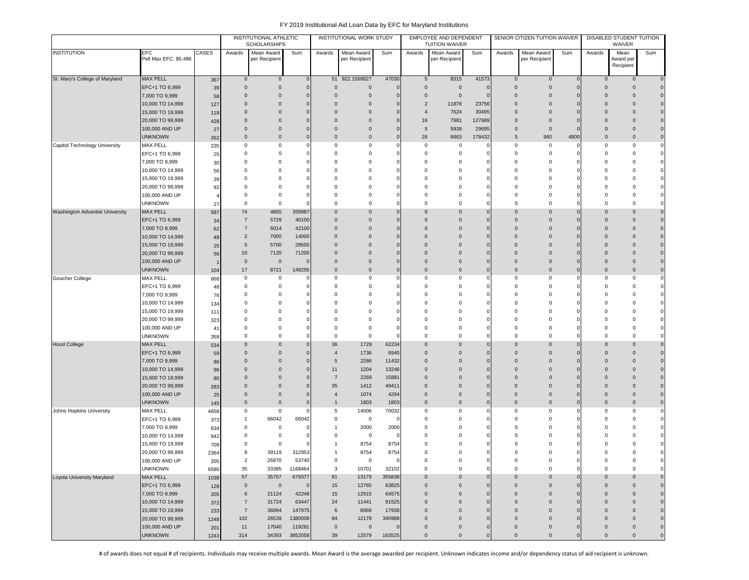|                                 |                                     |            |                            | INSTITUTIONAL ATHLETIC<br><b>SCHOLARSHIPS</b> |                   |                      | INSTITUTIONAL WORK STUDY    |                |                                  | EMPLOYEE AND DEPENDENT<br><b>TUITION WAIVER</b> |               |                            | SENIOR CITIZEN TUITION WAIVER      |                            |                            | DISABLED STUDENT TUITION<br>WAIVER |                            |
|---------------------------------|-------------------------------------|------------|----------------------------|-----------------------------------------------|-------------------|----------------------|-----------------------------|----------------|----------------------------------|-------------------------------------------------|---------------|----------------------------|------------------------------------|----------------------------|----------------------------|------------------------------------|----------------------------|
| <b>INSTITUTION</b>              | <b>EFC</b><br>Pell Max EFC: \$5,486 | CASES      | Awards                     | Mean Award<br>per Recipient                   | Sum               | Awards               | Mean Award<br>per Recipient | Sum            | Awards                           | Mean Award<br>per Recipient                     | Sum           | Awards                     | Mean Award<br>per Recipient        | Sum                        | Awards                     | Mean<br>Award pe                   | Sum                        |
|                                 |                                     |            |                            |                                               |                   |                      |                             |                |                                  |                                                 |               |                            |                                    |                            |                            | Recipient                          |                            |
| St. Mary's College of Maryland  | <b>MAX PELL</b>                     | 367        | $\mathsf{O}\xspace$        | $\mathbf 0$                                   | $\mathbf{0}$      | 51                   | 922.1568627                 | 47030          | $5\phantom{.0}$                  | 8315                                            | 41573         | $\mathbf 0$                | $\mathbf 0$                        | $\mathbf{0}$               | $\mathbf 0$                | 0                                  | $\mathbf 0$                |
|                                 | EFC+1 TO 6,999                      | 39         | $\mathbf{0}$               | $\mathbf{0}$                                  | $\Omega$          | $\Omega$             | $\mathbf{0}$                | $\Omega$       | $\overline{0}$                   | $\Omega$                                        | $\mathcal{C}$ | $\Omega$                   | $\mathbf 0$                        | $\mathbf 0$                | $\mathbf{0}$               | $\mathbf{0}$                       | $\mathbf 0$                |
|                                 | 7,000 TO 9,999                      | 58         | $\mathbf 0$                | $\mathbf{0}$                                  |                   | $\overline{0}$       | $\overline{0}$              | $\mathcal{C}$  | $\overline{0}$                   | $\mathbf 0$                                     | C             | $\overline{0}$             | $\mathbf{0}$                       | $\overline{0}$             | $\mathbf 0$                | $\Omega$                           | $\mathbf 0$                |
|                                 | 10,000 TO 14,999                    | 127        | $\mathbf 0$                | $\mathbf{0}$                                  |                   | 0                    | $\overline{0}$              |                | $\overline{2}$                   | 11878                                           | 23756         | $\Omega$                   | $\mathbf{0}$                       | $\Omega$                   | $\Omega$                   | $\Omega$                           | $\mathbf 0$                |
|                                 | 15,000 TO 19,999                    | 118        | $\mathbf 0$                | $\mathbf 0$                                   |                   | $\mathbf 0$          | $\overline{0}$              | $\epsilon$     | $\overline{4}$                   | 7624                                            | 30495         | $\overline{0}$             | $\mathbf 0$                        | $\Omega$                   | $\mathbf{0}$               | $\Omega$                           | $\mathbf 0$                |
|                                 | 20,000 TO 99,999                    | 428        | $\Omega$                   | $\mathbf 0$                                   |                   | $\Omega$             | $\overline{0}$              |                | 16                               | 7981                                            | 127689        | $\mathbf 0$                | $\mathbf 0$                        | $\Omega$                   | $\Omega$                   | $\Omega$                           | $\mathbf 0$                |
|                                 | 100,000 AND UP                      | 27         | $\mathbf 0$                | $\mathbf 0$                                   |                   | $\mathbf 0$          | $\overline{0}$              | $\Omega$       | 5                                | 5939                                            | 29695         | $\mathbf 0$                | $\mathbf 0$                        | $\Omega$                   | $\Omega$                   | $\Omega$                           | $\mathbf 0$                |
|                                 | <b>UNKNOWN</b>                      | 262        | $\Omega$                   | $\mathbf 0$                                   |                   | $\mathbf 0$          | $\mathbf{0}$                | $\Omega$       | 26                               | 6863                                            | 178432        | 5                          | 960                                | 4800                       | $\Omega$                   | $\mathbf 0$                        | $\mathbf 0$                |
| Capitol Technology University   | <b>MAX PELL</b>                     | 235        | 0                          | 0                                             |                   | 0                    | 0                           |                | $\overline{0}$                   | $^{\circ}$                                      |               | 0                          | 0                                  | 0                          | $\mathbf 0$                | 0                                  | $\mathbf 0$                |
|                                 | EFC+1 TO 6,999<br>7,000 TO 9,999    | 25         | 0<br>0                     | $\mathbf 0$<br>0                              |                   | $\mathbf 0$<br>0     | 0<br>0                      |                | $\overline{0}$<br>$\overline{0}$ | $^{\circ}$<br>$^{\circ}$                        |               | $\overline{0}$<br>$\Omega$ | $\mathbf 0$<br>$\mathbf 0$         | $\Omega$<br>n              | $\mathbf 0$<br>0           | $\Omega$<br>0                      | $\circ$<br>$\circ$         |
|                                 | 10,000 TO 14,999                    | 30         | $\Omega$                   | 0                                             |                   | $\Omega$             | $\mathbf 0$                 |                | $\mathbf 0$                      | $\Omega$                                        |               | $\Omega$                   | $\Omega$                           | $\Omega$                   | $\Omega$                   | $\Omega$                           | $\circ$                    |
|                                 | 15,000 TO 19,999                    | 56<br>39   | 0                          | 0                                             |                   | $\Omega$             | $\mathbf 0$                 |                | $\overline{0}$                   | $\Omega$                                        |               | $\Omega$                   | $\Omega$                           | $\Omega$                   | $\Omega$                   | 0                                  | $\circ$                    |
|                                 | 20,000 TO 99,999                    | 92         | $\Omega$                   | $\Omega$                                      |                   | $\Omega$             | $\mathbf 0$                 |                | $\mathbf 0$                      | $\Omega$                                        |               | $\Omega$                   | $\Omega$                           | $\Omega$                   | $\Omega$                   | 0                                  | $\mathbf{0}$               |
|                                 | 100,000 AND UP                      |            | $\Omega$                   | 0                                             |                   | $\Omega$             | $\mathbf 0$                 |                | $\overline{0}$                   | $\Omega$                                        |               | $\Omega$                   | $\Omega$                           | $\Omega$                   | $\Omega$                   | 0                                  | $\circ$                    |
|                                 | <b>UNKNOWN</b>                      | 27         | 0                          | 0                                             |                   | $\mathbf 0$          | $\mathbf 0$                 | C              | $\mathbf 0$                      | $\Omega$                                        |               | 0                          | $\mathbf 0$                        | $\mathbf 0$                | $\Omega$                   | $\Omega$                           | $\mathbf 0$                |
| Washington Adventist University | <b>MAX PELL</b>                     | 587        | 74                         | 4865                                          | 359987            | $\mathbf 0$          | $\mathbf 0$                 |                | $\mathbf 0$                      | $\Omega$                                        |               | $\overline{0}$             | $\mathbf 0$                        | $\Omega$                   | $\mathbf{0}$               | 0                                  | $\mathbf 0$                |
|                                 | EFC+1 TO 6,999                      | 34         | $\overline{7}$             | 5729                                          | 40100             | $\mathbf 0$          | $\mathbf 0$                 | $\epsilon$     | $\overline{0}$                   | $\mathbf 0$                                     |               | $\overline{0}$             | $\mathbf 0$                        | $\mathbf 0$                | $\mathbf{0}$               | $\overline{0}$                     | $\mathbf 0$                |
|                                 | 7,000 TO 9,999                      | 62         | $\overline{7}$             | 6014                                          | 42100             | $\mathbf 0$          | $\mathbf 0$                 |                | $\overline{0}$                   | $\mathbf 0$                                     |               | $\Omega$                   | $\Omega$                           | $\Omega$                   | $\Omega$                   | $\Omega$                           | $\mathbf 0$                |
|                                 | 10,000 TO 14,999                    | 48         | 2                          | 7000                                          | 14000             | $\Omega$             | $\Omega$                    |                | $\Omega$                         | $\Omega$                                        |               | $\Omega$                   | $\Omega$                           | $\Omega$                   | $\Omega$                   | $\Omega$                           | $\mathbf{0}$               |
|                                 | 15,000 TO 19,999                    | 25         | $\sqrt{5}$                 | 5700                                          | 28500             | $\Omega$             | $\mathbf 0$                 |                | $\Omega$                         | $\Omega$                                        |               | $\Omega$                   | $\Omega$                           | $\Omega$                   | $\Omega$                   | $\Omega$                           | $\mathbf{0}$               |
|                                 | 20,000 TO 99,999                    | 56         | 10 <sup>10</sup>           | 7120                                          | 71200             | $\mathbf 0$          | $\mathbf 0$                 |                | $\overline{0}$                   | $\Omega$                                        |               | $\Omega$                   | $\mathbf 0$                        | $\Omega$                   | $\Omega$                   | $\Omega$                           | $\mathbf 0$                |
|                                 | 100,000 AND UP                      |            | $\mathbf 0$                | $\mathbf{0}$                                  |                   | $\mathbf 0$          | $\mathbf 0$                 | $\overline{0}$ | $\overline{0}$<br>$\overline{0}$ | $\mathbf 0$                                     |               | $\Omega$<br>$\overline{0}$ | $\mathbf 0$                        | $\Omega$<br>$\overline{0}$ | $\mathbf 0$<br>$\mathbf 0$ | 0<br>$\mathbf 0$                   | $\mathbf 0$<br>$\mathbf 0$ |
| Goucher College                 | <b>UNKNOWN</b><br><b>MAX PELL</b>   | 104        | 17<br>0                    | 8721<br>0                                     | 148255            | $\mathbf 0$<br>0     | 0<br>0                      | C              | $\mathbf 0$                      | $\mathbf 0$<br>0                                |               | 0                          | $\mathbf 0$<br>0                   | $\overline{0}$             | $\mathbf 0$                | 0                                  | $\circ$                    |
|                                 | EFC+1 TO 6,999                      | 668<br>48  | 0                          | 0                                             |                   | $\Omega$             | $\mathbf 0$                 | ſ              | $\overline{0}$                   | 0                                               |               | $\mathbf 0$                | 0                                  | $\Omega$                   | $\Omega$                   | $\Omega$                           | $\circ$                    |
|                                 | 7,000 TO 9,999                      | 76         | 0                          | $\Omega$                                      |                   | $\Omega$             | $\mathbf 0$                 | C              | $\overline{0}$                   | 0                                               |               | $\mathbf 0$                | $\Omega$                           | $\Omega$                   | $\Omega$                   | $\Omega$                           | $\mathbf{0}$               |
|                                 | 10,000 TO 14,999                    | 134        | 0                          | 0                                             |                   | $\mathbf 0$          | $\mathbf 0$                 |                | $\mathbf 0$                      | 0                                               |               | $\Omega$                   | $\mathbf 0$                        | $\Omega$                   | $\Omega$                   | $\Omega$                           | $\circ$                    |
|                                 | 15,000 TO 19,999                    | 111        | 0                          | $\mathbf 0$                                   |                   | 0                    | 0                           |                | $\overline{0}$                   | $\Omega$                                        |               | $\Omega$                   | $\Omega$                           | 0                          | 0                          | 0                                  | $\circ$                    |
|                                 | 20,000 TO 99,999                    | 323        | 0                          | $\mathbf 0$                                   |                   | 0                    | $\mathbf 0$                 |                | $\overline{0}$                   | $\Omega$                                        |               | $\Omega$                   | $^{\circ}$                         | $\Omega$                   | $\Omega$                   | 0                                  | $\circ$                    |
|                                 | 100,000 AND UP                      | 41         | $\Omega$                   | $\Omega$                                      |                   | 0                    | $\mathbf 0$                 |                | $\mathbf 0$                      | $\Omega$                                        |               | $\Omega$                   | $\Omega$                           | $\Omega$                   | $\Omega$                   | ŋ                                  | $\mathbf{0}$               |
|                                 | <b>UNKNOWN</b>                      | 359        | $^{\circ}$                 | 0                                             |                   | $\mathbf 0$          | $\mathbf 0$                 |                | $\mathbf 0$                      | $\mathbf 0$                                     |               | $\mathbf 0$                | 0                                  | $\Omega$                   | $\Omega$                   | $\Omega$                           | $\circ$                    |
| <b>Hood College</b>             | <b>MAX PELL</b>                     | 534        | $\Omega$                   | $\Omega$                                      |                   | 36                   | 1729                        | 62234          | $\overline{0}$                   | $\Omega$                                        |               | $\Omega$                   | $\Omega$                           | $\Omega$                   | $\Omega$                   | $\Omega$                           | $\mathbf{0}$               |
|                                 | EFC+1 TO 6,999                      | 59         | $\mathbf 0$                | $\mathbf{0}$                                  |                   | $\overline{4}$       | 1736                        | 6945           | $\overline{0}$                   | $\mathbf 0$                                     |               | $\overline{0}$             | $\mathbf 0$                        | $\Omega$                   | $\Omega$                   | $\Omega$                           | $\mathbf 0$                |
|                                 | 7,000 TO 9,999                      | 86         | $\Omega$                   | $\mathbf{0}$                                  |                   | 5                    | 2286                        | 11432          | $\mathbf 0$                      | $\Omega$                                        |               | $\mathbf 0$                | $\Omega$                           | $\Omega$                   | $\Omega$                   | $\Omega$                           | $\mathbf 0$                |
|                                 | 10,000 TO 14,999                    | 96         | $\mathbf 0$                | $\mathbf 0$                                   |                   | 11                   | 1204                        | 13246          | $\overline{0}$                   | $\mathbf 0$                                     |               | $\overline{0}$             | $\mathbf 0$                        | $\Omega$                   | $\mathbf 0$                | 0                                  | $\mathbf 0$                |
|                                 | 15,000 TO 19,999                    | 80         | $\mathbf 0$<br>$\mathbf 0$ | 0                                             |                   | $\overline{7}$       | 2269                        | 15881          | $\mathbf 0$<br>$\overline{0}$    | $\mathbf 0$<br>$\mathbf{0}$                     |               | $\Omega$<br>$\Omega$       | $\mathbf 0$                        | $\Omega$<br>$\Omega$       | $\Omega$<br>$\mathbf 0$    | $\overline{0}$<br>$\Omega$         | $\mathbf 0$<br>$\mathbf 0$ |
|                                 | 20,000 TO 99,999<br>100,000 AND UP  | 283<br>25  | $\mathbf{0}$               | $\mathbf 0$<br>$\mathbf{0}$                   |                   | 35<br>$\overline{4}$ | 1412<br>1074                | 49411<br>4294  | $\overline{0}$                   | $\mathbf 0$                                     |               | $\overline{0}$             | $\mathbf 0$<br>$\mathbf 0$         | $\Omega$                   | $\Omega$                   | $\mathbf{0}$                       | $\mathbf 0$                |
|                                 | <b>UNKNOWN</b>                      | 145        | $\Omega$                   | $\mathbf{0}$                                  |                   | $\mathbf{1}$         | 1803                        | 1803           | $\overline{0}$                   | $\mathbf 0$                                     |               | $\mathbf 0$                | $\mathbf 0$                        | $\mathbf{0}$               | $\Omega$                   | $\Omega$                           | $\mathbf 0$                |
| Johns Hopkins University        | <b>MAX PELL</b>                     | 4658       | 0                          | 0                                             |                   | 5                    | 14006                       | 70032          | $\mathbf 0$                      | 0                                               |               | $\mathbf 0$                | $^{\circ}$                         | $^{\circ}$                 | 0                          | 0                                  | $\mathbf 0$                |
|                                 | EFC+1 TO 6,999                      | 373        | $\mathbf{1}$               | 66042                                         | 66042             | 0                    | $\mathbf 0$                 |                | $\mathbf 0$                      | $\Omega$                                        |               | $\Omega$                   | $\mathbf 0$                        | $\Omega$                   | $\mathbf 0$                | 0                                  | $\mathbf 0$                |
|                                 | 7,000 TO 9,999                      | 634        | 0                          | 0                                             |                   | $\mathbf{1}$         | 2000                        | 2000           | 0                                | 0                                               |               | $\Omega$                   | 0                                  | $\Omega$                   | 0                          | 0                                  | $\circ$                    |
|                                 | 10,000 TO 14,999                    | 942        | 0                          | 0                                             |                   | $\Omega$             | $\mathbf 0$                 |                | $^{\circ}$                       | $\mathbf 0$                                     |               | $\Omega$                   | $\Omega$                           | $\Omega$                   | $\Omega$                   | O                                  | $\mathbf{0}$               |
|                                 | 15,000 TO 19,999                    | 709        | $\Omega$                   | $\Omega$                                      |                   |                      | 8754                        | 8754           | $\mathbf 0$                      | $\mathbf 0$                                     |               | $\Omega$                   | $\Omega$                           | $\Omega$                   | $\Omega$                   |                                    | $\circ$                    |
|                                 | 20,000 TO 99,999                    | 2364       | 8                          | 39119                                         | 312953            | $\overline{1}$       | 8754                        | 8754           | $\Omega$                         | $\mathbf 0$                                     |               | $\mathbf 0$                | $\Omega$                           | O                          | $\Omega$                   | $\Omega$                           | $\Omega$                   |
|                                 | 100,000 AND UP                      | 205        | $\overline{2}$             | 26870                                         | 53740             | 0                    | 0                           | $\Omega$       | 0                                | 0                                               | 0             | 0                          | 0                                  | 0                          | $\mathbf 0$                | 0                                  | $\mathbf 0$                |
|                                 | <b>UNKNOWN</b>                      | 6580       | 35                         | 33385                                         | 1168464           | 3                    | 10701                       | 32102          | $\mathsf 0$                      | $\mathbf 0$                                     | C             | $\mathsf 0$                | 0                                  | $\mathbf 0$                | $\mathbf 0$                | 0                                  | $\circ$                    |
| Loyola University Maryland      | <b>MAX PELL</b>                     | 1038       | 57                         | 35757                                         | 679377            | 81                   | 13179                       | 355838         | $\mathsf 0$                      | $\mathbf 0$                                     |               | $\mathbf 0$                | $\mathbf 0$                        | $\mathbf 0$                | $\mathbf 0$<br>$\mathbf 0$ | $\mathbf 0$                        | $\mathbf 0$                |
|                                 | EFC+1 TO 6,999<br>7,000 TO 9,999    | 128        | $\mathbf 0$<br>6           | $\mathbf 0$<br>21124                          | $\Omega$<br>42248 | 15<br>15             | 12765<br>12915              | 63825<br>64575 | $\mathbf 0$<br>$\mathbf 0$       | $\mathbf 0$<br>$\mathbf 0$                      |               | $\mathbf 0$<br>$\mathbf 0$ | $\mathsf{O}\xspace$<br>$\mathbf 0$ | $\mathbf{0}$<br>$\Omega$   | $\mathbf 0$                | $\mathbf 0$<br>$\mathbf 0$         | $\mathbf 0$<br>$\mathbf 0$ |
|                                 | 10,000 TO 14,999                    | 205<br>372 | $\overline{7}$             | 31724                                         | 63447             | 24                   | 11441                       | 91525          | $\mathbf 0$                      | $\mathbf 0$                                     |               | $\mathbf 0$                | $\mathbf 0$                        | $\Omega$                   | $\mathbf 0$                | $\mathbf{0}$                       | $\mathbf{0}$               |
|                                 | 15,000 TO 19,999                    | 233        | $\overline{7}$             | 36994                                         | 147975            | 6                    | 8969                        | 17938          | $\overline{0}$                   | $\mathbf 0$                                     |               | $\mathbf 0$                | $\mathbf 0$                        | $\overline{0}$             | $\mathbf 0$                | $\mathbf{0}$                       | $\mathbf 0$                |
|                                 | 20,000 TO 99,999                    | 1248       | 102                        | 26539                                         | 1380008           | 84                   | 12178                       | 340988         | $\overline{0}$                   | $\mathbf 0$                                     |               | $\overline{0}$             | $\mathbf 0$                        | $\mathbf 0$                | $\mathbf 0$                | $\mathbf{0}$                       | $\mathbf 0$                |
|                                 | 100,000 AND UP                      | 201        | 11                         | 17040                                         | 119281            | $\overline{0}$       | $\mathbf 0$                 | $\mathcal{C}$  | $\mathbf 0$                      | $\mathbf 0$                                     |               | $\mathbf 0$                | $\mathbf 0$                        | $\mathbf 0$                | $\mathbf 0$                | 0                                  | $\mathbf 0$                |
|                                 | <b>UNKNOWN</b>                      | 1243       | 314                        | 34393                                         | 3852058           | 39                   | 12579                       | 163525         | $\mathsf 0$                      | $\mathsf{O}\xspace$                             |               | $\mathbf 0$                | $\mathbf 0$                        | $\overline{0}$             | $\mathbf 0$                | $\mathbf 0$                        | $\mathbf 0$                |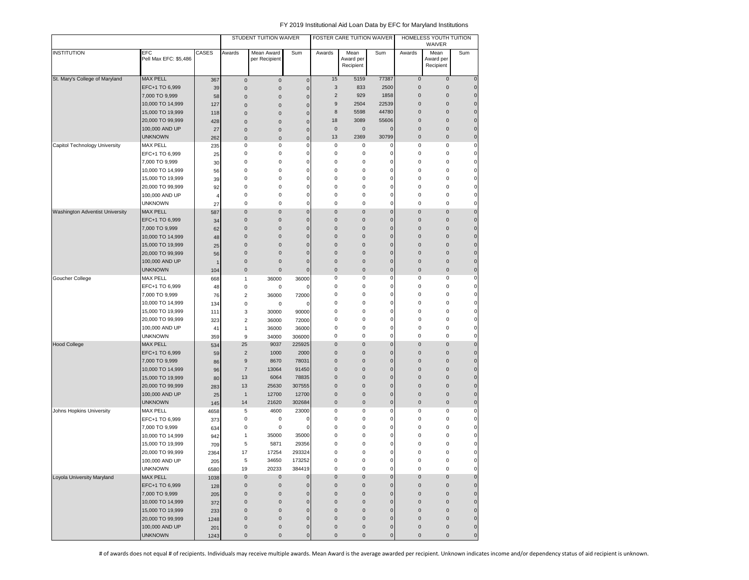|                                 |                              |          |                     | STUDENT TUITION WAIVER      |                |                | FOSTER CARE TUITION WAIVER |              |              | HOMELESS YOUTH TUITION<br>WAIVER |              |
|---------------------------------|------------------------------|----------|---------------------|-----------------------------|----------------|----------------|----------------------------|--------------|--------------|----------------------------------|--------------|
| <b>INSTITUTION</b>              | EFC<br>Pell Max EFC: \$5,486 | CASES    | Awards              | Mean Award<br>per Recipient | Sum            | Awards         | Mean<br>Award per          | Sum          | Awards       | Mean<br>Award per                | Sum          |
|                                 |                              |          |                     |                             |                |                | Recipient                  |              |              | Recipient                        |              |
| St. Mary's College of Maryland  | <b>MAX PELL</b>              | 367      | $\pmb{0}$           | $\pmb{0}$                   | $\mathbf 0$    | 15             | 5159                       | 77387        | $\pmb{0}$    | $\mathsf{O}\xspace$              | $\mathbf 0$  |
|                                 | EFC+1 TO 6,999               | 39       | $\pmb{0}$           | $\pmb{0}$                   | $\mathbf 0$    | 3              | 833                        | 2500         | $\bf 0$      | 0                                | $\mathbf 0$  |
|                                 | 7,000 TO 9,999               | 58       | $\mathbf 0$         | $\mathbf{0}$                | $\mathbf 0$    | $\overline{2}$ | 929                        | 1858         | $\pmb{0}$    | 0                                | $\mathbf 0$  |
|                                 | 10,000 TO 14,999             | 127      | $\mathbf 0$         | $\mathbf 0$                 | $\overline{0}$ | 9              | 2504                       | 22539        | $\pmb{0}$    | 0                                | $\mathbf{0}$ |
|                                 | 15,000 TO 19,999             | 118      | $\mathbf 0$         | $\mathbf 0$                 | $\mathbf 0$    | 8              | 5598                       | 44780        | $\mathbf{0}$ | 0                                | $\mathbf{0}$ |
|                                 | 20,000 TO 99,999             | 428      | $\pmb{0}$           | $\mathbf 0$                 | $\overline{0}$ | 18             | 3089                       | 55606        | $\bf 0$      | 0                                | $\mathbf{0}$ |
|                                 | 100,000 AND UP               | 27       | $\pmb{0}$           | $\mathbf 0$                 | $\mathbf 0$    | $\pmb{0}$      | $\pmb{0}$                  | 0            | $\bf 0$      | $\mathbf 0$                      | $\mathbf{0}$ |
|                                 | <b>UNKNOWN</b>               | 262      | $\mathbf 0$         | $\pmb{0}$                   | $\overline{0}$ | 13             | 2369                       | 30799        | $\pmb{0}$    | 0                                | $\mathbf 0$  |
| Capitol Technology University   | <b>MAX PELL</b>              | 235      | 0                   | 0                           | $\mathbf 0$    | 0              | 0                          | 0            | 0            | 0                                | 0            |
|                                 | EFC+1 TO 6,999               | 25       | 0                   | 0                           | $\mathbf 0$    | 0              | 0                          | 0            | 0            | 0                                | $\mathbf 0$  |
|                                 | 7,000 TO 9,999               | 30       | 0                   | 0                           | $\mathbf 0$    | 0              | 0                          | $\Omega$     | 0            | 0                                | 0            |
|                                 | 10,000 TO 14,999             | 56       | 0                   | 0                           | $\mathbf 0$    | 0              | 0                          | 0            | 0            | 0                                | 0            |
|                                 | 15,000 TO 19,999             | 39       | 0                   | 0                           | $\overline{0}$ | 0              | 0                          | 0            | 0            | 0                                | 0            |
|                                 | 20,000 TO 99,999             | 92       | 0                   | 0                           | $\mathbf 0$    | 0              | $\mathsf 0$                | 0            | 0            | 0                                | $\mathbf 0$  |
|                                 | 100,000 AND UP               | 4        | 0                   | 0                           | $\overline{0}$ | 0              | $\mathsf 0$                | 0            | 0            | 0                                | 0            |
|                                 | <b>UNKNOWN</b>               | 27       | 0                   | 0                           | $\mathbf 0$    | 0              | $\mathbf 0$                | 0            | 0            | 0                                | 0            |
| Washington Adventist University | <b>MAX PELL</b>              | 587      | 0                   | $\mathbf 0$                 | $\mathbf 0$    | $\mathbf 0$    | $\mathbf 0$                | $\mathbf 0$  | $\pmb{0}$    | 0                                | $\mathbf 0$  |
|                                 | EFC+1 TO 6,999               |          | $\mathbf 0$         | $\mathbf 0$                 | $\mathbf 0$    | $\mathbf 0$    | $\pmb{0}$                  | 0            | $\mathbf 0$  | 0                                | $\mathbf{0}$ |
|                                 | 7,000 TO 9,999               | 34<br>62 | $\mathbf 0$         | $\mathbf 0$                 | $\overline{0}$ | $\bf 0$        | $\mathbf 0$                | $\mathbf 0$  | $\mathbf 0$  | 0                                | $\mathbf 0$  |
|                                 | 10,000 TO 14,999             |          | $\mathbf 0$         | $\pmb{0}$                   | $\overline{0}$ | $\pmb{0}$      | $\pmb{0}$                  | $\mathbf 0$  | $\mathbf 0$  | 0                                | $\mathbf 0$  |
|                                 | 15,000 TO 19,999             | 48       | $\bf 0$             | $\pmb{0}$                   | $\overline{0}$ | $\pmb{0}$      | $\pmb{0}$                  | $\mathbf 0$  | $\mathbf 0$  | 0                                | $\mathbf 0$  |
|                                 |                              | 25       | $\pmb{0}$           | $\mathbf 0$                 | $\mathbf 0$    | $\pmb{0}$      | $\mathbf 0$                | $\mathbf{0}$ | $\mathbf 0$  | 0                                | $\mathbf{0}$ |
|                                 | 20,000 TO 99,999             | 56       | $\pmb{0}$           | $\mathbf 0$                 | $\mathbf 0$    | $\mathbf{0}$   | $\mathbf 0$                | 0            | $\mathbf 0$  | 0                                | $\mathbf{0}$ |
|                                 | 100,000 AND UP               | 1        |                     |                             |                |                |                            |              |              |                                  |              |
|                                 | <b>UNKNOWN</b>               | 104      | $\mathbf 0$         | $\mathbf 0$                 | $\mathbf 0$    | $\pmb{0}$      | $\mathbf 0$                | 0            | $\mathbf 0$  | 0                                | $\mathbf{0}$ |
| Goucher College                 | <b>MAX PELL</b>              | 668      | $\mathbf{1}$        | 36000                       | 36000          | 0              | 0                          | 0            | 0            | 0                                | 0            |
|                                 | EFC+1 TO 6,999               | 48       | 0                   | 0                           | $\mathbf 0$    | 0              | $\mathsf 0$                | 0            | 0            | 0                                | $\mathbf 0$  |
|                                 | 7,000 TO 9,999               | 76       | 2                   | 36000                       | 72000          | 0              | $\mathsf 0$                | 0            | 0            | 0                                | $\mathbf 0$  |
|                                 | 10,000 TO 14,999             | 134      | 0                   | 0                           | 0              | 0              | 0                          | 0            | 0            | 0                                | $\mathbf 0$  |
|                                 | 15,000 TO 19,999             | 111      | 3                   | 30000                       | 90000          | 0              | $\mathbf 0$                | 0            | 0            | 0                                | 0            |
|                                 | 20,000 TO 99,999             | 323      | $\sqrt{2}$          | 36000                       | 72000          | 0              | 0                          | 0            | 0            | 0                                | 0            |
|                                 | 100,000 AND UP               | 41       | $\mathbf{1}$        | 36000                       | 36000          | 0              | 0                          | 0            | 0            | 0                                | 0            |
|                                 | <b>UNKNOWN</b>               | 359      | 9                   | 34000                       | 306000         | 0              | 0                          | 0            | 0            | 0                                | 0            |
| <b>Hood College</b>             | <b>MAX PELL</b>              | 534      | 25                  | 9037                        | 225925         | $\pmb{0}$      | $\pmb{0}$                  | 0            | $\bf 0$      | 0                                | $\mathbf 0$  |
|                                 | EFC+1 TO 6,999               | 59       | $\sqrt{2}$          | 1000                        | 2000           | $\bf 0$        | $\pmb{0}$                  | $\mathbf 0$  | $\mathbf 0$  | 0                                | $\mathbf{0}$ |
|                                 | 7,000 TO 9,999               | 86       | $\boldsymbol{9}$    | 8670                        | 78031          | $\bf 0$        | $\mathbf 0$                | $\mathbf{0}$ | $\mathbf 0$  | 0                                | $\mathbf{0}$ |
|                                 | 10,000 TO 14,999             | 96       | $\overline{7}$      | 13064                       | 91450          | $\mathbf 0$    | $\mathbf 0$                | 0            | $\mathbf 0$  | 0                                | $\mathbf{0}$ |
|                                 | 15,000 TO 19,999             | 80       | 13                  | 6064                        | 78835          | $\pmb{0}$      | $\mathbf 0$                | 0            | $\mathbf 0$  | 0                                | $\mathbf{0}$ |
|                                 | 20,000 TO 99,999             | 283      | 13                  | 25630                       | 307555         | $\pmb{0}$      | $\mathbf 0$                | 0            | $\mathbf 0$  | 0                                | $\mathbf{0}$ |
|                                 | 100,000 AND UP               | 25       | $\mathbf{1}$        | 12700                       | 12700          | $\pmb{0}$      | $\pmb{0}$                  | 0            | $\mathbf 0$  | 0                                | $\mathbf{0}$ |
|                                 | <b>UNKNOWN</b>               | 145      | 14                  | 21620                       | 302684         | $\bf 0$        | $\mathsf{O}\xspace$        | 0            | $\mathbf 0$  | 0                                | $\mathbf 0$  |
| Johns Hopkins University        | <b>MAX PELL</b>              | 4658     | 5                   | 4600                        | 23000          | 0              | 0                          | 0            | 0            | 0                                | $\mathbf 0$  |
|                                 | EFC+1 TO 6,999               | 373      | $\bf 0$             | 0                           | 0              | 0              | 0                          | 0            | 0            | 0                                | $\mathbf 0$  |
|                                 | 7,000 TO 9,999               | 634      | 0                   | 0                           | $\epsilon$     | 0              | 0                          | $\Omega$     | 0            | 0                                | 0            |
|                                 | 10,000 TO 14,999             | 942      | 1                   | 35000                       | 35000          | 0              | 0                          | 0            | 0            | 0                                | $\mathbf 0$  |
|                                 | 15,000 TO 19,999             | 709      | 5                   | 5871                        | 29356          | 0              | $\mathsf 0$                | 0            | 0            | 0                                | $\mathbf 0$  |
|                                 | 20,000 TO 99,999             | 2364     | 17                  | 17254                       | 293324         | 0              | $\mathbf 0$                | 0            | 0            | 0                                | 0            |
|                                 | 100,000 AND UP               | 205      | 5                   | 34650                       | 173252         | 0              | 0                          | 0            | 0            | 0                                |              |
|                                 | <b>UNKNOWN</b>               | 6580     | 19                  | 20233                       | 384419         | 0              | 0                          | 0            | 0            | 0                                | 0            |
| Loyola University Maryland      | MAX PELL                     | 1038     | $\mathsf 0$         | $\mathsf{O}\xspace$         | $\pmb{0}$      | $\pmb{0}$      | $\mathsf 0$                | $\mathbf 0$  | $\pmb{0}$    | $\mathbf 0$                      | $\mathbf 0$  |
|                                 | EFC+1 TO 6,999               | 128      | $\mathsf{O}\xspace$ | $\mathbf 0$                 | $\pmb{0}$      | $\pmb{0}$      | $\mathsf 0$                | $\mathbf 0$  | $\pmb{0}$    | 0                                | $\pmb{0}$    |
|                                 | 7,000 TO 9,999               | 205      | $\mathbf 0$         | $\pmb{0}$                   | $\pmb{0}$      | $\pmb{0}$      | $\mathsf{O}\xspace$        | $\mathbf 0$  | $\pmb{0}$    | 0                                | $\mathbf 0$  |
|                                 | 10,000 TO 14,999             | 372      | $\mathsf{O}\xspace$ | $\pmb{0}$                   | $\mathbf 0$    | $\pmb{0}$      | $\mathsf{O}\xspace$        | $\mathbf 0$  | $\pmb{0}$    | 0                                | $\mathbf 0$  |
|                                 | 15,000 TO 19,999             | 233      | $\mathsf{O}\xspace$ | $\pmb{0}$                   | $\mathbf 0$    | $\bf 0$        | $\mathsf{O}\xspace$        | $\mathbf 0$  | $\pmb{0}$    | 0                                | $\mathbf 0$  |
|                                 | 20,000 TO 99,999             | 1248     | $\pmb{0}$           | $\pmb{0}$                   | $\mathbf 0$    | $\bf 0$        | $\mathsf{O}\xspace$        | 0            | $\pmb{0}$    | 0                                | $\mathbf 0$  |
|                                 | 100,000 AND UP               | 201      | $\mathsf{O}\xspace$ | $\pmb{0}$                   | $\pmb{0}$      | $\pmb{0}$      | $\pmb{0}$                  | $\pmb{0}$    | $\pmb{0}$    | 0                                | $\mathbf 0$  |
|                                 | <b>UNKNOWN</b>               | 1243     | $\pmb{0}$           | $\pmb{0}$                   | $\mathbf 0$    | $\bf 0$        | $\mathsf{O}\xspace$        | 0            | $\mathsf 0$  | 0                                | $\pmb{0}$    |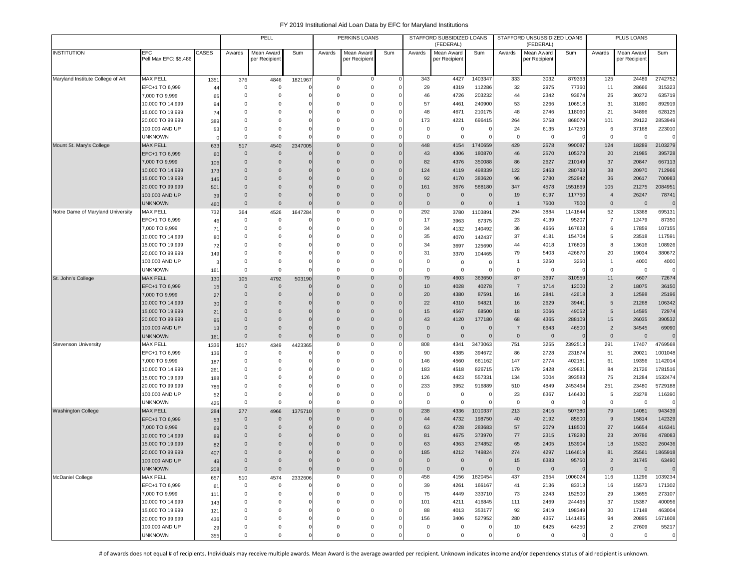|                                   |                                     |            |                         | PELL                       |                          |                          | PERKINS LOANS                |             |                      | STAFFORD SUBSIDIZED LOANS<br>(FEDERAL) |                |                      | STAFFORD UNSUBSIDIZED LOANS<br>(FEDERAL) |          |                      | PLUS LOANS                  |                        |
|-----------------------------------|-------------------------------------|------------|-------------------------|----------------------------|--------------------------|--------------------------|------------------------------|-------------|----------------------|----------------------------------------|----------------|----------------------|------------------------------------------|----------|----------------------|-----------------------------|------------------------|
| <b>INSTITUTION</b>                | <b>EFC</b><br>Pell Max EFC: \$5,486 | CASES      | Awards                  | Mean Award<br>per Recipien | Sum                      | Awards                   | Mean Award<br>per Recipient  | Sum         | Awards               | Mean Award<br>per Recipien             | Sum            | Awards               | Mean Award<br>per Recipient              | Sum      | Awards               | Mean Award<br>per Recipient | Sum                    |
| Maryland Institute College of Art | <b>MAX PELL</b>                     | 1351       | 376                     | 4846                       | 1821967                  | 0                        | 0                            |             | 343                  | 4427                                   | 1403347        | 333                  | 3032                                     | 879363   | 125                  | 24489                       | 2742752                |
|                                   | EFC+1 TO 6,999                      | 44         | $^{\circ}$              | $\mathbf 0$                |                          | $\mathbf 0$              | $\mathbf 0$                  |             | 29                   | 4319                                   | 112286         | 32                   | 2975                                     | 77360    | 11                   | 28666                       | 315323                 |
|                                   | 7,000 TO 9,999                      | 65         | $^{\circ}$              | 0                          | $\Omega$                 | $\Omega$                 | 0                            | C           | 46                   | 4726                                   | 203232         | 44                   | 2342                                     | 93674    | 25                   | 30272                       | 635719                 |
|                                   | 10,000 TO 14,999                    | 94         | $\Omega$                | $\Omega$                   | $\Omega$                 | $\Omega$                 | $\Omega$                     |             | 57                   | 4461                                   | 240900         | 53                   | 2266                                     | 106518   | 31                   | 31890                       | 892919                 |
|                                   | 15,000 TO 19,999                    | 74         | $\Omega$                | $\Omega$                   | 0                        | $\mathbf 0$              | 0                            |             | 48                   | 4671                                   | 210175         | 48                   | 2746                                     | 118060   | 21                   | 34896                       | 628125                 |
|                                   | 20,000 TO 99,999                    | 389        | $\Omega$                | $\Omega$                   | $\Omega$                 | $\Omega$                 | 0                            |             | 173                  | 4221                                   | 696415         | 264                  | 3758                                     | 868079   | 101                  | 29122                       | 2853949                |
|                                   | 100,000 AND UP                      | 53         | $^{\circ}$              | 0                          | 0                        | 0                        | 0                            |             | $\mathbf 0$          | $^{\circ}$                             | C              | 24                   | 6135                                     | 147250   | 6                    | 37168                       | 223010                 |
|                                   | <b>UNKNOWN</b>                      | $\Omega$   | $\mathbf 0$             | $\mathbf 0$                | $\Omega$                 | $\Omega$                 | $\mathbf 0$                  |             | $\mathbf 0$          | $\mathbf 0$                            | $\Omega$       | $^{\circ}$           | $\mathbf 0$                              |          | $\mathbf 0$          | $\mathbf 0$                 | $\Omega$               |
| Mount St. Mary's College          | <b>MAX PELL</b>                     | 633        | 517                     | 4540                       | 2347005                  | $\Omega$                 | $\mathbf{0}$                 | $\Omega$    | 448                  | 4154                                   | 1740659        | 429                  | 2578                                     | 990087   | 124                  | 18289                       | 2103279                |
|                                   | EFC+1 TO 6,999                      | 60         | $\mathbf 0$             | $\mathbf{0}$               | $\Omega$                 | $\Omega$                 | $\Omega$                     | $\Omega$    | 43                   | 4306                                   | 180870         | 46                   | 2570                                     | 105373   | 20                   | 21985                       | 395728                 |
|                                   | 7.000 TO 9.999                      | 106        | $\mathbf 0$             | $\mathbf 0$                | $\Omega$                 | 0                        | $\mathbf{0}$                 |             | 82                   | 4376                                   | 350088         | 86                   | 2627                                     | 210149   | 37                   | 20847                       | 667113                 |
|                                   | 10,000 TO 14,999                    | 173        | $\mathbf{0}$            | $\mathbf{0}$               | $\mathbf 0$              | 0                        | $\mathbf 0$                  | $\Omega$    | 124                  | 4119                                   | 498339         | 122                  | 2463                                     | 280793   | 38                   | 20970                       | 712966                 |
|                                   | 15,000 TO 19,999                    | 145        | $\Omega$                | $\mathbf 0$                | $\mathbf 0$              | 0                        | $\mathbf{0}$                 | $\Omega$    | 92                   | 4170                                   | 383620         | 96                   | 2780                                     | 252942   | 36                   | 20617                       | 700983                 |
|                                   | 20,000 TO 99,999                    | 501        | $\Omega$                | $\mathbf{0}$               | $\Omega$                 | $\mathbf{0}$             | $\mathbf 0$                  | $\Omega$    | 161                  | 3676                                   | 588180         | 347                  | 4578                                     | 1551869  | 105                  | 21275                       | 2084951                |
|                                   | 100,000 AND UP                      | 39         | $\Omega$                | $\mathbf{0}$               | $\mathbf 0$              | 0                        | $\mathbf 0$                  | $\Omega$    | $\overline{0}$       | $\overline{0}$                         | $\mathbf{0}$   | 19                   | 6197                                     | 117750   | $\overline{4}$       | 26247                       | 78741                  |
|                                   | <b>UNKNOWN</b>                      | 460        | $\mathbf{0}$            | $\mathbf{0}$               | $\Omega$                 | $\mathbf{0}$             | $\mathbf 0$                  | $\Omega$    | $\mathbf 0$          | $\overline{0}$                         | $\mathbf{0}$   | $\overline{1}$       | 7500                                     | 7500     | $\mathbf{0}$         | $\mathbf{0}$                | $\mathbf 0$            |
| Notre Dame of Maryland University | <b>MAX PELL</b>                     | 732        | 364                     | 4526                       | 1647284                  | $\mathbf 0$              | 0                            |             | 292                  | 3780                                   | 1103891        | 294                  | 3884                                     | 1141844  | 52                   | 13368                       | 695131                 |
|                                   | EFC+1 TO 6,999                      | 46         | 0                       | $\mathbf 0$                |                          | $\mathbf 0$              | 0                            |             | 17                   | 3963                                   | 67375          | 23                   | 4139                                     | 95207    | $\overline{7}$       | 12479                       | 87350                  |
|                                   | 7,000 TO 9,999                      | 71         | 0                       | 0                          | $^{\circ}$               | $\Omega$                 | 0                            |             | 34                   | 4132                                   | 140492         | 36                   | 4656                                     | 167633   | 6                    | 17859                       | 107155                 |
|                                   | 10,000 TO 14,999                    | 80         | $\Omega$                | $\mathbf 0$                | 0                        | $\Omega$                 | 0                            |             | 35                   | 4070                                   | 142437         | 37                   | 4181                                     | 154704   | 5                    | 23518                       | 117591                 |
|                                   | 15,000 TO 19,999                    | 72         | $\Omega$                | $\Omega$                   | $\Omega$                 | $\Omega$                 | $\Omega$                     |             | 34                   | 3697                                   | 125690         | 44                   | 4018                                     | 176806   | 8                    | 13616                       | 108926                 |
|                                   | 20,000 TO 99,999                    | 149        | $\Omega$                | $\Omega$                   | $\Omega$                 | $\Omega$                 | $\Omega$                     |             | 31                   | 3370                                   | 104465         | 79                   | 5403                                     | 426870   | 20                   | 19034                       | 380672                 |
|                                   | 100,000 AND UP                      | 3          | $\Omega$                | $\mathbf 0$                | $\Omega$                 | $\mathbf 0$              | 0                            |             | $\mathbf 0$          | $\mathbf 0$                            | 0              |                      | 3250                                     | 3250     | $\mathbf{1}$         | 4000                        | 4000                   |
|                                   | <b>UNKNOWN</b>                      | 161        | 0                       | 0                          | $\Omega$                 | $\Omega$                 | 0                            |             | $\mathbf 0$          | $^{\circ}$                             | $\mathbf{C}$   | 0                    | 0                                        |          | 0                    | 0                           | $\mathbf 0$            |
| St. John's College                | <b>MAX PELL</b>                     | 130        | 105                     | 4792                       | 503190                   | $\mathbf{0}$             | $\mathbf{0}$                 |             | 79                   | 4603                                   | 363650         | 87                   | 3697                                     | 310559   | 11                   | 6607                        | 72674                  |
|                                   | EFC+1 TO 6,999                      | 15         | $\mathbf{0}$            | $\mathbf{0}$               |                          | 0                        | $\mathbf{0}$                 |             | 10                   | 4028                                   | 40278          | $\overline{7}$       | 1714                                     | 12000    | $\overline{2}$       | 18075                       | 36150                  |
|                                   | 7,000 TO 9,999                      | 27         | $\Omega$                | $\mathbf{0}$               | $\Omega$                 | 0                        | $\mathbf 0$                  | $\Omega$    | 20                   | 4380                                   | 87591          | 16                   | 2841                                     | 42618    | $\mathbf{3}$         | 12598                       | 25196                  |
|                                   | 10,000 TO 14,999                    | 30         | $\Omega$                | $\Omega$                   | $\Omega$                 | $\Omega$                 | $\mathbf{0}$                 | $\Omega$    | 22                   | 4310                                   | 94821          | 16                   | 2629                                     | 39441    | 5                    | 21268                       | 106342                 |
|                                   | 15,000 TO 19,999                    | 21         | $\Omega$                | $\Omega$                   | $\Omega$                 | $\Omega$                 | $\mathbf{0}$                 | $\Omega$    | 15                   | 4567                                   | 68500          | 18                   | 3066                                     | 49052    | 5                    | 14595                       | 72974                  |
|                                   | 20,000 TO 99,999                    | 95         | $\Omega$<br>$\mathbf 0$ | $\Omega$<br>$\mathbf{0}$   | $\Omega$<br>$\mathbf{0}$ | $\Omega$<br>$\mathbf{0}$ | $\mathbf{0}$<br>$\mathbf{0}$ | $\Omega$    | 43<br>$\overline{0}$ | 4120<br>$\overline{0}$                 | 177180<br>0    | 68<br>$\overline{7}$ | 4365                                     | 288109   | 15<br>$\overline{2}$ | 26035                       | 390532<br>69090        |
|                                   | 100,000 AND UP                      | 13         |                         | $\mathbf{0}$               | $\mathbf{0}$             | $\mathbf{0}$             | $\mathbf{0}$                 |             |                      | $\overline{0}$                         | $\mathbf{0}$   |                      | 6643                                     | 46500    |                      | 34545                       |                        |
| <b>Stevenson University</b>       | <b>UNKNOWN</b><br><b>MAX PELL</b>   | 161        | $\mathbf 0$             |                            |                          | $\mathbf 0$              | 0                            | 0           | $\mathbf 0$<br>808   | 4341                                   | 3473063        | $\mathbf 0$<br>751   | $\overline{0}$<br>3255                   | 2392513  | $\mathbf 0$<br>291   | $\mathbf 0$<br>17407        | $\mathbf 0$<br>4769568 |
|                                   | EFC+1 TO 6,999                      | 1336       | 1017<br>0               | 4349<br>$\mathbf 0$        | 4423365<br>$\Omega$      | $\Omega$                 | 0                            | c           | 90                   | 4385                                   | 394672         | 86                   | 2728                                     | 231874   | 51                   | 20021                       | 1001048                |
|                                   | 7,000 TO 9,999                      | 136        | $^{\circ}$              | $\Omega$                   | $\Omega$                 | $\Omega$                 | $\Omega$                     | C           | 146                  | 4560                                   | 661162         | 147                  | 2774                                     | 402181   | 61                   | 19356                       | 1142014                |
|                                   | 10,000 TO 14,999                    | 187<br>261 | $\mathbf 0$             | $\mathbf 0$                | $\Omega$                 | $\mathbf 0$              | 0                            |             | 183                  | 4518                                   | 826715         | 179                  | 2428                                     | 42983    | 84                   | 21726                       | 1781516                |
|                                   | 15,000 TO 19,999                    | 188        | $\Omega$                | 0                          | $\mathbf 0$              | $\Omega$                 | 0                            |             | 126                  | 4423                                   | 557331         | 134                  | 3004                                     | 393583   | 75                   | 21284                       | 1532474                |
|                                   | 20,000 TO 99,999                    | 786        | $\Omega$                | 0                          | $\Omega$                 | $\mathbf 0$              | 0                            |             | 233                  | 3952                                   | 916889         | 510                  | 4849                                     | 2453464  | 251                  | 23480                       | 5729188                |
|                                   | 100,000 AND UP                      | 52         | $\Omega$                | $\mathbf 0$                | $\Omega$                 | $\mathbf 0$              | $\mathbf 0$                  |             | $\mathbf 0$          | 0                                      | $\mathbf 0$    | 23                   | 6367                                     | 146430   | 5                    | 23278                       | 116390                 |
|                                   | <b>UNKNOWN</b>                      | 425        | $\mathsf 0$             | $\mathbf 0$                | $\Omega$                 | $\mathbf 0$              | $\mathbf 0$                  |             | $\mathbf 0$          | $\mathsf 0$                            | $\Omega$       | 0                    | $\overline{0}$                           |          | 0                    | $\mathsf 0$                 | $\mathbf 0$            |
| <b>Washington College</b>         | <b>MAX PELL</b>                     | 284        | 277                     | 4966                       | 1375710                  | $\mathbf 0$              | $\mathbf{0}$                 | $\Omega$    | 238                  | 4336                                   | 1010337        | 213                  | 2416                                     | 507380   | 79                   | 14081                       | 943439                 |
|                                   | EFC+1 TO 6,999                      | 53         | $\mathbf 0$             | $\mathbf 0$                |                          | 0                        | $\mathbf{0}$                 | $\Omega$    | 44                   | 4732                                   | 198750         | 40                   | 2192                                     | 85500    | 9                    | 15814                       | 142329                 |
|                                   | 7,000 TO 9,999                      | 69         | $\mathbf{0}$            | $\mathbf{0}$               | $\Omega$                 | $\Omega$                 | $\mathbf{0}$                 | $\epsilon$  | 63                   | 4728                                   | 283683         | 57                   | 2079                                     | 118500   | 27                   | 16654                       | 416341                 |
|                                   | 10,000 TO 14,999                    | 89         | $\Omega$                | $\mathbf 0$                | $\mathbf 0$              | 0                        | $\mathbf{0}$                 |             | 81                   | 4675                                   | 373970         | 77                   | 2315                                     | 178280   | 23                   | 20786                       | 478083                 |
|                                   | 15,000 TO 19,999                    | 82         | $\Omega$                | $\Omega$                   | $\Omega$                 | $\Omega$                 | $\mathbf{0}$                 |             | 63                   | 4363                                   | 274852         | 65                   | 2405                                     | 153904   | 18                   | 15320                       | 260436                 |
|                                   | 20,000 TO 99,999                    | 407        | $\Omega$                | $\Omega$                   | $\mathbf 0$              | $\Omega$                 | $\Omega$                     | $\Omega$    | 185                  | 4212                                   | 749824         | 274                  | 4297                                     | 1164619  | 81                   | 25561                       | 1865918                |
|                                   | 100,000 AND UP                      | 49         | $\mathbf 0$             | $\mathbf 0$                | $\mathbf{0}$             | $\mathbf 0$              | $\mathbf 0$                  | $\Omega$    | $\mathbf 0$          | $\mathbf 0$                            | $\overline{0}$ | 15                   | 6383                                     | 95750    | $\overline{c}$       | 31745                       | 63490                  |
|                                   | <b>UNKNOWN</b>                      | 208        | $\mathbf 0$             | $\mathbf 0$                | $\mathbf 0$              | $\mathsf{O}\xspace$      | $\mathbf 0$                  | $\mathbf 0$ | $\mathbf 0$          | $\mathbf 0$                            | $\mathbf 0$    | $\mathsf 0$          | $\mathbf 0$                              |          | $\mathbf 0$          | $\mathbf 0$                 | $\mathbf 0$            |
| <b>McDaniel College</b>           | <b>MAX PELL</b>                     | 657        | 510                     | 4574                       | 2332606                  | $\mathbf 0$              | 0                            |             | 458                  | 4156                                   | 1820454        | 437                  | 2654                                     | 1006024  | 116                  | 11296                       | 1039234                |
|                                   | EFC+1 TO 6,999                      | 61         | 0                       | $\mathbf 0$                | $^{\circ}$               | $\mathbf 0$              | 0                            |             | 39                   | 4261                                   | 166167         | 41                   | 2136                                     | 83313    | 16                   | 15573                       | 171302                 |
|                                   | 7,000 TO 9,999                      | 111        | 0                       | 0                          | 0                        | 0                        | 0                            | $\Omega$    | 75                   | 4449                                   | 333710         | 73                   | 2243                                     | 152500   | 29                   | 13655                       | 273107                 |
|                                   | 10,000 TO 14,999                    | 143        | 0                       | 0                          | $\Omega$                 | $\mathbf 0$              | 0                            |             | 101                  | 4211                                   | 416845         | 111                  | 2469                                     | 244465   | 37                   | 15387                       | 400056                 |
|                                   | 15,000 TO 19,999                    | 121        | 0                       | $\Omega$                   | $\Omega$                 | $\mathbf 0$              | 0                            | $\Omega$    | 88                   | 4013                                   | 353177         | 92                   | 2419                                     | 198349   | 30                   | 17148                       | 463004                 |
|                                   | 20,000 TO 99,999                    | 436        | 0                       | $\Omega$                   | $\Omega$                 | $\mathbf 0$              | 0                            |             | 156                  | 3406                                   | 527952         | 280                  | 4357                                     | 1141485  | 94                   | 20895                       | 1671608                |
|                                   | 100,000 AND UP                      | 29         | 0                       | 0                          | 0                        | $\mathbf 0$              | 0                            |             | $\mathbf 0$          | $^{\circ}$                             | 0              | 10                   | 6425                                     | 64250    | $\overline{2}$       | 27609                       | 55217                  |
|                                   | <b>UNKNOWN</b>                      | 355        | $\mathbf 0$             | 0                          | $\mathbf 0$              | $\mathbf 0$              | 0                            |             | $\mathbf 0$          | 0                                      | $\mathbf 0$    | $\mathbf 0$          | $\mathbf 0$                              | $\Omega$ | 0                    | $\mathbf 0$                 | $\mathsf{O}$           |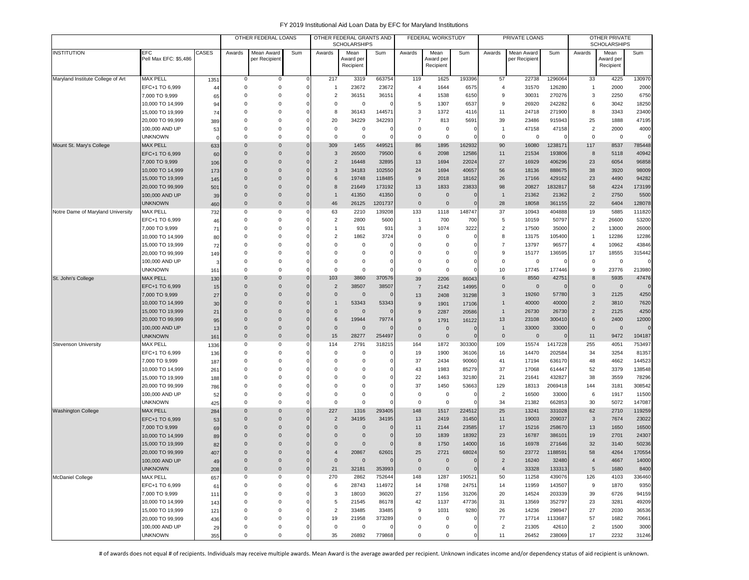|                                   |                                      |           |                      | OTHER FEDERAL LOANS        |                      |                       | OTHER FEDERAL GRANTS AND<br><b>SCHOLARSHIPS</b> |                 |                       | FEDERAL WORKSTUDY      |                       |                       | PRIVATE LOANS  |                   |                                  | OTHER PRIVATE<br><b>SCHOLARSHIPS</b> |                 |
|-----------------------------------|--------------------------------------|-----------|----------------------|----------------------------|----------------------|-----------------------|-------------------------------------------------|-----------------|-----------------------|------------------------|-----------------------|-----------------------|----------------|-------------------|----------------------------------|--------------------------------------|-----------------|
| <b>INSTITUTION</b>                | <b>EFC</b>                           | CASES     | Awards               | Mean Award                 | Sum                  | Awards                | Mean                                            | Sum             | Awards                | Mean                   | Sum                   | Awards                | Mean Award     | Sum               | Awards                           | Mean                                 | Sum             |
|                                   | Pell Max EFC: \$5,486                |           |                      | per Recipient              |                      |                       | Award per<br>Recipient                          |                 |                       | Award per<br>Recipient |                       |                       | per Recipient  |                   |                                  | Award per<br>Recipient               |                 |
|                                   |                                      |           |                      |                            |                      |                       |                                                 |                 |                       |                        |                       |                       |                |                   |                                  |                                      |                 |
| Maryland Institute College of Art | <b>MAX PELL</b><br>EFC+1 TO 6,999    | 1351      | 0<br>$\mathbf 0$     | 0<br>$\pmb{0}$             | 0<br>0               | 217<br>$\mathbf{1}$   | 3319<br>23672                                   | 663754<br>23672 | 119<br>$\overline{4}$ | 1625<br>1644           | 193396<br>6575        | 57<br>$\overline{a}$  | 22738<br>31570 | 1296064<br>126280 | 33<br>$\overline{1}$             | 4225<br>2000                         | 130970<br>2000  |
|                                   | 7,000 TO 9,999                       | 44<br>65  | $\Omega$             | $\mathbf 0$                | $\Omega$             | $\overline{c}$        | 36151                                           | 36151           | $\overline{4}$        | 1538                   | 6150                  | 9                     | 30031          | 270276            | 3                                | 2250                                 | 6750            |
|                                   | 10,000 TO 14,999                     | 94        | $\Omega$             | $\mathbf 0$                | $\Omega$             | $\mathbf 0$           | $\mathbf 0$                                     |                 | 5                     | 1307                   | 6537                  | 9                     | 26920          | 242282            | 6                                | 3042                                 | 18250           |
|                                   | 15,000 TO 19,999                     | 74        | $\Omega$             | 0                          | 0                    | 8                     | 36143                                           | 144571          | 3                     | 1372                   | 4116                  | 11                    | 24718          | 271900            | 8                                | 3343                                 | 23400           |
|                                   | 20,000 TO 99,999                     | 389       | $\Omega$             | $\mathbf 0$                | $\Omega$             | 20                    | 34229                                           | 342293          | $\overline{7}$        | 813                    | 5691                  | 39                    | 23486          | 915943            | 25                               | 1888                                 | 47195           |
|                                   | 100,000 AND UP                       | 53        | $\Omega$             | $\mathbf 0$                | 0                    | 0                     | $\mathbf 0$                                     |                 | 0                     | 0                      | O                     | $\overline{1}$        | 47158          | 47158             | $\overline{2}$                   | 2000                                 | 4000            |
|                                   | <b>UNKNOWN</b>                       |           | $\Omega$             | $\mathsf 0$                | $\Omega$             | $\Omega$              | $\mathbf 0$                                     |                 | $\Omega$              | $\mathsf 0$            | $\epsilon$            | $\mathbf 0$           | $\mathsf 0$    |                   | $\mathbf 0$                      | $\mathbf 0$                          | $\Omega$        |
| Mount St. Mary's College          | <b>MAX PELL</b>                      | 633       | $\Omega$             | $\mathbf{0}$               | $\mathbf{0}$         | 309                   | 1455                                            | 449521          | 86                    | 1895                   | 162932                | 90                    | 16080          | 1238171           | 117                              | 8537                                 | 785448          |
|                                   | EFC+1 TO 6,999                       | 60        | $\Omega$             | $\mathbf 0$                | $\Omega$             | 3                     | 26500                                           | 79500           | 6                     | 2098                   | 12586                 | 11                    | 21534          | 193806            | 8                                | 5118                                 | 40942           |
|                                   | 7,000 TO 9,999                       | 106       | $\Omega$             | $\mathbf{0}$               | $\mathbf 0$          | $\overline{2}$        | 16448                                           | 32895           | 13                    | 1694                   | 22024                 | 27                    | 16929          | 406296            | 23                               | 6054                                 | 96858           |
|                                   | 10,000 TO 14,999                     | 173       | $\mathbf 0$          | $\mathbf 0$                | $\mathbf 0$          | 3                     | 34183                                           | 102550          | 24                    | 1694                   | 40657                 | 56                    | 18136          | 888675            | 38                               | 3920                                 | 98009           |
|                                   | 15,000 TO 19,999                     | 145       | $\mathbf 0$          | $\mathbf 0$                | $\mathbf 0$          | 6                     | 19748                                           | 118485          | 9                     | 2018                   | 18162                 | 26                    | 17166          | 429162            | 23                               | 4490                                 | 94282           |
|                                   | 20,000 TO 99,999                     | 501       | $\mathbf 0$          | $\pmb{0}$                  | $\mathbf 0$          | 8                     | 21649                                           | 173192          | 13                    | 1833                   | 23833                 | 98                    | 20827          | 1832817           | 58                               | 4224                                 | 173199          |
|                                   | 100,000 AND UP                       | 39        | $\mathbf 0$          | $\pmb{0}$                  | $\mathbf 0$          | $\mathbf{1}$          | 41350                                           | 41350           | $\mathbf 0$           | $\mathsf{O}\xspace$    | $\mathbf 0$           | $\overline{1}$        | 21362          | 21362             | $\overline{2}$                   | 2750                                 | 5500            |
|                                   | <b>UNKNOWN</b>                       | 460       | $\mathbf 0$          | $\mathsf 0$                | $\mathbf 0$          | 46                    | 26125                                           | 1201737         | $\Omega$              | $\mathbf 0$            | $\sqrt{ }$            | 28                    | 18058          | 361155            | 22                               | 6404                                 | 128078          |
| Notre Dame of Maryland University | <b>MAX PELL</b>                      | 732       | 0                    | 0                          | $\Omega$             | 63                    | 2210                                            | 139208          | 133                   | 1118                   | 148747                | 37                    | 10943          | 404888            | 19                               | 5885                                 | 111820          |
|                                   | EFC+1 TO 6,999                       | 46        | 0                    | 0                          | 0                    | $\overline{2}$        | 2800                                            | 5600            | $\overline{1}$        | 700                    | 700                   | 5                     | 10159          | 50797             | $\overline{2}$                   | 26600                                | 53200           |
|                                   | 7,000 TO 9,999                       | 71        | $\Omega$<br>$\Omega$ | $\mathbf 0$<br>$\mathbf 0$ | $\Omega$<br>$\Omega$ | 1<br>$\overline{2}$   | 931<br>1862                                     | 931<br>3724     | 3<br>$\Omega$         | 1074<br>$\mathbf 0$    | 3222<br>$\Omega$      | $\overline{c}$<br>8   | 17500<br>13175 | 35000<br>105400   | $\overline{2}$<br>$\overline{1}$ | 13000<br>12286                       | 26000<br>12286  |
|                                   | 10,000 TO 14,999<br>15,000 TO 19,999 | 80        | $\Omega$             | $\mathbf 0$                | $\Omega$             | $\Omega$              | $\Omega$                                        | $\mathbf 0$     | $\Omega$              | $\Omega$               | $\mathsf{C}$          | $\overline{7}$        | 13797          | 96577             | $\overline{4}$                   | 10962                                | 43846           |
|                                   | 20,000 TO 99,999                     | 72<br>149 | $\Omega$             | $\Omega$                   | $\Omega$             | $\Omega$              | $\Omega$                                        |                 | $\Omega$              | $\Omega$               | $\mathsf{C}$          | 9                     | 15177          | 136595            | 17                               | 18555                                | 315442          |
|                                   | 100,000 AND UP                       |           | $\Omega$             | 0                          |                      | 0                     | 0                                               |                 | $\Omega$              | 0                      | $\epsilon$            | $\mathbf 0$           | $^{\circ}$     |                   | $\mathbf 0$                      | 0                                    | $\Omega$        |
|                                   | <b>UNKNOWN</b>                       | 161       | $\Omega$             | 0                          | $\Omega$             | $\Omega$              | $\Omega$                                        |                 | $\Omega$              | 0                      | C                     | 10                    | 17745          | 177446            | 9                                | 23776                                | 213980          |
| St. John's College                | <b>MAX PELL</b>                      | 130       | $\mathbf 0$          | $\mathbf 0$                |                      | 103                   | 3860                                            | 370576          | 39                    | 2206                   | 86043                 | 6                     | 8550           | 4275              | 8                                | 5935                                 | 47476           |
|                                   | EFC+1 TO 6,999                       | 15        | $\Omega$             | $\mathbf{0}$               | $\mathbf 0$          | $\overline{2}$        | 38507                                           | 38507           | $\overline{7}$        | 2142                   | 14995                 | $\mathbf 0$           | $\mathbf 0$    |                   | $\mathbf 0$                      | $\mathbf 0$                          | $\Omega$        |
|                                   | 7,000 TO 9,999                       | 27        | $\Omega$             | $\pmb{0}$                  | $\mathbf 0$          | $\mathbf 0$           | $\overline{0}$                                  |                 | 13                    | 2408                   | 31298                 | $\mathbf{3}$          | 19260          | 57780             | 3                                | 2125                                 | 4250            |
|                                   | 10,000 TO 14,999                     | 30        | $\Omega$             | $\mathbf{0}$               | $\Omega$             | $\mathbf{1}$          | 53343                                           | 53343           | 9                     | 1901                   | 17106                 | $\mathbf{1}$          | 40000          | 40000             | $\overline{2}$                   | 3810                                 | 7620            |
|                                   | 15,000 TO 19,999                     | 21        | $\Omega$             | $\mathbf 0$                | $\Omega$             | $\mathbf{0}$          | $\overline{0}$                                  |                 | 9                     | 2287                   | 20586                 | $\mathbf{1}$          | 26730          | 26730             | $\overline{2}$                   | 2125                                 | 4250            |
|                                   | 20,000 TO 99,999                     | 95        | $\Omega$             | $\mathbf{0}$               | $\mathbf 0$          | 6                     | 19944                                           | 79774           | 9                     | 1791                   | 16122                 | 13                    | 23108          | 300410            | 6                                | 2400                                 | 12000           |
|                                   | 100,000 AND UP                       | 13        | $\mathbf 0$          | $\mathsf 0$                | $\mathbf 0$          | $\mathbf{0}$          | $\overline{0}$                                  |                 | $\Omega$              | $\mathbf 0$            | $\sqrt{ }$            | $\overline{1}$        | 33000          | 33000             | $\mathbf{0}$                     | $\mathbf 0$                          | $\sqrt{ }$      |
|                                   | <b>UNKNOWN</b>                       | 161       | $\mathbf 0$          | $\mathbf 0$                | $\mathbf{0}$         | 15                    | 28277                                           | 254497          | $\mathbf 0$           | $\mathbf 0$            | $\mathbf{C}$          | $\mathbf 0$           | $\mathbf 0$    |                   | 11                               | 9472                                 | 104187          |
| <b>Stevenson University</b>       | MAX PELL                             | 1336      | 0                    | $\mathsf 0$                | 0                    | 114                   | 2791                                            | 318215          | 164                   | 1872                   | 303300                | 109                   | 15574          | 1417228           | 255                              | 4051                                 | 753497          |
|                                   | EFC+1 TO 6,999                       | 136       | $\Omega$             | 0                          | $\Omega$             | 0                     | $^{\circ}$                                      | $\Omega$        | 19                    | 1900                   | 36106                 | 16                    | 14470          | 202584            | 34                               | 3254                                 | 81357           |
|                                   | 7,000 TO 9,999                       | 187       | $\Omega$             | $\mathbf 0$                | $\Omega$             | $\Omega$              | $\Omega$                                        |                 | 37                    | 2434                   | 90060                 | 41                    | 17194          | 636170            | 48                               | 4662                                 | 144523          |
|                                   | 10,000 TO 14,999                     | 261       | $\Omega$             | 0                          | $\Omega$             | $\Omega$              | 0                                               |                 | 43                    | 1983                   | 85279                 | 37                    | 17068          | 614447            | 52                               | 3379                                 | 138548          |
|                                   | 15,000 TO 19,999                     | 188       | $\Omega$             | $\mathbf 0$                | $\Omega$             | 0                     | 0                                               |                 | 22                    | 1463                   | 32180                 | 21                    | 21641          | 432827            | 38                               | 3559                                 | 78296           |
|                                   | 20,000 TO 99,999                     | 786       | 0<br>$\Omega$        | $\mathbf 0$<br>$\mathbf 0$ | $\Omega$<br>$\Omega$ | 0<br>0                | 0<br>$\mathbf 0$                                |                 | 37<br>$^{\circ}$      | 1450<br>$\mathsf 0$    | 53663<br>$\mathbf{C}$ | 129<br>$\overline{2}$ | 18313<br>16500 | 2069418<br>33000  | 144<br>6                         | 3181<br>1917                         | 308542<br>11500 |
|                                   | 100,000 AND UP<br><b>UNKNOWN</b>     | 52<br>425 | $\Omega$             | $\mathsf 0$                | $\Omega$             | $\Omega$              | $\Omega$                                        |                 | $\Omega$              | $\mathsf 0$            | $\mathsf{C}$          | 34                    | 21382          | 662853            | 30                               | 5072                                 | 147087          |
| <b>Washington College</b>         | <b>MAX PELL</b>                      | 284       | $\Omega$             | $\mathbf{0}$               | $\Omega$             | 227                   | 1316                                            | 293405          | 148                   | 1517                   | 224512                | 25                    | 13241          | 331028            | 62                               | 2710                                 | 119259          |
|                                   | EFC+1 TO 6,999                       | 53        | $\Omega$             | $\mathbf{0}$               | $\mathbf 0$          | $\overline{2}$        | 34195                                           | 34195           | 13                    | 2419                   | 31450                 | 11                    | 19003          | 209037            | 3                                | 7674                                 | 23022           |
|                                   | 7,000 TO 9,999                       | 69        | $\Omega$             | $\mathbf 0$                | $\Omega$             | $\mathbf{0}$          | $\mathbf 0$                                     | $\Omega$        | 11                    | 2144                   | 23585                 | 17                    | 15216          | 258670            | 13                               | 1650                                 | 16500           |
|                                   | 10,000 TO 14,999                     | 89        | $\Omega$             | $\mathbf 0$                | $\mathbf 0$          | $\mathbf 0$           | $\mathbf 0$                                     |                 | 10                    | 1839                   | 18392                 | 23                    | 16787          | 386101            | 19                               | 2701                                 | 24307           |
|                                   | 15,000 TO 19,999                     | 82        | $\Omega$             | $\Omega$                   | $\mathbf 0$          | $\Omega$              | $\Omega$                                        |                 | 8                     | 1750                   | 14000                 | 16                    | 16978          | 271646            | 32                               | 3140                                 | 50236           |
|                                   | 20,000 TO 99,999                     | 407       | $\Omega$             | $\Omega$                   | $\mathbf{0}$         | $\boldsymbol{\Delta}$ | 20867                                           | 62601           | 25                    | 2721                   | 68024                 | 50                    | 23772          | 1188591           | 58                               | 4264                                 | 170554          |
|                                   | 100,000 AND UP                       | 49        | $\mathbf 0$          | $\bf{0}$                   | $\mathbf 0$          | $\mathbf 0$           | $\mathbf 0$                                     | $\Omega$        | $\mathbf 0$           | $\mathbf 0$            | $\mathbf 0$           | $\overline{2}$        | 16240          | 32480             | $\overline{4}$                   | 4667                                 | 14000           |
|                                   | <b>UNKNOWN</b>                       | 208       | $\mathbf 0$          | $\mathbf 0$                | $\mathbf{0}$         | 21                    | 32181                                           | 353993          | $\mathbf 0$           | $\mathbf 0$            | $\mathbf{C}$          | $\overline{4}$        | 33328          | 133313            | 5                                | 1680                                 | 8400            |
| <b>McDaniel College</b>           | <b>MAX PELL</b>                      | 657       | 0                    | 0                          | 0                    | 270                   | 2862                                            | 752644          | 148                   | 1287                   | 190521                | 50                    | 11258          | 439076            | 126                              | 4103                                 | 336460          |
|                                   | EFC+1 TO 6,999                       | 61        | 0                    | $\mathbf 0$                | 0                    | 6                     | 28743                                           | 114972          | 14                    | 1768                   | 24751                 | 14                    | 11959          | 143507            | 9                                | 1870                                 | 9350            |
|                                   | 7,000 TO 9,999                       | 111       | 0                    | 0                          | 0                    | 3                     | 18010                                           | 36020           | 27                    | 1156                   | 31206                 | 20                    | 14524          | 203339            | 39                               | 6726                                 | 94159           |
|                                   | 10,000 TO 14,999                     | 143       | 0                    | 0                          | $\Omega$             | 5                     | 21545                                           | 86178           | 42                    | 1137                   | 47736                 | 31                    | 13569          | 352797            | 23                               | 3281                                 | 49209           |
|                                   | 15,000 TO 19,999                     | 121       | 0                    | 0                          | 0                    | $\overline{2}$        | 33485                                           | 33485           | 9                     | 1031                   | 9280                  | 26                    | 14236          | 298947            | 27                               | 2030                                 | 36536           |
|                                   | 20,000 TO 99,999                     | 436       | 0                    | $\mathbf 0$                | 0                    | 19                    | 21958                                           | 373289          | 0                     | 0                      | C                     | 77                    | 17714          | 1133687           | 57                               | 1682                                 | 70661           |
|                                   | 100,000 AND UP                       | 29        | 0<br>$\mathbf 0$     | 0<br>$\mathbf 0$           | 0                    | 0<br>35               | $\mathbf 0$                                     |                 | $^{\circ}$            | 0<br>$\mathbf 0$       | $\mathbf 0$           | $\overline{2}$        | 21305          | 42610             | $\overline{2}$                   | 1500                                 | 3000            |
|                                   | <b>UNKNOWN</b>                       | 355       |                      |                            | 0                    |                       | 26892                                           | 779868          | $\mathsf 0$           |                        | 0                     | 11                    | 26452          | 238069            | 17                               | 2232                                 | 31246           |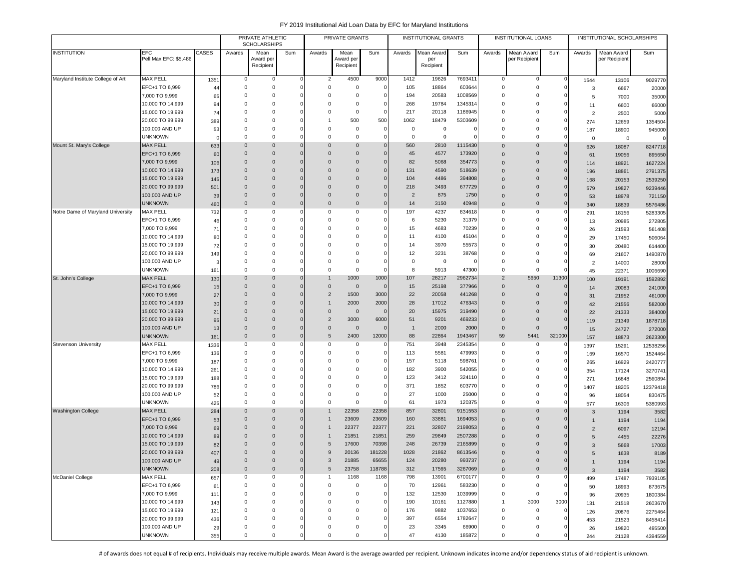|                                   |                                      |           |                         | PRIVATE ATHLETIC<br><b>SCHOLARSHIPS</b> |                      |                            | PRIVATE GRANTS         |                      |                | <b>INSTITUTIONAL GRANTS</b> |                |                      | INSTITUTIONAL LOANS          |              |                | INSTITUTIONAL SCHOLARSHIPS |                    |
|-----------------------------------|--------------------------------------|-----------|-------------------------|-----------------------------------------|----------------------|----------------------------|------------------------|----------------------|----------------|-----------------------------|----------------|----------------------|------------------------------|--------------|----------------|----------------------------|--------------------|
| <b>INSTITUTION</b>                | EFC                                  | CASES     | Awards                  | Mean                                    | Sum                  | Awards                     | Mean                   | Sum                  | Awards         | Mean Award                  | Sum            | Awards               | Mean Award                   | Sum          | Awards         | Mean Award                 | Sum                |
|                                   | Pell Max EFC: \$5,486                |           |                         | Award per                               |                      |                            | Award per              |                      |                | per<br>Recipient            |                |                      | per Recipien                 |              |                | per Recipient              |                    |
|                                   |                                      |           |                         | Recipient                               |                      |                            | Recipient              |                      |                |                             |                |                      |                              |              |                |                            |                    |
| Maryland Institute College of Art | <b>MAX PELL</b>                      | 1351      | 0                       | 0                                       | $\Omega$             | $\overline{2}$             | 4500                   | 9000                 | 1412           | 19626                       | 7693411        | 0                    | $\mathbf 0$                  | $^{\circ}$   | 1544           | 13106                      | 9029770            |
|                                   | EFC+1 TO 6,999                       | 44        | $\mathbf 0$             | $\Omega$                                | O                    | $\Omega$                   | $\Omega$               | $\mathsf{O}\xspace$  | 105            | 18864                       | 603644         | $^{\circ}$           | $\mathsf 0$                  | $^{\circ}$   | 3              | 6667                       | 20000              |
|                                   | 7,000 TO 9,999                       | 65        | $\mathbf 0$             | $\Omega$                                |                      | $\Omega$                   | 0                      | $\mathbf 0$          | 194            | 20583                       | 1008569        | $\Omega$             | 0                            | $\Omega$     | 5              | 7000                       | 35000              |
|                                   | 10,000 TO 14,999                     | 94        | 0                       | $\Omega$                                |                      | $\Omega$                   | 0                      | $\mathbf 0$          | 268            | 19784                       | 1345314        | $\Omega$             | 0                            |              | 11             | 6600                       | 66000              |
|                                   | 15,000 TO 19,999                     | 74        | 0                       | $\Omega$                                |                      | $\Omega$                   | $^{\circ}$             | $\mathsf{O}\xspace$  | 217            | 20118                       | 1186945        | $\Omega$             | 0                            | $\Omega$     | $\overline{2}$ | 2500                       | 5000               |
|                                   | 20,000 TO 99,999                     | 389       | $\Omega$                | $\Omega$                                | C                    |                            | 500                    | 500                  | 1062           | 18479                       | 5303609        | $\Omega$             | 0                            | $\Omega$     | 274            | 12659                      | 1354504            |
|                                   | 100,000 AND UP                       | 53        | 0                       | $\Omega$                                |                      | $\Omega$                   | 0                      | $\mathsf{O}\xspace$  | 0              | $\mathbf 0$                 |                | $\Omega$             | 0                            | 0            | 187            | 18900                      | 945000             |
|                                   | <b>UNKNOWN</b>                       | C.        | $\Omega$                | $\Omega$                                | $\Omega$             | $\Omega$                   | $\mathbf 0$            | $\mathbf 0$          | $\mathbf 0$    | $^{\circ}$                  |                | $^{\circ}$           | $\Omega$                     |              | $\overline{0}$ | 0                          |                    |
| Mount St. Mary's College          | <b>MAX PELL</b>                      | 633       | $\mathbf 0$             | $\Omega$                                | $\Omega$             | $\Omega$                   | $\mathbf{0}$           | $\mathbf 0$          | 560            | 2810                        | 1115430        | $\Omega$             | $\mathbf{0}$                 | $\mathbf 0$  | 626            | 18087                      | 8247718            |
|                                   | EFC+1 TO 6,999                       | 60        | $\mathbf 0$             | $\Omega$                                | $\Omega$             | $\Omega$                   | $\mathbf{0}$           | $\mathbf 0$          | 45             | 4577                        | 173920         | $\Omega$             | $\mathbf{0}$                 | $\Omega$     | 61             | 19056                      | 895650             |
|                                   | 7,000 TO 9,999                       | 106       | $\mathbf 0$             | $\Omega$                                |                      | $\Omega$                   | 0                      | $\mathbf 0$          | 82             | 5068                        | 354773         | $\Omega$             | $\mathbf{0}$                 |              | 114            | 18921                      | 1627224            |
|                                   | 10,000 TO 14,999                     | 173       | $\mathbf 0$             | $\Omega$                                | $\Omega$             | $\Omega$                   | $\mathbf{0}$           | $\mathsf{O}\xspace$  | 131            | 4590                        | 518639         | $\Omega$             | $\mathbf{0}$                 | $\Omega$     | 196            | 18861                      | 2791375            |
|                                   | 15,000 TO 19,999                     | 145       | $\mathbf 0$             | $\Omega$                                | $\Omega$             | $\Omega$                   | $\mathbf 0$            | $\mathsf{O}\xspace$  | 104            | 4486                        | 394808         | $\Omega$             | $\mathbf{0}$                 | $\Omega$     | 168            | 20153                      | 2539250            |
|                                   | 20,000 TO 99,999                     | 501       | $\Omega$                | $\Omega$                                | $\Omega$             | $\Omega$                   | $\Omega$               | $\mathbf 0$          | 218            | 3493                        | 677729         | $\Omega$             | $\mathbf 0$                  | $\Omega$     | 579            | 19827                      | 9239446            |
|                                   | 100,000 AND UP                       | 39        | $\mathbf 0$             | $\Omega$                                | $\Omega$             | $\Omega$                   | $\Omega$               | $\mathbf 0$          | $\overline{2}$ | 875                         | 1750           | $\Omega$             | $\mathbf 0$                  | $\Omega$     | 53             | 18978                      | 721150             |
|                                   | <b>UNKNOWN</b>                       | 460       | $\mathbf 0$             | $\mathbf 0$                             | $\mathbf 0$          | $\Omega$                   | $\mathbf 0$            | $\mathbf 0$          | 14             | 3150                        | 40948          | $\Omega$             | $\mathbf{0}$                 | $\mathbf 0$  | 340            | 18839                      | 5576486            |
| Notre Dame of Maryland University | <b>MAX PELL</b>                      | 732       | 0                       | $\Omega$                                | O                    | $\Omega$                   | 0                      | $\mathbf 0$          | 197            | 4237                        | 834618         | $\Omega$             | 0                            | 0            | 291            | 18156                      | 5283305            |
|                                   | EFC+1 TO 6,999                       | 46        | 0                       | $^{\circ}$                              |                      | 0                          | 0                      | $\mathsf{O}\xspace$  | 6              | 5230                        | 31379          | $\Omega$             | 0                            | 0            | 13             | 20985                      | 272805             |
|                                   | 7,000 TO 9,999                       | 71        | 0                       | $\Omega$                                |                      | $\Omega$                   | $\Omega$               | $\mathbf 0$          | 15             | 4683                        | 70239          | $\Omega$             | $\mathbf 0$                  | $\Omega$     | 26             | 21593                      | 561408             |
|                                   | 10,000 TO 14,999                     | 80        | $\Omega$                | $\Omega$                                |                      | $\Omega$                   | $\Omega$               | $\mathbf 0$          | 11             | 4100                        | 45104          | $\Omega$             | $\Omega$                     |              | 29             | 17450                      | 506064             |
|                                   | 15,000 TO 19,999                     | 72        | $\Omega$                | $\Omega$                                |                      | $\Omega$                   | $\Omega$               | $\Omega$             | 14             | 3970                        | 55573          | $\Omega$             | $\Omega$                     |              | 30             | 20480                      | 614400             |
|                                   | 20,000 TO 99,999                     | 149       | 0                       | $\Omega$                                |                      | $\Omega$                   | $\Omega$               | $\mathbf 0$          | 12             | 3231                        | 38768          | $\Omega$             | 0                            |              | 69             | 21607                      | 1490870            |
|                                   | 100,000 AND UP                       |           | $\mathbf 0$             | $\Omega$                                |                      | $\Omega$                   | $\mathbf 0$            | $\mathbf 0$          | 0              | 0                           |                | $\Omega$             | $\mathsf 0$                  |              | $\overline{2}$ | 14000                      | 28000              |
|                                   | <b>UNKNOWN</b>                       | 161       | 0                       | $^{\circ}$                              |                      | 0                          | $\mathbf 0$            | $\mathbf 0$          | 8              | 5913                        | 47300          | 0                    | $\mathsf 0$                  |              | 45             | 22371                      | 1006690            |
| St. John's College                | <b>MAX PELL</b>                      | 130       | $\mathbf 0$             | $\Omega$                                | $\Omega$             |                            | 1000                   | 1000                 | 107            | 28217                       | 2962734        | $\overline{2}$       | 5650                         | 11300        | 100            | 19191                      | 1592892            |
|                                   | EFC+1 TO 6,999                       | 15        | $\mathbf 0$             | $\Omega$                                |                      | $\Omega$                   | $\overline{0}$         | $\mathbf 0$          | 15             | 25198                       | 377966         | $\Omega$             | $\mathbf 0$                  | $\mathbf{0}$ | 14             | 20083                      | 241000             |
|                                   | 7,000 TO 9,999                       | 27        | $\Omega$<br>$\mathbf 0$ | $\Omega$<br>$\Omega$                    | $\Omega$<br>$\Omega$ | 2                          | 1500                   | 3000<br>2000         | 22             | 20058                       | 441268         | $\Omega$<br>$\Omega$ | $\mathbf{0}$<br>$\mathbf{0}$ | $\Omega$     | 31             | 21952                      | 461000             |
|                                   | 10,000 TO 14,999                     | 30        |                         | $\Omega$                                |                      |                            | 2000                   |                      | 28             | 17012                       | 476343         |                      |                              |              | 42             | 21556                      | 582000             |
|                                   | 15,000 TO 19,999<br>20,000 TO 99,999 | 21        | $\Omega$<br>$\mathbf 0$ | $\mathbf 0$                             | $\Omega$             | $\Omega$<br>$\overline{2}$ | $\overline{0}$         | $\mathbf{0}$<br>6000 | 20<br>51       | 15975                       | 319490         | $\Omega$<br>$\Omega$ | $\mathbf{0}$<br>$\mathbf{0}$ | $\Omega$     | 22             | 21333                      | 384000             |
|                                   |                                      | 95        | $\mathbf 0$             | $\Omega$                                | $\Omega$             | $\Omega$                   | 3000<br>$\overline{0}$ | $\Omega$             | $\overline{1}$ | 9201<br>2000                | 469233<br>2000 | $\Omega$             | $\mathsf{O}\xspace$          | $\Omega$     | 119            | 21349                      | 1878718            |
|                                   | 100,000 AND UP<br><b>UNKNOWN</b>     | 13<br>161 | $\mathbf 0$             | $\Omega$                                |                      | $\mathbf 0$<br>5           | 2400                   | 12000                | 88             | 22864                       | 1943467        | 59                   | 5441                         | 321000       | 15             | 24727                      | 272000             |
| Stevenson University              | MAX PELL                             | 1336      | 0                       | $\Omega$                                | O                    | $\Omega$                   | 0                      | $\mathbf 0$          | 751            | 3948                        | 2345354        | $\Omega$             | 0                            | $\Omega$     | 157            | 18873                      | 2623300            |
|                                   | EFC+1 TO 6,999                       | 136       | 0                       | $\Omega$                                |                      | $^{\circ}$                 | $\mathbf 0$            | $\mathbf 0$          | 113            | 5581                        | 479993         | $\mathbf 0$          | 0                            | $\Omega$     | 1397           | 15291                      | 12538256           |
|                                   | 7,000 TO 9,999                       | 187       | 0                       | $\Omega$                                |                      | $\Omega$                   | $\Omega$               | $\mathbf 0$          | 157            | 5118                        | 598761         | $\Omega$             | 0                            | $\Omega$     | 169            | 16570<br>16929             | 1524464            |
|                                   | 10,000 TO 14,999                     | 261       | 0                       | $\Omega$                                |                      | 0                          | 0                      | $\mathbf 0$          | 182            | 3900                        | 542055         | $\Omega$             | $\mathbf 0$                  |              | 265<br>354     | 17124                      | 2420777<br>3270741 |
|                                   | 15,000 TO 19,999                     | 188       | 0                       | $\Omega$                                |                      | $\Omega$                   | 0                      | $\mathbf 0$          | 123            | 3412                        | 324110         | $\Omega$             | 0                            | 0            | 271            | 16848                      | 2560894            |
|                                   | 20,000 TO 99,999                     | 786       | $\mathbf 0$             | $\Omega$                                |                      | $\Omega$                   | $^{\circ}$             | $\mathbf 0$          | 371            | 1852                        | 603770         | $\Omega$             | 0                            | $\Omega$     | 1407           | 18205                      | 12379418           |
|                                   | 100,000 AND UP                       | 52        | $\mathbf 0$             | $\Omega$                                |                      | $\Omega$                   | $^{\circ}$             | $\mathbf 0$          | 27             | 1000                        | 25000          | $\Omega$             | $\mathbf 0$                  | $\Omega$     | 96             | 18054                      | 830475             |
|                                   | <b>UNKNOWN</b>                       | 425       | $\Omega$                | $\Omega$                                | O                    | $\Omega$                   | $\mathbf 0$            | $\Omega$             | 61             | 1973                        | 120375         | $\Omega$             | $\mathbf 0$                  | $\mathbf 0$  | 577            | 16306                      | 5380993            |
| <b>Washington College</b>         | <b>MAX PELL</b>                      | 284       | $\mathbf 0$             | $\Omega$                                | $\Omega$             |                            | 22358                  | 22358                | 857            | 32801                       | 9151553        | $\Omega$             | $\mathbf{0}$                 | $\mathbf{0}$ | 3              | 1194                       | 3582               |
|                                   | EFC+1 TO 6,999                       | 53        | $\mathbf 0$             | $\mathbf 0$                             | $\Omega$             |                            | 23609                  | 23609                | 160            | 33881                       | 1694053        | $\Omega$             | $\mathbf{0}$                 | 0            | $\mathbf{1}$   | 1194                       | 1194               |
|                                   | 7,000 TO 9,999                       | 69        | $\mathbf 0$             | $\mathbf 0$                             | $\Omega$             |                            | 22377                  | 22377                | 221            | 32807                       | 2198053        | $\Omega$             | $\mathbf{0}$                 | $\Omega$     | $\overline{c}$ | 6097                       | 12194              |
|                                   | 10,000 TO 14,999                     | 89        | $\mathbf 0$             | $\Omega$                                |                      |                            | 21851                  | 21851                | 259            | 29849                       | 2507288        | 0                    | $\mathbf 0$                  |              | 5              | 4455                       | 22276              |
|                                   | 15,000 TO 19,999                     | 82        | $\Omega$                | $\Omega$                                |                      | $\sqrt{5}$                 | 17600                  | 70398                | 248            | 26739                       | 2165899        | $\Omega$             | $\Omega$                     |              | 3              | 5668                       | 17003              |
|                                   | 20,000 TO 99,999                     | 407       | $\Omega$                | $\Omega$                                |                      | 9                          | 20136                  | 181228               | 1028           | 21862                       | 8613546        | $\Omega$             | $\Omega$                     |              | 5              | 1638                       | 8189               |
|                                   | 100,000 AND UP                       | 49        | $\mathbf 0$             | $\mathbf 0$                             |                      | 3                          | 21885                  | 65655                | 124            | 20280                       | 993737         | $\mathbf 0$          | $\mathbf 0$                  | $\mathbf 0$  | $\overline{1}$ | 1194                       | 1194               |
|                                   | <b>UNKNOWN</b>                       | 208       | $\mathbf 0$             | $\mathbf{0}$                            |                      | $\mathbf{0}$<br>5          | 23758                  | 118788               | 312            | 17565                       | 3267069        | $\mathbf{0}$         | $\mathbf 0$                  | $\mathbf 0$  | $\overline{3}$ | 1194                       | 3582               |
| McDaniel College                  | MAX PELL                             | 657       | 0                       | 0                                       | O                    | $\overline{1}$             | 1168                   | 1168                 | 798            | 13901                       | 6700177        | 0                    | 0                            | 0            | 499            | 17487                      | 7939105            |
|                                   | EFC+1 TO 6,999                       | 61        | 0                       | 0                                       |                      | 0                          | 0                      | $\mathbf 0$          | 70             | 12961                       | 583230         | 0                    | 0                            | 0            | 50             | 18993                      | 873675             |
|                                   | 7,000 TO 9,999                       | 111       | $^{\circ}$              | $^{\circ}$                              |                      | $^{\circ}$                 | 0                      | $\mathbf 0$          | 132            | 12530                       | 1039999        | 0                    | $\mathbf 0$                  | - 0          | 96             | 20935                      | 1800384            |
|                                   | 10,000 TO 14,999                     | 143       | $^{\circ}$              | $\Omega$                                |                      | $\Omega$                   | $\Omega$               | $\mathbf 0$          | 190            | 10161                       | 1127880        | $\mathbf{1}$         | 3000                         | 3000         | 131            | 21518                      | 2603670            |
|                                   | 15,000 TO 19,999                     | 121       | $\mathbf 0$             | $^{\circ}$                              |                      | $\Omega$                   | $\Omega$               | $\mathsf{O}\xspace$  | 176            | 9882                        | 1037653        | 0                    | 0                            | 0            | 126            | 20876                      | 2275464            |
|                                   | 20,000 TO 99,999                     | 436       | $\mathbf 0$             | $\Omega$                                |                      | $\Omega$                   | $\Omega$               | $\mathbf 0$          | 397            | 6554                        | 1782647        | 0                    | 0                            | $\Omega$     | 453            | 21523                      | 8458414            |
|                                   | 100,000 AND UP                       | 29        | 0                       | $^{\circ}$                              |                      | 0                          | 0                      | $\mathsf{O}\xspace$  | 23             | 3345                        | 66900          | 0                    | 0                            |              | 26             | 19820                      | 495500             |
|                                   | <b>UNKNOWN</b>                       | 355       | 0                       | $\mathbf 0$                             |                      | $\mathsf 0$                | $\mathbf 0$            | $\mathbf 0$          | 47             | 4130                        | 185872         | $\mathbf 0$          | $\mathsf 0$                  | - 0          | 244            | 21128                      | 4394559            |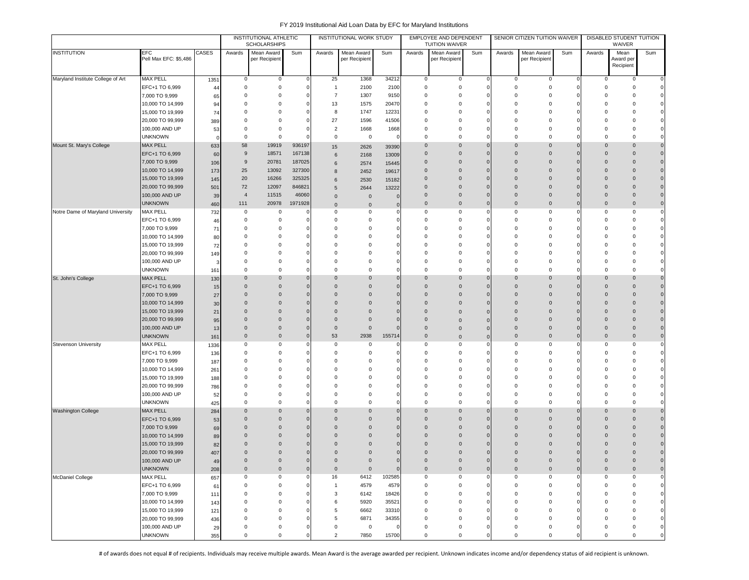|                                   |                                      |            |                            | INSTITUTIONAL ATHLETIC<br><b>SCHOLARSHIPS</b> |              |                      | INSTITUTIONAL WORK STUDY |             |                            | EMPLOYEE AND DEPENDENT<br><b>TUITION WAIVER</b> |             |                      | SENIOR CITIZEN TUITION WAIVER |                         |                            | DISABLED STUDENT TUITION<br>WAIVER |                                  |
|-----------------------------------|--------------------------------------|------------|----------------------------|-----------------------------------------------|--------------|----------------------|--------------------------|-------------|----------------------------|-------------------------------------------------|-------------|----------------------|-------------------------------|-------------------------|----------------------------|------------------------------------|----------------------------------|
| <b>INSTITUTION</b>                | EFC<br>Pell Max EFC: \$5,486         | CASES      | Awards                     | Mean Award<br>per Recipient                   | Sum          | Awards               | Mean Award               | Sum         | Awards                     | Mean Award                                      | Sum         | Awards               | Mean Award                    | Sum                     | Awards                     | Mean                               | Sum                              |
|                                   |                                      |            |                            |                                               |              |                      | per Recipient            |             |                            | per Recipient                                   |             |                      | per Recipient                 |                         |                            | Award per<br>Recipient             |                                  |
| Maryland Institute College of Art | <b>MAX PELL</b>                      |            | $\mathbf 0$                | $\mathsf 0$                                   |              | 25                   | 1368                     | 34212       | $\mathsf 0$                | $\mathsf 0$                                     |             | 0                    | $\mathsf 0$                   | $\mathbf 0$             | 0                          | 0                                  | $\overline{0}$                   |
|                                   | EFC+1 TO 6,999                       | 1351<br>44 | $\mathbf 0$                | 0                                             |              | $\overline{1}$       | 2100                     | 2100        | $\mathbf 0$                | 0                                               |             | $\Omega$             | $\mathbf 0$                   | $^{\circ}$              | 0                          | $\mathbf 0$                        | $\overline{0}$                   |
|                                   | 7,000 TO 9,999                       | 65         | $\mathbf 0$                | $\mathbf 0$                                   |              | $\overline{7}$       | 1307                     | 9150        | $\mathbf 0$                | $^{\circ}$                                      |             | $\Omega$             | $\mathbf 0$                   | $\overline{0}$          | 0                          | $\Omega$                           |                                  |
|                                   | 10,000 TO 14,999                     | 94         | 0                          | $\mathbf 0$                                   |              | 13                   | 1575                     | 20470       | $\mathbf 0$                | $^{\circ}$                                      |             | $\Omega$             | $\mathbf 0$                   | $\Omega$                | 0                          | $\Omega$                           | $\Omega$                         |
|                                   | 15,000 TO 19,999                     | 74         | 0                          | $\mathbf 0$                                   |              | 8                    | 1747                     | 12231       | $\mathbf 0$                | $^{\circ}$                                      |             | $\Omega$             | $^{\circ}$                    | 0                       | 0                          | 0                                  | $\Omega$                         |
|                                   | 20,000 TO 99,999                     | 389        | $\mathbf 0$                | 0                                             |              | 27                   | 1596                     | 41506       | $\mathbf 0$                | $^{\circ}$                                      |             | $\Omega$             | $^{\circ}$                    | $\Omega$                | $\Omega$                   | C                                  | $\mathbf{0}$                     |
|                                   | 100,000 AND UP                       | 53         | $\mathbf 0$                | 0                                             |              | $\overline{2}$       | 1668                     | 1668        | $\mathbf 0$                | $^{\circ}$                                      |             | $\Omega$             | $^{\circ}$                    | $\Omega$                | $\Omega$                   | O                                  | $\Omega$                         |
|                                   | <b>UNKNOWN</b>                       | $\Omega$   | $\mathbf 0$                | $\mathbf 0$                                   |              | $\mathbf 0$          | 0                        | -0          | $\mathbf 0$                | $^{\circ}$                                      |             | $\mathbf 0$          | $\mathbf 0$                   | $\Omega$                | $\Omega$                   | $\Omega$                           | $\mathbf{0}$                     |
| Mount St. Mary's College          | <b>MAX PELL</b>                      | 633        | 58                         | 19919                                         | 936197       | 15                   | 2626                     | 39390       | $\mathbf{0}$               | $\Omega$                                        |             | $\Omega$             | $\mathbf{0}$                  | $\mathbf 0$             | $\mathbf 0$                | $\Omega$                           | $\mathbf 0$                      |
|                                   | EFC+1 TO 6,999                       | 60         | 9                          | 18571                                         | 167138       | 6                    | 2168                     | 13009       | $\overline{0}$             | $\mathbf 0$                                     |             | $\Omega$             | $\mathbf 0$                   | $\Omega$                | $\mathbf{0}$               | $\Omega$                           | $\mathbf 0$                      |
|                                   | 7,000 TO 9,999                       | 106        | 9                          | 20781                                         | 187025       | 6                    | 2574                     | 15445       | $\mathbf 0$                | $\mathbf 0$                                     |             | $\Omega$             | $\mathbf 0$                   | $\mathbf 0$             | $\mathbf{0}$               | 0                                  | $\mathbf 0$                      |
|                                   | 10,000 TO 14,999                     | 173        | 25                         | 13092                                         | 327300       | 8                    | 2452                     | 19617       | $\overline{0}$             | $\mathbf 0$                                     |             | $\Omega$             | $\mathbf 0$                   | $\mathbf 0$             | $\mathsf{O}\xspace$        | $\Omega$                           | $\overline{0}$                   |
|                                   | 15,000 TO 19,999                     | 145        | 20                         | 16266                                         | 325325       | 6                    | 2530                     | 15182       | $\overline{0}$             | $\Omega$                                        |             | $\Omega$             | $\mathbf 0$                   | $\mathbf 0$             | $\mathbf 0$                | $\Omega$                           | $\overline{0}$                   |
|                                   | 20,000 TO 99,999                     | 501        | 72                         | 12097                                         | 846821       | 5                    | 2644                     | 13222       | $\overline{0}$             | $\Omega$                                        |             | $\Omega$             | $\Omega$                      | $\mathbf{0}$            | $\mathbf{0}$               | $\Omega$                           | $\overline{0}$                   |
|                                   | 100,000 AND UP                       | 39         | $\overline{4}$             | 11515                                         | 46060        | $\mathbf{0}$         | $\mathbf 0$              |             | $\overline{0}$             | $\Omega$                                        |             | $\Omega$             | $\mathbf 0$                   | $\overline{0}$          | $\mathbf 0$                | $\Omega$                           | $\overline{0}$                   |
|                                   | <b>UNKNOWN</b>                       | 460        | 111                        | 20978                                         | 1971928      | $\mathbf{0}$         | $\mathbf 0$              |             | $\overline{0}$             | $\mathbf 0$                                     |             | $\mathbf 0$          | $\mathbf 0$                   | $\mathbf 0$             | $\mathbf 0$                | $\overline{0}$                     | $\overline{0}$                   |
| Notre Dame of Maryland University | <b>MAX PELL</b>                      | 732        | 0                          | 0                                             |              | 0                    | 0                        |             | $\mathbf 0$                | 0                                               |             | 0                    | 0                             | $\mathbf 0$             | 0                          | $\mathbf 0$                        | $\overline{0}$                   |
|                                   | EFC+1 TO 6,999                       | 46         | 0                          | $\mathbf 0$                                   |              | 0                    | $^{\circ}$               |             | $\mathbf 0$                | 0                                               |             | $\Omega$             | 0                             | $\mathbf 0$             | 0                          | 0                                  | $\overline{0}$                   |
|                                   | 7,000 TO 9,999                       | 71         | 0<br>$\Omega$              | 0<br>$\mathbf 0$                              |              | $\Omega$<br>$\Omega$ | $^{\circ}$<br>$\Omega$   |             | $\mathbf 0$<br>$\mathbf 0$ | $^{\circ}$<br>$\Omega$                          |             | $\Omega$<br>$\Omega$ | 0<br>$\Omega$                 | $\Omega$<br>$\Omega$    | $\Omega$<br>$\Omega$       | $\Omega$<br>C                      | $\circ$<br>$\mathbf{0}$          |
|                                   | 10,000 TO 14,999                     | 80         | $\mathbf 0$                | $\Omega$                                      |              | $\Omega$             | $\Omega$                 |             | $\Omega$                   | $\Omega$                                        |             | $\Omega$             | $\Omega$                      | $\Omega$                | $\Omega$                   |                                    |                                  |
|                                   | 15,000 TO 19,999<br>20,000 TO 99,999 | 72         | 0                          | $\mathbf 0$                                   |              | $\Omega$             | $^{\circ}$               |             | $\mathbf 0$                | $^{\circ}$                                      |             | $\Omega$             | $\mathbf 0$                   | $\Omega$                | $\Omega$                   | Ω                                  |                                  |
|                                   | 100,000 AND UP                       | 149        | 0                          | 0                                             |              | 0                    | $^{\circ}$               |             | $\mathbf 0$                | 0                                               |             | $\Omega$             | 0                             | $\Omega$                | 0                          | O                                  | $\mathbf{0}$                     |
|                                   | <b>UNKNOWN</b>                       | 161        | 0                          | $\mathbf 0$                                   |              | $\mathbf 0$          | $\mathsf 0$              |             | $\mathbf 0$                | 0                                               |             | $\Omega$             | $^{\circ}$                    | $\Omega$                | 0                          | 0                                  | $\Omega$                         |
| St. John's College                | <b>MAX PELL</b>                      | 130        | $\Omega$                   | 0                                             |              | $\Omega$             | $\overline{0}$           |             | $\overline{0}$             | $\Omega$                                        |             | $\Omega$             | $\mathbf 0$                   | $\Omega$                | $\mathsf 0$                | $\overline{0}$                     | $\overline{0}$                   |
|                                   | EFC+1 TO 6,999                       | 15         | $\mathbf{0}$               | $\mathbf 0$                                   |              | $\Omega$             | $\mathbf 0$              |             | $\overline{0}$             | $\Omega$                                        |             | $\Omega$             | $\Omega$                      | $\Omega$                | $\mathbf{0}$               | $\Omega$                           | $\overline{0}$                   |
|                                   | 7,000 TO 9,999                       | 27         | $\mathbf{0}$               | $\mathbf{0}$                                  |              | $\Omega$             | $\Omega$                 |             | $\overline{0}$             | $\Omega$                                        |             | $\Omega$             | $\Omega$                      | $\Omega$                | $\mathbf{0}$               | $\Omega$                           | $\overline{0}$                   |
|                                   | 10,000 TO 14,999                     | 30         | $\mathbf 0$                | $\mathbf{0}$                                  |              | $\Omega$             | $\overline{0}$           |             | $\overline{0}$             | $\Omega$                                        |             | $\Omega$             | $\overline{0}$                | $\Omega$                | $\mathbf{0}$               | 0                                  | $\overline{0}$                   |
|                                   | 15,000 TO 19,999                     | 21         | $\mathbf{0}$               | $\mathbf{0}$                                  |              | $\Omega$             | $\mathbf 0$              |             | $\mathbf 0$                | $\Omega$                                        |             | $\Omega$             | $\mathbf 0$                   | $\mathbf 0$             | $\mathbf{0}$               | $\Omega$                           | $\overline{0}$                   |
|                                   | 20,000 TO 99,999                     | 95         | $\mathbf 0$                | $\mathbf{0}$                                  |              | 0                    | $\mathbf 0$              |             | $\overline{0}$             | $\Omega$                                        |             | $\Omega$             | $\mathbf 0$                   | $\overline{0}$          | $\mathbf{0}$               | 0                                  | $\overline{0}$                   |
|                                   | 100,000 AND UP                       | 13         | $\mathbf 0$                | $\mathbf 0$                                   |              | $\mathbf 0$          | $\mathbf 0$              |             | $\overline{0}$             | $\Omega$                                        |             | $\Omega$             | $\mathbf 0$                   | $\mathbf 0$             | $\mathsf 0$                | $\Omega$                           | $\overline{0}$                   |
|                                   | <b>UNKNOWN</b>                       | 161        | $\mathbf 0$                | $\mathbf 0$                                   |              | 53                   | 2938                     | 155714      | $\overline{0}$             | $\mathbf 0$                                     |             | $\mathbf 0$          | $\mathbf 0$                   | $\mathbf 0$             | $\mathbf 0$                | $\overline{0}$                     | $\circ$                          |
| <b>Stevenson University</b>       | <b>MAX PELL</b>                      | 1336       | $\mathbf 0$                | 0                                             |              | $\Omega$             | 0                        |             | $\mathbf 0$                | 0                                               |             | $^{\circ}$           | 0                             | $\Omega$                | $^{\circ}$                 | $\Omega$                           | $\mathbf 0$                      |
|                                   | EFC+1 TO 6,999                       | 136        | 0                          | $\mathbf 0$                                   |              | $\mathbf 0$          | $^{\circ}$               |             | $\mathbf 0$                | 0                                               |             | $\Omega$             | $^{\circ}$                    |                         | 0                          | $\Omega$                           | $\circ$                          |
|                                   | 7,000 TO 9,999                       | 187        | 0                          | $\mathbf 0$                                   |              | 0                    | $^{\circ}$               |             | $\overline{0}$             | $\Omega$                                        |             | $\Omega$             | $^{\circ}$                    |                         | $\Omega$                   | Ω                                  | $\Omega$                         |
|                                   | 10,000 TO 14,999                     | 261        | 0                          | 0                                             |              | $\mathbf 0$          | $^{\circ}$               |             | $\mathbf 0$                | 0                                               |             | $\Omega$             | $^{\circ}$                    | $\Omega$                | 0                          | 0                                  |                                  |
|                                   | 15,000 TO 19,999                     | 188        | 0                          | 0                                             |              | $\Omega$             | 0                        |             | $\mathbf 0$                | $^{\circ}$                                      |             | $\Omega$             | $^{\circ}$                    | $\Omega$                | $\mathbf 0$                | $\Omega$                           | $\mathbf{0}$                     |
|                                   | 20,000 TO 99,999                     | 786        | 0                          | 0                                             |              | $\Omega$             | $^{\circ}$               |             | $\mathbf 0$                | 0                                               |             | $\Omega$             | $^{\circ}$                    | $\mathbf 0$             | $\mathbf 0$                | $\Omega$                           | $\mathbf{0}$                     |
|                                   | 100,000 AND UP                       | 52         | $\Omega$                   | $\mathbf 0$                                   |              | $\Omega$<br>$\Omega$ | $^{\circ}$               |             | $\mathbf 0$                | $\Omega$                                        |             | $\Omega$<br>$\Omega$ | $\mathbf 0$                   | $\Omega$<br>$\mathbf 0$ | $\Omega$                   | $\Omega$<br>$\Omega$               | $\overline{0}$<br>$\overline{0}$ |
| <b>Washington College</b>         | <b>UNKNOWN</b><br><b>MAX PELL</b>    | 425        | $\mathbf 0$<br>$\mathbf 0$ | 0<br>$\mathbf{0}$                             |              | $\mathbf 0$          | 0<br>$\overline{0}$      | $\epsilon$  | $\mathbf 0$<br>$\mathbf 0$ | $^{\circ}$<br>$\mathbf 0$                       |             | $\Omega$             | 0<br>$\mathbf 0$              | $\mathbf 0$             | $^{\circ}$<br>$\mathbf{0}$ | $\overline{0}$                     | $\overline{0}$                   |
|                                   | EFC+1 TO 6,999                       | 284        | $\mathbf 0$                | $\mathbf{0}$                                  |              | 0                    | $\overline{0}$           |             | $\overline{0}$             | $\mathbf 0$                                     |             | $\Omega$             | $\mathbf 0$                   | $\overline{0}$          | $\mathsf 0$                | $\overline{0}$                     | $\overline{0}$                   |
|                                   | 7,000 TO 9,999                       | 53<br>69   | $\mathbf 0$                | $\mathbf 0$                                   |              | $\Omega$             | $\mathbf 0$              |             | $\overline{0}$             | $\mathbf 0$                                     |             | $\Omega$             | $\mathbf 0$                   | $\Omega$                | $\mathbf 0$                | $\mathbf{0}$                       | $\overline{0}$                   |
|                                   | 10,000 TO 14,999                     | 89         | $\Omega$                   | $\mathbf{0}$                                  |              | $\Omega$             | $\Omega$                 |             | $\overline{0}$             | $\Omega$                                        |             | $\Omega$             | $\Omega$                      | $\Omega$                | $\mathbf 0$                | $\Omega$                           | $\overline{0}$                   |
|                                   | 15,000 TO 19,999                     | 82         | $\Omega$                   | $\Omega$                                      |              | 0                    | $\Omega$                 |             | $\Omega$                   | $\Omega$                                        |             | $\Omega$             | $\Omega$                      | $\Omega$                | $\Omega$                   |                                    | $\mathbf{0}$                     |
|                                   | 20,000 TO 99,999                     | 407        | $\Omega$                   | $\Omega$                                      |              | $\Omega$             | $\Omega$                 |             | $\Omega$                   | $\Omega$                                        |             | $\Omega$             | $\Omega$                      | $\Omega$                | $\Omega$                   | $\Omega$                           | $\Omega$                         |
|                                   | 100,000 AND UP                       | 49         | $\mathbf 0$                | $\mathbf{0}$                                  | $\mathbf{0}$ | $\mathbf 0$          | $\mathbf 0$              | $\Omega$    | $\mathsf 0$                | $\mathbf 0$                                     |             | $\mathbf 0$          | $\mathbf 0$                   | $\mathbf{0}$            | $\mathbf 0$                | $\mathbf 0$                        | $\mathbf{0}$                     |
|                                   | <b>UNKNOWN</b>                       | 208        | $\mathsf{O}\xspace$        | $\mathsf{O}\xspace$                           | $\mathbf{0}$ | $\overline{0}$       | $\mathsf{O}$             | $\mathbf 0$ | $\mathbf 0$                | $\mathsf{O}$                                    | $\mathbf 0$ | $\mathbf 0$          | $\mathsf{O}$                  | $\mathbf 0$             | $\mathbf 0$                | $\mathsf{O}\xspace$                | $\mathbf 0$                      |
| <b>McDaniel College</b>           | MAX PELL                             | 657        | $\mathbf 0$                | 0                                             |              | 16                   | 6412                     | 102585      | $\mathsf 0$                | 0                                               |             | $\mathsf 0$          | 0                             | 0                       | $\mathsf 0$                | $\mathbf 0$                        | $\mathbf 0$                      |
|                                   | EFC+1 TO 6,999                       | 61         | $\mathbf 0$                | 0                                             |              | $\mathbf{1}$         | 4579                     | 4579        | $\mathbf 0$                | 0                                               |             | $\mathsf 0$          | $\mathsf 0$                   | $\mathbf 0$             | $\mathsf 0$                | $\mathbf 0$                        | $\mathbf{0}$                     |
|                                   | 7,000 TO 9,999                       | 111        | $\mathsf 0$                | 0                                             |              | $\mathbf{3}$         | 6142                     | 18426       | $\mathbf 0$                | 0                                               |             | $\mathbf 0$          | 0                             | $\mathbf 0$             | 0                          | $\mathsf 0$                        | $\mathbf{0}$                     |
|                                   | 10,000 TO 14,999                     | 143        | $\mathsf 0$                | 0                                             |              | 6                    | 5920                     | 35521       | $\mathbf 0$                | 0                                               |             | $\mathbf 0$          | 0                             | $\Omega$                | $\Omega$                   | $^{\circ}$                         | $\overline{0}$                   |
|                                   | 15,000 TO 19,999                     | 121        | 0                          | 0                                             |              | 5                    | 6662                     | 33310       | $\mathbf 0$                | 0                                               |             | $\Omega$             | 0                             | $\Omega$                | 0                          | $\mathbf 0$                        | $\mathbf 0$                      |
|                                   | 20,000 TO 99,999                     | 436        | 0                          | 0                                             |              | 5                    | 6871                     | 34355       | $\mathbf 0$                | 0                                               |             | $\Omega$             | 0                             | $\Omega$                | $\Omega$                   | 0                                  | $\overline{0}$                   |
|                                   | 100,000 AND UP                       | 29         | $\mathbf 0$                | 0                                             |              | $\mathbf 0$          | $\mathbf 0$              | -0          | $\mathsf 0$                | 0                                               |             | 0                    | 0                             | 0                       | 0                          | 0                                  | $\mathbf 0$                      |
|                                   | <b>UNKNOWN</b>                       | 355        | $\mathbf 0$                | 0                                             |              | $\overline{2}$       | 7850                     | 15700       | $\mathbf 0$                | $\mathbf 0$                                     |             | $\mathsf 0$          | $\mathbf 0$                   | $\mathbf 0$             | $\mathbf 0$                | $\mathbf 0$                        | $\circ$                          |